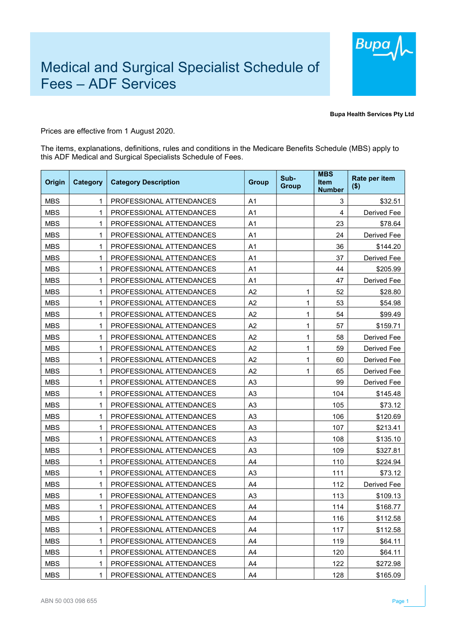

Bupa Health Services Pty Ltd

Prices are effective from 1 August 2020.

The items, explanations, definitions, rules and conditions in the Medicare Benefits Schedule (MBS) apply to this ADF Medical and Surgical Specialists Schedule of Fees.

| Origin     | Category | <b>Category Description</b> | <b>Group</b>   | Sub-<br><b>Group</b> | <b>MBS</b><br><b>Item</b><br><b>Number</b> | Rate per item<br>$($ \$) |
|------------|----------|-----------------------------|----------------|----------------------|--------------------------------------------|--------------------------|
| <b>MBS</b> | 1        | PROFESSIONAL ATTENDANCES    | A1             |                      | 3                                          | \$32.51                  |
| <b>MBS</b> | 1        | PROFESSIONAL ATTENDANCES    | A <sub>1</sub> |                      | $\overline{4}$                             | Derived Fee              |
| <b>MBS</b> | 1        | PROFESSIONAL ATTENDANCES    | A <sub>1</sub> |                      | 23                                         | \$78.64                  |
| <b>MBS</b> | 1        | PROFESSIONAL ATTENDANCES    | A <sub>1</sub> |                      | 24                                         | Derived Fee              |
| <b>MBS</b> | 1        | PROFESSIONAL ATTENDANCES    | A <sub>1</sub> |                      | 36                                         | \$144.20                 |
| <b>MBS</b> | 1        | PROFESSIONAL ATTENDANCES    | A <sub>1</sub> |                      | 37                                         | Derived Fee              |
| <b>MBS</b> | 1        | PROFESSIONAL ATTENDANCES    | A <sub>1</sub> |                      | 44                                         | \$205.99                 |
| <b>MBS</b> | 1        | PROFESSIONAL ATTENDANCES    | A <sub>1</sub> |                      | 47                                         | Derived Fee              |
| <b>MBS</b> | 1        | PROFESSIONAL ATTENDANCES    | A2             | 1                    | 52                                         | \$28.80                  |
| <b>MBS</b> | 1        | PROFESSIONAL ATTENDANCES    | A2             | 1                    | 53                                         | \$54.98                  |
| <b>MBS</b> | 1        | PROFESSIONAL ATTENDANCES    | A2             | 1                    | 54                                         | \$99.49                  |
| <b>MBS</b> | 1        | PROFESSIONAL ATTENDANCES    | A2             | 1                    | 57                                         | \$159.71                 |
| <b>MBS</b> | 1        | PROFESSIONAL ATTENDANCES    | A2             | 1                    | 58                                         | Derived Fee              |
| <b>MBS</b> | 1        | PROFESSIONAL ATTENDANCES    | A2             | 1                    | 59                                         | Derived Fee              |
| <b>MBS</b> | 1        | PROFESSIONAL ATTENDANCES    | A2             | 1                    | 60                                         | Derived Fee              |
| <b>MBS</b> | 1        | PROFESSIONAL ATTENDANCES    | A2             | 1                    | 65                                         | Derived Fee              |
| <b>MBS</b> | 1        | PROFESSIONAL ATTENDANCES    | A <sub>3</sub> |                      | 99                                         | Derived Fee              |
| <b>MBS</b> | 1        | PROFESSIONAL ATTENDANCES    | A <sub>3</sub> |                      | 104                                        | \$145.48                 |
| <b>MBS</b> | 1        | PROFESSIONAL ATTENDANCES    | A <sub>3</sub> |                      | 105                                        | \$73.12                  |
| <b>MBS</b> | 1        | PROFESSIONAL ATTENDANCES    | A <sub>3</sub> |                      | 106                                        | \$120.69                 |
| <b>MBS</b> | 1        | PROFESSIONAL ATTENDANCES    | A <sub>3</sub> |                      | 107                                        | \$213.41                 |
| <b>MBS</b> | 1        | PROFESSIONAL ATTENDANCES    | A <sub>3</sub> |                      | 108                                        | \$135.10                 |
| <b>MBS</b> | 1        | PROFESSIONAL ATTENDANCES    | A <sub>3</sub> |                      | 109                                        | \$327.81                 |
| <b>MBS</b> | 1        | PROFESSIONAL ATTENDANCES    | A4             |                      | 110                                        | \$224.94                 |
| <b>MBS</b> | 1        | PROFESSIONAL ATTENDANCES    | A <sub>3</sub> |                      | 111                                        | \$73.12                  |
| <b>MBS</b> | 1        | PROFESSIONAL ATTENDANCES    | A4             |                      | 112                                        | Derived Fee              |
| <b>MBS</b> | 1        | PROFESSIONAL ATTENDANCES    | A <sub>3</sub> |                      | 113                                        | \$109.13                 |
| <b>MBS</b> | 1        | PROFESSIONAL ATTENDANCES    | A4             |                      | 114                                        | \$168.77                 |
| <b>MBS</b> | 1        | PROFESSIONAL ATTENDANCES    | A4             |                      | 116                                        | \$112.58                 |
| <b>MBS</b> | 1        | PROFESSIONAL ATTENDANCES    | A4             |                      | 117                                        | \$112.58                 |
| <b>MBS</b> | 1        | PROFESSIONAL ATTENDANCES    | A4             |                      | 119                                        | \$64.11                  |
| MBS        | 1        | PROFESSIONAL ATTENDANCES    | A4             |                      | 120                                        | \$64.11                  |
| <b>MBS</b> | 1        | PROFESSIONAL ATTENDANCES    | A4             |                      | 122                                        | \$272.98                 |
| <b>MBS</b> | 1        | PROFESSIONAL ATTENDANCES    | A4             |                      | 128                                        | \$165.09                 |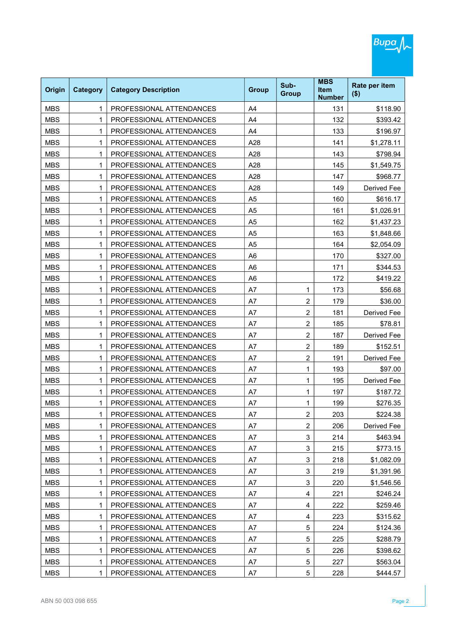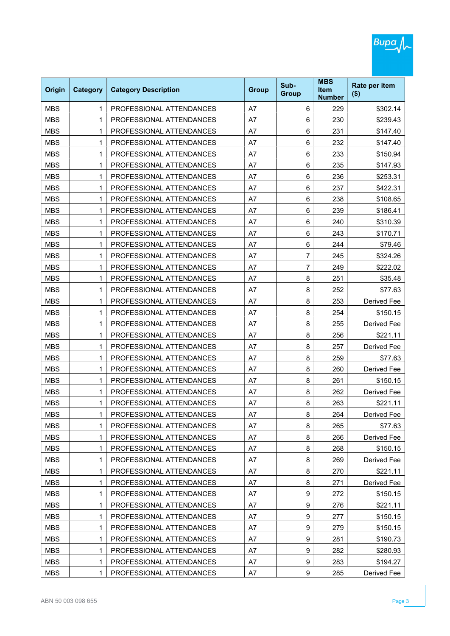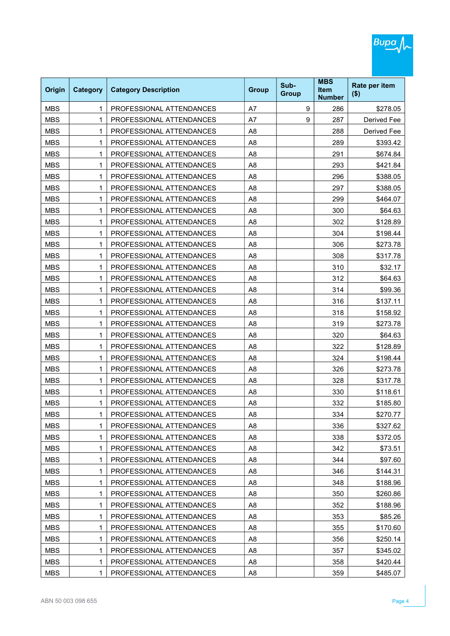

| Origin     | <b>Category</b> | <b>Category Description</b> | <b>Group</b>   | Sub-<br><b>Group</b> | <b>MBS</b><br><b>Item</b><br><b>Number</b> | Rate per item<br>$($ \$) |
|------------|-----------------|-----------------------------|----------------|----------------------|--------------------------------------------|--------------------------|
| <b>MBS</b> | 1               | PROFESSIONAL ATTENDANCES    | A7             | 9                    | 286                                        | \$278.05                 |
| <b>MBS</b> | 1               | PROFESSIONAL ATTENDANCES    | A7             | 9                    | 287                                        | Derived Fee              |
| <b>MBS</b> | 1               | PROFESSIONAL ATTENDANCES    | A <sub>8</sub> |                      | 288                                        | Derived Fee              |
| <b>MBS</b> | 1               | PROFESSIONAL ATTENDANCES    | A <sub>8</sub> |                      | 289                                        | \$393.42                 |
| <b>MBS</b> | 1               | PROFESSIONAL ATTENDANCES    | A <sub>8</sub> |                      | 291                                        | \$674.84                 |
| <b>MBS</b> | 1               | PROFESSIONAL ATTENDANCES    | A <sub>8</sub> |                      | 293                                        | \$421.84                 |
| <b>MBS</b> | 1               | PROFESSIONAL ATTENDANCES    | A <sub>8</sub> |                      | 296                                        | \$388.05                 |
| <b>MBS</b> | 1               | PROFESSIONAL ATTENDANCES    | A <sub>8</sub> |                      | 297                                        | \$388.05                 |
| <b>MBS</b> | 1               | PROFESSIONAL ATTENDANCES    | A <sub>8</sub> |                      | 299                                        | \$464.07                 |
| <b>MBS</b> | 1               | PROFESSIONAL ATTENDANCES    | A <sub>8</sub> |                      | 300                                        | \$64.63                  |
| <b>MBS</b> | 1               | PROFESSIONAL ATTENDANCES    | A <sub>8</sub> |                      | 302                                        | \$128.89                 |
| <b>MBS</b> | 1               | PROFESSIONAL ATTENDANCES    | A <sub>8</sub> |                      | 304                                        | \$198.44                 |
| <b>MBS</b> | 1               | PROFESSIONAL ATTENDANCES    | A <sub>8</sub> |                      | 306                                        | \$273.78                 |
| <b>MBS</b> | 1               | PROFESSIONAL ATTENDANCES    | A <sub>8</sub> |                      | 308                                        | \$317.78                 |
| <b>MBS</b> | 1               | PROFESSIONAL ATTENDANCES    | A <sub>8</sub> |                      | 310                                        | \$32.17                  |
| <b>MBS</b> | 1               | PROFESSIONAL ATTENDANCES    | A <sub>8</sub> |                      | 312                                        | \$64.63                  |
| <b>MBS</b> | 1               | PROFESSIONAL ATTENDANCES    | A <sub>8</sub> |                      | 314                                        | \$99.36                  |
| <b>MBS</b> | 1               | PROFESSIONAL ATTENDANCES    | A <sub>8</sub> |                      | 316                                        | \$137.11                 |
| <b>MBS</b> | 1               | PROFESSIONAL ATTENDANCES    | A <sub>8</sub> |                      | 318                                        | \$158.92                 |
| <b>MBS</b> | 1               | PROFESSIONAL ATTENDANCES    | A <sub>8</sub> |                      | 319                                        | \$273.78                 |
| <b>MBS</b> | 1               | PROFESSIONAL ATTENDANCES    | A <sub>8</sub> |                      | 320                                        | \$64.63                  |
| <b>MBS</b> | 1               | PROFESSIONAL ATTENDANCES    | A <sub>8</sub> |                      | 322                                        | \$128.89                 |
| <b>MBS</b> | 1               | PROFESSIONAL ATTENDANCES    | A <sub>8</sub> |                      | 324                                        | \$198.44                 |
| <b>MBS</b> | 1               | PROFESSIONAL ATTENDANCES    | A <sub>8</sub> |                      | 326                                        | \$273.78                 |
| <b>MBS</b> | 1               | PROFESSIONAL ATTENDANCES    | A <sub>8</sub> |                      | 328                                        | \$317.78                 |
| <b>MBS</b> | 1               | PROFESSIONAL ATTENDANCES    | A <sub>8</sub> |                      | 330                                        | \$118.61                 |
| <b>MBS</b> | 1               | PROFESSIONAL ATTENDANCES    | A8             |                      | 332                                        | \$185.80                 |
| <b>MBS</b> | 1               | PROFESSIONAL ATTENDANCES    | A8             |                      | 334                                        | \$270.77                 |
| <b>MBS</b> | 1               | PROFESSIONAL ATTENDANCES    | A <sub>8</sub> |                      | 336                                        | \$327.62                 |
| <b>MBS</b> | 1               | PROFESSIONAL ATTENDANCES    | A <sub>8</sub> |                      | 338                                        | \$372.05                 |
| <b>MBS</b> | 1               | PROFESSIONAL ATTENDANCES    | A <sub>8</sub> |                      | 342                                        | \$73.51                  |
| <b>MBS</b> | 1               | PROFESSIONAL ATTENDANCES    | A8             |                      | 344                                        | \$97.60                  |
| <b>MBS</b> | 1               | PROFESSIONAL ATTENDANCES    | A <sub>8</sub> |                      | 346                                        | \$144.31                 |
| <b>MBS</b> | 1               | PROFESSIONAL ATTENDANCES    | A8             |                      | 348                                        | \$188.96                 |
| <b>MBS</b> | 1               | PROFESSIONAL ATTENDANCES    | A <sub>8</sub> |                      | 350                                        | \$260.86                 |
| <b>MBS</b> | 1               | PROFESSIONAL ATTENDANCES    | A8             |                      | 352                                        | \$188.96                 |
| <b>MBS</b> | 1               | PROFESSIONAL ATTENDANCES    | A <sub>8</sub> |                      | 353                                        | \$85.26                  |
| <b>MBS</b> | 1               | PROFESSIONAL ATTENDANCES    | A8             |                      | 355                                        | \$170.60                 |
| <b>MBS</b> | 1               | PROFESSIONAL ATTENDANCES    | A <sub>8</sub> |                      | 356                                        | \$250.14                 |
| <b>MBS</b> | 1               | PROFESSIONAL ATTENDANCES    | A8             |                      | 357                                        | \$345.02                 |
| <b>MBS</b> | 1               | PROFESSIONAL ATTENDANCES    | A <sub>8</sub> |                      | 358                                        | \$420.44                 |
| <b>MBS</b> | 1               | PROFESSIONAL ATTENDANCES    | A <sub>8</sub> |                      | 359                                        | \$485.07                 |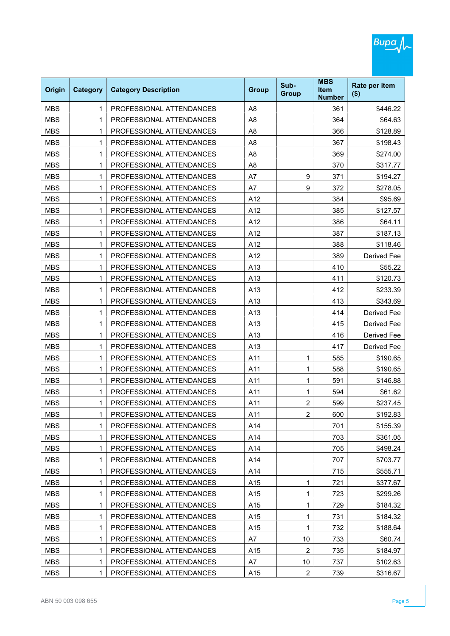

MBS | 1 PROFESSIONAL ATTENDANCES | A15 | 2 | 739 | \$316.67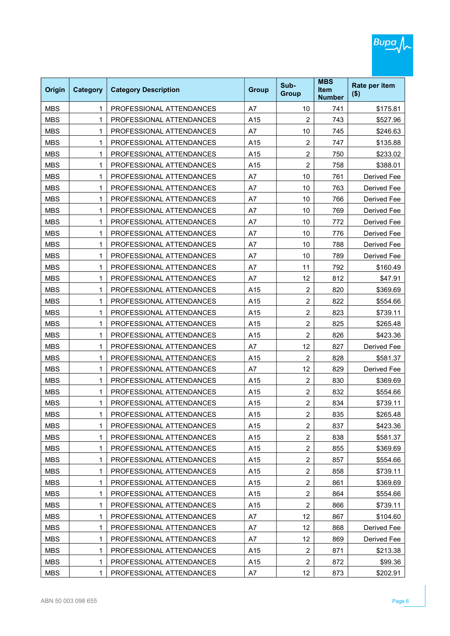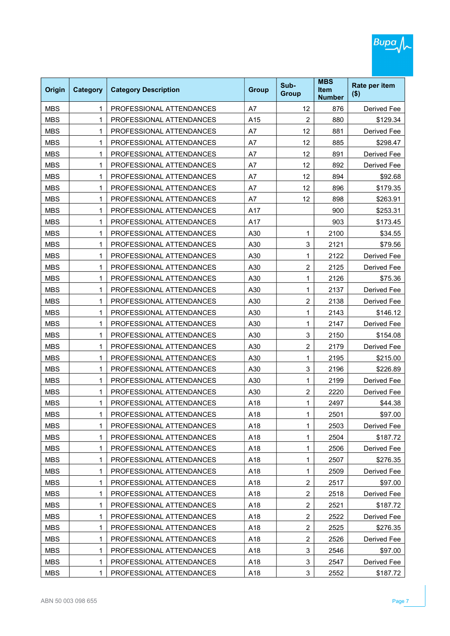

| Origin     | Category | <b>Category Description</b> | <b>Group</b> | Sub-<br><b>Group</b> | <b>MBS</b><br>Item<br><b>Number</b> | Rate per item<br>$($ \$) |
|------------|----------|-----------------------------|--------------|----------------------|-------------------------------------|--------------------------|
| <b>MBS</b> | 1        | PROFESSIONAL ATTENDANCES    | A7           | 12                   | 876                                 | Derived Fee              |
| <b>MBS</b> | 1        | PROFESSIONAL ATTENDANCES    | A15          | $\overline{2}$       | 880                                 | \$129.34                 |
| <b>MBS</b> | 1        | PROFESSIONAL ATTENDANCES    | A7           | 12                   | 881                                 | Derived Fee              |
| <b>MBS</b> | 1        | PROFESSIONAL ATTENDANCES    | A7           | 12                   | 885                                 | \$298.47                 |
| <b>MBS</b> | 1        | PROFESSIONAL ATTENDANCES    | A7           | 12                   | 891                                 | Derived Fee              |
| <b>MBS</b> | 1        | PROFESSIONAL ATTENDANCES    | A7           | 12                   | 892                                 | Derived Fee              |
| <b>MBS</b> | 1        | PROFESSIONAL ATTENDANCES    | A7           | 12                   | 894                                 | \$92.68                  |
| <b>MBS</b> | 1        | PROFESSIONAL ATTENDANCES    | A7           | 12                   | 896                                 | \$179.35                 |
| <b>MBS</b> | 1        | PROFESSIONAL ATTENDANCES    | A7           | 12                   | 898                                 | \$263.91                 |
| <b>MBS</b> | 1        | PROFESSIONAL ATTENDANCES    | A17          |                      | 900                                 | \$253.31                 |
| <b>MBS</b> | 1        | PROFESSIONAL ATTENDANCES    | A17          |                      | 903                                 | \$173.45                 |
| <b>MBS</b> | 1        | PROFESSIONAL ATTENDANCES    | A30          | 1                    | 2100                                | \$34.55                  |
| <b>MBS</b> | 1        | PROFESSIONAL ATTENDANCES    | A30          | 3                    | 2121                                | \$79.56                  |
| <b>MBS</b> | 1        | PROFESSIONAL ATTENDANCES    | A30          | 1                    | 2122                                | Derived Fee              |
| <b>MBS</b> | 1        | PROFESSIONAL ATTENDANCES    | A30          | $\overline{c}$       | 2125                                | Derived Fee              |
| <b>MBS</b> | 1        | PROFESSIONAL ATTENDANCES    | A30          | 1                    | 2126                                | \$75.36                  |
| <b>MBS</b> | 1        | PROFESSIONAL ATTENDANCES    | A30          | 1                    | 2137                                | Derived Fee              |
| <b>MBS</b> | 1        | PROFESSIONAL ATTENDANCES    | A30          | 2                    | 2138                                | Derived Fee              |
| <b>MBS</b> | 1        | PROFESSIONAL ATTENDANCES    | A30          | 1                    | 2143                                | \$146.12                 |
| <b>MBS</b> | 1        | PROFESSIONAL ATTENDANCES    | A30          | 1                    | 2147                                | Derived Fee              |
| <b>MBS</b> | 1        | PROFESSIONAL ATTENDANCES    | A30          | 3                    | 2150                                | \$154.08                 |
| <b>MBS</b> | 1        | PROFESSIONAL ATTENDANCES    | A30          | 2                    | 2179                                | Derived Fee              |
| <b>MBS</b> | 1        | PROFESSIONAL ATTENDANCES    | A30          | 1                    | 2195                                | \$215.00                 |
| <b>MBS</b> | 1        | PROFESSIONAL ATTENDANCES    | A30          | 3                    | 2196                                | \$226.89                 |
| <b>MBS</b> | 1        | PROFESSIONAL ATTENDANCES    | A30          | 1                    | 2199                                | Derived Fee              |
| <b>MBS</b> | 1        | PROFESSIONAL ATTENDANCES    | A30          | $\overline{c}$       | 2220                                | Derived Fee              |
| <b>MBS</b> | 1        | PROFESSIONAL ATTENDANCES    | A18          | 1                    | 2497                                | \$44.38                  |
| <b>MBS</b> | 1        | PROFESSIONAL ATTENDANCES    | A18          | 1                    | 2501                                | \$97.00                  |
| <b>MBS</b> | 1        | PROFESSIONAL ATTENDANCES    | A18          | 1                    | 2503                                | Derived Fee              |
| <b>MBS</b> | 1        | PROFESSIONAL ATTENDANCES    | A18          | 1                    | 2504                                | \$187.72                 |
| <b>MBS</b> | 1        | PROFESSIONAL ATTENDANCES    | A18          | 1                    | 2506                                | <b>Derived Fee</b>       |
| <b>MBS</b> | 1        | PROFESSIONAL ATTENDANCES    | A18          | 1                    | 2507                                | \$276.35                 |
| <b>MBS</b> | 1        | PROFESSIONAL ATTENDANCES    | A18          | 1                    | 2509                                | Derived Fee              |
| <b>MBS</b> | 1        | PROFESSIONAL ATTENDANCES    | A18          | $\overline{c}$       | 2517                                | \$97.00                  |
| <b>MBS</b> | 1        | PROFESSIONAL ATTENDANCES    | A18          | $\overline{c}$       | 2518                                | Derived Fee              |
| <b>MBS</b> | 1        | PROFESSIONAL ATTENDANCES    | A18          | $\overline{c}$       | 2521                                | \$187.72                 |
| <b>MBS</b> | 1        | PROFESSIONAL ATTENDANCES    | A18          | $\overline{c}$       | 2522                                | Derived Fee              |
| <b>MBS</b> | 1        | PROFESSIONAL ATTENDANCES    | A18          | $\overline{c}$       | 2525                                | \$276.35                 |
| <b>MBS</b> | 1        | PROFESSIONAL ATTENDANCES    | A18          | $\overline{c}$       | 2526                                | Derived Fee              |
| <b>MBS</b> | 1        | PROFESSIONAL ATTENDANCES    | A18          | 3                    | 2546                                | \$97.00                  |
| <b>MBS</b> | 1        | PROFESSIONAL ATTENDANCES    | A18          | 3                    | 2547                                | Derived Fee              |
| <b>MBS</b> | 1        | PROFESSIONAL ATTENDANCES    | A18          | 3                    | 2552                                | \$187.72                 |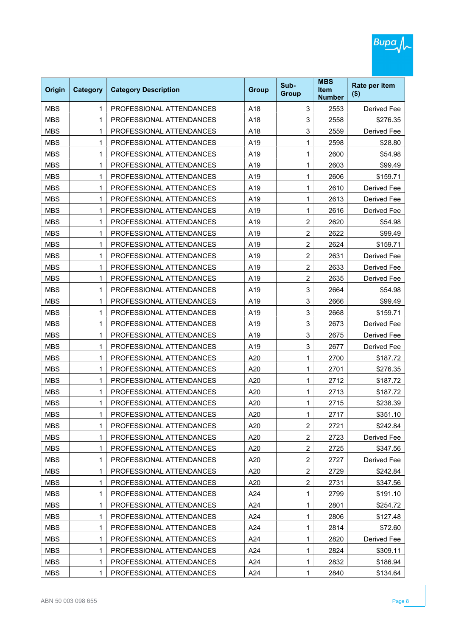

| MBS        | 1 | PROFESSIONAL ATTENDANCES | A19 | 1                       | 2598 | \$28.80     |
|------------|---|--------------------------|-----|-------------------------|------|-------------|
| <b>MBS</b> | 1 | PROFESSIONAL ATTENDANCES | A19 | 1                       | 2600 | \$54.98     |
| <b>MBS</b> | 1 | PROFESSIONAL ATTENDANCES | A19 | 1                       | 2603 | \$99.49     |
| <b>MBS</b> | 1 | PROFESSIONAL ATTENDANCES | A19 | 1                       | 2606 | \$159.71    |
| MBS        | 1 | PROFESSIONAL ATTENDANCES | A19 | 1                       | 2610 | Derived Fee |
| <b>MBS</b> | 1 | PROFESSIONAL ATTENDANCES | A19 | 1                       | 2613 | Derived Fee |
| <b>MBS</b> | 1 | PROFESSIONAL ATTENDANCES | A19 | 1                       | 2616 | Derived Fee |
| MBS        | 1 | PROFESSIONAL ATTENDANCES | A19 | 2                       | 2620 | \$54.98     |
| <b>MBS</b> | 1 | PROFESSIONAL ATTENDANCES | A19 | $\overline{c}$          | 2622 | \$99.49     |
| <b>MBS</b> | 1 | PROFESSIONAL ATTENDANCES | A19 | 2                       | 2624 | \$159.71    |
| <b>MBS</b> | 1 | PROFESSIONAL ATTENDANCES | A19 | $\overline{c}$          | 2631 | Derived Fee |
| MBS        | 1 | PROFESSIONAL ATTENDANCES | A19 | 2                       | 2633 | Derived Fee |
| <b>MBS</b> | 1 | PROFESSIONAL ATTENDANCES | A19 | $\overline{c}$          | 2635 | Derived Fee |
| <b>MBS</b> | 1 | PROFESSIONAL ATTENDANCES | A19 | 3                       | 2664 | \$54.98     |
| <b>MBS</b> | 1 | PROFESSIONAL ATTENDANCES | A19 | 3                       | 2666 | \$99.49     |
| MBS        | 1 | PROFESSIONAL ATTENDANCES | A19 | 3                       | 2668 | \$159.71    |
| <b>MBS</b> | 1 | PROFESSIONAL ATTENDANCES | A19 | 3                       | 2673 | Derived Fee |
| MBS        | 1 | PROFESSIONAL ATTENDANCES | A19 | 3                       | 2675 | Derived Fee |
| <b>MBS</b> | 1 | PROFESSIONAL ATTENDANCES | A19 | 3                       | 2677 | Derived Fee |
| <b>MBS</b> | 1 | PROFESSIONAL ATTENDANCES | A20 | 1                       | 2700 | \$187.72    |
| <b>MBS</b> | 1 | PROFESSIONAL ATTENDANCES | A20 | 1                       | 2701 | \$276.35    |
| MBS        | 1 | PROFESSIONAL ATTENDANCES | A20 | 1                       | 2712 | \$187.72    |
| <b>MBS</b> | 1 | PROFESSIONAL ATTENDANCES | A20 | 1                       | 2713 | \$187.72    |
| <b>MBS</b> | 1 | PROFESSIONAL ATTENDANCES | A20 | 1                       | 2715 | \$238.39    |
| MBS        | 1 | PROFESSIONAL ATTENDANCES | A20 | 1                       | 2717 | \$351.10    |
| <b>MBS</b> | 1 | PROFESSIONAL ATTENDANCES | A20 | $\overline{c}$          | 2721 | \$242.84    |
| <b>MBS</b> | 1 | PROFESSIONAL ATTENDANCES | A20 | $\overline{c}$          | 2723 | Derived Fee |
| <b>MBS</b> | 1 | PROFESSIONAL ATTENDANCES | A20 | 2                       | 2725 | \$347.56    |
| <b>MBS</b> | 1 | PROFESSIONAL ATTENDANCES | A20 | $\overline{c}$          | 2727 | Derived Fee |
| <b>MBS</b> | 1 | PROFESSIONAL ATTENDANCES | A20 | $\overline{c}$          | 2729 | \$242.84    |
| <b>MBS</b> | 1 | PROFESSIONAL ATTENDANCES | A20 | $\overline{\mathbf{c}}$ | 2731 | \$347.56    |
| <b>MBS</b> | 1 | PROFESSIONAL ATTENDANCES | A24 | 1                       | 2799 | \$191.10    |
| <b>MBS</b> | 1 | PROFESSIONAL ATTENDANCES | A24 | 1                       | 2801 | \$254.72    |
| <b>MBS</b> | 1 | PROFESSIONAL ATTENDANCES | A24 | 1                       | 2806 | \$127.48    |
| <b>MBS</b> | 1 | PROFESSIONAL ATTENDANCES | A24 | 1                       | 2814 | \$72.60     |
| <b>MBS</b> | 1 | PROFESSIONAL ATTENDANCES | A24 | 1                       | 2820 | Derived Fee |
| <b>MBS</b> | 1 | PROFESSIONAL ATTENDANCES | A24 | 1                       | 2824 | \$309.11    |
| <b>MBS</b> | 1 | PROFESSIONAL ATTENDANCES | A24 | 1                       | 2832 | \$186.94    |
| <b>MBS</b> | 1 | PROFESSIONAL ATTENDANCES | A24 | 1                       | 2840 | \$134.64    |
|            |   |                          |     |                         |      |             |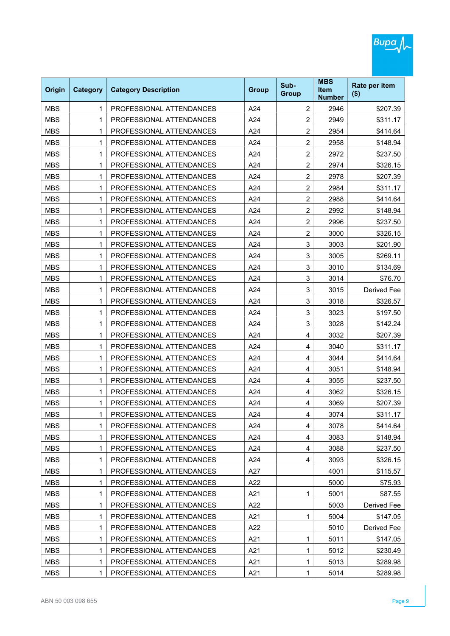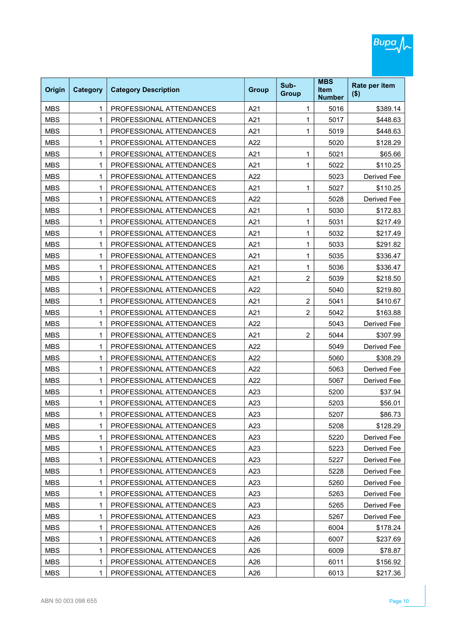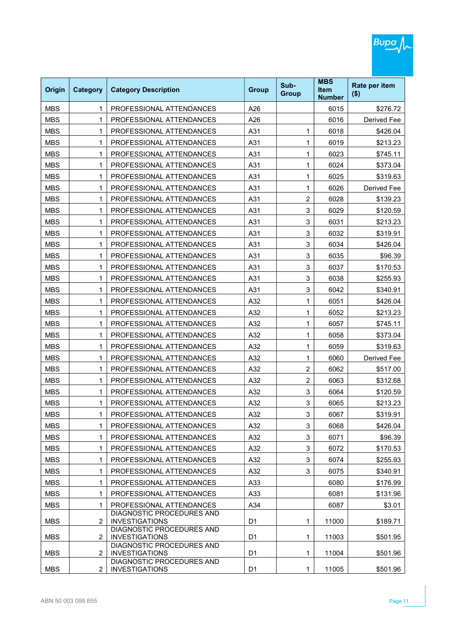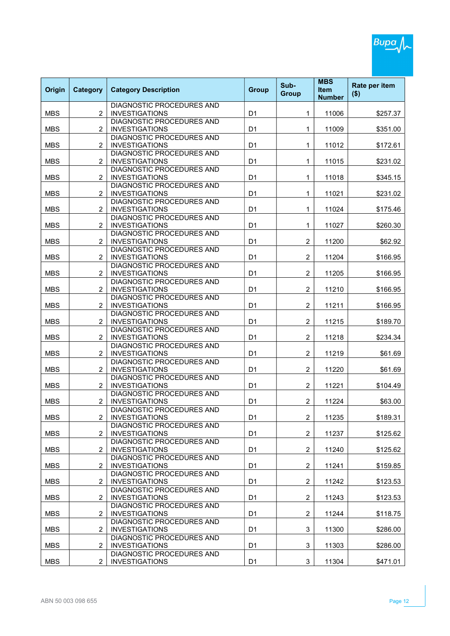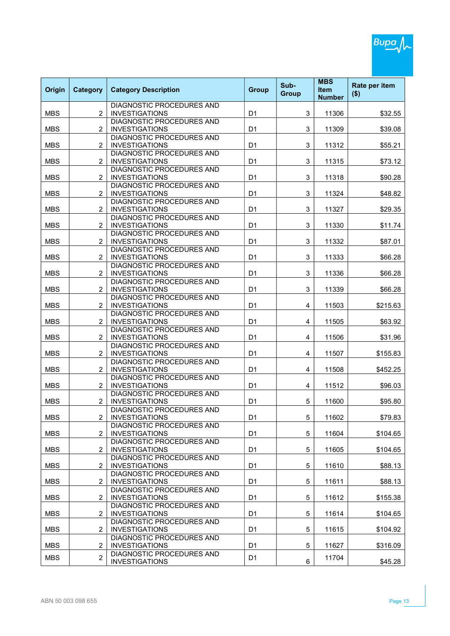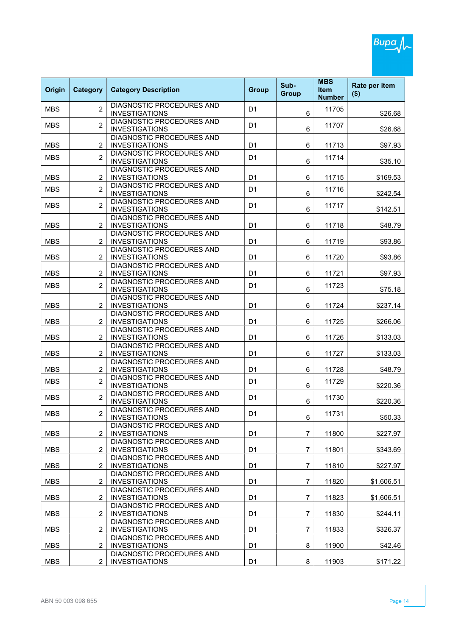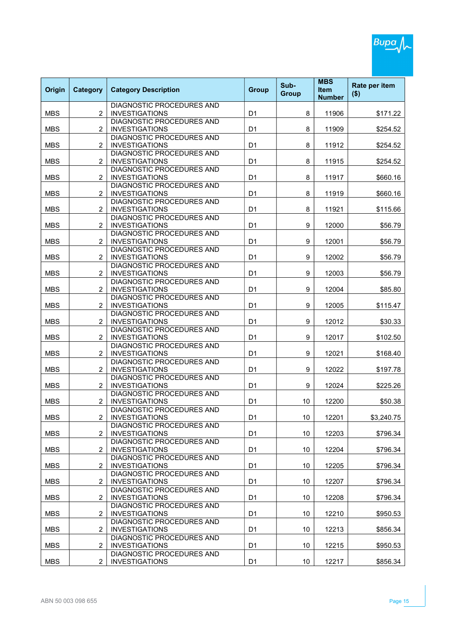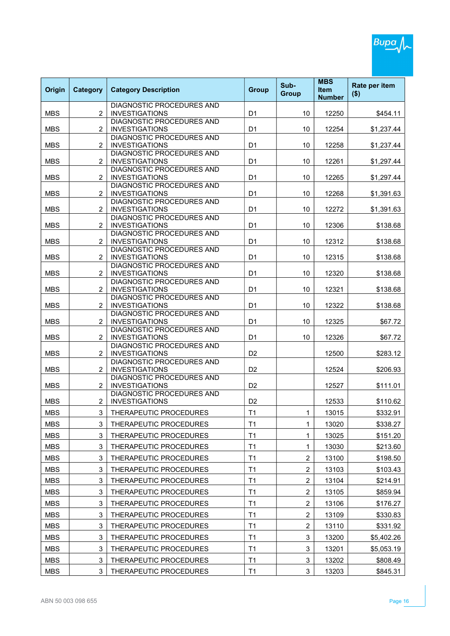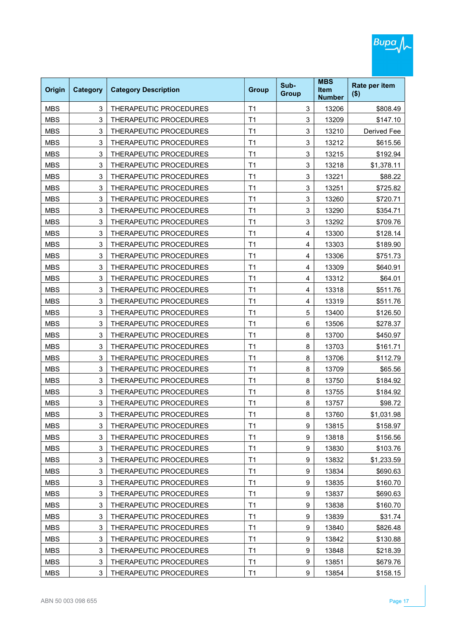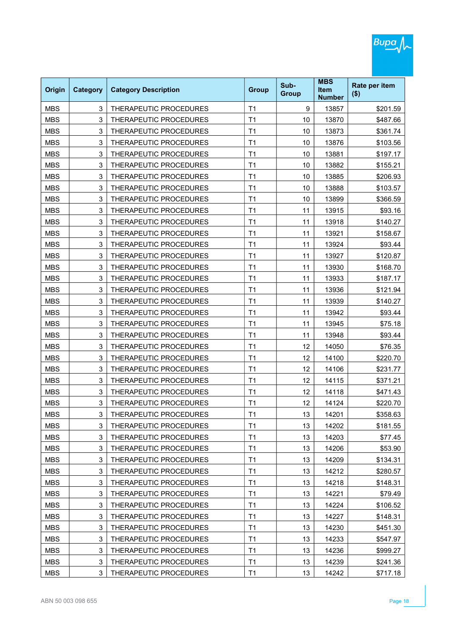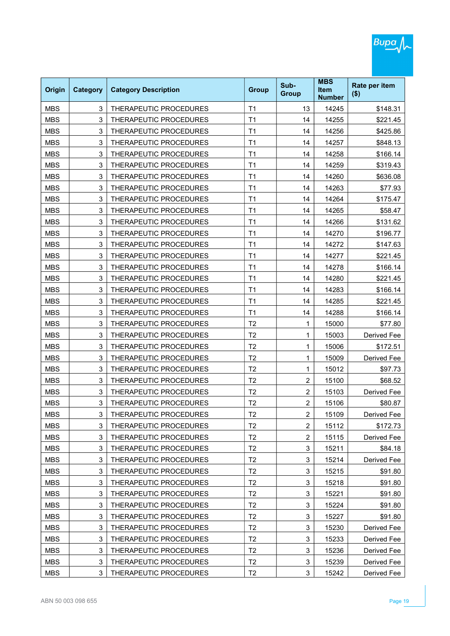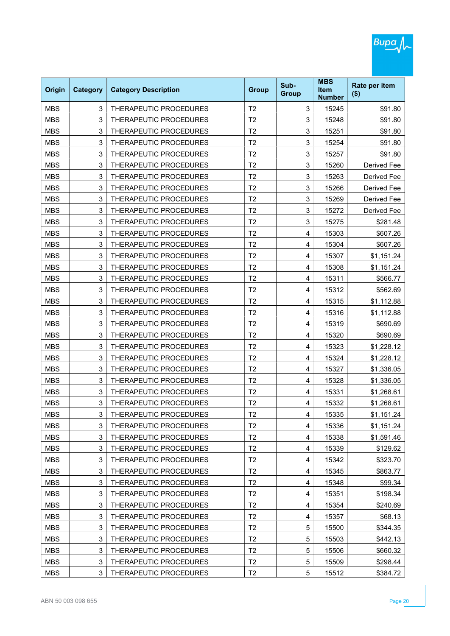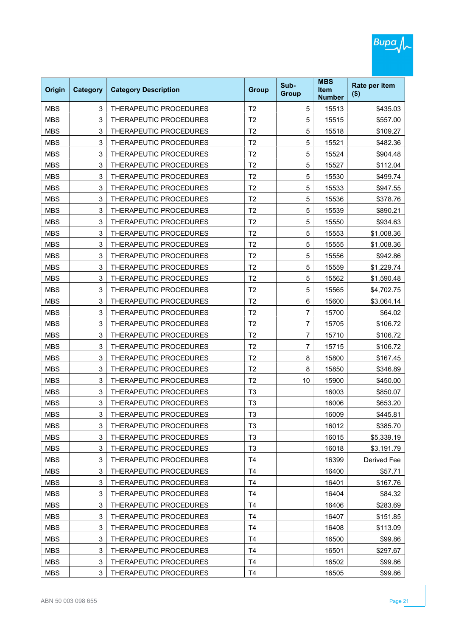| Origin     | <b>Category</b> | <b>Category Description</b> | <b>Group</b>   | Sub-<br><b>Group</b> | <b>MBS</b><br><b>Item</b><br><b>Number</b> | Rate per item<br>$($ \$) |
|------------|-----------------|-----------------------------|----------------|----------------------|--------------------------------------------|--------------------------|
| <b>MBS</b> | 3               | THERAPEUTIC PROCEDURES      | T <sub>2</sub> | 5                    | 15513                                      | \$435.03                 |
| <b>MBS</b> | 3               | THERAPEUTIC PROCEDURES      | T <sub>2</sub> | 5                    | 15515                                      | \$557.00                 |
| <b>MBS</b> | 3               | THERAPEUTIC PROCEDURES      | T <sub>2</sub> | 5                    | 15518                                      | \$109.27                 |
| <b>MBS</b> | 3               | THERAPEUTIC PROCEDURES      | T <sub>2</sub> | 5                    | 15521                                      | \$482.36                 |
| <b>MBS</b> | 3               | THERAPEUTIC PROCEDURES      | T <sub>2</sub> | 5                    | 15524                                      | \$904.48                 |
| <b>MBS</b> | 3               | THERAPEUTIC PROCEDURES      | T <sub>2</sub> | 5                    | 15527                                      | \$112.04                 |
| <b>MBS</b> | 3               | THERAPEUTIC PROCEDURES      | T <sub>2</sub> | 5                    | 15530                                      | \$499.74                 |
| <b>MBS</b> | 3               | THERAPEUTIC PROCEDURES      | T <sub>2</sub> | 5                    | 15533                                      | \$947.55                 |
| <b>MBS</b> | 3               | THERAPEUTIC PROCEDURES      | T <sub>2</sub> | 5                    | 15536                                      | \$378.76                 |
| <b>MBS</b> | 3               | THERAPEUTIC PROCEDURES      | T <sub>2</sub> | 5                    | 15539                                      | \$890.21                 |
| <b>MBS</b> | 3               | THERAPEUTIC PROCEDURES      | T <sub>2</sub> | 5                    | 15550                                      | \$934.63                 |
| <b>MBS</b> | 3               | THERAPEUTIC PROCEDURES      | T <sub>2</sub> | 5                    | 15553                                      | \$1,008.36               |
| <b>MBS</b> | 3               | THERAPEUTIC PROCEDURES      | T <sub>2</sub> | 5                    | 15555                                      | \$1,008.36               |
| <b>MBS</b> | 3               | THERAPEUTIC PROCEDURES      | T <sub>2</sub> | 5                    | 15556                                      | \$942.86                 |
| <b>MBS</b> | 3               | THERAPEUTIC PROCEDURES      | T <sub>2</sub> | 5                    | 15559                                      | \$1,229.74               |
| <b>MBS</b> | 3               | THERAPEUTIC PROCEDURES      | T <sub>2</sub> | 5                    | 15562                                      | \$1,590.48               |
| <b>MBS</b> | 3               | THERAPEUTIC PROCEDURES      | T <sub>2</sub> | 5                    | 15565                                      | \$4,702.75               |
| <b>MBS</b> | 3               | THERAPEUTIC PROCEDURES      | T <sub>2</sub> | 6                    | 15600                                      | \$3,064.14               |
| <b>MBS</b> | 3               | THERAPEUTIC PROCEDURES      | T <sub>2</sub> | 7                    | 15700                                      | \$64.02                  |
| <b>MBS</b> | 3               | THERAPEUTIC PROCEDURES      | T <sub>2</sub> | 7                    | 15705                                      | \$106.72                 |
| <b>MBS</b> | 3               | THERAPEUTIC PROCEDURES      | T <sub>2</sub> | 7                    | 15710                                      | \$106.72                 |
| <b>MBS</b> | 3               | THERAPEUTIC PROCEDURES      | T <sub>2</sub> | 7                    | 15715                                      | \$106.72                 |
| <b>MBS</b> | 3               | THERAPEUTIC PROCEDURES      | T <sub>2</sub> | 8                    | 15800                                      | \$167.45                 |
| <b>MBS</b> | 3               | THERAPEUTIC PROCEDURES      | T <sub>2</sub> | 8                    | 15850                                      | \$346.89                 |
| <b>MBS</b> | 3               | THERAPEUTIC PROCEDURES      | T <sub>2</sub> | 10                   | 15900                                      | \$450.00                 |
| <b>MBS</b> | 3               | THERAPEUTIC PROCEDURES      | T <sub>3</sub> |                      | 16003                                      | \$850.07                 |
| <b>MBS</b> | 3               | THERAPEUTIC PROCEDURES      | T <sub>3</sub> |                      | 16006                                      | \$653.20                 |
| MBS        | 3               | THERAPEUTIC PROCEDURES      | T3             |                      | 16009                                      | \$445.81                 |
| <b>MBS</b> | 3               | THERAPEUTIC PROCEDURES      | T <sub>3</sub> |                      | 16012                                      | \$385.70                 |
| <b>MBS</b> | 3               | THERAPEUTIC PROCEDURES      | T <sub>3</sub> |                      | 16015                                      | \$5,339.19               |
| <b>MBS</b> | 3               | THERAPEUTIC PROCEDURES      | T <sub>3</sub> |                      | 16018                                      | \$3,191.79               |
| <b>MBS</b> | 3               | THERAPEUTIC PROCEDURES      | T4             |                      | 16399                                      | Derived Fee              |
| <b>MBS</b> | 3               | THERAPEUTIC PROCEDURES      | T4             |                      | 16400                                      | \$57.71                  |
| <b>MBS</b> | 3               | THERAPEUTIC PROCEDURES      | T4             |                      | 16401                                      | \$167.76                 |
| <b>MBS</b> | 3               | THERAPEUTIC PROCEDURES      | T4             |                      | 16404                                      | \$84.32                  |
| <b>MBS</b> | 3               | THERAPEUTIC PROCEDURES      | T4             |                      | 16406                                      | \$283.69                 |
| <b>MBS</b> | 3               | THERAPEUTIC PROCEDURES      | T4             |                      | 16407                                      | \$151.85                 |
| <b>MBS</b> | 3               | THERAPEUTIC PROCEDURES      | T4             |                      | 16408                                      | \$113.09                 |
| <b>MBS</b> | 3               | THERAPEUTIC PROCEDURES      | T4             |                      | 16500                                      | \$99.86                  |
| <b>MBS</b> | 3               | THERAPEUTIC PROCEDURES      | T4             |                      | 16501                                      | \$297.67                 |
| <b>MBS</b> | 3               | THERAPEUTIC PROCEDURES      | T <sub>4</sub> |                      | 16502                                      | \$99.86                  |
| <b>MBS</b> | 3               | THERAPEUTIC PROCEDURES      | T <sub>4</sub> |                      | 16505                                      | \$99.86                  |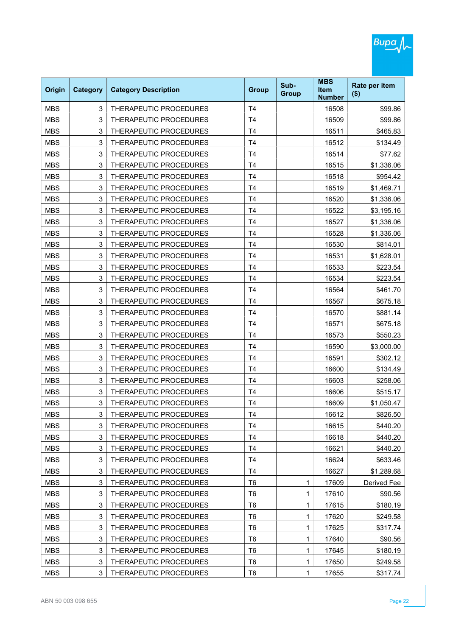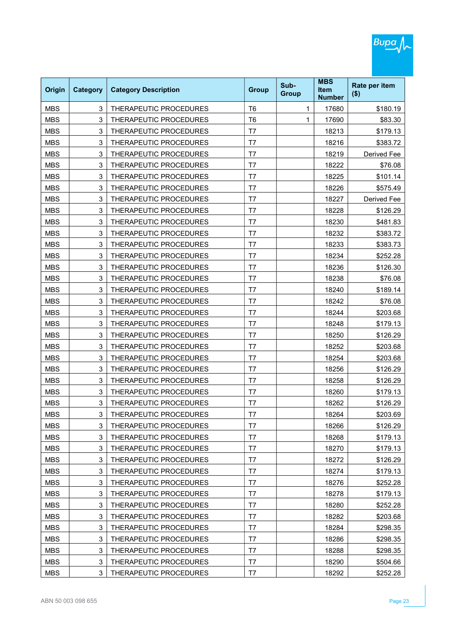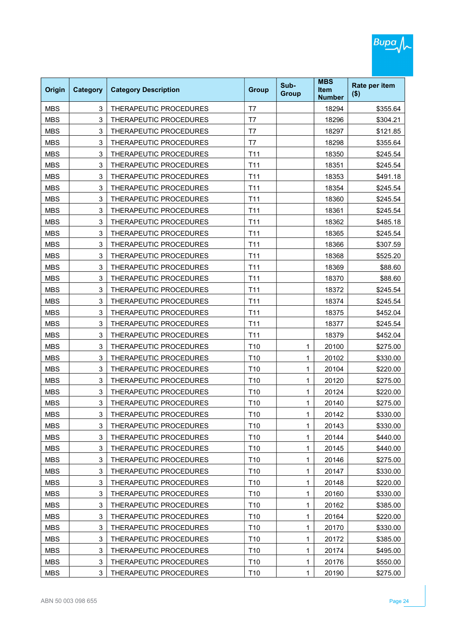| Origin     | <b>Category</b> | <b>Category Description</b> | <b>Group</b>    | Sub-<br><b>Group</b> | <b>MBS</b><br><b>Item</b><br><b>Number</b> | Rate per item<br>$($ \$) |
|------------|-----------------|-----------------------------|-----------------|----------------------|--------------------------------------------|--------------------------|
| <b>MBS</b> | 3               | THERAPEUTIC PROCEDURES      | T7              |                      | 18294                                      | \$355.64                 |
| <b>MBS</b> | 3               | THERAPEUTIC PROCEDURES      | T7              |                      | 18296                                      | \$304.21                 |
| <b>MBS</b> | 3               | THERAPEUTIC PROCEDURES      | T7              |                      | 18297                                      | \$121.85                 |
| <b>MBS</b> | 3               | THERAPEUTIC PROCEDURES      | T7              |                      | 18298                                      | \$355.64                 |
| <b>MBS</b> | 3               | THERAPEUTIC PROCEDURES      | T <sub>11</sub> |                      | 18350                                      | \$245.54                 |
| <b>MBS</b> | 3               | THERAPEUTIC PROCEDURES      | T <sub>11</sub> |                      | 18351                                      | \$245.54                 |
| <b>MBS</b> | 3               | THERAPEUTIC PROCEDURES      | T11             |                      | 18353                                      | \$491.18                 |
| <b>MBS</b> | 3               | THERAPEUTIC PROCEDURES      | T <sub>11</sub> |                      | 18354                                      | \$245.54                 |
| <b>MBS</b> | 3               | THERAPEUTIC PROCEDURES      | T11             |                      | 18360                                      | \$245.54                 |
| <b>MBS</b> | 3               | THERAPEUTIC PROCEDURES      | T <sub>11</sub> |                      | 18361                                      | \$245.54                 |
| <b>MBS</b> | 3               | THERAPEUTIC PROCEDURES      | T11             |                      | 18362                                      | \$485.18                 |
| <b>MBS</b> | 3               | THERAPEUTIC PROCEDURES      | T <sub>11</sub> |                      | 18365                                      | \$245.54                 |
| <b>MBS</b> | 3               | THERAPEUTIC PROCEDURES      | T <sub>11</sub> |                      | 18366                                      | \$307.59                 |
| <b>MBS</b> | 3               | THERAPEUTIC PROCEDURES      | T <sub>11</sub> |                      | 18368                                      | \$525.20                 |
| <b>MBS</b> | 3               | THERAPEUTIC PROCEDURES      | T11             |                      | 18369                                      | \$88.60                  |
| <b>MBS</b> | 3               | THERAPEUTIC PROCEDURES      | T <sub>11</sub> |                      | 18370                                      | \$88.60                  |
| <b>MBS</b> | 3               | THERAPEUTIC PROCEDURES      | T11             |                      | 18372                                      | \$245.54                 |
| <b>MBS</b> | 3               | THERAPEUTIC PROCEDURES      | T <sub>11</sub> |                      | 18374                                      | \$245.54                 |
| <b>MBS</b> | 3               | THERAPEUTIC PROCEDURES      | T <sub>11</sub> |                      | 18375                                      | \$452.04                 |
| <b>MBS</b> | 3               | THERAPEUTIC PROCEDURES      | T <sub>11</sub> |                      | 18377                                      | \$245.54                 |
| <b>MBS</b> | 3               | THERAPEUTIC PROCEDURES      | T <sub>11</sub> |                      | 18379                                      | \$452.04                 |
| <b>MBS</b> | 3               | THERAPEUTIC PROCEDURES      | T <sub>10</sub> | 1                    | 20100                                      | \$275.00                 |
| <b>MBS</b> | 3               | THERAPEUTIC PROCEDURES      | T <sub>10</sub> | 1                    | 20102                                      | \$330.00                 |
| <b>MBS</b> | 3               | THERAPEUTIC PROCEDURES      | T <sub>10</sub> | 1                    | 20104                                      | \$220.00                 |
| <b>MBS</b> | 3               | THERAPEUTIC PROCEDURES      | T <sub>10</sub> | 1                    | 20120                                      | \$275.00                 |
| <b>MBS</b> | 3               | THERAPEUTIC PROCEDURES      | T <sub>10</sub> | 1                    | 20124                                      | \$220.00                 |
| <b>MBS</b> | 3               | THERAPEUTIC PROCEDURES      | T <sub>10</sub> | 1                    | 20140                                      | \$275.00                 |
| MBS        | 3               | THERAPEUTIC PROCEDURES      | T10             | 1                    | 20142                                      | \$330.00                 |
| <b>MBS</b> | 3               | THERAPEUTIC PROCEDURES      | T10             | 1                    | 20143                                      | \$330.00                 |
| <b>MBS</b> | 3               | THERAPEUTIC PROCEDURES      | T10             | 1                    | 20144                                      | \$440.00                 |
| <b>MBS</b> | 3               | THERAPEUTIC PROCEDURES      | T10             | 1                    | 20145                                      | \$440.00                 |
| <b>MBS</b> | 3               | THERAPEUTIC PROCEDURES      | T10             | 1                    | 20146                                      | \$275.00                 |
| <b>MBS</b> | 3               | THERAPEUTIC PROCEDURES      | T10             | 1                    | 20147                                      | \$330.00                 |
| <b>MBS</b> | 3               | THERAPEUTIC PROCEDURES      | T10             | 1                    | 20148                                      | \$220.00                 |
| <b>MBS</b> | 3               | THERAPEUTIC PROCEDURES      | T10             | 1                    | 20160                                      | \$330.00                 |
| <b>MBS</b> | 3               | THERAPEUTIC PROCEDURES      | T10             | 1                    | 20162                                      | \$385.00                 |
| <b>MBS</b> | 3               | THERAPEUTIC PROCEDURES      | T10             | 1                    | 20164                                      | \$220.00                 |
| <b>MBS</b> | 3               | THERAPEUTIC PROCEDURES      | T10             | 1                    | 20170                                      | \$330.00                 |
| <b>MBS</b> | 3               | THERAPEUTIC PROCEDURES      | T10             | 1                    | 20172                                      | \$385.00                 |
| <b>MBS</b> | 3               | THERAPEUTIC PROCEDURES      | T10             | 1                    | 20174                                      | \$495.00                 |
| <b>MBS</b> | 3               | THERAPEUTIC PROCEDURES      | T10             | 1                    | 20176                                      | \$550.00                 |
| <b>MBS</b> | 3               | THERAPEUTIC PROCEDURES      | T <sub>10</sub> | 1                    | 20190                                      | \$275.00                 |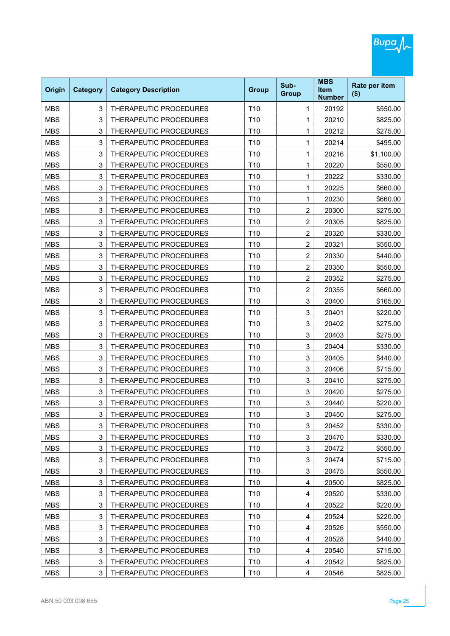| Origin     | <b>Category</b> | <b>Category Description</b>   | <b>Group</b>    | Sub-<br><b>Group</b> | <b>MBS</b><br><b>Item</b><br><b>Number</b> | Rate per item<br>$($ \$) |
|------------|-----------------|-------------------------------|-----------------|----------------------|--------------------------------------------|--------------------------|
| <b>MBS</b> | 3               | THERAPEUTIC PROCEDURES        | T <sub>10</sub> | 1                    | 20192                                      | \$550.00                 |
| <b>MBS</b> | 3               | THERAPEUTIC PROCEDURES        | T <sub>10</sub> | 1                    | 20210                                      | \$825.00                 |
| <b>MBS</b> | 3               | THERAPEUTIC PROCEDURES        | T <sub>10</sub> | 1                    | 20212                                      | \$275.00                 |
| <b>MBS</b> | 3               | THERAPEUTIC PROCEDURES        | T <sub>10</sub> | 1                    | 20214                                      | \$495.00                 |
| <b>MBS</b> | 3               | THERAPEUTIC PROCEDURES        | T <sub>10</sub> | 1                    | 20216                                      | \$1,100.00               |
| <b>MBS</b> | 3               | <b>THERAPEUTIC PROCEDURES</b> | T <sub>10</sub> | 1                    | 20220                                      | \$550.00                 |
| <b>MBS</b> | 3               | THERAPEUTIC PROCEDURES        | T <sub>10</sub> | 1                    | 20222                                      | \$330.00                 |
| <b>MBS</b> | 3               | THERAPEUTIC PROCEDURES        | T <sub>10</sub> | 1                    | 20225                                      | \$660.00                 |
| <b>MBS</b> | 3               | THERAPEUTIC PROCEDURES        | T <sub>10</sub> | 1                    | 20230                                      | \$660.00                 |
| <b>MBS</b> | 3               | THERAPEUTIC PROCEDURES        | T <sub>10</sub> | $\overline{c}$       | 20300                                      | \$275.00                 |
| <b>MBS</b> | 3               | THERAPEUTIC PROCEDURES        | T <sub>10</sub> | $\overline{c}$       | 20305                                      | \$825.00                 |
| <b>MBS</b> | 3               | THERAPEUTIC PROCEDURES        | T <sub>10</sub> | $\overline{c}$       | 20320                                      | \$330.00                 |
| <b>MBS</b> | 3               | THERAPEUTIC PROCEDURES        | T <sub>10</sub> | $\overline{2}$       | 20321                                      | \$550.00                 |
| <b>MBS</b> | 3               | THERAPEUTIC PROCEDURES        | T <sub>10</sub> | $\overline{c}$       | 20330                                      | \$440.00                 |
| <b>MBS</b> | 3               | THERAPEUTIC PROCEDURES        | T <sub>10</sub> | 2                    | 20350                                      | \$550.00                 |
| <b>MBS</b> | 3               | THERAPEUTIC PROCEDURES        | T <sub>10</sub> | $\overline{c}$       | 20352                                      | \$275.00                 |
| <b>MBS</b> | 3               | <b>THERAPEUTIC PROCEDURES</b> | T <sub>10</sub> | $\overline{c}$       | 20355                                      | \$660.00                 |
| <b>MBS</b> | 3               | THERAPEUTIC PROCEDURES        | T <sub>10</sub> | 3                    | 20400                                      | \$165.00                 |
| <b>MBS</b> | 3               | THERAPEUTIC PROCEDURES        | T <sub>10</sub> | 3                    | 20401                                      | \$220.00                 |
| <b>MBS</b> | 3               | THERAPEUTIC PROCEDURES        | T <sub>10</sub> | 3                    | 20402                                      | \$275.00                 |
| <b>MBS</b> | 3               | THERAPEUTIC PROCEDURES        | T <sub>10</sub> | 3                    | 20403                                      | \$275.00                 |
| <b>MBS</b> | 3               | THERAPEUTIC PROCEDURES        | T <sub>10</sub> | 3                    | 20404                                      | \$330.00                 |
| <b>MBS</b> | 3               | THERAPEUTIC PROCEDURES        | T <sub>10</sub> | 3                    | 20405                                      | \$440.00                 |
| <b>MBS</b> | 3               | THERAPEUTIC PROCEDURES        | T <sub>10</sub> | 3                    | 20406                                      | \$715.00                 |
| <b>MBS</b> | 3               | THERAPEUTIC PROCEDURES        | T <sub>10</sub> | 3                    | 20410                                      | \$275.00                 |
| <b>MBS</b> | 3               | <b>THERAPEUTIC PROCEDURES</b> | T <sub>10</sub> | 3                    | 20420                                      | \$275.00                 |
| <b>MBS</b> | 3               | THERAPEUTIC PROCEDURES        | T <sub>10</sub> | 3                    | 20440                                      | \$220.00                 |
| MBS        | 3               | THERAPEUTIC PROCEDURES        | T10             | 3                    | 20450                                      | \$275.00                 |
| <b>MBS</b> | 3               | THERAPEUTIC PROCEDURES        | T10             | 3                    | 20452                                      | \$330.00                 |
| <b>MBS</b> | 3               | THERAPEUTIC PROCEDURES        | T10             | 3                    | 20470                                      | \$330.00                 |
| <b>MBS</b> | 3               | THERAPEUTIC PROCEDURES        | T10             | 3                    | 20472                                      | \$550.00                 |
| <b>MBS</b> | 3               | THERAPEUTIC PROCEDURES        | T10             | 3                    | 20474                                      | \$715.00                 |
| <b>MBS</b> | 3               | THERAPEUTIC PROCEDURES        | T10             | 3                    | 20475                                      | \$550.00                 |
| <b>MBS</b> | 3               | THERAPEUTIC PROCEDURES        | T10             | 4                    | 20500                                      | \$825.00                 |
| <b>MBS</b> | 3               | THERAPEUTIC PROCEDURES        | T10             | 4                    | 20520                                      | \$330.00                 |
| <b>MBS</b> | 3               | THERAPEUTIC PROCEDURES        | T10             | 4                    | 20522                                      | \$220.00                 |
| <b>MBS</b> | 3               | THERAPEUTIC PROCEDURES        | T10             | 4                    | 20524                                      | \$220.00                 |
| <b>MBS</b> | 3               | THERAPEUTIC PROCEDURES        | T10             | 4                    | 20526                                      | \$550.00                 |
| <b>MBS</b> | 3               | THERAPEUTIC PROCEDURES        | T10             | 4                    | 20528                                      | \$440.00                 |
| <b>MBS</b> | 3               | THERAPEUTIC PROCEDURES        | T10             | 4                    | 20540                                      | \$715.00                 |
| <b>MBS</b> | 3               | THERAPEUTIC PROCEDURES        | T10             | 4                    | 20542                                      | \$825.00                 |
| <b>MBS</b> | 3               | THERAPEUTIC PROCEDURES        | T <sub>10</sub> | 4                    | 20546                                      | \$825.00                 |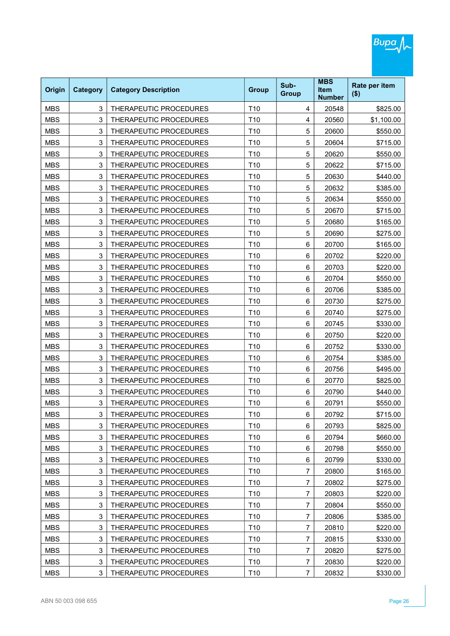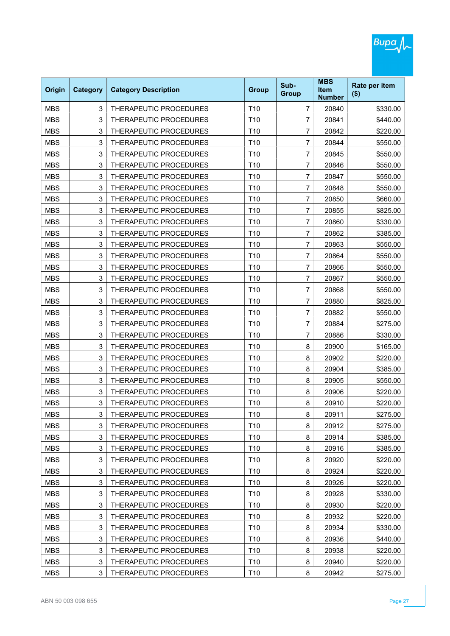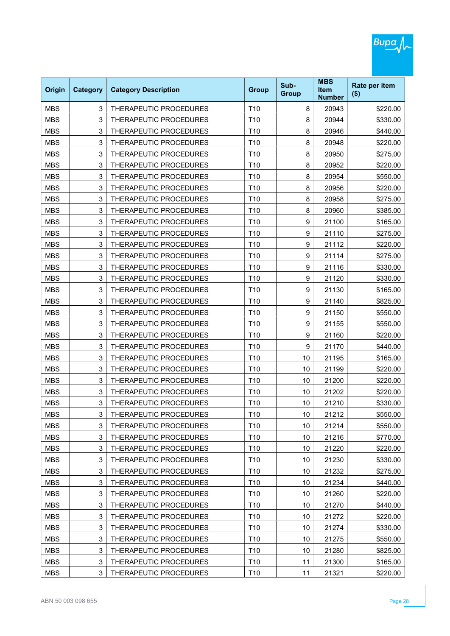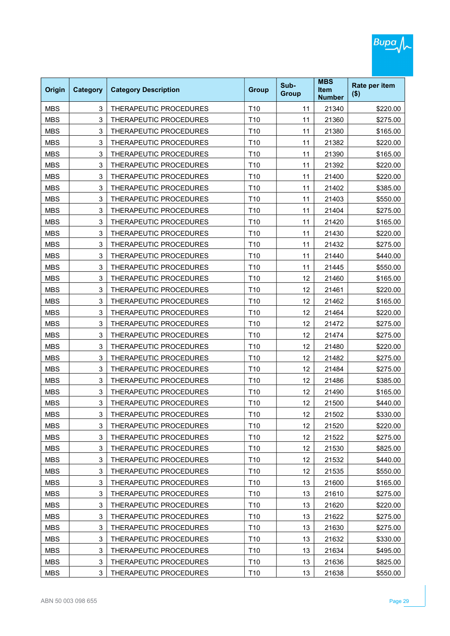| Origin     | <b>Category</b> | <b>Category Description</b>   | <b>Group</b>    | Sub-<br><b>Group</b> | <b>MBS</b><br><b>Item</b><br><b>Number</b> | Rate per item<br>$($ \$) |
|------------|-----------------|-------------------------------|-----------------|----------------------|--------------------------------------------|--------------------------|
| <b>MBS</b> | 3               | THERAPEUTIC PROCEDURES        | T <sub>10</sub> | 11                   | 21340                                      | \$220.00                 |
| <b>MBS</b> | 3               | <b>THERAPEUTIC PROCEDURES</b> | T <sub>10</sub> | 11                   | 21360                                      | \$275.00                 |
| <b>MBS</b> | 3               | THERAPEUTIC PROCEDURES        | T <sub>10</sub> | 11                   | 21380                                      | \$165.00                 |
| <b>MBS</b> | 3               | THERAPEUTIC PROCEDURES        | T <sub>10</sub> | 11                   | 21382                                      | \$220.00                 |
| <b>MBS</b> | 3               | THERAPEUTIC PROCEDURES        | T <sub>10</sub> | 11                   | 21390                                      | \$165.00                 |
| <b>MBS</b> | 3               | <b>THERAPEUTIC PROCEDURES</b> | T <sub>10</sub> | 11                   | 21392                                      | \$220.00                 |
| <b>MBS</b> | 3               | THERAPEUTIC PROCEDURES        | T <sub>10</sub> | 11                   | 21400                                      | \$220.00                 |
| <b>MBS</b> | 3               | THERAPEUTIC PROCEDURES        | T <sub>10</sub> | 11                   | 21402                                      | \$385.00                 |
| <b>MBS</b> | 3               | THERAPEUTIC PROCEDURES        | T <sub>10</sub> | 11                   | 21403                                      | \$550.00                 |
| <b>MBS</b> | 3               | THERAPEUTIC PROCEDURES        | T <sub>10</sub> | 11                   | 21404                                      | \$275.00                 |
| <b>MBS</b> | 3               | THERAPEUTIC PROCEDURES        | T <sub>10</sub> | 11                   | 21420                                      | \$165.00                 |
| <b>MBS</b> | 3               | THERAPEUTIC PROCEDURES        | T <sub>10</sub> | 11                   | 21430                                      | \$220.00                 |
| <b>MBS</b> | 3               | THERAPEUTIC PROCEDURES        | T <sub>10</sub> | 11                   | 21432                                      | \$275.00                 |
| <b>MBS</b> | 3               | THERAPEUTIC PROCEDURES        | T <sub>10</sub> | 11                   | 21440                                      | \$440.00                 |
| <b>MBS</b> | 3               | <b>THERAPEUTIC PROCEDURES</b> | T <sub>10</sub> | 11                   | 21445                                      | \$550.00                 |
| <b>MBS</b> | 3               | THERAPEUTIC PROCEDURES        | T <sub>10</sub> | 12                   | 21460                                      | \$165.00                 |
| <b>MBS</b> | 3               | THERAPEUTIC PROCEDURES        | T <sub>10</sub> | 12                   | 21461                                      | \$220.00                 |
| <b>MBS</b> | 3               | THERAPEUTIC PROCEDURES        | T <sub>10</sub> | 12                   | 21462                                      | \$165.00                 |
| <b>MBS</b> | 3               | THERAPEUTIC PROCEDURES        | T <sub>10</sub> | 12                   | 21464                                      | \$220.00                 |
| <b>MBS</b> | 3               | THERAPEUTIC PROCEDURES        | T <sub>10</sub> | 12                   | 21472                                      | \$275.00                 |
| <b>MBS</b> | 3               | THERAPEUTIC PROCEDURES        | T <sub>10</sub> | 12                   | 21474                                      | \$275.00                 |
| <b>MBS</b> | 3               | THERAPEUTIC PROCEDURES        | T <sub>10</sub> | 12                   | 21480                                      | \$220.00                 |
| <b>MBS</b> | 3               | THERAPEUTIC PROCEDURES        | T <sub>10</sub> | 12                   | 21482                                      | \$275.00                 |
| <b>MBS</b> | 3               | THERAPEUTIC PROCEDURES        | T <sub>10</sub> | 12                   | 21484                                      | \$275.00                 |
| <b>MBS</b> | 3               | THERAPEUTIC PROCEDURES        | T <sub>10</sub> | 12                   | 21486                                      | \$385.00                 |
| <b>MBS</b> | 3               | THERAPEUTIC PROCEDURES        | T <sub>10</sub> | 12                   | 21490                                      | \$165.00                 |
| <b>MBS</b> | 3               | THERAPEUTIC PROCEDURES        | T <sub>10</sub> | 12                   | 21500                                      | \$440.00                 |
| MBS        | 3               | THERAPEUTIC PROCEDURES        | T10             | 12                   | 21502                                      | \$330.00                 |
| <b>MBS</b> | 3               | THERAPEUTIC PROCEDURES        | T10             | 12                   | 21520                                      | \$220.00                 |
| <b>MBS</b> | 3               | THERAPEUTIC PROCEDURES        | T10             | 12                   | 21522                                      | \$275.00                 |
| <b>MBS</b> | 3               | THERAPEUTIC PROCEDURES        | T10             | 12                   | 21530                                      | \$825.00                 |
| <b>MBS</b> | 3               | THERAPEUTIC PROCEDURES        | T10             | 12                   | 21532                                      | \$440.00                 |
| <b>MBS</b> | 3               | THERAPEUTIC PROCEDURES        | T10             | 12                   | 21535                                      | \$550.00                 |
| <b>MBS</b> | 3               | THERAPEUTIC PROCEDURES        | T10             | 13                   | 21600                                      | \$165.00                 |
| <b>MBS</b> | 3               | THERAPEUTIC PROCEDURES        | T10             | 13                   | 21610                                      | \$275.00                 |
| <b>MBS</b> | 3               | THERAPEUTIC PROCEDURES        | T10             | 13                   | 21620                                      | \$220.00                 |
| <b>MBS</b> | 3               | THERAPEUTIC PROCEDURES        | T10             | 13                   | 21622                                      | \$275.00                 |
| <b>MBS</b> | 3               | THERAPEUTIC PROCEDURES        | T10             | 13                   | 21630                                      | \$275.00                 |
| <b>MBS</b> | 3               | THERAPEUTIC PROCEDURES        | T10             | 13                   | 21632                                      | \$330.00                 |
| <b>MBS</b> | 3               | THERAPEUTIC PROCEDURES        | T10             | 13                   | 21634                                      | \$495.00                 |
| <b>MBS</b> | 3               | THERAPEUTIC PROCEDURES        | T10             | 13                   | 21636                                      | \$825.00                 |
| <b>MBS</b> | 3               | THERAPEUTIC PROCEDURES        | T10             | 13                   | 21638                                      | \$550.00                 |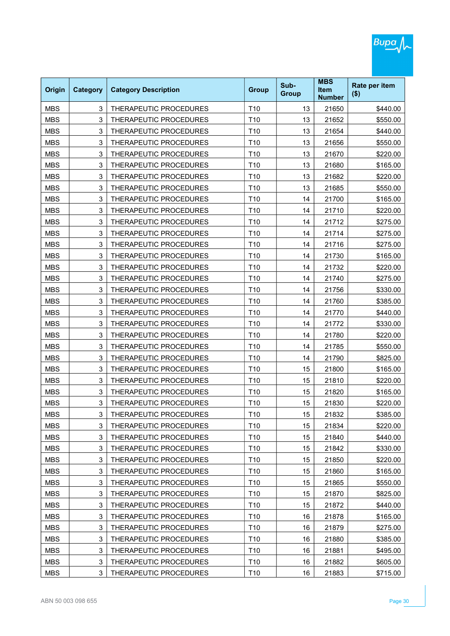|            |                 |                               |                 |                      | <b>MBS</b>                   |                          |
|------------|-----------------|-------------------------------|-----------------|----------------------|------------------------------|--------------------------|
| Origin     | <b>Category</b> | <b>Category Description</b>   | <b>Group</b>    | Sub-<br><b>Group</b> | <b>Item</b><br><b>Number</b> | Rate per item<br>$($ \$) |
| <b>MBS</b> | 3               | THERAPEUTIC PROCEDURES        | T <sub>10</sub> | 13                   | 21650                        | \$440.00                 |
| <b>MBS</b> | 3               | <b>THERAPEUTIC PROCEDURES</b> | T <sub>10</sub> | 13                   | 21652                        | \$550.00                 |
| <b>MBS</b> | 3               | THERAPEUTIC PROCEDURES        | T <sub>10</sub> | 13                   | 21654                        | \$440.00                 |
| <b>MBS</b> | 3               | THERAPEUTIC PROCEDURES        | T <sub>10</sub> | 13                   | 21656                        | \$550.00                 |
| <b>MBS</b> | 3               | THERAPEUTIC PROCEDURES        | T <sub>10</sub> | 13                   | 21670                        | \$220.00                 |
| <b>MBS</b> | 3               | <b>THERAPEUTIC PROCEDURES</b> | T <sub>10</sub> | 13                   | 21680                        | \$165.00                 |
| <b>MBS</b> | 3               | THERAPEUTIC PROCEDURES        | T <sub>10</sub> | 13                   | 21682                        | \$220.00                 |
| <b>MBS</b> | 3               | THERAPEUTIC PROCEDURES        | T <sub>10</sub> | 13                   | 21685                        | \$550.00                 |
| <b>MBS</b> | 3               | THERAPEUTIC PROCEDURES        | T <sub>10</sub> | 14                   | 21700                        | \$165.00                 |
| <b>MBS</b> | 3               | THERAPEUTIC PROCEDURES        | T <sub>10</sub> | 14                   | 21710                        | \$220.00                 |
| <b>MBS</b> | 3               | THERAPEUTIC PROCEDURES        | T <sub>10</sub> | 14                   | 21712                        | \$275.00                 |
| <b>MBS</b> | 3               | THERAPEUTIC PROCEDURES        | T <sub>10</sub> | 14                   | 21714                        | \$275.00                 |
| <b>MBS</b> | 3               | THERAPEUTIC PROCEDURES        | T <sub>10</sub> | 14                   | 21716                        | \$275.00                 |
| <b>MBS</b> | 3               | <b>THERAPEUTIC PROCEDURES</b> | T <sub>10</sub> | 14                   | 21730                        | \$165.00                 |
| <b>MBS</b> | 3               | THERAPEUTIC PROCEDURES        | T <sub>10</sub> | 14                   | 21732                        | \$220.00                 |
| <b>MBS</b> | 3               | THERAPEUTIC PROCEDURES        | T <sub>10</sub> | 14                   | 21740                        | \$275.00                 |
| <b>MBS</b> | 3               | THERAPEUTIC PROCEDURES        | T <sub>10</sub> | 14                   | 21756                        | \$330.00                 |
| <b>MBS</b> | 3               | THERAPEUTIC PROCEDURES        | T <sub>10</sub> | 14                   | 21760                        | \$385.00                 |
| <b>MBS</b> | 3               | THERAPEUTIC PROCEDURES        | T <sub>10</sub> | 14                   | 21770                        | \$440.00                 |
| <b>MBS</b> | 3               | THERAPEUTIC PROCEDURES        | T <sub>10</sub> | 14                   | 21772                        | \$330.00                 |
| <b>MBS</b> | 3               | THERAPEUTIC PROCEDURES        | T <sub>10</sub> | 14                   | 21780                        | \$220.00                 |
| <b>MBS</b> | 3               | THERAPEUTIC PROCEDURES        | T <sub>10</sub> | 14                   | 21785                        | \$550.00                 |
| <b>MBS</b> | 3               | THERAPEUTIC PROCEDURES        | T <sub>10</sub> | 14                   | 21790                        | \$825.00                 |
| <b>MBS</b> | 3               | THERAPEUTIC PROCEDURES        | T <sub>10</sub> | 15                   | 21800                        | \$165.00                 |
| <b>MBS</b> | 3               | THERAPEUTIC PROCEDURES        | T <sub>10</sub> | 15                   | 21810                        | \$220.00                 |
| <b>MBS</b> | 3               | THERAPEUTIC PROCEDURES        | T <sub>10</sub> | 15                   | 21820                        | \$165.00                 |
| <b>MBS</b> | 3               | THERAPEUTIC PROCEDURES        | T <sub>10</sub> | 15                   | 21830                        | \$220.00                 |
| MBS        | 3               | THERAPEUTIC PROCEDURES        | T10             | 15                   | 21832                        | \$385.00                 |
| <b>MBS</b> | 3               | THERAPEUTIC PROCEDURES        | T10             | 15                   | 21834                        | \$220.00                 |
| <b>MBS</b> | 3               | THERAPEUTIC PROCEDURES        | T10             | 15                   | 21840                        | \$440.00                 |
| <b>MBS</b> | 3               | THERAPEUTIC PROCEDURES        | T10             | 15                   | 21842                        | \$330.00                 |
| <b>MBS</b> | 3               | THERAPEUTIC PROCEDURES        | T10             | 15                   | 21850                        | \$220.00                 |
| <b>MBS</b> | 3               | THERAPEUTIC PROCEDURES        | T10             | 15                   | 21860                        | \$165.00                 |
| <b>MBS</b> | 3               | THERAPEUTIC PROCEDURES        | T10             | 15                   | 21865                        | \$550.00                 |
| <b>MBS</b> | 3               | THERAPEUTIC PROCEDURES        | T10             | 15                   | 21870                        | \$825.00                 |
| <b>MBS</b> | 3               | THERAPEUTIC PROCEDURES        | T10             | 15                   | 21872                        | \$440.00                 |
| <b>MBS</b> | 3               | THERAPEUTIC PROCEDURES        | T10             | 16                   | 21878                        | \$165.00                 |
| <b>MBS</b> | 3               | THERAPEUTIC PROCEDURES        | T10             | 16                   | 21879                        | \$275.00                 |
| <b>MBS</b> | 3               | THERAPEUTIC PROCEDURES        | T10             | 16                   | 21880                        | \$385.00                 |
| <b>MBS</b> | 3               | THERAPEUTIC PROCEDURES        | T10             | 16                   | 21881                        | \$495.00                 |
| <b>MBS</b> | 3               | THERAPEUTIC PROCEDURES        | T10             | 16                   | 21882                        | \$605.00                 |
| <b>MBS</b> | 3               | THERAPEUTIC PROCEDURES        | T10             | 16                   | 21883                        | \$715.00                 |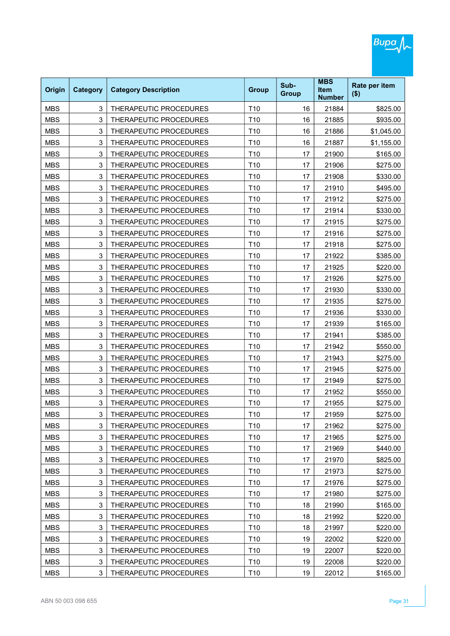| Origin     | <b>Category</b> | <b>Category Description</b>   | <b>Group</b>    | Sub-<br><b>Group</b> | <b>MBS</b><br><b>Item</b><br><b>Number</b> | Rate per item<br>$($ \$) |
|------------|-----------------|-------------------------------|-----------------|----------------------|--------------------------------------------|--------------------------|
| <b>MBS</b> | 3               | THERAPEUTIC PROCEDURES        | T <sub>10</sub> | 16                   | 21884                                      | \$825.00                 |
| <b>MBS</b> | 3               | <b>THERAPEUTIC PROCEDURES</b> | T <sub>10</sub> | 16                   | 21885                                      | \$935.00                 |
| <b>MBS</b> | 3               | THERAPEUTIC PROCEDURES        | T <sub>10</sub> | 16                   | 21886                                      | \$1,045.00               |
| <b>MBS</b> | 3               | THERAPEUTIC PROCEDURES        | T <sub>10</sub> | 16                   | 21887                                      | \$1,155.00               |
| <b>MBS</b> | 3               | THERAPEUTIC PROCEDURES        | T <sub>10</sub> | 17                   | 21900                                      | \$165.00                 |
| <b>MBS</b> | 3               | <b>THERAPEUTIC PROCEDURES</b> | T <sub>10</sub> | 17                   | 21906                                      | \$275.00                 |
| <b>MBS</b> | 3               | THERAPEUTIC PROCEDURES        | T <sub>10</sub> | 17                   | 21908                                      | \$330.00                 |
| <b>MBS</b> | 3               | THERAPEUTIC PROCEDURES        | T <sub>10</sub> | 17                   | 21910                                      | \$495.00                 |
| <b>MBS</b> | 3               | THERAPEUTIC PROCEDURES        | T <sub>10</sub> | 17                   | 21912                                      | \$275.00                 |
| <b>MBS</b> | 3               | THERAPEUTIC PROCEDURES        | T <sub>10</sub> | 17                   | 21914                                      | \$330.00                 |
| <b>MBS</b> | 3               | THERAPEUTIC PROCEDURES        | T <sub>10</sub> | 17                   | 21915                                      | \$275.00                 |
| <b>MBS</b> | 3               | THERAPEUTIC PROCEDURES        | T <sub>10</sub> | 17                   | 21916                                      | \$275.00                 |
| <b>MBS</b> | 3               | THERAPEUTIC PROCEDURES        | T <sub>10</sub> | 17                   | 21918                                      | \$275.00                 |
| <b>MBS</b> | 3               | <b>THERAPEUTIC PROCEDURES</b> | T <sub>10</sub> | 17                   | 21922                                      | \$385.00                 |
| <b>MBS</b> | 3               | THERAPEUTIC PROCEDURES        | T <sub>10</sub> | 17                   | 21925                                      | \$220.00                 |
| <b>MBS</b> | 3               | THERAPEUTIC PROCEDURES        | T <sub>10</sub> | 17                   | 21926                                      | \$275.00                 |
| <b>MBS</b> | 3               | THERAPEUTIC PROCEDURES        | T <sub>10</sub> | 17                   | 21930                                      | \$330.00                 |
| <b>MBS</b> | 3               | THERAPEUTIC PROCEDURES        | T <sub>10</sub> | 17                   | 21935                                      | \$275.00                 |
| <b>MBS</b> | 3               | THERAPEUTIC PROCEDURES        | T <sub>10</sub> | 17                   | 21936                                      | \$330.00                 |
| <b>MBS</b> | 3               | THERAPEUTIC PROCEDURES        | T <sub>10</sub> | 17                   | 21939                                      | \$165.00                 |
| <b>MBS</b> | 3               | THERAPEUTIC PROCEDURES        | T <sub>10</sub> | 17                   | 21941                                      | \$385.00                 |
| <b>MBS</b> | 3               | THERAPEUTIC PROCEDURES        | T <sub>10</sub> | 17                   | 21942                                      | \$550.00                 |
| <b>MBS</b> | 3               | THERAPEUTIC PROCEDURES        | T <sub>10</sub> | 17                   | 21943                                      | \$275.00                 |
| <b>MBS</b> | 3               | THERAPEUTIC PROCEDURES        | T <sub>10</sub> | 17                   | 21945                                      | \$275.00                 |
| <b>MBS</b> | 3               | THERAPEUTIC PROCEDURES        | T <sub>10</sub> | 17                   | 21949                                      | \$275.00                 |
| <b>MBS</b> | 3               | THERAPEUTIC PROCEDURES        | T <sub>10</sub> | 17                   | 21952                                      | \$550.00                 |
| <b>MBS</b> | 3               | THERAPEUTIC PROCEDURES        | T <sub>10</sub> | 17                   | 21955                                      | \$275.00                 |
| MBS        | 3               | THERAPEUTIC PROCEDURES        | T10             | 17                   | 21959                                      | \$275.00                 |
| <b>MBS</b> | 3               | THERAPEUTIC PROCEDURES        | T10             | 17                   | 21962                                      | \$275.00                 |
| <b>MBS</b> | 3               | THERAPEUTIC PROCEDURES        | T10             | 17                   | 21965                                      | \$275.00                 |
| <b>MBS</b> | 3               | THERAPEUTIC PROCEDURES        | T10             | 17                   | 21969                                      | \$440.00                 |
| <b>MBS</b> | 3               | THERAPEUTIC PROCEDURES        | T10             | 17                   | 21970                                      | \$825.00                 |
| <b>MBS</b> | 3               | THERAPEUTIC PROCEDURES        | T10             | 17                   | 21973                                      | \$275.00                 |
| <b>MBS</b> | 3               | THERAPEUTIC PROCEDURES        | T10             | 17                   | 21976                                      | \$275.00                 |
| <b>MBS</b> | 3               | THERAPEUTIC PROCEDURES        | T10             | 17                   | 21980                                      | \$275.00                 |
| <b>MBS</b> | 3               | THERAPEUTIC PROCEDURES        | T10             | 18                   | 21990                                      | \$165.00                 |
| <b>MBS</b> | 3               | THERAPEUTIC PROCEDURES        | T10             | 18                   | 21992                                      | \$220.00                 |
| <b>MBS</b> | 3               | THERAPEUTIC PROCEDURES        | T10             | 18                   | 21997                                      | \$220.00                 |
| <b>MBS</b> | 3               | THERAPEUTIC PROCEDURES        | T10             | 19                   | 22002                                      | \$220.00                 |
| <b>MBS</b> | 3               | THERAPEUTIC PROCEDURES        | T10             | 19                   | 22007                                      | \$220.00                 |
| <b>MBS</b> | 3               | THERAPEUTIC PROCEDURES        | T10             | 19                   | 22008                                      | \$220.00                 |
| <b>MBS</b> | 3               | THERAPEUTIC PROCEDURES        | T <sub>10</sub> | 19                   | 22012                                      | \$165.00                 |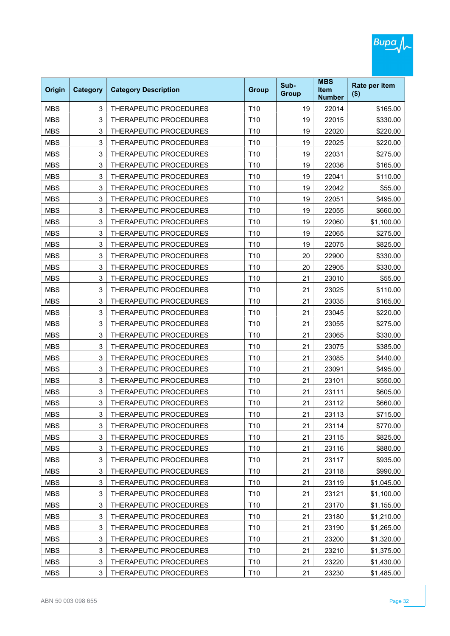| Origin     | <b>Category</b> | <b>Category Description</b>   | <b>Group</b>    | Sub-<br><b>Group</b> | <b>MBS</b><br><b>Item</b><br><b>Number</b> | Rate per item<br>$($ \$) |
|------------|-----------------|-------------------------------|-----------------|----------------------|--------------------------------------------|--------------------------|
| <b>MBS</b> | 3               | THERAPEUTIC PROCEDURES        | T <sub>10</sub> | 19                   | 22014                                      | \$165.00                 |
| <b>MBS</b> | 3               | THERAPEUTIC PROCEDURES        | T <sub>10</sub> | 19                   | 22015                                      | \$330.00                 |
| <b>MBS</b> | 3               | THERAPEUTIC PROCEDURES        | T <sub>10</sub> | 19                   | 22020                                      | \$220.00                 |
| <b>MBS</b> | 3               | THERAPEUTIC PROCEDURES        | T <sub>10</sub> | 19                   | 22025                                      | \$220.00                 |
| <b>MBS</b> | 3               | THERAPEUTIC PROCEDURES        | T <sub>10</sub> | 19                   | 22031                                      | \$275.00                 |
| <b>MBS</b> | 3               | <b>THERAPEUTIC PROCEDURES</b> | T <sub>10</sub> | 19                   | 22036                                      | \$165.00                 |
| <b>MBS</b> | 3               | THERAPEUTIC PROCEDURES        | T <sub>10</sub> | 19                   | 22041                                      | \$110.00                 |
| <b>MBS</b> | 3               | THERAPEUTIC PROCEDURES        | T <sub>10</sub> | 19                   | 22042                                      | \$55.00                  |
| <b>MBS</b> | 3               | THERAPEUTIC PROCEDURES        | T <sub>10</sub> | 19                   | 22051                                      | \$495.00                 |
| <b>MBS</b> | 3               | THERAPEUTIC PROCEDURES        | T <sub>10</sub> | 19                   | 22055                                      | \$660.00                 |
| <b>MBS</b> | 3               | THERAPEUTIC PROCEDURES        | T <sub>10</sub> | 19                   | 22060                                      | \$1,100.00               |
| <b>MBS</b> | 3               | THERAPEUTIC PROCEDURES        | T <sub>10</sub> | 19                   | 22065                                      | \$275.00                 |
| <b>MBS</b> | 3               | THERAPEUTIC PROCEDURES        | T <sub>10</sub> | 19                   | 22075                                      | \$825.00                 |
| <b>MBS</b> | 3               | <b>THERAPEUTIC PROCEDURES</b> | T <sub>10</sub> | 20                   | 22900                                      | \$330.00                 |
| <b>MBS</b> | 3               | THERAPEUTIC PROCEDURES        | T <sub>10</sub> | 20                   | 22905                                      | \$330.00                 |
| <b>MBS</b> | 3               | THERAPEUTIC PROCEDURES        | T <sub>10</sub> | 21                   | 23010                                      | \$55.00                  |
| <b>MBS</b> | 3               | THERAPEUTIC PROCEDURES        | T <sub>10</sub> | 21                   | 23025                                      | \$110.00                 |
| <b>MBS</b> | 3               | THERAPEUTIC PROCEDURES        | T <sub>10</sub> | 21                   | 23035                                      | \$165.00                 |
| <b>MBS</b> | 3               | THERAPEUTIC PROCEDURES        | T <sub>10</sub> | 21                   | 23045                                      | \$220.00                 |
| <b>MBS</b> | 3               | THERAPEUTIC PROCEDURES        | T <sub>10</sub> | 21                   | 23055                                      | \$275.00                 |
| <b>MBS</b> | 3               | THERAPEUTIC PROCEDURES        | T <sub>10</sub> | 21                   | 23065                                      | \$330.00                 |
| <b>MBS</b> | 3               | THERAPEUTIC PROCEDURES        | T <sub>10</sub> | 21                   | 23075                                      | \$385.00                 |
| <b>MBS</b> | 3               | THERAPEUTIC PROCEDURES        | T <sub>10</sub> | 21                   | 23085                                      | \$440.00                 |
| <b>MBS</b> | 3               | THERAPEUTIC PROCEDURES        | T <sub>10</sub> | 21                   | 23091                                      | \$495.00                 |
| <b>MBS</b> | 3               | THERAPEUTIC PROCEDURES        | T <sub>10</sub> | 21                   | 23101                                      | \$550.00                 |
| <b>MBS</b> | 3               | THERAPEUTIC PROCEDURES        | T <sub>10</sub> | 21                   | 23111                                      | \$605.00                 |
| <b>MBS</b> | 3               | THERAPEUTIC PROCEDURES        | T <sub>10</sub> | 21                   | 23112                                      | \$660.00                 |
| MBS        | 3               | THERAPEUTIC PROCEDURES        | T10             | 21                   | 23113                                      | \$715.00                 |
| <b>MBS</b> | 3               | THERAPEUTIC PROCEDURES        | T10             | 21                   | 23114                                      | \$770.00                 |
| <b>MBS</b> | 3               | THERAPEUTIC PROCEDURES        | T10             | 21                   | 23115                                      | \$825.00                 |
| <b>MBS</b> | 3               | THERAPEUTIC PROCEDURES        | T10             | 21                   | 23116                                      | \$880.00                 |
| <b>MBS</b> | 3               | THERAPEUTIC PROCEDURES        | T10             | 21                   | 23117                                      | \$935.00                 |
| <b>MBS</b> | 3               | THERAPEUTIC PROCEDURES        | T10             | 21                   | 23118                                      | \$990.00                 |
| <b>MBS</b> | 3               | THERAPEUTIC PROCEDURES        | T10             | 21                   | 23119                                      | \$1,045.00               |
| <b>MBS</b> | 3               | THERAPEUTIC PROCEDURES        | T10             | 21                   | 23121                                      | \$1,100.00               |
| <b>MBS</b> | 3               | THERAPEUTIC PROCEDURES        | T10             | 21                   | 23170                                      | \$1,155.00               |
| <b>MBS</b> | 3               | THERAPEUTIC PROCEDURES        | T10             | 21                   | 23180                                      | \$1,210.00               |
| <b>MBS</b> | 3               | THERAPEUTIC PROCEDURES        | T10             | 21                   | 23190                                      | \$1,265.00               |
| <b>MBS</b> | 3               | THERAPEUTIC PROCEDURES        | T <sub>10</sub> | 21                   | 23200                                      | \$1,320.00               |
| <b>MBS</b> | 3               | THERAPEUTIC PROCEDURES        | T10             | 21                   | 23210                                      | \$1,375.00               |
| <b>MBS</b> | 3               | THERAPEUTIC PROCEDURES        | T10             | 21                   | 23220                                      | \$1,430.00               |
| <b>MBS</b> | 3               | THERAPEUTIC PROCEDURES        | T10             | 21                   | 23230                                      | \$1,485.00               |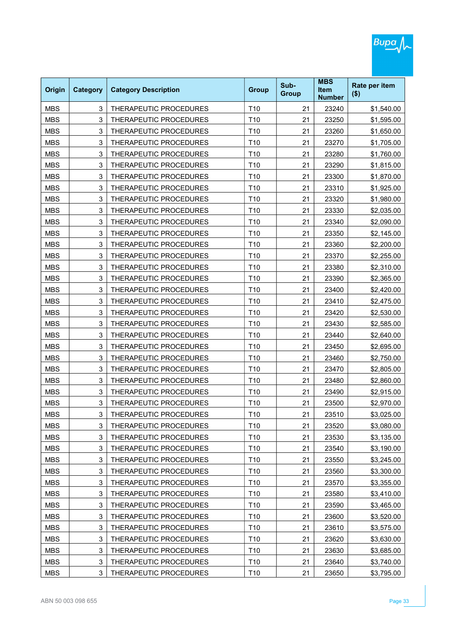| Origin     | <b>Category</b> | <b>Category Description</b>   | <b>Group</b>    | Sub-<br><b>Group</b> | <b>MBS</b><br><b>Item</b><br><b>Number</b> | Rate per item<br>$($ \$) |
|------------|-----------------|-------------------------------|-----------------|----------------------|--------------------------------------------|--------------------------|
| <b>MBS</b> | 3               | THERAPEUTIC PROCEDURES        | T <sub>10</sub> | 21                   | 23240                                      | \$1,540.00               |
| <b>MBS</b> | 3               | <b>THERAPEUTIC PROCEDURES</b> | T <sub>10</sub> | 21                   | 23250                                      | \$1,595.00               |
| <b>MBS</b> | 3               | THERAPEUTIC PROCEDURES        | T <sub>10</sub> | 21                   | 23260                                      | \$1,650.00               |
| <b>MBS</b> | 3               | THERAPEUTIC PROCEDURES        | T <sub>10</sub> | 21                   | 23270                                      | \$1,705.00               |
| <b>MBS</b> | 3               | THERAPEUTIC PROCEDURES        | T <sub>10</sub> | 21                   | 23280                                      | \$1,760.00               |
| <b>MBS</b> | 3               | THERAPEUTIC PROCEDURES        | T <sub>10</sub> | 21                   | 23290                                      | \$1,815.00               |
| <b>MBS</b> | 3               | THERAPEUTIC PROCEDURES        | T <sub>10</sub> | 21                   | 23300                                      | \$1,870.00               |
| <b>MBS</b> | 3               | THERAPEUTIC PROCEDURES        | T <sub>10</sub> | 21                   | 23310                                      | \$1,925.00               |
| <b>MBS</b> | 3               | THERAPEUTIC PROCEDURES        | T <sub>10</sub> | 21                   | 23320                                      | \$1,980.00               |
| <b>MBS</b> | 3               | THERAPEUTIC PROCEDURES        | T <sub>10</sub> | 21                   | 23330                                      | \$2,035.00               |
| <b>MBS</b> | 3               | THERAPEUTIC PROCEDURES        | T <sub>10</sub> | 21                   | 23340                                      | \$2,090.00               |
| <b>MBS</b> | 3               | THERAPEUTIC PROCEDURES        | T <sub>10</sub> | 21                   | 23350                                      | \$2,145.00               |
| <b>MBS</b> | 3               | THERAPEUTIC PROCEDURES        | T <sub>10</sub> | 21                   | 23360                                      | \$2,200.00               |
| <b>MBS</b> | 3               | THERAPEUTIC PROCEDURES        | T <sub>10</sub> | 21                   | 23370                                      | \$2,255.00               |
| <b>MBS</b> | 3               | THERAPEUTIC PROCEDURES        | T <sub>10</sub> | 21                   | 23380                                      | \$2,310.00               |
| <b>MBS</b> | 3               | THERAPEUTIC PROCEDURES        | T <sub>10</sub> | 21                   | 23390                                      | \$2,365.00               |
| <b>MBS</b> | 3               | <b>THERAPEUTIC PROCEDURES</b> | T <sub>10</sub> | 21                   | 23400                                      | \$2,420.00               |
| <b>MBS</b> | 3               | THERAPEUTIC PROCEDURES        | T <sub>10</sub> | 21                   | 23410                                      | \$2,475.00               |
| <b>MBS</b> | 3               | THERAPEUTIC PROCEDURES        | T <sub>10</sub> | 21                   | 23420                                      | \$2,530.00               |
| <b>MBS</b> | 3               | THERAPEUTIC PROCEDURES        | T <sub>10</sub> | 21                   | 23430                                      | \$2,585.00               |
| <b>MBS</b> | 3               | THERAPEUTIC PROCEDURES        | T <sub>10</sub> | 21                   | 23440                                      | \$2,640.00               |
| <b>MBS</b> | 3               | THERAPEUTIC PROCEDURES        | T <sub>10</sub> | 21                   | 23450                                      | \$2,695.00               |
| <b>MBS</b> | 3               | THERAPEUTIC PROCEDURES        | T <sub>10</sub> | 21                   | 23460                                      | \$2,750.00               |
| <b>MBS</b> | 3               | THERAPEUTIC PROCEDURES        | T <sub>10</sub> | 21                   | 23470                                      | \$2,805.00               |
| <b>MBS</b> | 3               | THERAPEUTIC PROCEDURES        | T <sub>10</sub> | 21                   | 23480                                      | \$2,860.00               |
| <b>MBS</b> | 3               | THERAPEUTIC PROCEDURES        | T <sub>10</sub> | 21                   | 23490                                      | \$2,915.00               |
| <b>MBS</b> | 3               | THERAPEUTIC PROCEDURES        | T <sub>10</sub> | 21                   | 23500                                      | \$2,970.00               |
| MBS        | 3               | THERAPEUTIC PROCEDURES        | T10             | 21                   | 23510                                      | \$3,025.00               |
| <b>MBS</b> | 3               | THERAPEUTIC PROCEDURES        | T10             | 21                   | 23520                                      | \$3,080.00               |
| <b>MBS</b> | 3               | THERAPEUTIC PROCEDURES        | T10             | 21                   | 23530                                      | \$3,135.00               |
| <b>MBS</b> | 3               | THERAPEUTIC PROCEDURES        | T10             | 21                   | 23540                                      | \$3,190.00               |
| <b>MBS</b> | 3               | THERAPEUTIC PROCEDURES        | T10             | 21                   | 23550                                      | \$3,245.00               |
| <b>MBS</b> | 3               | THERAPEUTIC PROCEDURES        | T10             | 21                   | 23560                                      | \$3,300.00               |
| <b>MBS</b> | 3               | THERAPEUTIC PROCEDURES        | T10             | 21                   | 23570                                      | \$3,355.00               |
| <b>MBS</b> | 3               | THERAPEUTIC PROCEDURES        | T10             | 21                   | 23580                                      | \$3,410.00               |
| <b>MBS</b> | 3               | THERAPEUTIC PROCEDURES        | T10             | 21                   | 23590                                      | \$3,465.00               |
| <b>MBS</b> | 3               | THERAPEUTIC PROCEDURES        | T10             | 21                   | 23600                                      | \$3,520.00               |
| <b>MBS</b> | 3               | THERAPEUTIC PROCEDURES        | T10             | 21                   | 23610                                      | \$3,575.00               |
| <b>MBS</b> | 3               | THERAPEUTIC PROCEDURES        | T <sub>10</sub> | 21                   | 23620                                      | \$3,630.00               |
| <b>MBS</b> | 3               | THERAPEUTIC PROCEDURES        | T10             | 21                   | 23630                                      | \$3,685.00               |
| <b>MBS</b> | 3               | THERAPEUTIC PROCEDURES        | T10             | 21                   | 23640                                      | \$3,740.00               |
| <b>MBS</b> | 3               | THERAPEUTIC PROCEDURES        | T10             | 21                   | 23650                                      | \$3,795.00               |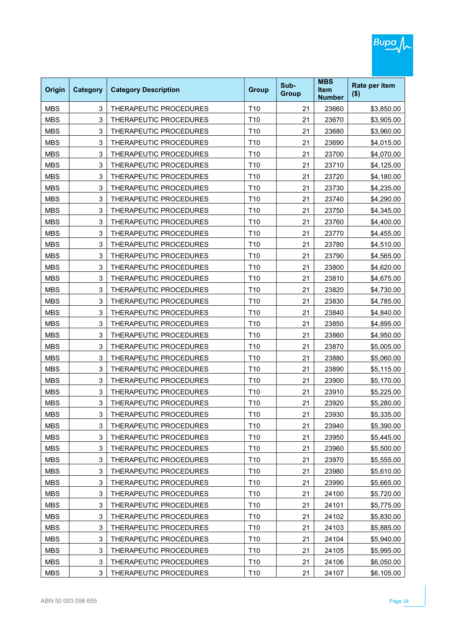| Origin     | <b>Category</b> | <b>Category Description</b>   | <b>Group</b>    | Sub-<br><b>Group</b> | <b>MBS</b><br><b>Item</b><br><b>Number</b> | Rate per item<br>$($ \$) |
|------------|-----------------|-------------------------------|-----------------|----------------------|--------------------------------------------|--------------------------|
| <b>MBS</b> | 3               | THERAPEUTIC PROCEDURES        | T <sub>10</sub> | 21                   | 23660                                      | \$3,850.00               |
| <b>MBS</b> | 3               | <b>THERAPEUTIC PROCEDURES</b> | T <sub>10</sub> | 21                   | 23670                                      | \$3,905.00               |
| <b>MBS</b> | 3               | THERAPEUTIC PROCEDURES        | T <sub>10</sub> | 21                   | 23680                                      | \$3,960.00               |
| <b>MBS</b> | 3               | THERAPEUTIC PROCEDURES        | T <sub>10</sub> | 21                   | 23690                                      | \$4,015.00               |
| <b>MBS</b> | 3               | THERAPEUTIC PROCEDURES        | T <sub>10</sub> | 21                   | 23700                                      | \$4,070.00               |
| <b>MBS</b> | 3               | THERAPEUTIC PROCEDURES        | T <sub>10</sub> | 21                   | 23710                                      | \$4,125.00               |
| <b>MBS</b> | 3               | THERAPEUTIC PROCEDURES        | T <sub>10</sub> | 21                   | 23720                                      | \$4,180.00               |
| <b>MBS</b> | 3               | THERAPEUTIC PROCEDURES        | T <sub>10</sub> | 21                   | 23730                                      | \$4,235.00               |
| <b>MBS</b> | 3               | THERAPEUTIC PROCEDURES        | T <sub>10</sub> | 21                   | 23740                                      | \$4,290.00               |
| <b>MBS</b> | 3               | THERAPEUTIC PROCEDURES        | T <sub>10</sub> | 21                   | 23750                                      | \$4,345.00               |
| <b>MBS</b> | 3               | THERAPEUTIC PROCEDURES        | T <sub>10</sub> | 21                   | 23760                                      | \$4,400.00               |
| <b>MBS</b> | 3               | THERAPEUTIC PROCEDURES        | T <sub>10</sub> | 21                   | 23770                                      | \$4,455.00               |
| <b>MBS</b> | 3               | THERAPEUTIC PROCEDURES        | T <sub>10</sub> | 21                   | 23780                                      | \$4,510.00               |
| <b>MBS</b> | 3               | THERAPEUTIC PROCEDURES        | T <sub>10</sub> | 21                   | 23790                                      | \$4,565.00               |
| <b>MBS</b> | 3               | THERAPEUTIC PROCEDURES        | T <sub>10</sub> | 21                   | 23800                                      | \$4,620.00               |
| <b>MBS</b> | 3               | THERAPEUTIC PROCEDURES        | T <sub>10</sub> | 21                   | 23810                                      | \$4,675.00               |
| <b>MBS</b> | 3               | <b>THERAPEUTIC PROCEDURES</b> | T <sub>10</sub> | 21                   | 23820                                      | \$4,730.00               |
| <b>MBS</b> | 3               | THERAPEUTIC PROCEDURES        | T <sub>10</sub> | 21                   | 23830                                      | \$4,785.00               |
| <b>MBS</b> | 3               | THERAPEUTIC PROCEDURES        | T <sub>10</sub> | 21                   | 23840                                      | \$4,840.00               |
| <b>MBS</b> | 3               | THERAPEUTIC PROCEDURES        | T <sub>10</sub> | 21                   | 23850                                      | \$4,895.00               |
| <b>MBS</b> | 3               | THERAPEUTIC PROCEDURES        | T <sub>10</sub> | 21                   | 23860                                      | \$4,950.00               |
| <b>MBS</b> | 3               | THERAPEUTIC PROCEDURES        | T <sub>10</sub> | 21                   | 23870                                      | \$5,005.00               |
| <b>MBS</b> | 3               | THERAPEUTIC PROCEDURES        | T <sub>10</sub> | 21                   | 23880                                      | \$5,060.00               |
| <b>MBS</b> | 3               | THERAPEUTIC PROCEDURES        | T <sub>10</sub> | 21                   | 23890                                      | \$5,115.00               |
| <b>MBS</b> | 3               | THERAPEUTIC PROCEDURES        | T <sub>10</sub> | 21                   | 23900                                      | \$5,170.00               |
| <b>MBS</b> | 3               | THERAPEUTIC PROCEDURES        | T <sub>10</sub> | 21                   | 23910                                      | \$5,225.00               |
| <b>MBS</b> | 3               | THERAPEUTIC PROCEDURES        | T <sub>10</sub> | 21                   | 23920                                      | \$5,280.00               |
| MBS        | 3               | THERAPEUTIC PROCEDURES        | T10             | 21                   | 23930                                      | \$5,335.00               |
| <b>MBS</b> | 3               | THERAPEUTIC PROCEDURES        | T10             | 21                   | 23940                                      | \$5,390.00               |
| <b>MBS</b> | 3               | THERAPEUTIC PROCEDURES        | T10             | 21                   | 23950                                      | \$5,445.00               |
| <b>MBS</b> | 3               | THERAPEUTIC PROCEDURES        | T10             | 21                   | 23960                                      | \$5,500.00               |
| <b>MBS</b> | 3               | THERAPEUTIC PROCEDURES        | T10             | 21                   | 23970                                      | \$5,555.00               |
| <b>MBS</b> | 3               | THERAPEUTIC PROCEDURES        | T10             | 21                   | 23980                                      | \$5,610.00               |
| <b>MBS</b> | 3               | THERAPEUTIC PROCEDURES        | T10             | 21                   | 23990                                      | \$5,665.00               |
| <b>MBS</b> | 3               | THERAPEUTIC PROCEDURES        | T10             | 21                   | 24100                                      | \$5,720.00               |
| <b>MBS</b> | 3               | THERAPEUTIC PROCEDURES        | T10             | 21                   | 24101                                      | \$5,775.00               |
| <b>MBS</b> | 3               | THERAPEUTIC PROCEDURES        | T10             | 21                   | 24102                                      | \$5,830.00               |
| <b>MBS</b> | 3               | THERAPEUTIC PROCEDURES        | T10             | 21                   | 24103                                      | \$5,885.00               |
| <b>MBS</b> | 3               | THERAPEUTIC PROCEDURES        | T10             | 21                   | 24104                                      | \$5,940.00               |
| <b>MBS</b> | 3               | THERAPEUTIC PROCEDURES        | T10             | 21                   | 24105                                      | \$5,995.00               |
| <b>MBS</b> | 3               | THERAPEUTIC PROCEDURES        | T10             | 21                   | 24106                                      | \$6,050.00               |
| <b>MBS</b> | 3               | THERAPEUTIC PROCEDURES        | T10             | 21                   | 24107                                      | \$6,105.00               |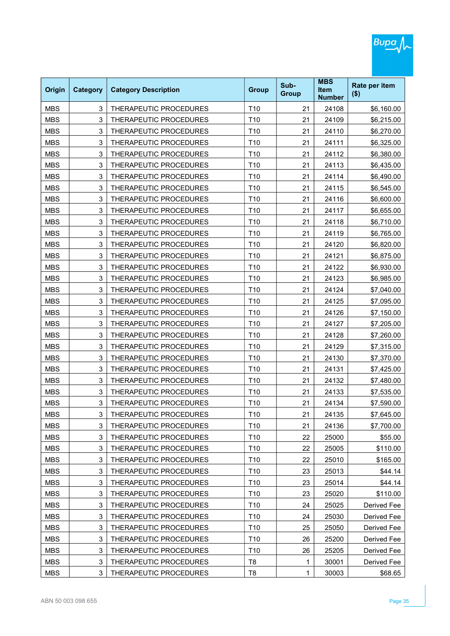| Origin     | <b>Category</b> | <b>Category Description</b>   | <b>Group</b>    | Sub-<br><b>Group</b> | <b>MBS</b><br><b>Item</b><br><b>Number</b> | Rate per item<br>$($ \$) |
|------------|-----------------|-------------------------------|-----------------|----------------------|--------------------------------------------|--------------------------|
| <b>MBS</b> | 3               | THERAPEUTIC PROCEDURES        | T <sub>10</sub> | 21                   | 24108                                      | \$6,160.00               |
| <b>MBS</b> | 3               | <b>THERAPEUTIC PROCEDURES</b> | T <sub>10</sub> | 21                   | 24109                                      | \$6,215.00               |
| <b>MBS</b> | 3               | THERAPEUTIC PROCEDURES        | T <sub>10</sub> | 21                   | 24110                                      | \$6,270.00               |
| <b>MBS</b> | 3               | THERAPEUTIC PROCEDURES        | T <sub>10</sub> | 21                   | 24111                                      | \$6,325.00               |
| <b>MBS</b> | 3               | THERAPEUTIC PROCEDURES        | T <sub>10</sub> | 21                   | 24112                                      | \$6,380.00               |
| <b>MBS</b> | 3               | THERAPEUTIC PROCEDURES        | T <sub>10</sub> | 21                   | 24113                                      | \$6,435.00               |
| <b>MBS</b> | 3               | THERAPEUTIC PROCEDURES        | T <sub>10</sub> | 21                   | 24114                                      | \$6,490.00               |
| <b>MBS</b> | 3               | THERAPEUTIC PROCEDURES        | T <sub>10</sub> | 21                   | 24115                                      | \$6,545.00               |
| <b>MBS</b> | 3               | THERAPEUTIC PROCEDURES        | T <sub>10</sub> | 21                   | 24116                                      | \$6,600.00               |
| <b>MBS</b> | 3               | THERAPEUTIC PROCEDURES        | T <sub>10</sub> | 21                   | 24117                                      | \$6,655.00               |
| <b>MBS</b> | 3               | THERAPEUTIC PROCEDURES        | T <sub>10</sub> | 21                   | 24118                                      | \$6,710.00               |
| <b>MBS</b> | 3               | THERAPEUTIC PROCEDURES        | T <sub>10</sub> | 21                   | 24119                                      | \$6,765.00               |
| <b>MBS</b> | 3               | THERAPEUTIC PROCEDURES        | T <sub>10</sub> | 21                   | 24120                                      | \$6,820.00               |
| <b>MBS</b> | 3               | THERAPEUTIC PROCEDURES        | T <sub>10</sub> | 21                   | 24121                                      | \$6,875.00               |
| <b>MBS</b> | 3               | THERAPEUTIC PROCEDURES        | T <sub>10</sub> | 21                   | 24122                                      | \$6,930.00               |
| <b>MBS</b> | 3               | THERAPEUTIC PROCEDURES        | T <sub>10</sub> | 21                   | 24123                                      | \$6,985.00               |
| <b>MBS</b> | 3               | THERAPEUTIC PROCEDURES        | T <sub>10</sub> | 21                   | 24124                                      | \$7,040.00               |
| <b>MBS</b> | 3               | THERAPEUTIC PROCEDURES        | T <sub>10</sub> | 21                   | 24125                                      | \$7,095.00               |
| <b>MBS</b> | 3               | THERAPEUTIC PROCEDURES        | T <sub>10</sub> | 21                   | 24126                                      | \$7,150.00               |
| <b>MBS</b> | 3               | THERAPEUTIC PROCEDURES        | T <sub>10</sub> | 21                   | 24127                                      | \$7,205.00               |
| <b>MBS</b> | 3               | THERAPEUTIC PROCEDURES        | T <sub>10</sub> | 21                   | 24128                                      | \$7,260.00               |
| <b>MBS</b> | 3               | THERAPEUTIC PROCEDURES        | T10             | 21                   | 24129                                      | \$7,315.00               |
| <b>MBS</b> | 3               | THERAPEUTIC PROCEDURES        | T <sub>10</sub> | 21                   | 24130                                      | \$7,370.00               |
| <b>MBS</b> | 3               | THERAPEUTIC PROCEDURES        | T <sub>10</sub> | 21                   | 24131                                      | \$7,425.00               |
| <b>MBS</b> | 3               | THERAPEUTIC PROCEDURES        | T <sub>10</sub> | 21                   | 24132                                      | \$7,480.00               |
| <b>MBS</b> | 3               | THERAPEUTIC PROCEDURES        | T <sub>10</sub> | 21                   | 24133                                      | \$7,535.00               |
| <b>MBS</b> | 3               | THERAPEUTIC PROCEDURES        | T <sub>10</sub> | 21                   | 24134                                      | \$7,590.00               |
| MBS        | 3               | THERAPEUTIC PROCEDURES        | T10             | 21                   | 24135                                      | \$7,645.00               |
| <b>MBS</b> | 3               | THERAPEUTIC PROCEDURES        | T10             | 21                   | 24136                                      | \$7,700.00               |
| <b>MBS</b> | 3               | THERAPEUTIC PROCEDURES        | T10             | 22                   | 25000                                      | \$55.00                  |
| <b>MBS</b> | 3               | THERAPEUTIC PROCEDURES        | T10             | 22                   | 25005                                      | \$110.00                 |
| <b>MBS</b> | 3               | THERAPEUTIC PROCEDURES        | T10             | 22                   | 25010                                      | \$165.00                 |
| <b>MBS</b> | 3               | THERAPEUTIC PROCEDURES        | T10             | 23                   | 25013                                      | \$44.14                  |
| <b>MBS</b> | 3               | THERAPEUTIC PROCEDURES        | T10             | 23                   | 25014                                      | \$44.14                  |
| <b>MBS</b> | 3               | THERAPEUTIC PROCEDURES        | T10             | 23                   | 25020                                      | \$110.00                 |
| <b>MBS</b> | 3               | THERAPEUTIC PROCEDURES        | T10             | 24                   | 25025                                      | Derived Fee              |
| <b>MBS</b> | 3               | THERAPEUTIC PROCEDURES        | T10             | 24                   | 25030                                      | Derived Fee              |
| <b>MBS</b> | 3               | THERAPEUTIC PROCEDURES        | T10             | 25                   | 25050                                      | Derived Fee              |
| <b>MBS</b> | 3               | THERAPEUTIC PROCEDURES        | T10             | 26                   | 25200                                      | Derived Fee              |
| <b>MBS</b> | 3               | THERAPEUTIC PROCEDURES        | T10             | 26                   | 25205                                      | Derived Fee              |
| <b>MBS</b> | 3               | THERAPEUTIC PROCEDURES        | T <sub>8</sub>  | 1                    | 30001                                      | Derived Fee              |
| <b>MBS</b> | 3               | THERAPEUTIC PROCEDURES        | T <sub>8</sub>  | 1                    | 30003                                      | \$68.65                  |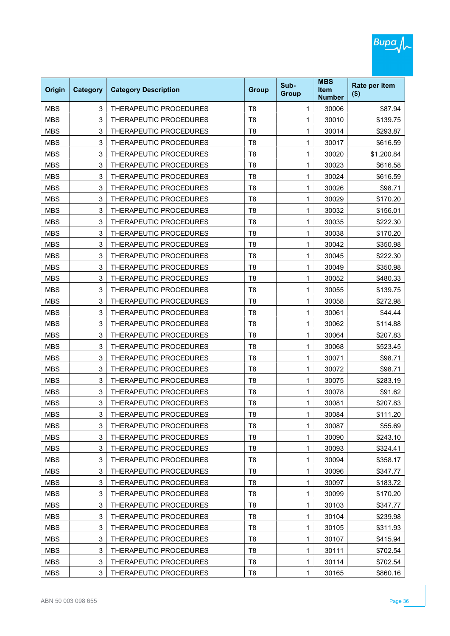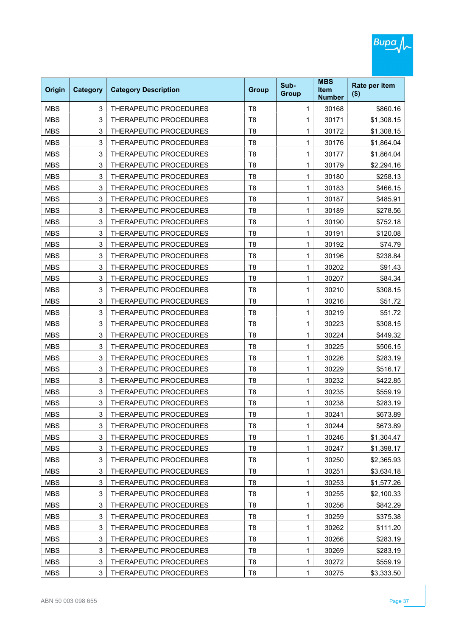| Origin     | <b>Category</b> | <b>Category Description</b>   | <b>Group</b>   | Sub-<br><b>Group</b> | <b>MBS</b><br><b>Item</b><br><b>Number</b> | Rate per item<br>$($ \$) |
|------------|-----------------|-------------------------------|----------------|----------------------|--------------------------------------------|--------------------------|
| <b>MBS</b> | 3               | THERAPEUTIC PROCEDURES        | T <sub>8</sub> | 1                    | 30168                                      | \$860.16                 |
| <b>MBS</b> | 3               | THERAPEUTIC PROCEDURES        | T <sub>8</sub> | 1                    | 30171                                      | \$1,308.15               |
| <b>MBS</b> | 3               | THERAPEUTIC PROCEDURES        | T <sub>8</sub> | 1                    | 30172                                      | \$1,308.15               |
| <b>MBS</b> | 3               | THERAPEUTIC PROCEDURES        | T <sub>8</sub> | 1                    | 30176                                      | \$1,864.04               |
| <b>MBS</b> | 3               | THERAPEUTIC PROCEDURES        | T <sub>8</sub> | 1                    | 30177                                      | \$1,864.04               |
| <b>MBS</b> | 3               | THERAPEUTIC PROCEDURES        | T <sub>8</sub> | 1                    | 30179                                      | \$2,294.16               |
| <b>MBS</b> | 3               | THERAPEUTIC PROCEDURES        | T <sub>8</sub> | 1                    | 30180                                      | \$258.13                 |
| <b>MBS</b> | 3               | THERAPEUTIC PROCEDURES        | T <sub>8</sub> | 1                    | 30183                                      | \$466.15                 |
| <b>MBS</b> | 3               | THERAPEUTIC PROCEDURES        | T <sub>8</sub> | 1                    | 30187                                      | \$485.91                 |
| <b>MBS</b> | 3               | THERAPEUTIC PROCEDURES        | T <sub>8</sub> | 1                    | 30189                                      | \$278.56                 |
| <b>MBS</b> | 3               | THERAPEUTIC PROCEDURES        | T <sub>8</sub> | 1                    | 30190                                      | \$752.18                 |
| <b>MBS</b> | 3               | <b>THERAPEUTIC PROCEDURES</b> | T <sub>8</sub> | 1                    | 30191                                      | \$120.08                 |
| <b>MBS</b> | 3               | THERAPEUTIC PROCEDURES        | T <sub>8</sub> | 1                    | 30192                                      | \$74.79                  |
| <b>MBS</b> | 3               | THERAPEUTIC PROCEDURES        | T <sub>8</sub> | 1                    | 30196                                      | \$238.84                 |
| <b>MBS</b> | 3               | THERAPEUTIC PROCEDURES        | T <sub>8</sub> | 1                    | 30202                                      | \$91.43                  |
| <b>MBS</b> | 3               | THERAPEUTIC PROCEDURES        | T <sub>8</sub> | 1                    | 30207                                      | \$84.34                  |
| <b>MBS</b> | 3               | THERAPEUTIC PROCEDURES        | T <sub>8</sub> | 1                    | 30210                                      | \$308.15                 |
| <b>MBS</b> | 3               | THERAPEUTIC PROCEDURES        | T <sub>8</sub> | 1                    | 30216                                      | \$51.72                  |
| <b>MBS</b> | 3               | THERAPEUTIC PROCEDURES        | T <sub>8</sub> | 1                    | 30219                                      | \$51.72                  |
| <b>MBS</b> | 3               | THERAPEUTIC PROCEDURES        | T <sub>8</sub> | 1                    | 30223                                      | \$308.15                 |
| <b>MBS</b> | 3               | THERAPEUTIC PROCEDURES        | T <sub>8</sub> | 1                    | 30224                                      | \$449.32                 |
| <b>MBS</b> | 3               | THERAPEUTIC PROCEDURES        | T <sub>8</sub> | 1                    | 30225                                      | \$506.15                 |
| <b>MBS</b> | 3               | THERAPEUTIC PROCEDURES        | T <sub>8</sub> | 1                    | 30226                                      | \$283.19                 |
| <b>MBS</b> | 3               | THERAPEUTIC PROCEDURES        | T <sub>8</sub> | 1                    | 30229                                      | \$516.17                 |
| <b>MBS</b> | 3               | THERAPEUTIC PROCEDURES        | T <sub>8</sub> | 1                    | 30232                                      | \$422.85                 |
| <b>MBS</b> | 3               | THERAPEUTIC PROCEDURES        | T <sub>8</sub> | 1                    | 30235                                      | \$559.19                 |
| <b>MBS</b> | 3               | THERAPEUTIC PROCEDURES        | T <sub>8</sub> | 1                    | 30238                                      | \$283.19                 |
| MBS        | 3               | THERAPEUTIC PROCEDURES        | Т8             | 1                    | 30241                                      | \$673.89                 |
| <b>MBS</b> | 3               | THERAPEUTIC PROCEDURES        | T <sub>8</sub> | 1                    | 30244                                      | \$673.89                 |
| <b>MBS</b> | 3               | THERAPEUTIC PROCEDURES        | T <sub>8</sub> | 1                    | 30246                                      | \$1,304.47               |
| <b>MBS</b> | 3               | THERAPEUTIC PROCEDURES        | T <sub>8</sub> | 1                    | 30247                                      | \$1,398.17               |
| <b>MBS</b> | 3               | THERAPEUTIC PROCEDURES        | T <sub>8</sub> | 1                    | 30250                                      | \$2,365.93               |
| <b>MBS</b> | 3               | THERAPEUTIC PROCEDURES        | T <sub>8</sub> | 1                    | 30251                                      | \$3,634.18               |
| <b>MBS</b> | 3               | THERAPEUTIC PROCEDURES        | T <sub>8</sub> | 1                    | 30253                                      | \$1,577.26               |
| <b>MBS</b> | 3               | THERAPEUTIC PROCEDURES        | T <sub>8</sub> | 1                    | 30255                                      | \$2,100.33               |
| <b>MBS</b> | 3               | THERAPEUTIC PROCEDURES        | T <sub>8</sub> | 1                    | 30256                                      | \$842.29                 |
| <b>MBS</b> | 3               | THERAPEUTIC PROCEDURES        | T <sub>8</sub> | 1                    | 30259                                      | \$375.38                 |
| <b>MBS</b> | 3               | THERAPEUTIC PROCEDURES        | T <sub>8</sub> | 1                    | 30262                                      | \$111.20                 |
| <b>MBS</b> | 3               | THERAPEUTIC PROCEDURES        | T <sub>8</sub> | 1                    | 30266                                      | \$283.19                 |
| <b>MBS</b> | 3               | THERAPEUTIC PROCEDURES        | T <sub>8</sub> | 1                    | 30269                                      | \$283.19                 |
| <b>MBS</b> | 3               | THERAPEUTIC PROCEDURES        | T <sub>8</sub> | 1                    | 30272                                      | \$559.19                 |
| <b>MBS</b> | 3               | THERAPEUTIC PROCEDURES        | T <sub>8</sub> | 1                    | 30275                                      | \$3,333.50               |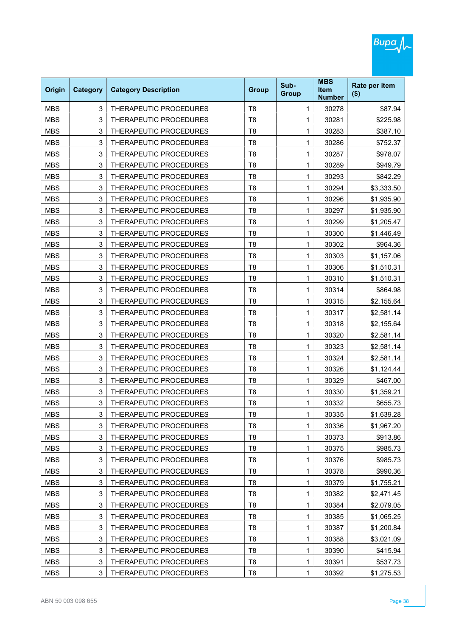| Origin     | <b>Category</b> | <b>Category Description</b>   | <b>Group</b>   | Sub-<br><b>Group</b> | <b>MBS</b><br><b>Item</b><br><b>Number</b> | Rate per item<br>$($ \$) |
|------------|-----------------|-------------------------------|----------------|----------------------|--------------------------------------------|--------------------------|
| <b>MBS</b> | 3               | THERAPEUTIC PROCEDURES        | T <sub>8</sub> | 1                    | 30278                                      | \$87.94                  |
| <b>MBS</b> | 3               | THERAPEUTIC PROCEDURES        | T <sub>8</sub> | 1                    | 30281                                      | \$225.98                 |
| <b>MBS</b> | 3               | THERAPEUTIC PROCEDURES        | T <sub>8</sub> | 1                    | 30283                                      | \$387.10                 |
| <b>MBS</b> | 3               | THERAPEUTIC PROCEDURES        | T <sub>8</sub> | 1                    | 30286                                      | \$752.37                 |
| <b>MBS</b> | 3               | THERAPEUTIC PROCEDURES        | T <sub>8</sub> | 1                    | 30287                                      | \$978.07                 |
| <b>MBS</b> | 3               | THERAPEUTIC PROCEDURES        | T <sub>8</sub> | 1                    | 30289                                      | \$949.79                 |
| <b>MBS</b> | 3               | THERAPEUTIC PROCEDURES        | T <sub>8</sub> | 1                    | 30293                                      | \$842.29                 |
| <b>MBS</b> | 3               | THERAPEUTIC PROCEDURES        | T <sub>8</sub> | 1                    | 30294                                      | \$3,333.50               |
| <b>MBS</b> | 3               | THERAPEUTIC PROCEDURES        | T <sub>8</sub> | 1                    | 30296                                      | \$1,935.90               |
| <b>MBS</b> | 3               | THERAPEUTIC PROCEDURES        | T <sub>8</sub> | 1                    | 30297                                      | \$1,935.90               |
| <b>MBS</b> | 3               | <b>THERAPEUTIC PROCEDURES</b> | T <sub>8</sub> | 1                    | 30299                                      | \$1,205.47               |
| <b>MBS</b> | 3               | THERAPEUTIC PROCEDURES        | T <sub>8</sub> | 1                    | 30300                                      | \$1,446.49               |
| <b>MBS</b> | 3               | THERAPEUTIC PROCEDURES        | T <sub>8</sub> | 1                    | 30302                                      | \$964.36                 |
| <b>MBS</b> | 3               | THERAPEUTIC PROCEDURES        | T <sub>8</sub> | 1                    | 30303                                      | \$1,157.06               |
| <b>MBS</b> | 3               | THERAPEUTIC PROCEDURES        | T <sub>8</sub> | 1                    | 30306                                      | \$1,510.31               |
| <b>MBS</b> | 3               | THERAPEUTIC PROCEDURES        | T <sub>8</sub> | 1                    | 30310                                      | \$1,510.31               |
| <b>MBS</b> | 3               | THERAPEUTIC PROCEDURES        | T <sub>8</sub> | 1                    | 30314                                      | \$864.98                 |
| <b>MBS</b> | 3               | THERAPEUTIC PROCEDURES        | T <sub>8</sub> | 1                    | 30315                                      | \$2,155.64               |
| <b>MBS</b> | 3               | THERAPEUTIC PROCEDURES        | T <sub>8</sub> | 1                    | 30317                                      | \$2,581.14               |
| <b>MBS</b> | 3               | THERAPEUTIC PROCEDURES        | T <sub>8</sub> | 1                    | 30318                                      | \$2,155.64               |
| <b>MBS</b> | 3               | THERAPEUTIC PROCEDURES        | T <sub>8</sub> | 1                    | 30320                                      | \$2,581.14               |
| <b>MBS</b> | 3               | THERAPEUTIC PROCEDURES        | T <sub>8</sub> | 1                    | 30323                                      | \$2,581.14               |
| <b>MBS</b> | 3               | THERAPEUTIC PROCEDURES        | T <sub>8</sub> | 1                    | 30324                                      | \$2,581.14               |
| <b>MBS</b> | 3               | THERAPEUTIC PROCEDURES        | T <sub>8</sub> | 1                    | 30326                                      | \$1,124.44               |
| <b>MBS</b> | 3               | THERAPEUTIC PROCEDURES        | T <sub>8</sub> | 1                    | 30329                                      | \$467.00                 |
| <b>MBS</b> | 3               | THERAPEUTIC PROCEDURES        | T <sub>8</sub> | 1                    | 30330                                      | \$1,359.21               |
| <b>MBS</b> | 3               | THERAPEUTIC PROCEDURES        | T <sub>8</sub> | 1                    | 30332                                      | \$655.73                 |
| MBS        | 3               | THERAPEUTIC PROCEDURES        | T8             | 1                    | 30335                                      | \$1,639.28               |
| <b>MBS</b> | 3               | THERAPEUTIC PROCEDURES        | T <sub>8</sub> | 1                    | 30336                                      | \$1,967.20               |
| <b>MBS</b> | 3               | THERAPEUTIC PROCEDURES        | T <sub>8</sub> | 1                    | 30373                                      | \$913.86                 |
| <b>MBS</b> | 3               | THERAPEUTIC PROCEDURES        | T <sub>8</sub> | 1                    | 30375                                      | \$985.73                 |
| <b>MBS</b> | 3               | THERAPEUTIC PROCEDURES        | T <sub>8</sub> | 1                    | 30376                                      | \$985.73                 |
| <b>MBS</b> | 3               | THERAPEUTIC PROCEDURES        | T <sub>8</sub> | 1                    | 30378                                      | \$990.36                 |
| <b>MBS</b> | 3               | THERAPEUTIC PROCEDURES        | T <sub>8</sub> | 1                    | 30379                                      | \$1,755.21               |
| <b>MBS</b> | 3               | THERAPEUTIC PROCEDURES        | T <sub>8</sub> | 1                    | 30382                                      | \$2,471.45               |
| <b>MBS</b> | 3               | THERAPEUTIC PROCEDURES        | T <sub>8</sub> | 1                    | 30384                                      | \$2,079.05               |
| <b>MBS</b> | 3               | THERAPEUTIC PROCEDURES        | T <sub>8</sub> | 1                    | 30385                                      | \$1,065.25               |
| <b>MBS</b> | 3               | THERAPEUTIC PROCEDURES        | T <sub>8</sub> | 1                    | 30387                                      | \$1,200.84               |
| <b>MBS</b> | 3               | THERAPEUTIC PROCEDURES        | T <sub>8</sub> | 1                    | 30388                                      | \$3,021.09               |
| <b>MBS</b> | 3               | THERAPEUTIC PROCEDURES        | T <sub>8</sub> | 1                    | 30390                                      | \$415.94                 |
| <b>MBS</b> | 3               | THERAPEUTIC PROCEDURES        | T <sub>8</sub> | 1                    | 30391                                      | \$537.73                 |
| <b>MBS</b> | 3               | THERAPEUTIC PROCEDURES        | T <sub>8</sub> | 1                    | 30392                                      | \$1,275.53               |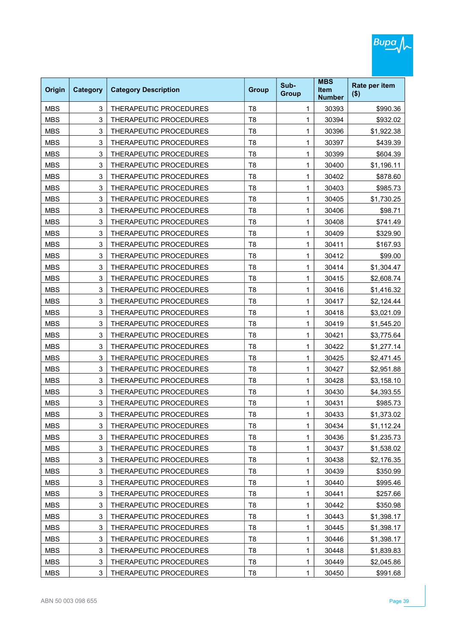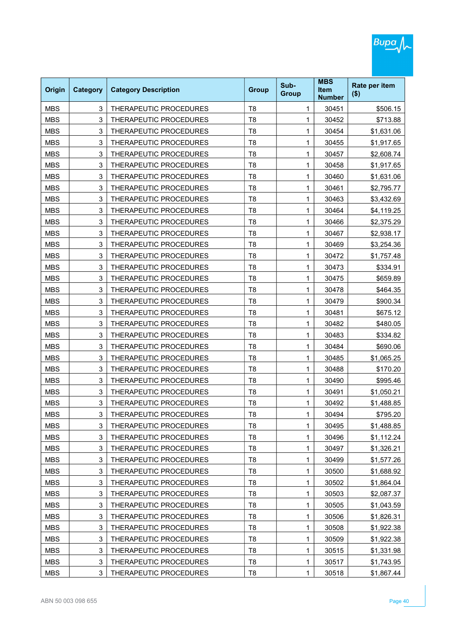| Origin     | <b>Category</b> | <b>Category Description</b>   | <b>Group</b>   | Sub-<br><b>Group</b> | <b>MBS</b><br><b>Item</b><br><b>Number</b> | Rate per item<br>$($ \$) |
|------------|-----------------|-------------------------------|----------------|----------------------|--------------------------------------------|--------------------------|
| <b>MBS</b> | 3               | THERAPEUTIC PROCEDURES        | T <sub>8</sub> | 1                    | 30451                                      | \$506.15                 |
| <b>MBS</b> | 3               | THERAPEUTIC PROCEDURES        | T <sub>8</sub> | 1                    | 30452                                      | \$713.88                 |
| <b>MBS</b> | 3               | THERAPEUTIC PROCEDURES        | T <sub>8</sub> | 1                    | 30454                                      | \$1,631.06               |
| <b>MBS</b> | 3               | THERAPEUTIC PROCEDURES        | T <sub>8</sub> | 1                    | 30455                                      | \$1,917.65               |
| <b>MBS</b> | 3               | THERAPEUTIC PROCEDURES        | T <sub>8</sub> | 1                    | 30457                                      | \$2,608.74               |
| <b>MBS</b> | 3               | <b>THERAPEUTIC PROCEDURES</b> | T <sub>8</sub> | 1                    | 30458                                      | \$1,917.65               |
| <b>MBS</b> | 3               | THERAPEUTIC PROCEDURES        | T <sub>8</sub> | 1                    | 30460                                      | \$1,631.06               |
| <b>MBS</b> | 3               | THERAPEUTIC PROCEDURES        | T <sub>8</sub> | 1                    | 30461                                      | \$2,795.77               |
| <b>MBS</b> | 3               | THERAPEUTIC PROCEDURES        | T <sub>8</sub> | 1                    | 30463                                      | \$3,432.69               |
| <b>MBS</b> | 3               | THERAPEUTIC PROCEDURES        | T <sub>8</sub> | 1                    | 30464                                      | \$4,119.25               |
| <b>MBS</b> | 3               | THERAPEUTIC PROCEDURES        | T <sub>8</sub> | 1                    | 30466                                      | \$2,375.29               |
| <b>MBS</b> | 3               | THERAPEUTIC PROCEDURES        | T <sub>8</sub> | 1                    | 30467                                      | \$2,938.17               |
| <b>MBS</b> | 3               | THERAPEUTIC PROCEDURES        | T <sub>8</sub> | 1                    | 30469                                      | \$3,254.36               |
| <b>MBS</b> | 3               | THERAPEUTIC PROCEDURES        | T <sub>8</sub> | 1                    | 30472                                      | \$1,757.48               |
| <b>MBS</b> | 3               | THERAPEUTIC PROCEDURES        | T <sub>8</sub> | 1                    | 30473                                      | \$334.91                 |
| <b>MBS</b> | 3               | THERAPEUTIC PROCEDURES        | T <sub>8</sub> | 1                    | 30475                                      | \$659.89                 |
| <b>MBS</b> | 3               | THERAPEUTIC PROCEDURES        | T <sub>8</sub> | 1                    | 30478                                      | \$464.35                 |
| <b>MBS</b> | 3               | THERAPEUTIC PROCEDURES        | T <sub>8</sub> | 1                    | 30479                                      | \$900.34                 |
| <b>MBS</b> | 3               | THERAPEUTIC PROCEDURES        | T <sub>8</sub> | 1                    | 30481                                      | \$675.12                 |
| <b>MBS</b> | 3               | THERAPEUTIC PROCEDURES        | T <sub>8</sub> | 1                    | 30482                                      | \$480.05                 |
| <b>MBS</b> | 3               | THERAPEUTIC PROCEDURES        | T <sub>8</sub> | 1                    | 30483                                      | \$334.82                 |
| <b>MBS</b> | 3               | THERAPEUTIC PROCEDURES        | T <sub>8</sub> | 1                    | 30484                                      | \$690.06                 |
| <b>MBS</b> | 3               | THERAPEUTIC PROCEDURES        | T <sub>8</sub> | 1                    | 30485                                      | \$1,065.25               |
| <b>MBS</b> | 3               | THERAPEUTIC PROCEDURES        | T <sub>8</sub> | 1                    | 30488                                      | \$170.20                 |
| <b>MBS</b> | 3               | THERAPEUTIC PROCEDURES        | T <sub>8</sub> | 1                    | 30490                                      | \$995.46                 |
| <b>MBS</b> | 3               | THERAPEUTIC PROCEDURES        | T <sub>8</sub> | 1                    | 30491                                      | \$1,050.21               |
| <b>MBS</b> | 3               | THERAPEUTIC PROCEDURES        | T <sub>8</sub> | 1                    | 30492                                      | \$1,488.85               |
| MBS        | 3               | THERAPEUTIC PROCEDURES        | Т8             | 1                    | 30494                                      | \$795.20                 |
| <b>MBS</b> | 3               | THERAPEUTIC PROCEDURES        | T <sub>8</sub> | 1                    | 30495                                      | \$1,488.85               |
| <b>MBS</b> | 3               | THERAPEUTIC PROCEDURES        | T <sub>8</sub> | 1                    | 30496                                      | \$1,112.24               |
| <b>MBS</b> | 3               | THERAPEUTIC PROCEDURES        | T <sub>8</sub> | 1                    | 30497                                      | \$1,326.21               |
| <b>MBS</b> | 3               | THERAPEUTIC PROCEDURES        | T <sub>8</sub> | 1                    | 30499                                      | \$1,577.26               |
| <b>MBS</b> | 3               | THERAPEUTIC PROCEDURES        | T <sub>8</sub> | 1                    | 30500                                      | \$1,688.92               |
| <b>MBS</b> | 3               | THERAPEUTIC PROCEDURES        | T <sub>8</sub> | 1                    | 30502                                      | \$1,864.04               |
| <b>MBS</b> | 3               | THERAPEUTIC PROCEDURES        | T <sub>8</sub> | 1                    | 30503                                      | \$2,087.37               |
| <b>MBS</b> | 3               | THERAPEUTIC PROCEDURES        | T <sub>8</sub> | 1                    | 30505                                      | \$1,043.59               |
| <b>MBS</b> | 3               | THERAPEUTIC PROCEDURES        | T <sub>8</sub> | 1                    | 30506                                      | \$1,826.31               |
| <b>MBS</b> | 3               | THERAPEUTIC PROCEDURES        | T <sub>8</sub> | 1                    | 30508                                      | \$1,922.38               |
| <b>MBS</b> | 3               | THERAPEUTIC PROCEDURES        | T <sub>8</sub> | 1                    | 30509                                      | \$1,922.38               |
| <b>MBS</b> | 3               | THERAPEUTIC PROCEDURES        | T <sub>8</sub> | 1                    | 30515                                      | \$1,331.98               |
| <b>MBS</b> | 3               | THERAPEUTIC PROCEDURES        | T <sub>8</sub> | 1                    | 30517                                      | \$1,743.95               |
| <b>MBS</b> | 3               | THERAPEUTIC PROCEDURES        | T <sub>8</sub> | 1                    | 30518                                      | \$1,867.44               |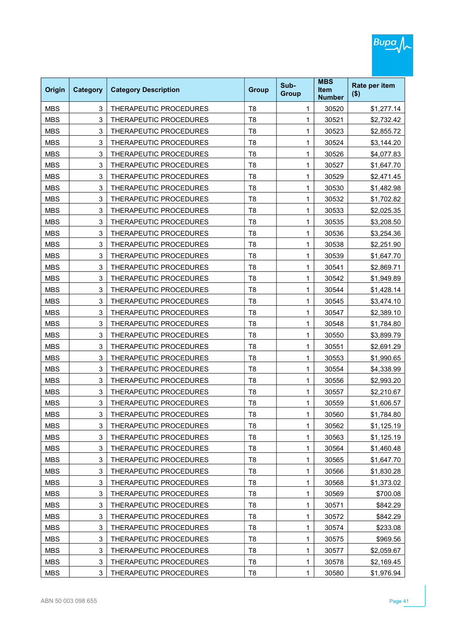| Origin     | <b>Category</b> | <b>Category Description</b> | <b>Group</b>   | Sub-<br><b>Group</b> | <b>MBS</b><br><b>Item</b><br><b>Number</b> | Rate per item<br>$($ \$) |
|------------|-----------------|-----------------------------|----------------|----------------------|--------------------------------------------|--------------------------|
| <b>MBS</b> | 3               | THERAPEUTIC PROCEDURES      | T <sub>8</sub> | 1                    | 30520                                      | \$1,277.14               |
| <b>MBS</b> | 3               | THERAPEUTIC PROCEDURES      | T <sub>8</sub> | 1                    | 30521                                      | \$2,732.42               |
| <b>MBS</b> | 3               | THERAPEUTIC PROCEDURES      | T <sub>8</sub> | 1                    | 30523                                      | \$2,855.72               |
| <b>MBS</b> | 3               | THERAPEUTIC PROCEDURES      | T <sub>8</sub> | 1                    | 30524                                      | \$3,144.20               |
| <b>MBS</b> | 3               | THERAPEUTIC PROCEDURES      | T <sub>8</sub> | 1                    | 30526                                      | \$4,077.83               |
| <b>MBS</b> | 3               | THERAPEUTIC PROCEDURES      | T <sub>8</sub> | 1                    | 30527                                      | \$1,647.70               |
| <b>MBS</b> | 3               | THERAPEUTIC PROCEDURES      | T <sub>8</sub> | 1                    | 30529                                      | \$2,471.45               |
| <b>MBS</b> | 3               | THERAPEUTIC PROCEDURES      | T <sub>8</sub> | 1                    | 30530                                      | \$1,482.98               |
| <b>MBS</b> | 3               | THERAPEUTIC PROCEDURES      | T <sub>8</sub> | 1                    | 30532                                      | \$1,702.82               |
| <b>MBS</b> | 3               | THERAPEUTIC PROCEDURES      | T <sub>8</sub> | 1                    | 30533                                      | \$2,025.35               |
| <b>MBS</b> | 3               | THERAPEUTIC PROCEDURES      | T <sub>8</sub> | 1                    | 30535                                      | \$3,208.50               |
| <b>MBS</b> | 3               | THERAPEUTIC PROCEDURES      | T <sub>8</sub> | 1                    | 30536                                      | \$3,254.36               |
| <b>MBS</b> | 3               | THERAPEUTIC PROCEDURES      | T <sub>8</sub> | 1                    | 30538                                      | \$2,251.90               |
| <b>MBS</b> | 3               | THERAPEUTIC PROCEDURES      | T <sub>8</sub> | 1                    | 30539                                      | \$1,647.70               |
| <b>MBS</b> | 3               | THERAPEUTIC PROCEDURES      | T <sub>8</sub> | 1                    | 30541                                      | \$2,869.71               |
| <b>MBS</b> | 3               | THERAPEUTIC PROCEDURES      | T <sub>8</sub> | 1                    | 30542                                      | \$1,949.89               |
| <b>MBS</b> | 3               | THERAPEUTIC PROCEDURES      | T <sub>8</sub> | 1                    | 30544                                      | \$1,428.14               |
| <b>MBS</b> | 3               | THERAPEUTIC PROCEDURES      | T <sub>8</sub> | 1                    | 30545                                      | \$3,474.10               |
| <b>MBS</b> | 3               | THERAPEUTIC PROCEDURES      | T <sub>8</sub> | 1                    | 30547                                      | \$2,389.10               |
| <b>MBS</b> | 3               | THERAPEUTIC PROCEDURES      | T <sub>8</sub> | 1                    | 30548                                      | \$1,784.80               |
| <b>MBS</b> | 3               | THERAPEUTIC PROCEDURES      | T <sub>8</sub> | 1                    | 30550                                      | \$3,899.79               |
| <b>MBS</b> | 3               | THERAPEUTIC PROCEDURES      | T <sub>8</sub> | 1                    | 30551                                      | \$2,691.29               |
| <b>MBS</b> | 3               | THERAPEUTIC PROCEDURES      | T <sub>8</sub> | 1                    | 30553                                      | \$1,990.65               |
| <b>MBS</b> | 3               | THERAPEUTIC PROCEDURES      | T <sub>8</sub> | 1                    | 30554                                      | \$4,338.99               |
| <b>MBS</b> | 3               | THERAPEUTIC PROCEDURES      | T <sub>8</sub> | 1                    | 30556                                      | \$2,993.20               |
| <b>MBS</b> | 3               | THERAPEUTIC PROCEDURES      | T <sub>8</sub> | 1                    | 30557                                      | \$2,210.67               |
| <b>MBS</b> | 3               | THERAPEUTIC PROCEDURES      | T <sub>8</sub> | 1                    | 30559                                      | \$1,606.57               |
| MBS        | 3               | THERAPEUTIC PROCEDURES      | T8             | 1                    | 30560                                      | \$1,784.80               |
| <b>MBS</b> | 3               | THERAPEUTIC PROCEDURES      | T <sub>8</sub> | 1                    | 30562                                      | \$1,125.19               |
| <b>MBS</b> | 3               | THERAPEUTIC PROCEDURES      | T <sub>8</sub> | 1                    | 30563                                      | \$1,125.19               |
| <b>MBS</b> | 3               | THERAPEUTIC PROCEDURES      | T <sub>8</sub> | 1                    | 30564                                      | \$1,460.48               |
| <b>MBS</b> | 3               | THERAPEUTIC PROCEDURES      | T <sub>8</sub> | 1                    | 30565                                      | \$1,647.70               |
| <b>MBS</b> | 3               | THERAPEUTIC PROCEDURES      | T <sub>8</sub> | 1                    | 30566                                      | \$1,830.28               |
| <b>MBS</b> | 3               | THERAPEUTIC PROCEDURES      | T <sub>8</sub> | 1                    | 30568                                      | \$1,373.02               |
| <b>MBS</b> | 3               | THERAPEUTIC PROCEDURES      | T <sub>8</sub> | 1                    | 30569                                      | \$700.08                 |
| <b>MBS</b> | 3               | THERAPEUTIC PROCEDURES      | T <sub>8</sub> | 1                    | 30571                                      | \$842.29                 |
| <b>MBS</b> | 3               | THERAPEUTIC PROCEDURES      | T <sub>8</sub> | 1                    | 30572                                      | \$842.29                 |
| <b>MBS</b> | 3               | THERAPEUTIC PROCEDURES      | T <sub>8</sub> | 1                    | 30574                                      | \$233.08                 |
| <b>MBS</b> | 3               | THERAPEUTIC PROCEDURES      | T <sub>8</sub> | 1                    | 30575                                      | \$969.56                 |
| <b>MBS</b> | 3               | THERAPEUTIC PROCEDURES      | T <sub>8</sub> | 1                    | 30577                                      | \$2,059.67               |
| <b>MBS</b> | 3               | THERAPEUTIC PROCEDURES      | T <sub>8</sub> | 1                    | 30578                                      | \$2,169.45               |
| <b>MBS</b> | 3               | THERAPEUTIC PROCEDURES      | T <sub>8</sub> | 1                    | 30580                                      | \$1,976.94               |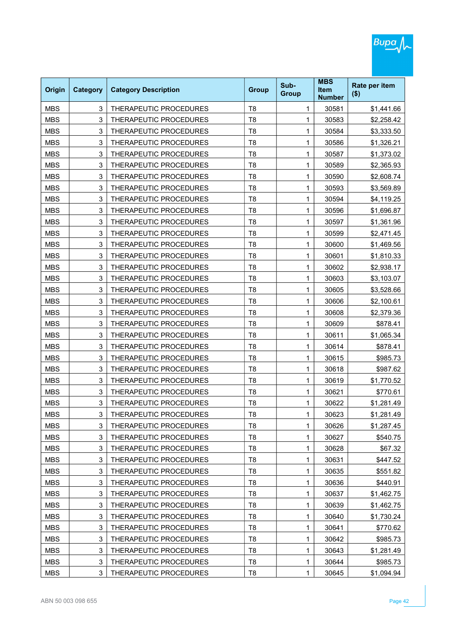| Origin     | <b>Category</b> | <b>Category Description</b>   | <b>Group</b>   | Sub-<br><b>Group</b> | <b>MBS</b><br><b>Item</b><br><b>Number</b> | Rate per item<br>$($ \$) |
|------------|-----------------|-------------------------------|----------------|----------------------|--------------------------------------------|--------------------------|
| <b>MBS</b> | 3               | THERAPEUTIC PROCEDURES        | T <sub>8</sub> | 1                    | 30581                                      | \$1,441.66               |
| <b>MBS</b> | 3               | THERAPEUTIC PROCEDURES        | T <sub>8</sub> | 1                    | 30583                                      | \$2,258.42               |
| <b>MBS</b> | 3               | THERAPEUTIC PROCEDURES        | T <sub>8</sub> | 1                    | 30584                                      | \$3,333.50               |
| <b>MBS</b> | 3               | THERAPEUTIC PROCEDURES        | T <sub>8</sub> | 1                    | 30586                                      | \$1,326.21               |
| <b>MBS</b> | 3               | THERAPEUTIC PROCEDURES        | T <sub>8</sub> | 1                    | 30587                                      | \$1,373.02               |
| <b>MBS</b> | 3               | THERAPEUTIC PROCEDURES        | T <sub>8</sub> | 1                    | 30589                                      | \$2,365.93               |
| <b>MBS</b> | 3               | THERAPEUTIC PROCEDURES        | T <sub>8</sub> | 1                    | 30590                                      | \$2,608.74               |
| <b>MBS</b> | 3               | THERAPEUTIC PROCEDURES        | T <sub>8</sub> | 1                    | 30593                                      | \$3,569.89               |
| <b>MBS</b> | 3               | THERAPEUTIC PROCEDURES        | T <sub>8</sub> | 1                    | 30594                                      | \$4,119.25               |
| <b>MBS</b> | 3               | THERAPEUTIC PROCEDURES        | T <sub>8</sub> | 1                    | 30596                                      | \$1,696.87               |
| <b>MBS</b> | 3               | THERAPEUTIC PROCEDURES        | T <sub>8</sub> | 1                    | 30597                                      | \$1,361.96               |
| <b>MBS</b> | 3               | <b>THERAPEUTIC PROCEDURES</b> | T <sub>8</sub> | 1                    | 30599                                      | \$2,471.45               |
| <b>MBS</b> | 3               | THERAPEUTIC PROCEDURES        | T <sub>8</sub> | 1                    | 30600                                      | \$1,469.56               |
| <b>MBS</b> | 3               | THERAPEUTIC PROCEDURES        | T <sub>8</sub> | 1                    | 30601                                      | \$1,810.33               |
| <b>MBS</b> | 3               | THERAPEUTIC PROCEDURES        | T <sub>8</sub> | 1                    | 30602                                      | \$2,938.17               |
| <b>MBS</b> | 3               | THERAPEUTIC PROCEDURES        | T <sub>8</sub> | 1                    | 30603                                      | \$3,103.07               |
| <b>MBS</b> | 3               | THERAPEUTIC PROCEDURES        | T <sub>8</sub> | 1                    | 30605                                      | \$3,528.66               |
| <b>MBS</b> | 3               | THERAPEUTIC PROCEDURES        | T <sub>8</sub> | 1                    | 30606                                      | \$2,100.61               |
| <b>MBS</b> | 3               | THERAPEUTIC PROCEDURES        | T <sub>8</sub> | 1                    | 30608                                      | \$2,379.36               |
| <b>MBS</b> | 3               | THERAPEUTIC PROCEDURES        | T <sub>8</sub> | 1                    | 30609                                      | \$878.41                 |
| <b>MBS</b> | 3               | THERAPEUTIC PROCEDURES        | T <sub>8</sub> | 1                    | 30611                                      | \$1,065.34               |
| <b>MBS</b> | 3               | THERAPEUTIC PROCEDURES        | T <sub>8</sub> | 1                    | 30614                                      | \$878.41                 |
| <b>MBS</b> | 3               | THERAPEUTIC PROCEDURES        | T <sub>8</sub> | 1                    | 30615                                      | \$985.73                 |
| <b>MBS</b> | 3               | THERAPEUTIC PROCEDURES        | T <sub>8</sub> | 1                    | 30618                                      | \$987.62                 |
| <b>MBS</b> | 3               | THERAPEUTIC PROCEDURES        | T <sub>8</sub> | 1                    | 30619                                      | \$1,770.52               |
| <b>MBS</b> | 3               | THERAPEUTIC PROCEDURES        | T <sub>8</sub> | 1                    | 30621                                      | \$770.61                 |
| <b>MBS</b> | 3               | THERAPEUTIC PROCEDURES        | T <sub>8</sub> | 1                    | 30622                                      | \$1,281.49               |
| MBS        | 3               | THERAPEUTIC PROCEDURES        | Т8             | 1                    | 30623                                      | \$1,281.49               |
| <b>MBS</b> | 3               | THERAPEUTIC PROCEDURES        | T <sub>8</sub> | 1                    | 30626                                      | \$1,287.45               |
| <b>MBS</b> | 3               | THERAPEUTIC PROCEDURES        | T <sub>8</sub> | 1                    | 30627                                      | \$540.75                 |
| <b>MBS</b> | 3               | THERAPEUTIC PROCEDURES        | T <sub>8</sub> | 1                    | 30628                                      | \$67.32                  |
| <b>MBS</b> | 3               | THERAPEUTIC PROCEDURES        | T <sub>8</sub> | 1                    | 30631                                      | \$447.52                 |
| <b>MBS</b> | 3               | THERAPEUTIC PROCEDURES        | T <sub>8</sub> | 1                    | 30635                                      | \$551.82                 |
| <b>MBS</b> | 3               | THERAPEUTIC PROCEDURES        | T <sub>8</sub> | 1                    | 30636                                      | \$440.91                 |
| <b>MBS</b> | 3               | THERAPEUTIC PROCEDURES        | T <sub>8</sub> | 1                    | 30637                                      | \$1,462.75               |
| <b>MBS</b> | 3               | THERAPEUTIC PROCEDURES        | T <sub>8</sub> | 1                    | 30639                                      | \$1,462.75               |
| <b>MBS</b> | 3               | THERAPEUTIC PROCEDURES        | T <sub>8</sub> | 1                    | 30640                                      | \$1,730.24               |
| <b>MBS</b> | 3               | THERAPEUTIC PROCEDURES        | T <sub>8</sub> | 1                    | 30641                                      | \$770.62                 |
| <b>MBS</b> | 3               | THERAPEUTIC PROCEDURES        | T <sub>8</sub> | 1                    | 30642                                      | \$985.73                 |
| <b>MBS</b> | 3               | THERAPEUTIC PROCEDURES        | T <sub>8</sub> | 1                    | 30643                                      | \$1,281.49               |
| <b>MBS</b> | 3               | THERAPEUTIC PROCEDURES        | T <sub>8</sub> | 1                    | 30644                                      | \$985.73                 |
| <b>MBS</b> | 3               | THERAPEUTIC PROCEDURES        | T <sub>8</sub> | 1                    | 30645                                      | \$1,094.94               |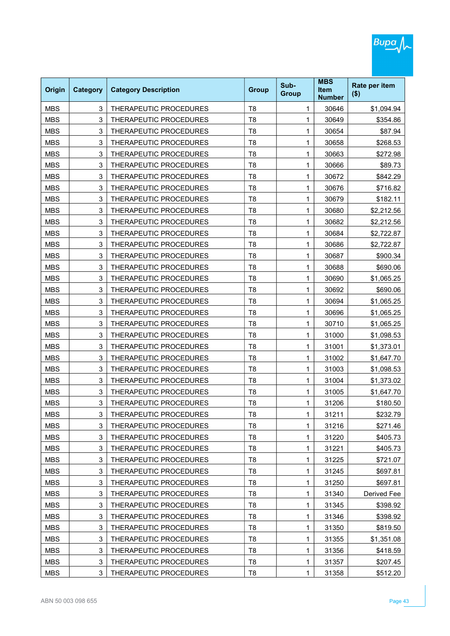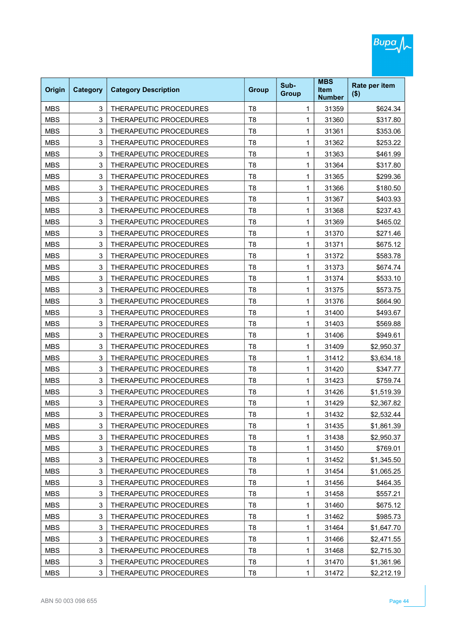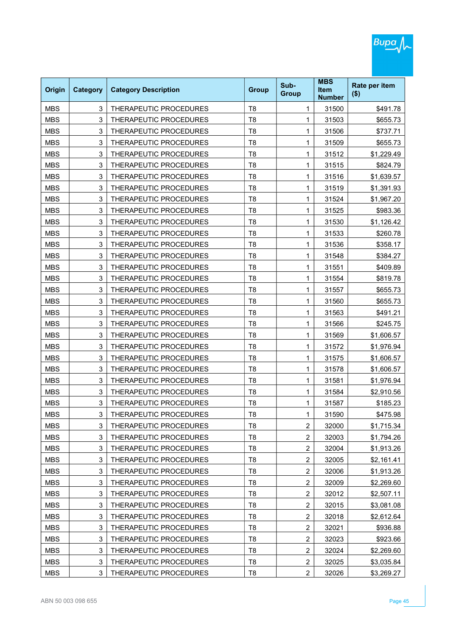| Origin     | <b>Category</b> | <b>Category Description</b> | <b>Group</b>   | Sub-<br><b>Group</b> | <b>MBS</b><br><b>Item</b><br><b>Number</b> | Rate per item<br>$($ \$) |
|------------|-----------------|-----------------------------|----------------|----------------------|--------------------------------------------|--------------------------|
| <b>MBS</b> | 3               | THERAPEUTIC PROCEDURES      | T <sub>8</sub> | 1                    | 31500                                      | \$491.78                 |
| <b>MBS</b> | 3               | THERAPEUTIC PROCEDURES      | T <sub>8</sub> | 1                    | 31503                                      | \$655.73                 |
| <b>MBS</b> | 3               | THERAPEUTIC PROCEDURES      | T <sub>8</sub> | 1                    | 31506                                      | \$737.71                 |
| <b>MBS</b> | 3               | THERAPEUTIC PROCEDURES      | T <sub>8</sub> | 1                    | 31509                                      | \$655.73                 |
| <b>MBS</b> | 3               | THERAPEUTIC PROCEDURES      | T <sub>8</sub> | 1                    | 31512                                      | \$1,229.49               |
| <b>MBS</b> | 3               | THERAPEUTIC PROCEDURES      | T <sub>8</sub> | 1                    | 31515                                      | \$824.79                 |
| <b>MBS</b> | 3               | THERAPEUTIC PROCEDURES      | T <sub>8</sub> | 1                    | 31516                                      | \$1,639.57               |
| <b>MBS</b> | 3               | THERAPEUTIC PROCEDURES      | T <sub>8</sub> | 1                    | 31519                                      | \$1,391.93               |
| <b>MBS</b> | 3               | THERAPEUTIC PROCEDURES      | T <sub>8</sub> | 1                    | 31524                                      | \$1,967.20               |
| <b>MBS</b> | 3               | THERAPEUTIC PROCEDURES      | T <sub>8</sub> | 1                    | 31525                                      | \$983.36                 |
| <b>MBS</b> | 3               | THERAPEUTIC PROCEDURES      | T <sub>8</sub> | 1                    | 31530                                      | \$1,126.42               |
| <b>MBS</b> | 3               | THERAPEUTIC PROCEDURES      | T <sub>8</sub> | 1                    | 31533                                      | \$260.78                 |
| <b>MBS</b> | 3               | THERAPEUTIC PROCEDURES      | T <sub>8</sub> | 1                    | 31536                                      | \$358.17                 |
| <b>MBS</b> | 3               | THERAPEUTIC PROCEDURES      | T <sub>8</sub> | 1                    | 31548                                      | \$384.27                 |
| <b>MBS</b> | 3               | THERAPEUTIC PROCEDURES      | T <sub>8</sub> | 1                    | 31551                                      | \$409.89                 |
| <b>MBS</b> | 3               | THERAPEUTIC PROCEDURES      | T <sub>8</sub> | 1                    | 31554                                      | \$819.78                 |
| <b>MBS</b> | 3               | THERAPEUTIC PROCEDURES      | T <sub>8</sub> | 1                    | 31557                                      | \$655.73                 |
| <b>MBS</b> | 3               | THERAPEUTIC PROCEDURES      | T <sub>8</sub> | 1                    | 31560                                      | \$655.73                 |
| <b>MBS</b> | 3               | THERAPEUTIC PROCEDURES      | T <sub>8</sub> | 1                    | 31563                                      | \$491.21                 |
| <b>MBS</b> | 3               | THERAPEUTIC PROCEDURES      | T <sub>8</sub> | 1                    | 31566                                      | \$245.75                 |
| <b>MBS</b> | 3               | THERAPEUTIC PROCEDURES      | T <sub>8</sub> | 1                    | 31569                                      | \$1,606.57               |
| <b>MBS</b> | 3               | THERAPEUTIC PROCEDURES      | T <sub>8</sub> | 1                    | 31572                                      | \$1,976.94               |
| <b>MBS</b> | 3               | THERAPEUTIC PROCEDURES      | T <sub>8</sub> | 1                    | 31575                                      | \$1,606.57               |
| <b>MBS</b> | 3               | THERAPEUTIC PROCEDURES      | T <sub>8</sub> | 1                    | 31578                                      | \$1,606.57               |
| <b>MBS</b> | 3               | THERAPEUTIC PROCEDURES      | T <sub>8</sub> | 1                    | 31581                                      | \$1,976.94               |
| <b>MBS</b> | 3               | THERAPEUTIC PROCEDURES      | T <sub>8</sub> | 1                    | 31584                                      | \$2,910.56               |
| <b>MBS</b> | 3               | THERAPEUTIC PROCEDURES      | T <sub>8</sub> | 1                    | 31587                                      | \$185.23                 |
| MBS        | 3               | THERAPEUTIC PROCEDURES      | T8             | 1                    | 31590                                      | \$475.98                 |
| <b>MBS</b> | 3               | THERAPEUTIC PROCEDURES      | T <sub>8</sub> | $\overline{2}$       | 32000                                      | \$1,715.34               |
| <b>MBS</b> | 3               | THERAPEUTIC PROCEDURES      | T <sub>8</sub> | $\overline{2}$       | 32003                                      | \$1,794.26               |
| <b>MBS</b> | 3               | THERAPEUTIC PROCEDURES      | T <sub>8</sub> | $\overline{c}$       | 32004                                      | \$1,913.26               |
| <b>MBS</b> | 3               | THERAPEUTIC PROCEDURES      | T <sub>8</sub> | 2                    | 32005                                      | \$2,161.41               |
| <b>MBS</b> | 3               | THERAPEUTIC PROCEDURES      | T <sub>8</sub> | $\overline{c}$       | 32006                                      | \$1,913.26               |
| <b>MBS</b> | 3               | THERAPEUTIC PROCEDURES      | T <sub>8</sub> | $\overline{2}$       | 32009                                      | \$2,269.60               |
| <b>MBS</b> | 3               | THERAPEUTIC PROCEDURES      | T <sub>8</sub> | $\overline{c}$       | 32012                                      | \$2,507.11               |
| <b>MBS</b> | 3               | THERAPEUTIC PROCEDURES      | T <sub>8</sub> | $\overline{2}$       | 32015                                      | \$3,081.08               |
| <b>MBS</b> | 3               | THERAPEUTIC PROCEDURES      | T <sub>8</sub> | $\overline{c}$       | 32018                                      | \$2,612.64               |
| <b>MBS</b> | 3               | THERAPEUTIC PROCEDURES      | T <sub>8</sub> | $\boldsymbol{2}$     | 32021                                      | \$936.88                 |
| <b>MBS</b> | 3               | THERAPEUTIC PROCEDURES      | T <sub>8</sub> | $\overline{c}$       | 32023                                      | \$923.66                 |
| <b>MBS</b> | 3               | THERAPEUTIC PROCEDURES      | T <sub>8</sub> | $\overline{2}$       | 32024                                      | \$2,269.60               |
| <b>MBS</b> | 3               | THERAPEUTIC PROCEDURES      | T <sub>8</sub> | $\overline{2}$       | 32025                                      | \$3,035.84               |
| <b>MBS</b> | 3               | THERAPEUTIC PROCEDURES      | T <sub>8</sub> | $\overline{2}$       | 32026                                      | \$3,269.27               |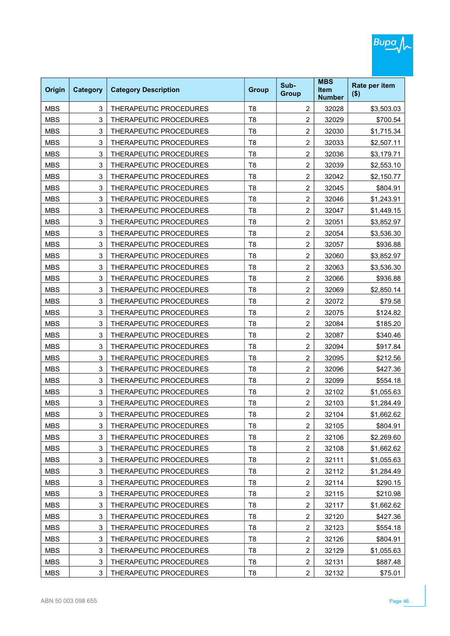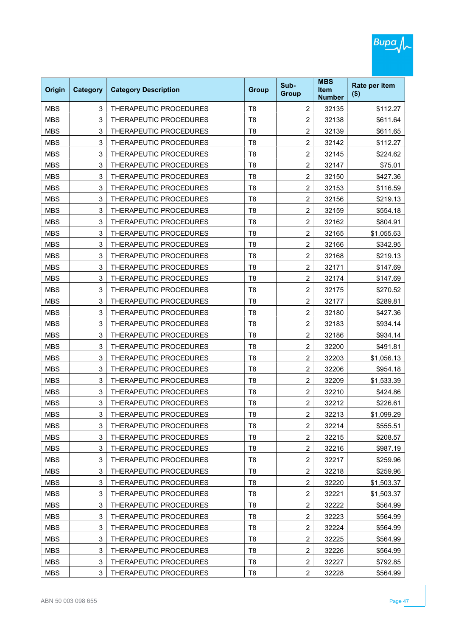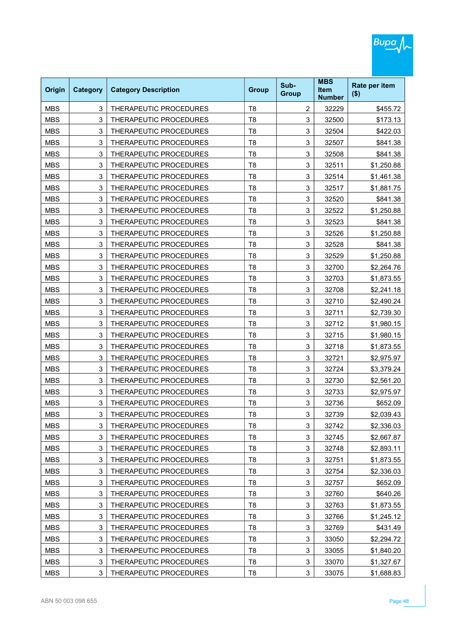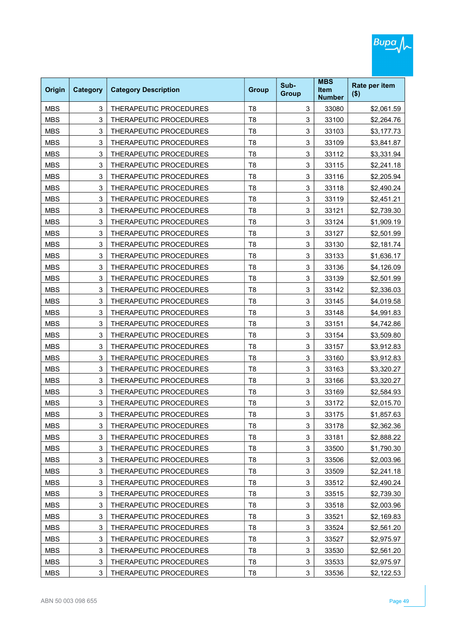| Origin     | <b>Category</b> | <b>Category Description</b> | <b>Group</b>   | Sub-<br><b>Group</b> | <b>MBS</b><br><b>Item</b><br><b>Number</b> | Rate per item<br>$($ \$) |
|------------|-----------------|-----------------------------|----------------|----------------------|--------------------------------------------|--------------------------|
| <b>MBS</b> | 3               | THERAPEUTIC PROCEDURES      | T <sub>8</sub> | 3                    | 33080                                      | \$2,061.59               |
| <b>MBS</b> | 3               | THERAPEUTIC PROCEDURES      | T <sub>8</sub> | 3                    | 33100                                      | \$2,264.76               |
| <b>MBS</b> | 3               | THERAPEUTIC PROCEDURES      | T <sub>8</sub> | 3                    | 33103                                      | \$3,177.73               |
| <b>MBS</b> | 3               | THERAPEUTIC PROCEDURES      | T <sub>8</sub> | 3                    | 33109                                      | \$3,841.87               |
| <b>MBS</b> | 3               | THERAPEUTIC PROCEDURES      | T <sub>8</sub> | 3                    | 33112                                      | \$3,331.94               |
| <b>MBS</b> | 3               | THERAPEUTIC PROCEDURES      | T <sub>8</sub> | 3                    | 33115                                      | \$2,241.18               |
| <b>MBS</b> | 3               | THERAPEUTIC PROCEDURES      | T <sub>8</sub> | 3                    | 33116                                      | \$2,205.94               |
| <b>MBS</b> | 3               | THERAPEUTIC PROCEDURES      | T <sub>8</sub> | 3                    | 33118                                      | \$2,490.24               |
| <b>MBS</b> | 3               | THERAPEUTIC PROCEDURES      | T <sub>8</sub> | 3                    | 33119                                      | \$2,451.21               |
| <b>MBS</b> | 3               | THERAPEUTIC PROCEDURES      | T <sub>8</sub> | 3                    | 33121                                      | \$2,739.30               |
| <b>MBS</b> | 3               | THERAPEUTIC PROCEDURES      | T <sub>8</sub> | 3                    | 33124                                      | \$1,909.19               |
| <b>MBS</b> | 3               | THERAPEUTIC PROCEDURES      | T <sub>8</sub> | 3                    | 33127                                      | \$2,501.99               |
| <b>MBS</b> | 3               | THERAPEUTIC PROCEDURES      | T <sub>8</sub> | 3                    | 33130                                      | \$2,181.74               |
| <b>MBS</b> | 3               | THERAPEUTIC PROCEDURES      | T <sub>8</sub> | 3                    | 33133                                      | \$1,636.17               |
| <b>MBS</b> | 3               | THERAPEUTIC PROCEDURES      | T <sub>8</sub> | 3                    | 33136                                      | \$4,126.09               |
| <b>MBS</b> | 3               | THERAPEUTIC PROCEDURES      | T <sub>8</sub> | 3                    | 33139                                      | \$2,501.99               |
| <b>MBS</b> | 3               | THERAPEUTIC PROCEDURES      | T <sub>8</sub> | 3                    | 33142                                      | \$2,336.03               |
| <b>MBS</b> | 3               | THERAPEUTIC PROCEDURES      | T <sub>8</sub> | 3                    | 33145                                      | \$4,019.58               |
| <b>MBS</b> | 3               | THERAPEUTIC PROCEDURES      | T <sub>8</sub> | 3                    | 33148                                      | \$4,991.83               |
| <b>MBS</b> | 3               | THERAPEUTIC PROCEDURES      | T <sub>8</sub> | 3                    | 33151                                      | \$4,742.86               |
| <b>MBS</b> | 3               | THERAPEUTIC PROCEDURES      | T <sub>8</sub> | 3                    | 33154                                      | \$3,509.80               |
| <b>MBS</b> | 3               | THERAPEUTIC PROCEDURES      | T <sub>8</sub> | 3                    | 33157                                      | \$3,912.83               |
| <b>MBS</b> | 3               | THERAPEUTIC PROCEDURES      | T <sub>8</sub> | 3                    | 33160                                      | \$3,912.83               |
| <b>MBS</b> | 3               | THERAPEUTIC PROCEDURES      | T <sub>8</sub> | 3                    | 33163                                      | \$3,320.27               |
| <b>MBS</b> | 3               | THERAPEUTIC PROCEDURES      | T <sub>8</sub> | 3                    | 33166                                      | \$3,320.27               |
| <b>MBS</b> | 3               | THERAPEUTIC PROCEDURES      | T <sub>8</sub> | 3                    | 33169                                      | \$2,584.93               |
| <b>MBS</b> | 3               | THERAPEUTIC PROCEDURES      | T <sub>8</sub> | 3                    | 33172                                      | \$2,015.70               |
| MBS        | 3               | THERAPEUTIC PROCEDURES      | Τ8             | 3                    | 33175                                      | \$1,857.63               |
| <b>MBS</b> | 3               | THERAPEUTIC PROCEDURES      | T <sub>8</sub> | 3                    | 33178                                      | \$2,362.36               |
| <b>MBS</b> | 3               | THERAPEUTIC PROCEDURES      | T <sub>8</sub> | 3                    | 33181                                      | \$2,888.22               |
| <b>MBS</b> | 3               | THERAPEUTIC PROCEDURES      | T <sub>8</sub> | 3                    | 33500                                      | \$1,790.30               |
| <b>MBS</b> | 3               | THERAPEUTIC PROCEDURES      | T <sub>8</sub> | 3                    | 33506                                      | \$2,003.96               |
| <b>MBS</b> | 3               | THERAPEUTIC PROCEDURES      | T <sub>8</sub> | 3                    | 33509                                      | \$2,241.18               |
| <b>MBS</b> | 3               | THERAPEUTIC PROCEDURES      | T <sub>8</sub> | 3                    | 33512                                      | \$2,490.24               |
| <b>MBS</b> | 3               | THERAPEUTIC PROCEDURES      | T <sub>8</sub> | 3                    | 33515                                      | \$2,739.30               |
| <b>MBS</b> | 3               | THERAPEUTIC PROCEDURES      | T <sub>8</sub> | 3                    | 33518                                      | \$2,003.96               |
| <b>MBS</b> | 3               | THERAPEUTIC PROCEDURES      | T <sub>8</sub> | 3                    | 33521                                      | \$2,169.83               |
| <b>MBS</b> | 3               | THERAPEUTIC PROCEDURES      | T <sub>8</sub> | 3                    | 33524                                      | \$2,561.20               |
| <b>MBS</b> | 3               | THERAPEUTIC PROCEDURES      | T <sub>8</sub> | 3                    | 33527                                      | \$2,975.97               |
| <b>MBS</b> | 3               | THERAPEUTIC PROCEDURES      | T <sub>8</sub> | 3                    | 33530                                      | \$2,561.20               |
| <b>MBS</b> | 3               | THERAPEUTIC PROCEDURES      | T <sub>8</sub> | 3                    | 33533                                      | \$2,975.97               |
| <b>MBS</b> | 3               | THERAPEUTIC PROCEDURES      | T <sub>8</sub> | 3                    | 33536                                      | \$2,122.53               |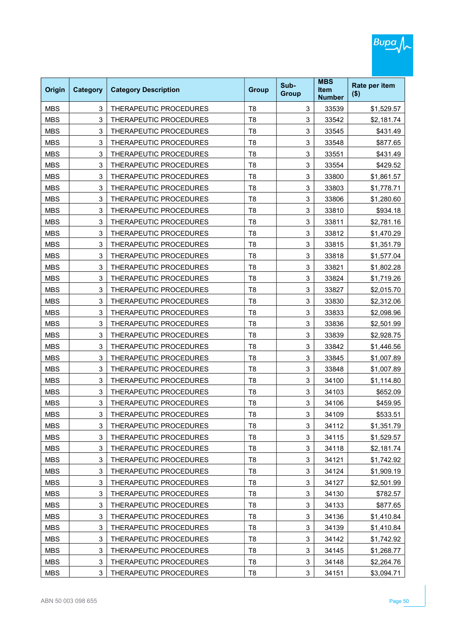| Origin     | <b>Category</b> | <b>Category Description</b>   | <b>Group</b>   | Sub-<br><b>Group</b> | <b>MBS</b><br><b>Item</b><br><b>Number</b> | Rate per item<br>$($ \$) |
|------------|-----------------|-------------------------------|----------------|----------------------|--------------------------------------------|--------------------------|
| <b>MBS</b> | 3               | THERAPEUTIC PROCEDURES        | T <sub>8</sub> | 3                    | 33539                                      | \$1,529.57               |
| <b>MBS</b> | 3               | THERAPEUTIC PROCEDURES        | T <sub>8</sub> | 3                    | 33542                                      | \$2,181.74               |
| <b>MBS</b> | 3               | THERAPEUTIC PROCEDURES        | T <sub>8</sub> | 3                    | 33545                                      | \$431.49                 |
| <b>MBS</b> | 3               | THERAPEUTIC PROCEDURES        | T <sub>8</sub> | 3                    | 33548                                      | \$877.65                 |
| <b>MBS</b> | 3               | THERAPEUTIC PROCEDURES        | T <sub>8</sub> | 3                    | 33551                                      | \$431.49                 |
| <b>MBS</b> | 3               | THERAPEUTIC PROCEDURES        | T <sub>8</sub> | 3                    | 33554                                      | \$429.52                 |
| <b>MBS</b> | 3               | THERAPEUTIC PROCEDURES        | T <sub>8</sub> | 3                    | 33800                                      | \$1,861.57               |
| <b>MBS</b> | 3               | THERAPEUTIC PROCEDURES        | T <sub>8</sub> | 3                    | 33803                                      | \$1,778.71               |
| <b>MBS</b> | 3               | THERAPEUTIC PROCEDURES        | T <sub>8</sub> | 3                    | 33806                                      | \$1,280.60               |
| <b>MBS</b> | 3               | THERAPEUTIC PROCEDURES        | T <sub>8</sub> | 3                    | 33810                                      | \$934.18                 |
| <b>MBS</b> | 3               | THERAPEUTIC PROCEDURES        | T <sub>8</sub> | 3                    | 33811                                      | \$2,781.16               |
| <b>MBS</b> | 3               | <b>THERAPEUTIC PROCEDURES</b> | T <sub>8</sub> | 3                    | 33812                                      | \$1,470.29               |
| <b>MBS</b> | 3               | THERAPEUTIC PROCEDURES        | T <sub>8</sub> | 3                    | 33815                                      | \$1,351.79               |
| <b>MBS</b> | 3               | THERAPEUTIC PROCEDURES        | T <sub>8</sub> | 3                    | 33818                                      | \$1,577.04               |
| <b>MBS</b> | 3               | THERAPEUTIC PROCEDURES        | T <sub>8</sub> | 3                    | 33821                                      | \$1,802.28               |
| <b>MBS</b> | 3               | THERAPEUTIC PROCEDURES        | T <sub>8</sub> | 3                    | 33824                                      | \$1,719.26               |
| <b>MBS</b> | 3               | THERAPEUTIC PROCEDURES        | T <sub>8</sub> | 3                    | 33827                                      | \$2,015.70               |
| <b>MBS</b> | 3               | THERAPEUTIC PROCEDURES        | T <sub>8</sub> | 3                    | 33830                                      | \$2,312.06               |
| <b>MBS</b> | 3               | THERAPEUTIC PROCEDURES        | T <sub>8</sub> | 3                    | 33833                                      | \$2,098.96               |
| <b>MBS</b> | 3               | THERAPEUTIC PROCEDURES        | T <sub>8</sub> | 3                    | 33836                                      | \$2,501.99               |
| <b>MBS</b> | 3               | THERAPEUTIC PROCEDURES        | T <sub>8</sub> | 3                    | 33839                                      | \$2,928.75               |
| <b>MBS</b> | 3               | THERAPEUTIC PROCEDURES        | T <sub>8</sub> | 3                    | 33842                                      | \$1,446.56               |
| <b>MBS</b> | 3               | THERAPEUTIC PROCEDURES        | T <sub>8</sub> | 3                    | 33845                                      | \$1,007.89               |
| <b>MBS</b> | 3               | THERAPEUTIC PROCEDURES        | T <sub>8</sub> | 3                    | 33848                                      | \$1,007.89               |
| <b>MBS</b> | 3               | THERAPEUTIC PROCEDURES        | T <sub>8</sub> | 3                    | 34100                                      | \$1,114.80               |
| <b>MBS</b> | 3               | THERAPEUTIC PROCEDURES        | T <sub>8</sub> | 3                    | 34103                                      | \$652.09                 |
| <b>MBS</b> | 3               | THERAPEUTIC PROCEDURES        | T <sub>8</sub> | 3                    | 34106                                      | \$459.95                 |
| MBS        | 3               | THERAPEUTIC PROCEDURES        | Т8             | 3                    | 34109                                      | \$533.51                 |
| <b>MBS</b> | 3               | THERAPEUTIC PROCEDURES        | T <sub>8</sub> | 3                    | 34112                                      | \$1,351.79               |
| <b>MBS</b> | 3               | THERAPEUTIC PROCEDURES        | T <sub>8</sub> | 3                    | 34115                                      | \$1,529.57               |
| <b>MBS</b> | 3               | THERAPEUTIC PROCEDURES        | T <sub>8</sub> | 3                    | 34118                                      | \$2,181.74               |
| <b>MBS</b> | 3               | THERAPEUTIC PROCEDURES        | T <sub>8</sub> | 3                    | 34121                                      | \$1,742.92               |
| <b>MBS</b> | 3               | THERAPEUTIC PROCEDURES        | T <sub>8</sub> | 3                    | 34124                                      | \$1,909.19               |
| <b>MBS</b> | 3               | THERAPEUTIC PROCEDURES        | T <sub>8</sub> | 3                    | 34127                                      | \$2,501.99               |
| <b>MBS</b> | 3               | THERAPEUTIC PROCEDURES        | T <sub>8</sub> | 3                    | 34130                                      | \$782.57                 |
| <b>MBS</b> | 3               | THERAPEUTIC PROCEDURES        | T <sub>8</sub> | 3                    | 34133                                      | \$877.65                 |
| <b>MBS</b> | 3               | THERAPEUTIC PROCEDURES        | T <sub>8</sub> | 3                    | 34136                                      | \$1,410.84               |
| <b>MBS</b> | 3               | THERAPEUTIC PROCEDURES        | T <sub>8</sub> | 3                    | 34139                                      | \$1,410.84               |
| <b>MBS</b> | 3               | THERAPEUTIC PROCEDURES        | T <sub>8</sub> | 3                    | 34142                                      | \$1,742.92               |
| <b>MBS</b> | 3               | THERAPEUTIC PROCEDURES        | T <sub>8</sub> | 3                    | 34145                                      | \$1,268.77               |
| <b>MBS</b> | 3               | THERAPEUTIC PROCEDURES        | T <sub>8</sub> | 3                    | 34148                                      | \$2,264.76               |
| <b>MBS</b> | 3               | THERAPEUTIC PROCEDURES        | T <sub>8</sub> | 3                    | 34151                                      | \$3,094.71               |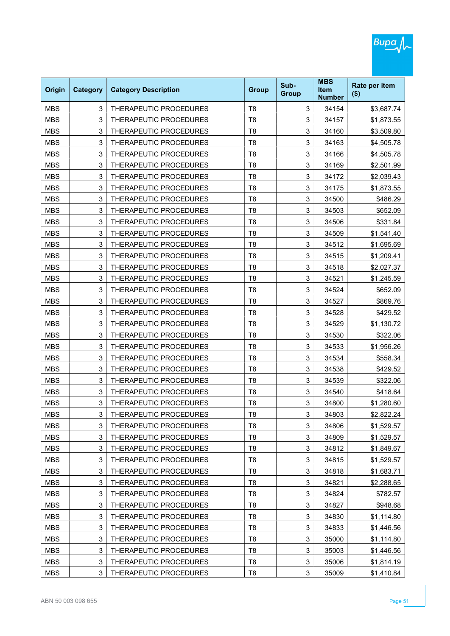| Origin     | <b>Category</b> | <b>Category Description</b>   | <b>Group</b>   | Sub-<br><b>Group</b> | <b>MBS</b><br><b>Item</b><br><b>Number</b> | Rate per item<br>$($ \$) |
|------------|-----------------|-------------------------------|----------------|----------------------|--------------------------------------------|--------------------------|
| <b>MBS</b> | 3               | THERAPEUTIC PROCEDURES        | T <sub>8</sub> | 3                    | 34154                                      | \$3,687.74               |
| <b>MBS</b> | 3               | THERAPEUTIC PROCEDURES        | T <sub>8</sub> | 3                    | 34157                                      | \$1,873.55               |
| <b>MBS</b> | 3               | THERAPEUTIC PROCEDURES        | T <sub>8</sub> | 3                    | 34160                                      | \$3,509.80               |
| <b>MBS</b> | 3               | THERAPEUTIC PROCEDURES        | T <sub>8</sub> | 3                    | 34163                                      | \$4,505.78               |
| <b>MBS</b> | 3               | THERAPEUTIC PROCEDURES        | T <sub>8</sub> | 3                    | 34166                                      | \$4,505.78               |
| <b>MBS</b> | 3               | THERAPEUTIC PROCEDURES        | T <sub>8</sub> | 3                    | 34169                                      | \$2,501.99               |
| <b>MBS</b> | 3               | THERAPEUTIC PROCEDURES        | T <sub>8</sub> | 3                    | 34172                                      | \$2,039.43               |
| <b>MBS</b> | 3               | THERAPEUTIC PROCEDURES        | T <sub>8</sub> | 3                    | 34175                                      | \$1,873.55               |
| <b>MBS</b> | 3               | THERAPEUTIC PROCEDURES        | T <sub>8</sub> | 3                    | 34500                                      | \$486.29                 |
| <b>MBS</b> | 3               | THERAPEUTIC PROCEDURES        | T <sub>8</sub> | 3                    | 34503                                      | \$652.09                 |
| <b>MBS</b> | 3               | THERAPEUTIC PROCEDURES        | T <sub>8</sub> | 3                    | 34506                                      | \$331.84                 |
| <b>MBS</b> | 3               | <b>THERAPEUTIC PROCEDURES</b> | T <sub>8</sub> | 3                    | 34509                                      | \$1,541.40               |
| <b>MBS</b> | 3               | THERAPEUTIC PROCEDURES        | T <sub>8</sub> | 3                    | 34512                                      | \$1,695.69               |
| <b>MBS</b> | 3               | THERAPEUTIC PROCEDURES        | T <sub>8</sub> | 3                    | 34515                                      | \$1,209.41               |
| <b>MBS</b> | 3               | THERAPEUTIC PROCEDURES        | T <sub>8</sub> | 3                    | 34518                                      | \$2,027.37               |
| <b>MBS</b> | 3               | THERAPEUTIC PROCEDURES        | T <sub>8</sub> | 3                    | 34521                                      | \$1,245.59               |
| <b>MBS</b> | 3               | THERAPEUTIC PROCEDURES        | T <sub>8</sub> | 3                    | 34524                                      | \$652.09                 |
| <b>MBS</b> | 3               | THERAPEUTIC PROCEDURES        | T <sub>8</sub> | 3                    | 34527                                      | \$869.76                 |
| <b>MBS</b> | 3               | THERAPEUTIC PROCEDURES        | T <sub>8</sub> | 3                    | 34528                                      | \$429.52                 |
| <b>MBS</b> | 3               | THERAPEUTIC PROCEDURES        | T <sub>8</sub> | 3                    | 34529                                      | \$1,130.72               |
| <b>MBS</b> | 3               | THERAPEUTIC PROCEDURES        | T <sub>8</sub> | 3                    | 34530                                      | \$322.06                 |
| <b>MBS</b> | 3               | THERAPEUTIC PROCEDURES        | T <sub>8</sub> | 3                    | 34533                                      | \$1,956.26               |
| <b>MBS</b> | 3               | THERAPEUTIC PROCEDURES        | T <sub>8</sub> | 3                    | 34534                                      | \$558.34                 |
| <b>MBS</b> | 3               | THERAPEUTIC PROCEDURES        | T <sub>8</sub> | 3                    | 34538                                      | \$429.52                 |
| <b>MBS</b> | 3               | THERAPEUTIC PROCEDURES        | T <sub>8</sub> | 3                    | 34539                                      | \$322.06                 |
| <b>MBS</b> | 3               | THERAPEUTIC PROCEDURES        | T <sub>8</sub> | 3                    | 34540                                      | \$418.64                 |
| <b>MBS</b> | 3               | THERAPEUTIC PROCEDURES        | T <sub>8</sub> | 3                    | 34800                                      | \$1,280.60               |
| MBS        | 3               | THERAPEUTIC PROCEDURES        | Т8             | 3                    | 34803                                      | \$2,822.24               |
| <b>MBS</b> | 3               | THERAPEUTIC PROCEDURES        | T <sub>8</sub> | 3                    | 34806                                      | \$1,529.57               |
| <b>MBS</b> | 3               | THERAPEUTIC PROCEDURES        | T <sub>8</sub> | 3                    | 34809                                      | \$1,529.57               |
| <b>MBS</b> | 3               | THERAPEUTIC PROCEDURES        | T <sub>8</sub> | 3                    | 34812                                      | \$1,849.67               |
| <b>MBS</b> | 3               | THERAPEUTIC PROCEDURES        | T <sub>8</sub> | 3                    | 34815                                      | \$1,529.57               |
| <b>MBS</b> | 3               | THERAPEUTIC PROCEDURES        | T <sub>8</sub> | 3                    | 34818                                      | \$1,683.71               |
| <b>MBS</b> | 3               | THERAPEUTIC PROCEDURES        | T <sub>8</sub> | 3                    | 34821                                      | \$2,288.65               |
| <b>MBS</b> | 3               | THERAPEUTIC PROCEDURES        | T <sub>8</sub> | 3                    | 34824                                      | \$782.57                 |
| <b>MBS</b> | 3               | THERAPEUTIC PROCEDURES        | T <sub>8</sub> | 3                    | 34827                                      | \$948.68                 |
| <b>MBS</b> | 3               | THERAPEUTIC PROCEDURES        | T <sub>8</sub> | 3                    | 34830                                      | \$1,114.80               |
| <b>MBS</b> | 3               | THERAPEUTIC PROCEDURES        | T <sub>8</sub> | 3                    | 34833                                      | \$1,446.56               |
| <b>MBS</b> | 3               | THERAPEUTIC PROCEDURES        | T <sub>8</sub> | 3                    | 35000                                      | \$1,114.80               |
| <b>MBS</b> | 3               | THERAPEUTIC PROCEDURES        | T <sub>8</sub> | 3                    | 35003                                      | \$1,446.56               |
| <b>MBS</b> | 3               | THERAPEUTIC PROCEDURES        | T <sub>8</sub> | 3                    | 35006                                      | \$1,814.19               |
| <b>MBS</b> | 3               | THERAPEUTIC PROCEDURES        | T <sub>8</sub> | 3                    | 35009                                      | \$1,410.84               |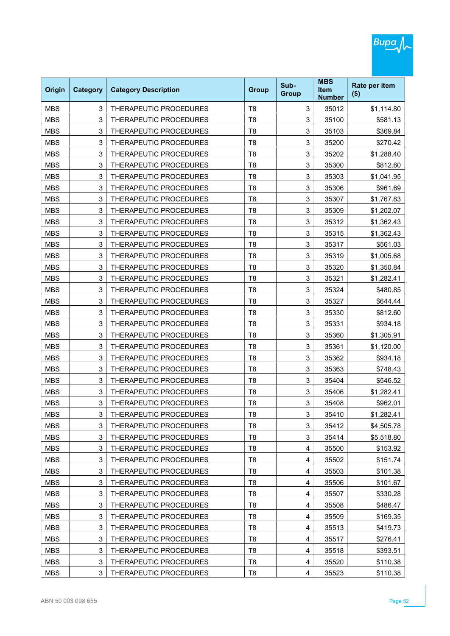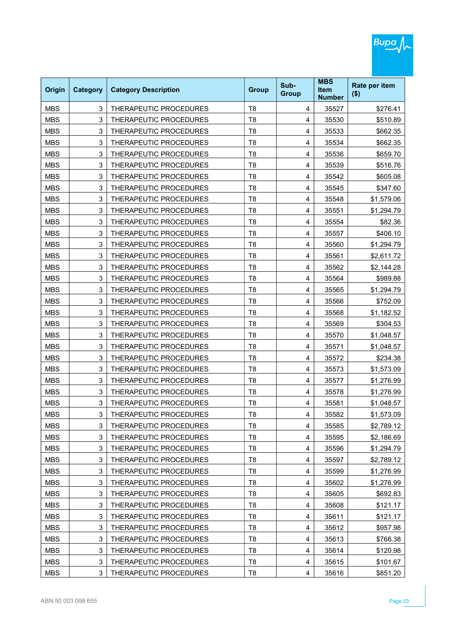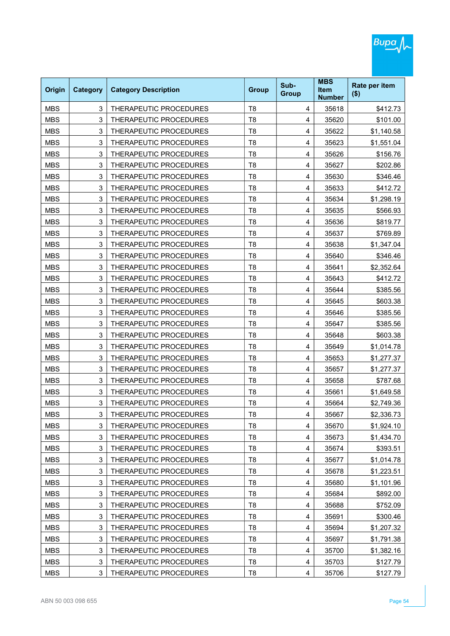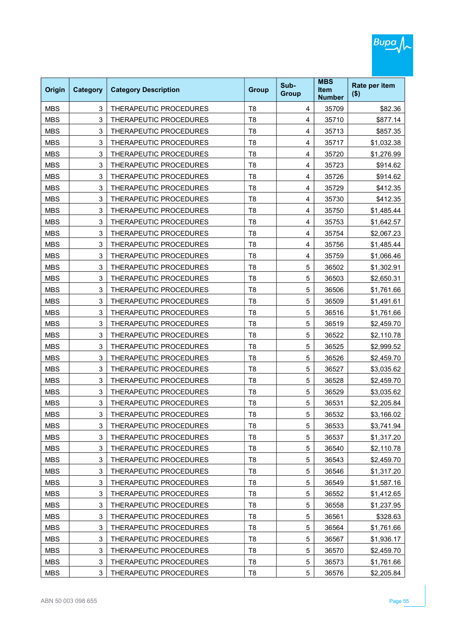| Origin     | <b>Category</b> | <b>Category Description</b> | <b>Group</b>   | Sub-<br><b>Group</b> | <b>MBS</b><br><b>Item</b><br><b>Number</b> | Rate per item<br>$($ \$) |
|------------|-----------------|-----------------------------|----------------|----------------------|--------------------------------------------|--------------------------|
| <b>MBS</b> | 3               | THERAPEUTIC PROCEDURES      | T <sub>8</sub> | 4                    | 35709                                      | \$82.36                  |
| <b>MBS</b> | 3               | THERAPEUTIC PROCEDURES      | T <sub>8</sub> | 4                    | 35710                                      | \$877.14                 |
| <b>MBS</b> | 3               | THERAPEUTIC PROCEDURES      | T <sub>8</sub> | 4                    | 35713                                      | \$857.35                 |
| <b>MBS</b> | 3               | THERAPEUTIC PROCEDURES      | T <sub>8</sub> | 4                    | 35717                                      | \$1,032.38               |
| <b>MBS</b> | 3               | THERAPEUTIC PROCEDURES      | T <sub>8</sub> | 4                    | 35720                                      | \$1,276.99               |
| <b>MBS</b> | 3               | THERAPEUTIC PROCEDURES      | T <sub>8</sub> | 4                    | 35723                                      | \$914.62                 |
| <b>MBS</b> | 3               | THERAPEUTIC PROCEDURES      | T <sub>8</sub> | 4                    | 35726                                      | \$914.62                 |
| <b>MBS</b> | 3               | THERAPEUTIC PROCEDURES      | T <sub>8</sub> | 4                    | 35729                                      | \$412.35                 |
| <b>MBS</b> | 3               | THERAPEUTIC PROCEDURES      | T <sub>8</sub> | 4                    | 35730                                      | \$412.35                 |
| <b>MBS</b> | 3               | THERAPEUTIC PROCEDURES      | T <sub>8</sub> | 4                    | 35750                                      | \$1,485.44               |
| <b>MBS</b> | 3               | THERAPEUTIC PROCEDURES      | T <sub>8</sub> | 4                    | 35753                                      | \$1,642.57               |
| <b>MBS</b> | 3               | THERAPEUTIC PROCEDURES      | T <sub>8</sub> | 4                    | 35754                                      | \$2,067.23               |
| <b>MBS</b> | 3               | THERAPEUTIC PROCEDURES      | T <sub>8</sub> | 4                    | 35756                                      | \$1,485.44               |
| <b>MBS</b> | 3               | THERAPEUTIC PROCEDURES      | T <sub>8</sub> | 4                    | 35759                                      | \$1,066.46               |
| <b>MBS</b> | 3               | THERAPEUTIC PROCEDURES      | T <sub>8</sub> | 5                    | 36502                                      | \$1,302.91               |
| <b>MBS</b> | 3               | THERAPEUTIC PROCEDURES      | T <sub>8</sub> | 5                    | 36503                                      | \$2,650.31               |
| <b>MBS</b> | 3               | THERAPEUTIC PROCEDURES      | T <sub>8</sub> | 5                    | 36506                                      | \$1,761.66               |
| <b>MBS</b> | 3               | THERAPEUTIC PROCEDURES      | T <sub>8</sub> | 5                    | 36509                                      | \$1,491.61               |
| <b>MBS</b> | 3               | THERAPEUTIC PROCEDURES      | T <sub>8</sub> | 5                    | 36516                                      | \$1,761.66               |
| <b>MBS</b> | 3               | THERAPEUTIC PROCEDURES      | T <sub>8</sub> | 5                    | 36519                                      | \$2,459.70               |
| <b>MBS</b> | 3               | THERAPEUTIC PROCEDURES      | T <sub>8</sub> | 5                    | 36522                                      | \$2,110.78               |
| <b>MBS</b> | 3               | THERAPEUTIC PROCEDURES      | T <sub>8</sub> | 5                    | 36525                                      | \$2,999.52               |
| <b>MBS</b> | 3               | THERAPEUTIC PROCEDURES      | T <sub>8</sub> | 5                    | 36526                                      | \$2,459.70               |
| <b>MBS</b> | 3               | THERAPEUTIC PROCEDURES      | T <sub>8</sub> | 5                    | 36527                                      | \$3,035.62               |
| <b>MBS</b> | 3               | THERAPEUTIC PROCEDURES      | T <sub>8</sub> | 5                    | 36528                                      | \$2,459.70               |
| <b>MBS</b> | 3               | THERAPEUTIC PROCEDURES      | T <sub>8</sub> | 5                    | 36529                                      | \$3,035.62               |
| <b>MBS</b> | 3               | THERAPEUTIC PROCEDURES      | T <sub>8</sub> | 5                    | 36531                                      | \$2,205.84               |
| MBS        | 3               | THERAPEUTIC PROCEDURES      | T8             | 5                    | 36532                                      | \$3,166.02               |
| <b>MBS</b> | 3               | THERAPEUTIC PROCEDURES      | T <sub>8</sub> | 5                    | 36533                                      | \$3,741.94               |
| <b>MBS</b> | 3               | THERAPEUTIC PROCEDURES      | T <sub>8</sub> | 5                    | 36537                                      | \$1,317.20               |
| <b>MBS</b> | 3               | THERAPEUTIC PROCEDURES      | T <sub>8</sub> | 5                    | 36540                                      | \$2,110.78               |
| <b>MBS</b> | 3               | THERAPEUTIC PROCEDURES      | T <sub>8</sub> | 5                    | 36543                                      | \$2,459.70               |
| <b>MBS</b> | 3               | THERAPEUTIC PROCEDURES      | T <sub>8</sub> | 5                    | 36546                                      | \$1,317.20               |
| <b>MBS</b> | 3               | THERAPEUTIC PROCEDURES      | T <sub>8</sub> | 5                    | 36549                                      | \$1,587.16               |
| <b>MBS</b> | 3               | THERAPEUTIC PROCEDURES      | T <sub>8</sub> | 5                    | 36552                                      | \$1,412.65               |
| <b>MBS</b> | 3               | THERAPEUTIC PROCEDURES      | T <sub>8</sub> | 5                    | 36558                                      | \$1,237.95               |
| <b>MBS</b> | 3               | THERAPEUTIC PROCEDURES      | T <sub>8</sub> | 5                    | 36561                                      | \$328.63                 |
| <b>MBS</b> | 3               | THERAPEUTIC PROCEDURES      | T <sub>8</sub> | 5                    | 36564                                      | \$1,761.66               |
| <b>MBS</b> | 3               | THERAPEUTIC PROCEDURES      | T <sub>8</sub> | 5                    | 36567                                      | \$1,936.17               |
| <b>MBS</b> | 3               | THERAPEUTIC PROCEDURES      | T <sub>8</sub> | 5                    | 36570                                      | \$2,459.70               |
| <b>MBS</b> | 3               | THERAPEUTIC PROCEDURES      | T <sub>8</sub> | 5                    | 36573                                      | \$1,761.66               |
| <b>MBS</b> | 3               | THERAPEUTIC PROCEDURES      | T <sub>8</sub> | 5                    | 36576                                      | \$2,205.84               |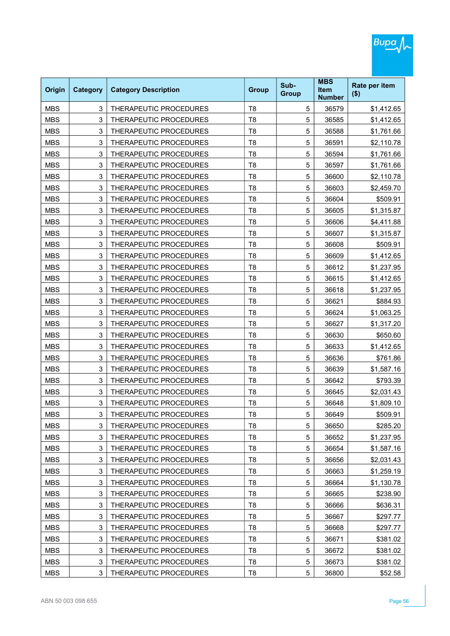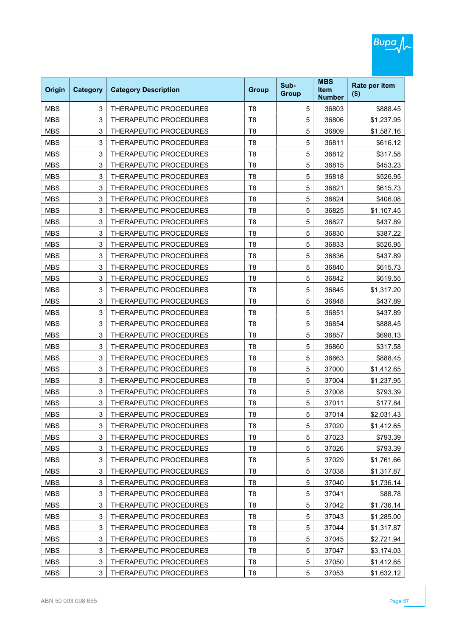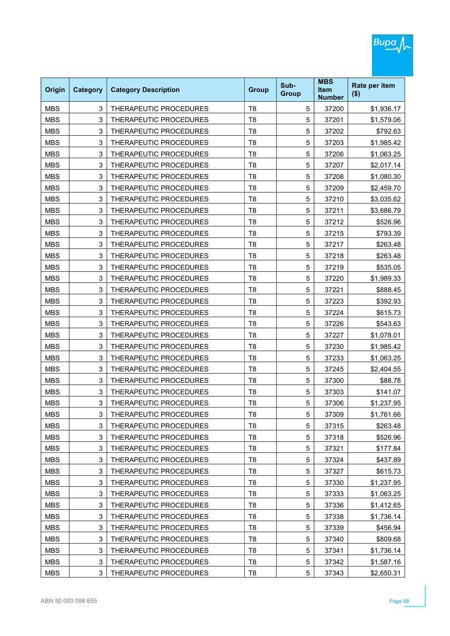| Origin     | <b>Category</b> | <b>Category Description</b>   | <b>Group</b>   | Sub-<br><b>Group</b> | <b>MBS</b><br><b>Item</b><br><b>Number</b> | Rate per item<br>$($ \$) |
|------------|-----------------|-------------------------------|----------------|----------------------|--------------------------------------------|--------------------------|
| <b>MBS</b> | 3               | THERAPEUTIC PROCEDURES        | T <sub>8</sub> | 5                    | 37200                                      | \$1,936.17               |
| <b>MBS</b> | 3               | THERAPEUTIC PROCEDURES        | T <sub>8</sub> | 5                    | 37201                                      | \$1,579.06               |
| <b>MBS</b> | 3               | THERAPEUTIC PROCEDURES        | T <sub>8</sub> | 5                    | 37202                                      | \$792.63                 |
| <b>MBS</b> | 3               | THERAPEUTIC PROCEDURES        | T <sub>8</sub> | 5                    | 37203                                      | \$1,985.42               |
| <b>MBS</b> | 3               | THERAPEUTIC PROCEDURES        | T <sub>8</sub> | 5                    | 37206                                      | \$1,063.25               |
| <b>MBS</b> | 3               | THERAPEUTIC PROCEDURES        | T <sub>8</sub> | 5                    | 37207                                      | \$2,017.14               |
| <b>MBS</b> | 3               | THERAPEUTIC PROCEDURES        | T <sub>8</sub> | 5                    | 37208                                      | \$1,080.30               |
| <b>MBS</b> | 3               | THERAPEUTIC PROCEDURES        | T <sub>8</sub> | 5                    | 37209                                      | \$2,459.70               |
| <b>MBS</b> | 3               | THERAPEUTIC PROCEDURES        | T <sub>8</sub> | 5                    | 37210                                      | \$3,035.62               |
| <b>MBS</b> | 3               | THERAPEUTIC PROCEDURES        | T <sub>8</sub> | 5                    | 37211                                      | \$3,686.79               |
| <b>MBS</b> | 3               | THERAPEUTIC PROCEDURES        | T <sub>8</sub> | 5                    | 37212                                      | \$526.96                 |
| <b>MBS</b> | 3               | <b>THERAPEUTIC PROCEDURES</b> | T <sub>8</sub> | 5                    | 37215                                      | \$793.39                 |
| <b>MBS</b> | 3               | THERAPEUTIC PROCEDURES        | T <sub>8</sub> | 5                    | 37217                                      | \$263.48                 |
| <b>MBS</b> | 3               | THERAPEUTIC PROCEDURES        | T <sub>8</sub> | 5                    | 37218                                      | \$263.48                 |
| <b>MBS</b> | 3               | THERAPEUTIC PROCEDURES        | T <sub>8</sub> | 5                    | 37219                                      | \$535.05                 |
| <b>MBS</b> | 3               | THERAPEUTIC PROCEDURES        | T <sub>8</sub> | 5                    | 37220                                      | \$1,989.33               |
| <b>MBS</b> | 3               | THERAPEUTIC PROCEDURES        | T <sub>8</sub> | 5                    | 37221                                      | \$888.45                 |
| <b>MBS</b> | 3               | THERAPEUTIC PROCEDURES        | T <sub>8</sub> | 5                    | 37223                                      | \$392.93                 |
| <b>MBS</b> | 3               | THERAPEUTIC PROCEDURES        | T <sub>8</sub> | 5                    | 37224                                      | \$615.73                 |
| <b>MBS</b> | 3               | THERAPEUTIC PROCEDURES        | T <sub>8</sub> | 5                    | 37226                                      | \$543.63                 |
| <b>MBS</b> | 3               | THERAPEUTIC PROCEDURES        | T <sub>8</sub> | 5                    | 37227                                      | \$1,078.01               |
| <b>MBS</b> | 3               | THERAPEUTIC PROCEDURES        | T <sub>8</sub> | 5                    | 37230                                      | \$1,985.42               |
| <b>MBS</b> | 3               | THERAPEUTIC PROCEDURES        | T <sub>8</sub> | 5                    | 37233                                      | \$1,063.25               |
| <b>MBS</b> | 3               | THERAPEUTIC PROCEDURES        | T <sub>8</sub> | 5                    | 37245                                      | \$2,404.55               |
| <b>MBS</b> | 3               | THERAPEUTIC PROCEDURES        | T <sub>8</sub> | 5                    | 37300                                      | \$88.78                  |
| <b>MBS</b> | 3               | THERAPEUTIC PROCEDURES        | T <sub>8</sub> | 5                    | 37303                                      | \$141.07                 |
| <b>MBS</b> | 3               | THERAPEUTIC PROCEDURES        | T <sub>8</sub> | 5                    | 37306                                      | \$1,237.95               |
| MBS        | 3               | THERAPEUTIC PROCEDURES        | Т8             | 5                    | 37309                                      | \$1,761.66               |
| <b>MBS</b> | 3               | THERAPEUTIC PROCEDURES        | T <sub>8</sub> | 5                    | 37315                                      | \$263.48                 |
| <b>MBS</b> | 3               | THERAPEUTIC PROCEDURES        | T <sub>8</sub> | $\mathbf 5$          | 37318                                      | \$526.96                 |
| <b>MBS</b> | 3               | THERAPEUTIC PROCEDURES        | T <sub>8</sub> | $\mathbf 5$          | 37321                                      | \$177.84                 |
| <b>MBS</b> | 3               | THERAPEUTIC PROCEDURES        | T <sub>8</sub> | 5                    | 37324                                      | \$437.89                 |
| <b>MBS</b> | 3               | THERAPEUTIC PROCEDURES        | T <sub>8</sub> | 5                    | 37327                                      | \$615.73                 |
| <b>MBS</b> | 3               | THERAPEUTIC PROCEDURES        | T <sub>8</sub> | 5                    | 37330                                      | \$1,237.95               |
| <b>MBS</b> | 3               | THERAPEUTIC PROCEDURES        | T <sub>8</sub> | $\mathbf 5$          | 37333                                      | \$1,063.25               |
| <b>MBS</b> | 3               | THERAPEUTIC PROCEDURES        | T <sub>8</sub> | 5                    | 37336                                      | \$1,412.65               |
| <b>MBS</b> | 3               | THERAPEUTIC PROCEDURES        | T <sub>8</sub> | 5                    | 37338                                      | \$1,736.14               |
| <b>MBS</b> | 3               | THERAPEUTIC PROCEDURES        | T <sub>8</sub> | $\mathbf 5$          | 37339                                      | \$456.94                 |
| <b>MBS</b> | 3               | THERAPEUTIC PROCEDURES        | T <sub>8</sub> | $\mathbf 5$          | 37340                                      | \$809.68                 |
| <b>MBS</b> | 3               | THERAPEUTIC PROCEDURES        | T <sub>8</sub> | 5                    | 37341                                      | \$1,736.14               |
| <b>MBS</b> | 3               | THERAPEUTIC PROCEDURES        | T <sub>8</sub> | 5                    | 37342                                      | \$1,587.16               |
| <b>MBS</b> | 3               | THERAPEUTIC PROCEDURES        | T <sub>8</sub> | 5                    | 37343                                      | \$2,650.31               |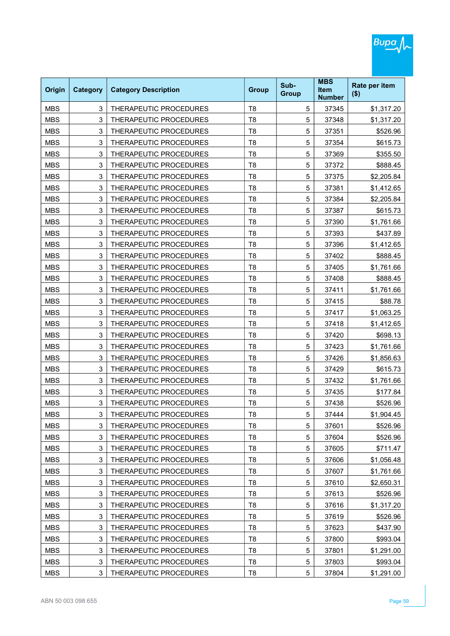| Origin     | <b>Category</b> | <b>Category Description</b>   | <b>Group</b>   | Sub-<br><b>Group</b> | <b>MBS</b><br><b>Item</b><br><b>Number</b> | Rate per item<br>$($ \$) |
|------------|-----------------|-------------------------------|----------------|----------------------|--------------------------------------------|--------------------------|
| <b>MBS</b> | 3               | THERAPEUTIC PROCEDURES        | T <sub>8</sub> | 5                    | 37345                                      | \$1,317.20               |
| <b>MBS</b> | 3               | THERAPEUTIC PROCEDURES        | T <sub>8</sub> | 5                    | 37348                                      | \$1,317.20               |
| <b>MBS</b> | 3               | THERAPEUTIC PROCEDURES        | T <sub>8</sub> | 5                    | 37351                                      | \$526.96                 |
| <b>MBS</b> | 3               | THERAPEUTIC PROCEDURES        | T <sub>8</sub> | 5                    | 37354                                      | \$615.73                 |
| <b>MBS</b> | 3               | THERAPEUTIC PROCEDURES        | T <sub>8</sub> | 5                    | 37369                                      | \$355.50                 |
| <b>MBS</b> | 3               | <b>THERAPEUTIC PROCEDURES</b> | T <sub>8</sub> | 5                    | 37372                                      | \$888.45                 |
| <b>MBS</b> | 3               | THERAPEUTIC PROCEDURES        | T <sub>8</sub> | 5                    | 37375                                      | \$2,205.84               |
| <b>MBS</b> | 3               | THERAPEUTIC PROCEDURES        | T <sub>8</sub> | 5                    | 37381                                      | \$1,412.65               |
| <b>MBS</b> | 3               | THERAPEUTIC PROCEDURES        | T <sub>8</sub> | 5                    | 37384                                      | \$2,205.84               |
| <b>MBS</b> | 3               | THERAPEUTIC PROCEDURES        | T <sub>8</sub> | 5                    | 37387                                      | \$615.73                 |
| <b>MBS</b> | 3               | THERAPEUTIC PROCEDURES        | T <sub>8</sub> | 5                    | 37390                                      | \$1,761.66               |
| <b>MBS</b> | 3               | THERAPEUTIC PROCEDURES        | T <sub>8</sub> | 5                    | 37393                                      | \$437.89                 |
| <b>MBS</b> | 3               | THERAPEUTIC PROCEDURES        | T <sub>8</sub> | 5                    | 37396                                      | \$1,412.65               |
| <b>MBS</b> | 3               | THERAPEUTIC PROCEDURES        | T <sub>8</sub> | 5                    | 37402                                      | \$888.45                 |
| <b>MBS</b> | 3               | THERAPEUTIC PROCEDURES        | T <sub>8</sub> | 5                    | 37405                                      | \$1,761.66               |
| <b>MBS</b> | 3               | THERAPEUTIC PROCEDURES        | T <sub>8</sub> | 5                    | 37408                                      | \$888.45                 |
| <b>MBS</b> | 3               | THERAPEUTIC PROCEDURES        | T <sub>8</sub> | 5                    | 37411                                      | \$1,761.66               |
| <b>MBS</b> | 3               | THERAPEUTIC PROCEDURES        | T <sub>8</sub> | 5                    | 37415                                      | \$88.78                  |
| <b>MBS</b> | 3               | THERAPEUTIC PROCEDURES        | T <sub>8</sub> | 5                    | 37417                                      | \$1,063.25               |
| <b>MBS</b> | 3               | THERAPEUTIC PROCEDURES        | T <sub>8</sub> | 5                    | 37418                                      | \$1,412.65               |
| <b>MBS</b> | 3               | THERAPEUTIC PROCEDURES        | T <sub>8</sub> | 5                    | 37420                                      | \$698.13                 |
| <b>MBS</b> | 3               | THERAPEUTIC PROCEDURES        | T <sub>8</sub> | 5                    | 37423                                      | \$1,761.66               |
| <b>MBS</b> | 3               | THERAPEUTIC PROCEDURES        | T <sub>8</sub> | 5                    | 37426                                      | \$1,856.63               |
| <b>MBS</b> | 3               | THERAPEUTIC PROCEDURES        | T <sub>8</sub> | 5                    | 37429                                      | \$615.73                 |
| <b>MBS</b> | 3               | THERAPEUTIC PROCEDURES        | T <sub>8</sub> | 5                    | 37432                                      | \$1,761.66               |
| <b>MBS</b> | 3               | THERAPEUTIC PROCEDURES        | T <sub>8</sub> | 5                    | 37435                                      | \$177.84                 |
| <b>MBS</b> | 3               | THERAPEUTIC PROCEDURES        | T <sub>8</sub> | 5                    | 37438                                      | \$526.96                 |
| MBS        | 3               | THERAPEUTIC PROCEDURES        | T8             | 5                    | 37444                                      | \$1,904.45               |
| <b>MBS</b> | 3               | THERAPEUTIC PROCEDURES        | T <sub>8</sub> | 5                    | 37601                                      | \$526.96                 |
| <b>MBS</b> | 3               | THERAPEUTIC PROCEDURES        | T <sub>8</sub> | $\mathbf 5$          | 37604                                      | \$526.96                 |
| <b>MBS</b> | 3               | THERAPEUTIC PROCEDURES        | T <sub>8</sub> | 5                    | 37605                                      | \$711.47                 |
| <b>MBS</b> | 3               | THERAPEUTIC PROCEDURES        | T <sub>8</sub> | 5                    | 37606                                      | \$1,056.48               |
| <b>MBS</b> | 3               | THERAPEUTIC PROCEDURES        | T <sub>8</sub> | 5                    | 37607                                      | \$1,761.66               |
| <b>MBS</b> | 3               | THERAPEUTIC PROCEDURES        | T <sub>8</sub> | $\mathbf 5$          | 37610                                      | \$2,650.31               |
| <b>MBS</b> | 3               | THERAPEUTIC PROCEDURES        | T <sub>8</sub> | 5                    | 37613                                      | \$526.96                 |
| <b>MBS</b> | 3               | THERAPEUTIC PROCEDURES        | T <sub>8</sub> | 5                    | 37616                                      | \$1,317.20               |
| <b>MBS</b> | 3               | THERAPEUTIC PROCEDURES        | T <sub>8</sub> | 5                    | 37619                                      | \$526.96                 |
| <b>MBS</b> | 3               | THERAPEUTIC PROCEDURES        | T <sub>8</sub> | $\mathbf 5$          | 37623                                      | \$437.90                 |
| <b>MBS</b> | 3               | THERAPEUTIC PROCEDURES        | T <sub>8</sub> | 5                    | 37800                                      | \$993.04                 |
| <b>MBS</b> | 3               | THERAPEUTIC PROCEDURES        | T <sub>8</sub> | 5                    | 37801                                      | \$1,291.00               |
| <b>MBS</b> | 3               | THERAPEUTIC PROCEDURES        | T <sub>8</sub> | 5                    | 37803                                      | \$993.04                 |
| <b>MBS</b> | 3               | THERAPEUTIC PROCEDURES        | T <sub>8</sub> | 5                    | 37804                                      | \$1,291.00               |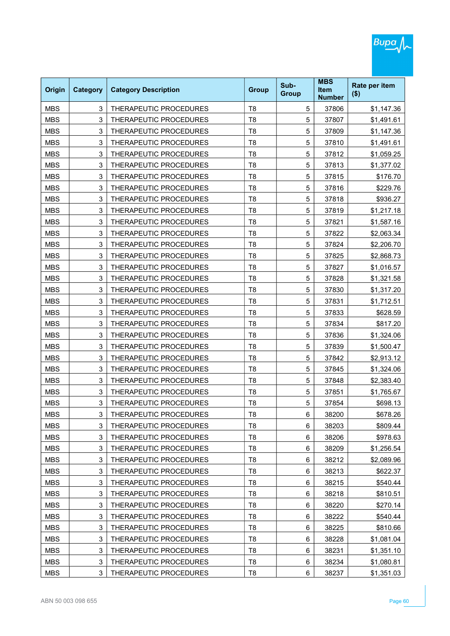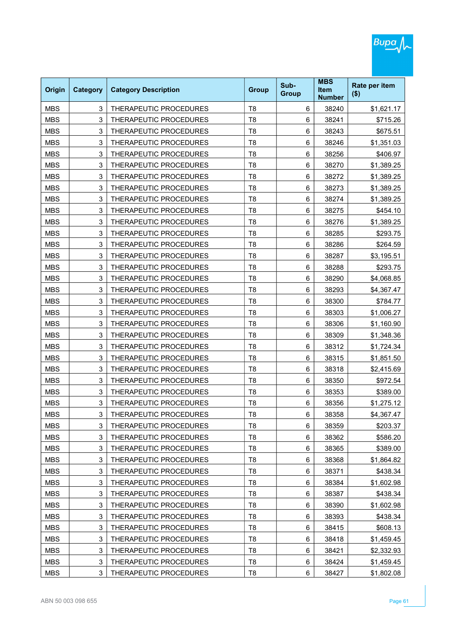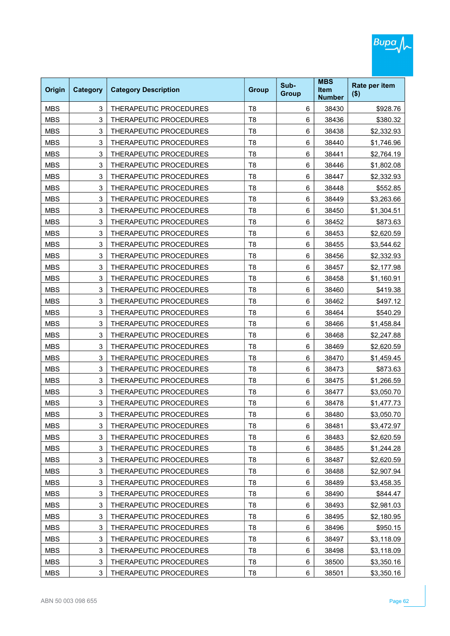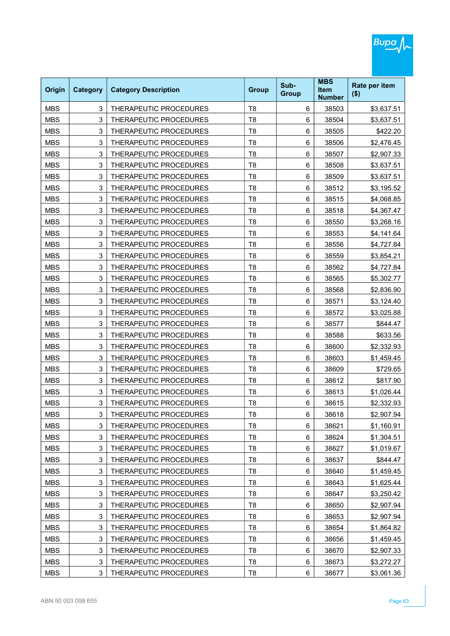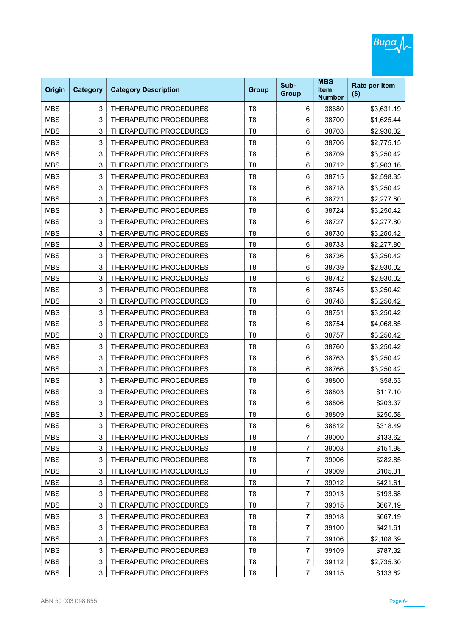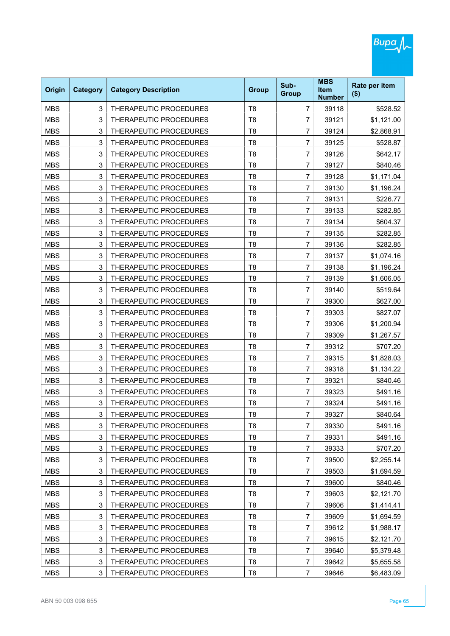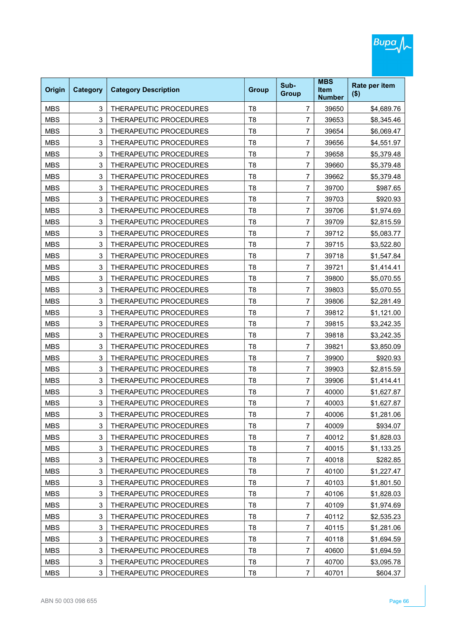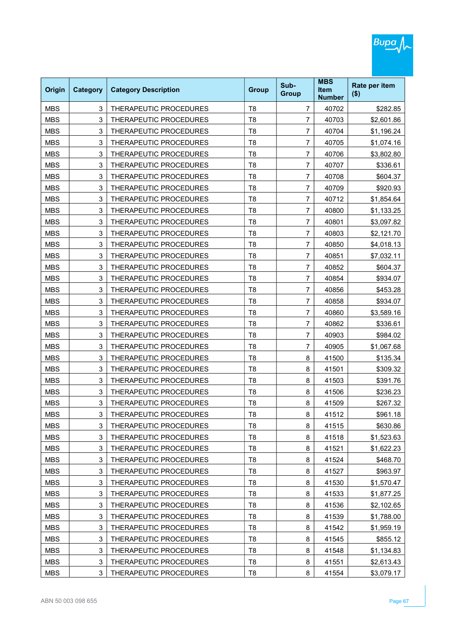| Origin     | <b>Category</b> | <b>Category Description</b> | <b>Group</b>   | Sub-<br><b>Group</b> | <b>MBS</b><br><b>Item</b><br><b>Number</b> | Rate per item<br>$($ \$) |
|------------|-----------------|-----------------------------|----------------|----------------------|--------------------------------------------|--------------------------|
| <b>MBS</b> | 3               | THERAPEUTIC PROCEDURES      | T <sub>8</sub> | 7                    | 40702                                      | \$282.85                 |
| <b>MBS</b> | 3               | THERAPEUTIC PROCEDURES      | T <sub>8</sub> | 7                    | 40703                                      | \$2,601.86               |
| <b>MBS</b> | 3               | THERAPEUTIC PROCEDURES      | T <sub>8</sub> | $\overline{7}$       | 40704                                      | \$1,196.24               |
| <b>MBS</b> | 3               | THERAPEUTIC PROCEDURES      | T <sub>8</sub> | 7                    | 40705                                      | \$1,074.16               |
| <b>MBS</b> | 3               | THERAPEUTIC PROCEDURES      | T <sub>8</sub> | $\overline{7}$       | 40706                                      | \$3,802.80               |
| <b>MBS</b> | 3               | THERAPEUTIC PROCEDURES      | T <sub>8</sub> | 7                    | 40707                                      | \$336.61                 |
| <b>MBS</b> | 3               | THERAPEUTIC PROCEDURES      | T <sub>8</sub> | $\overline{7}$       | 40708                                      | \$604.37                 |
| <b>MBS</b> | 3               | THERAPEUTIC PROCEDURES      | T <sub>8</sub> | 7                    | 40709                                      | \$920.93                 |
| <b>MBS</b> | 3               | THERAPEUTIC PROCEDURES      | T <sub>8</sub> | 7                    | 40712                                      | \$1,854.64               |
| <b>MBS</b> | 3               | THERAPEUTIC PROCEDURES      | T <sub>8</sub> | 7                    | 40800                                      | \$1,133.25               |
| <b>MBS</b> | 3               | THERAPEUTIC PROCEDURES      | T <sub>8</sub> | $\overline{7}$       | 40801                                      | \$3,097.82               |
| <b>MBS</b> | 3               | THERAPEUTIC PROCEDURES      | T <sub>8</sub> | 7                    | 40803                                      | \$2,121.70               |
| <b>MBS</b> | 3               | THERAPEUTIC PROCEDURES      | T <sub>8</sub> | $\overline{7}$       | 40850                                      | \$4,018.13               |
| <b>MBS</b> | 3               | THERAPEUTIC PROCEDURES      | T <sub>8</sub> | 7                    | 40851                                      | \$7,032.11               |
| <b>MBS</b> | 3               | THERAPEUTIC PROCEDURES      | T <sub>8</sub> | $\overline{7}$       | 40852                                      | \$604.37                 |
| <b>MBS</b> | 3               | THERAPEUTIC PROCEDURES      | T <sub>8</sub> | 7                    | 40854                                      | \$934.07                 |
| <b>MBS</b> | 3               | THERAPEUTIC PROCEDURES      | T <sub>8</sub> | $\overline{7}$       | 40856                                      | \$453.28                 |
| <b>MBS</b> | 3               | THERAPEUTIC PROCEDURES      | T <sub>8</sub> | 7                    | 40858                                      | \$934.07                 |
| <b>MBS</b> | 3               | THERAPEUTIC PROCEDURES      | T <sub>8</sub> | 7                    | 40860                                      | \$3,589.16               |
| <b>MBS</b> | 3               | THERAPEUTIC PROCEDURES      | T <sub>8</sub> | 7                    | 40862                                      | \$336.61                 |
| <b>MBS</b> | 3               | THERAPEUTIC PROCEDURES      | T <sub>8</sub> | 7                    | 40903                                      | \$984.02                 |
| <b>MBS</b> | 3               | THERAPEUTIC PROCEDURES      | T <sub>8</sub> | 7                    | 40905                                      | \$1,067.68               |
| <b>MBS</b> | 3               | THERAPEUTIC PROCEDURES      | T <sub>8</sub> | 8                    | 41500                                      | \$135.34                 |
| <b>MBS</b> | 3               | THERAPEUTIC PROCEDURES      | T <sub>8</sub> | 8                    | 41501                                      | \$309.32                 |
| <b>MBS</b> | 3               | THERAPEUTIC PROCEDURES      | T <sub>8</sub> | 8                    | 41503                                      | \$391.76                 |
| <b>MBS</b> | 3               | THERAPEUTIC PROCEDURES      | T <sub>8</sub> | 8                    | 41506                                      | \$236.23                 |
| <b>MBS</b> | 3               | THERAPEUTIC PROCEDURES      | T <sub>8</sub> | 8                    | 41509                                      | \$267.32                 |
| MBS        | 3               | THERAPEUTIC PROCEDURES      | Т8             | 8                    | 41512                                      | \$961.18                 |
| <b>MBS</b> | 3               | THERAPEUTIC PROCEDURES      | T <sub>8</sub> | 8                    | 41515                                      | \$630.86                 |
| <b>MBS</b> | 3               | THERAPEUTIC PROCEDURES      | T <sub>8</sub> | 8                    | 41518                                      | \$1,523.63               |
| <b>MBS</b> | 3               | THERAPEUTIC PROCEDURES      | T <sub>8</sub> | 8                    | 41521                                      | \$1,622.23               |
| <b>MBS</b> | 3               | THERAPEUTIC PROCEDURES      | T <sub>8</sub> | 8                    | 41524                                      | \$468.70                 |
| <b>MBS</b> | 3               | THERAPEUTIC PROCEDURES      | T <sub>8</sub> | 8                    | 41527                                      | \$963.97                 |
| <b>MBS</b> | 3               | THERAPEUTIC PROCEDURES      | T <sub>8</sub> | 8                    | 41530                                      | \$1,570.47               |
| <b>MBS</b> | 3               | THERAPEUTIC PROCEDURES      | T <sub>8</sub> | 8                    | 41533                                      | \$1,877.25               |
| <b>MBS</b> | 3               | THERAPEUTIC PROCEDURES      | T <sub>8</sub> | 8                    | 41536                                      | \$2,102.65               |
| <b>MBS</b> | 3               | THERAPEUTIC PROCEDURES      | T <sub>8</sub> | 8                    | 41539                                      | \$1,788.00               |
| <b>MBS</b> | 3               | THERAPEUTIC PROCEDURES      | T <sub>8</sub> | 8                    | 41542                                      | \$1,959.19               |
| <b>MBS</b> | 3               | THERAPEUTIC PROCEDURES      | T <sub>8</sub> | 8                    | 41545                                      | \$855.12                 |
| <b>MBS</b> | 3               | THERAPEUTIC PROCEDURES      | T <sub>8</sub> | 8                    | 41548                                      | \$1,134.83               |
| <b>MBS</b> | 3               | THERAPEUTIC PROCEDURES      | T <sub>8</sub> | 8                    | 41551                                      | \$2,613.43               |
| <b>MBS</b> | 3               | THERAPEUTIC PROCEDURES      | T <sub>8</sub> | 8                    | 41554                                      | \$3,079.17               |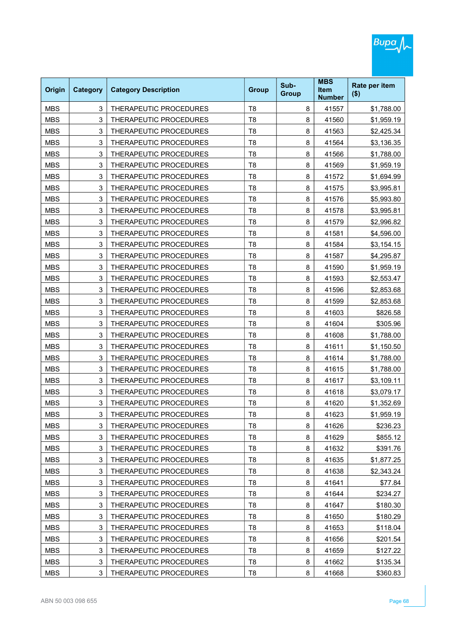| Origin     | <b>Category</b> | <b>Category Description</b> | <b>Group</b>   | Sub-<br><b>Group</b> | <b>MBS</b><br><b>Item</b><br><b>Number</b> | Rate per item<br>$($ \$) |
|------------|-----------------|-----------------------------|----------------|----------------------|--------------------------------------------|--------------------------|
| <b>MBS</b> | 3               | THERAPEUTIC PROCEDURES      | T <sub>8</sub> | 8                    | 41557                                      | \$1,788.00               |
| <b>MBS</b> | 3               | THERAPEUTIC PROCEDURES      | T <sub>8</sub> | 8                    | 41560                                      | \$1,959.19               |
| <b>MBS</b> | 3               | THERAPEUTIC PROCEDURES      | T <sub>8</sub> | 8                    | 41563                                      | \$2,425.34               |
| <b>MBS</b> | 3               | THERAPEUTIC PROCEDURES      | T <sub>8</sub> | 8                    | 41564                                      | \$3,136.35               |
| <b>MBS</b> | 3               | THERAPEUTIC PROCEDURES      | T <sub>8</sub> | 8                    | 41566                                      | \$1,788.00               |
| <b>MBS</b> | 3               | THERAPEUTIC PROCEDURES      | T <sub>8</sub> | 8                    | 41569                                      | \$1,959.19               |
| <b>MBS</b> | 3               | THERAPEUTIC PROCEDURES      | T <sub>8</sub> | 8                    | 41572                                      | \$1,694.99               |
| <b>MBS</b> | 3               | THERAPEUTIC PROCEDURES      | T <sub>8</sub> | 8                    | 41575                                      | \$3,995.81               |
| <b>MBS</b> | 3               | THERAPEUTIC PROCEDURES      | T <sub>8</sub> | 8                    | 41576                                      | \$5,993.80               |
| <b>MBS</b> | 3               | THERAPEUTIC PROCEDURES      | T <sub>8</sub> | 8                    | 41578                                      | \$3,995.81               |
| <b>MBS</b> | 3               | THERAPEUTIC PROCEDURES      | T <sub>8</sub> | 8                    | 41579                                      | \$2,996.82               |
| <b>MBS</b> | 3               | THERAPEUTIC PROCEDURES      | T <sub>8</sub> | 8                    | 41581                                      | \$4,596.00               |
| <b>MBS</b> | 3               | THERAPEUTIC PROCEDURES      | T <sub>8</sub> | 8                    | 41584                                      | \$3,154.15               |
| <b>MBS</b> | 3               | THERAPEUTIC PROCEDURES      | T <sub>8</sub> | 8                    | 41587                                      | \$4,295.87               |
| <b>MBS</b> | 3               | THERAPEUTIC PROCEDURES      | T <sub>8</sub> | 8                    | 41590                                      | \$1,959.19               |
| <b>MBS</b> | 3               | THERAPEUTIC PROCEDURES      | T <sub>8</sub> | 8                    | 41593                                      | \$2,553.47               |
| <b>MBS</b> | 3               | THERAPEUTIC PROCEDURES      | T <sub>8</sub> | 8                    | 41596                                      | \$2,853.68               |
| <b>MBS</b> | 3               | THERAPEUTIC PROCEDURES      | T <sub>8</sub> | 8                    | 41599                                      | \$2,853.68               |
| <b>MBS</b> | 3               | THERAPEUTIC PROCEDURES      | T <sub>8</sub> | 8                    | 41603                                      | \$826.58                 |
| <b>MBS</b> | 3               | THERAPEUTIC PROCEDURES      | T <sub>8</sub> | 8                    | 41604                                      | \$305.96                 |
| <b>MBS</b> | 3               | THERAPEUTIC PROCEDURES      | T <sub>8</sub> | 8                    | 41608                                      | \$1,788.00               |
| <b>MBS</b> | 3               | THERAPEUTIC PROCEDURES      | T <sub>8</sub> | 8                    | 41611                                      | \$1,150.50               |
| <b>MBS</b> | 3               | THERAPEUTIC PROCEDURES      | T <sub>8</sub> | 8                    | 41614                                      | \$1,788.00               |
| <b>MBS</b> | 3               | THERAPEUTIC PROCEDURES      | T <sub>8</sub> | 8                    | 41615                                      | \$1,788.00               |
| <b>MBS</b> | 3               | THERAPEUTIC PROCEDURES      | T <sub>8</sub> | 8                    | 41617                                      | \$3,109.11               |
| <b>MBS</b> | 3               | THERAPEUTIC PROCEDURES      | T <sub>8</sub> | 8                    | 41618                                      | \$3,079.17               |
| <b>MBS</b> | 3               | THERAPEUTIC PROCEDURES      | T <sub>8</sub> | 8                    | 41620                                      | \$1,352.69               |
| MBS        | 3               | THERAPEUTIC PROCEDURES      | Т8             | 8                    | 41623                                      | \$1,959.19               |
| <b>MBS</b> | 3               | THERAPEUTIC PROCEDURES      | T <sub>8</sub> | 8                    | 41626                                      | \$236.23                 |
| <b>MBS</b> | 3               | THERAPEUTIC PROCEDURES      | T <sub>8</sub> | 8                    | 41629                                      | \$855.12                 |
| <b>MBS</b> | 3               | THERAPEUTIC PROCEDURES      | T <sub>8</sub> | 8                    | 41632                                      | \$391.76                 |
| <b>MBS</b> | 3               | THERAPEUTIC PROCEDURES      | T <sub>8</sub> | 8                    | 41635                                      | \$1,877.25               |
| <b>MBS</b> | 3               | THERAPEUTIC PROCEDURES      | T <sub>8</sub> | 8                    | 41638                                      | \$2,343.24               |
| <b>MBS</b> | 3               | THERAPEUTIC PROCEDURES      | T <sub>8</sub> | 8                    | 41641                                      | \$77.84                  |
| <b>MBS</b> | 3               | THERAPEUTIC PROCEDURES      | T <sub>8</sub> | 8                    | 41644                                      | \$234.27                 |
| <b>MBS</b> | 3               | THERAPEUTIC PROCEDURES      | T <sub>8</sub> | 8                    | 41647                                      | \$180.30                 |
| <b>MBS</b> | 3               | THERAPEUTIC PROCEDURES      | T <sub>8</sub> | 8                    | 41650                                      | \$180.29                 |
| <b>MBS</b> | 3               | THERAPEUTIC PROCEDURES      | T <sub>8</sub> | 8                    | 41653                                      | \$118.04                 |
| <b>MBS</b> | 3               | THERAPEUTIC PROCEDURES      | T <sub>8</sub> | 8                    | 41656                                      | \$201.54                 |
| <b>MBS</b> | 3               | THERAPEUTIC PROCEDURES      | T <sub>8</sub> | 8                    | 41659                                      | \$127.22                 |
| <b>MBS</b> | 3               | THERAPEUTIC PROCEDURES      | T <sub>8</sub> | 8                    | 41662                                      | \$135.34                 |
| <b>MBS</b> | 3               | THERAPEUTIC PROCEDURES      | T <sub>8</sub> | 8                    | 41668                                      | \$360.83                 |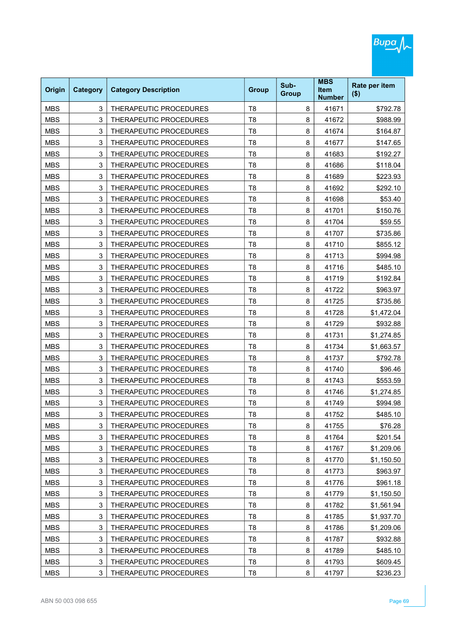| Origin     | <b>Category</b> | <b>Category Description</b> | <b>Group</b>   | Sub-<br><b>Group</b> | <b>MBS</b><br><b>Item</b><br><b>Number</b> | Rate per item<br>$($ \$) |
|------------|-----------------|-----------------------------|----------------|----------------------|--------------------------------------------|--------------------------|
| <b>MBS</b> | 3               | THERAPEUTIC PROCEDURES      | T <sub>8</sub> | 8                    | 41671                                      | \$792.78                 |
| <b>MBS</b> | 3               | THERAPEUTIC PROCEDURES      | T <sub>8</sub> | 8                    | 41672                                      | \$988.99                 |
| <b>MBS</b> | 3               | THERAPEUTIC PROCEDURES      | T <sub>8</sub> | 8                    | 41674                                      | \$164.87                 |
| <b>MBS</b> | 3               | THERAPEUTIC PROCEDURES      | T <sub>8</sub> | 8                    | 41677                                      | \$147.65                 |
| <b>MBS</b> | 3               | THERAPEUTIC PROCEDURES      | T <sub>8</sub> | 8                    | 41683                                      | \$192.27                 |
| <b>MBS</b> | 3               | THERAPEUTIC PROCEDURES      | T <sub>8</sub> | 8                    | 41686                                      | \$118.04                 |
| <b>MBS</b> | 3               | THERAPEUTIC PROCEDURES      | T <sub>8</sub> | 8                    | 41689                                      | \$223.93                 |
| <b>MBS</b> | 3               | THERAPEUTIC PROCEDURES      | T <sub>8</sub> | 8                    | 41692                                      | \$292.10                 |
| <b>MBS</b> | 3               | THERAPEUTIC PROCEDURES      | T <sub>8</sub> | 8                    | 41698                                      | \$53.40                  |
| <b>MBS</b> | 3               | THERAPEUTIC PROCEDURES      | T <sub>8</sub> | 8                    | 41701                                      | \$150.76                 |
| <b>MBS</b> | 3               | THERAPEUTIC PROCEDURES      | T <sub>8</sub> | 8                    | 41704                                      | \$59.55                  |
| <b>MBS</b> | 3               | THERAPEUTIC PROCEDURES      | T <sub>8</sub> | 8                    | 41707                                      | \$735.86                 |
| <b>MBS</b> | 3               | THERAPEUTIC PROCEDURES      | T <sub>8</sub> | 8                    | 41710                                      | \$855.12                 |
| <b>MBS</b> | 3               | THERAPEUTIC PROCEDURES      | T <sub>8</sub> | 8                    | 41713                                      | \$994.98                 |
| <b>MBS</b> | 3               | THERAPEUTIC PROCEDURES      | T <sub>8</sub> | 8                    | 41716                                      | \$485.10                 |
| <b>MBS</b> | 3               | THERAPEUTIC PROCEDURES      | T <sub>8</sub> | 8                    | 41719                                      | \$192.84                 |
| <b>MBS</b> | 3               | THERAPEUTIC PROCEDURES      | T <sub>8</sub> | 8                    | 41722                                      | \$963.97                 |
| <b>MBS</b> | 3               | THERAPEUTIC PROCEDURES      | T <sub>8</sub> | 8                    | 41725                                      | \$735.86                 |
| <b>MBS</b> | 3               | THERAPEUTIC PROCEDURES      | T <sub>8</sub> | 8                    | 41728                                      | \$1,472.04               |
| <b>MBS</b> | 3               | THERAPEUTIC PROCEDURES      | T <sub>8</sub> | 8                    | 41729                                      | \$932.88                 |
| <b>MBS</b> | 3               | THERAPEUTIC PROCEDURES      | T <sub>8</sub> | 8                    | 41731                                      | \$1,274.85               |
| <b>MBS</b> | 3               | THERAPEUTIC PROCEDURES      | T <sub>8</sub> | 8                    | 41734                                      | \$1,663.57               |
| <b>MBS</b> | 3               | THERAPEUTIC PROCEDURES      | T <sub>8</sub> | 8                    | 41737                                      | \$792.78                 |
| <b>MBS</b> | 3               | THERAPEUTIC PROCEDURES      | T <sub>8</sub> | 8                    | 41740                                      | \$96.46                  |
| <b>MBS</b> | 3               | THERAPEUTIC PROCEDURES      | T <sub>8</sub> | 8                    | 41743                                      | \$553.59                 |
| <b>MBS</b> | 3               | THERAPEUTIC PROCEDURES      | T <sub>8</sub> | 8                    | 41746                                      | \$1,274.85               |
| <b>MBS</b> | 3               | THERAPEUTIC PROCEDURES      | T <sub>8</sub> | 8                    | 41749                                      | \$994.98                 |
| MBS        | 3               | THERAPEUTIC PROCEDURES      | T8             | 8                    | 41752                                      | \$485.10                 |
| <b>MBS</b> | 3               | THERAPEUTIC PROCEDURES      | T <sub>8</sub> | 8                    | 41755                                      | \$76.28                  |
| <b>MBS</b> | 3               | THERAPEUTIC PROCEDURES      | T <sub>8</sub> | 8                    | 41764                                      | \$201.54                 |
| <b>MBS</b> | 3               | THERAPEUTIC PROCEDURES      | T <sub>8</sub> | 8                    | 41767                                      | \$1,209.06               |
| <b>MBS</b> | 3               | THERAPEUTIC PROCEDURES      | T <sub>8</sub> | 8                    | 41770                                      | \$1,150.50               |
| <b>MBS</b> | 3               | THERAPEUTIC PROCEDURES      | T <sub>8</sub> | 8                    | 41773                                      | \$963.97                 |
| <b>MBS</b> | 3               | THERAPEUTIC PROCEDURES      | T <sub>8</sub> | 8                    | 41776                                      | \$961.18                 |
| <b>MBS</b> | 3               | THERAPEUTIC PROCEDURES      | T <sub>8</sub> | 8                    | 41779                                      | \$1,150.50               |
| <b>MBS</b> | 3               | THERAPEUTIC PROCEDURES      | T <sub>8</sub> | 8                    | 41782                                      | \$1,561.94               |
| <b>MBS</b> | 3               | THERAPEUTIC PROCEDURES      | T <sub>8</sub> | 8                    | 41785                                      | \$1,937.70               |
| <b>MBS</b> | 3               | THERAPEUTIC PROCEDURES      | T <sub>8</sub> | 8                    | 41786                                      | \$1,209.06               |
| <b>MBS</b> | 3               | THERAPEUTIC PROCEDURES      | T <sub>8</sub> | 8                    | 41787                                      | \$932.88                 |
| <b>MBS</b> | 3               | THERAPEUTIC PROCEDURES      | T <sub>8</sub> | 8                    | 41789                                      | \$485.10                 |
| <b>MBS</b> | 3               | THERAPEUTIC PROCEDURES      | T <sub>8</sub> | 8                    | 41793                                      | \$609.45                 |
| <b>MBS</b> | 3               | THERAPEUTIC PROCEDURES      | T <sub>8</sub> | 8                    | 41797                                      | \$236.23                 |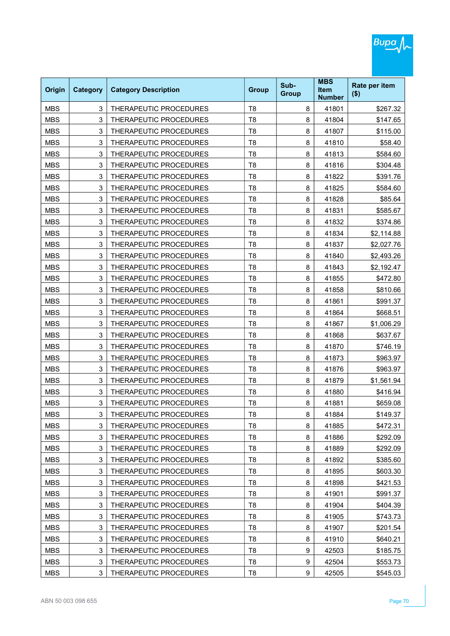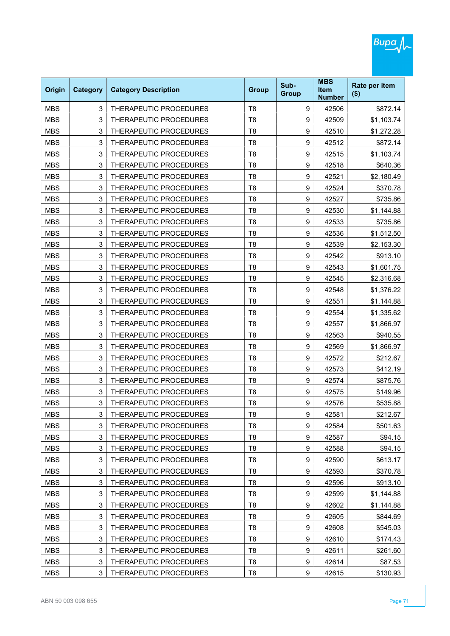| Origin     | <b>Category</b> | <b>Category Description</b>   | <b>Group</b>   | Sub-<br><b>Group</b> | <b>MBS</b><br><b>Item</b><br><b>Number</b> | Rate per item<br>$($ \$) |
|------------|-----------------|-------------------------------|----------------|----------------------|--------------------------------------------|--------------------------|
| <b>MBS</b> | 3               | THERAPEUTIC PROCEDURES        | T <sub>8</sub> | 9                    | 42506                                      | \$872.14                 |
| <b>MBS</b> | 3               | THERAPEUTIC PROCEDURES        | T <sub>8</sub> | 9                    | 42509                                      | \$1,103.74               |
| <b>MBS</b> | 3               | THERAPEUTIC PROCEDURES        | T <sub>8</sub> | 9                    | 42510                                      | \$1,272.28               |
| <b>MBS</b> | 3               | THERAPEUTIC PROCEDURES        | T <sub>8</sub> | 9                    | 42512                                      | \$872.14                 |
| <b>MBS</b> | 3               | THERAPEUTIC PROCEDURES        | T <sub>8</sub> | 9                    | 42515                                      | \$1,103.74               |
| <b>MBS</b> | 3               | THERAPEUTIC PROCEDURES        | T <sub>8</sub> | 9                    | 42518                                      | \$640.36                 |
| <b>MBS</b> | 3               | THERAPEUTIC PROCEDURES        | T <sub>8</sub> | 9                    | 42521                                      | \$2,180.49               |
| <b>MBS</b> | 3               | THERAPEUTIC PROCEDURES        | T <sub>8</sub> | 9                    | 42524                                      | \$370.78                 |
| <b>MBS</b> | 3               | THERAPEUTIC PROCEDURES        | T <sub>8</sub> | 9                    | 42527                                      | \$735.86                 |
| <b>MBS</b> | 3               | THERAPEUTIC PROCEDURES        | T <sub>8</sub> | 9                    | 42530                                      | \$1,144.88               |
| <b>MBS</b> | 3               | THERAPEUTIC PROCEDURES        | T <sub>8</sub> | 9                    | 42533                                      | \$735.86                 |
| <b>MBS</b> | 3               | <b>THERAPEUTIC PROCEDURES</b> | T <sub>8</sub> | 9                    | 42536                                      | \$1,512.50               |
| <b>MBS</b> | 3               | THERAPEUTIC PROCEDURES        | T <sub>8</sub> | 9                    | 42539                                      | \$2,153.30               |
| <b>MBS</b> | 3               | THERAPEUTIC PROCEDURES        | T <sub>8</sub> | 9                    | 42542                                      | \$913.10                 |
| <b>MBS</b> | 3               | THERAPEUTIC PROCEDURES        | T <sub>8</sub> | 9                    | 42543                                      | \$1,601.75               |
| <b>MBS</b> | 3               | THERAPEUTIC PROCEDURES        | T <sub>8</sub> | 9                    | 42545                                      | \$2,316.68               |
| <b>MBS</b> | 3               | THERAPEUTIC PROCEDURES        | T <sub>8</sub> | 9                    | 42548                                      | \$1,376.22               |
| <b>MBS</b> | 3               | THERAPEUTIC PROCEDURES        | T <sub>8</sub> | 9                    | 42551                                      | \$1,144.88               |
| <b>MBS</b> | 3               | THERAPEUTIC PROCEDURES        | T <sub>8</sub> | 9                    | 42554                                      | \$1,335.62               |
| <b>MBS</b> | 3               | THERAPEUTIC PROCEDURES        | T <sub>8</sub> | 9                    | 42557                                      | \$1,866.97               |
| <b>MBS</b> | 3               | THERAPEUTIC PROCEDURES        | T <sub>8</sub> | 9                    | 42563                                      | \$940.55                 |
| <b>MBS</b> | 3               | THERAPEUTIC PROCEDURES        | T <sub>8</sub> | 9                    | 42569                                      | \$1,866.97               |
| <b>MBS</b> | 3               | THERAPEUTIC PROCEDURES        | T <sub>8</sub> | 9                    | 42572                                      | \$212.67                 |
| <b>MBS</b> | 3               | THERAPEUTIC PROCEDURES        | T <sub>8</sub> | 9                    | 42573                                      | \$412.19                 |
| <b>MBS</b> | 3               | THERAPEUTIC PROCEDURES        | T <sub>8</sub> | 9                    | 42574                                      | \$875.76                 |
| <b>MBS</b> | 3               | THERAPEUTIC PROCEDURES        | T <sub>8</sub> | 9                    | 42575                                      | \$149.96                 |
| <b>MBS</b> | 3               | THERAPEUTIC PROCEDURES        | T <sub>8</sub> | 9                    | 42576                                      | \$535.88                 |
| MBS        | 3               | THERAPEUTIC PROCEDURES        | Т8             | 9                    | 42581                                      | \$212.67                 |
| <b>MBS</b> | 3               | THERAPEUTIC PROCEDURES        | T <sub>8</sub> | 9                    | 42584                                      | \$501.63                 |
| <b>MBS</b> | 3               | THERAPEUTIC PROCEDURES        | T <sub>8</sub> | 9                    | 42587                                      | \$94.15                  |
| <b>MBS</b> | 3               | THERAPEUTIC PROCEDURES        | T <sub>8</sub> | 9                    | 42588                                      | \$94.15                  |
| <b>MBS</b> | 3               | THERAPEUTIC PROCEDURES        | T <sub>8</sub> | 9                    | 42590                                      | \$613.17                 |
| <b>MBS</b> | 3               | THERAPEUTIC PROCEDURES        | T <sub>8</sub> | 9                    | 42593                                      | \$370.78                 |
| <b>MBS</b> | 3               | THERAPEUTIC PROCEDURES        | T <sub>8</sub> | 9                    | 42596                                      | \$913.10                 |
| <b>MBS</b> | 3               | THERAPEUTIC PROCEDURES        | T <sub>8</sub> | 9                    | 42599                                      | \$1,144.88               |
| <b>MBS</b> | 3               | THERAPEUTIC PROCEDURES        | T <sub>8</sub> | 9                    | 42602                                      | \$1,144.88               |
| <b>MBS</b> | 3               | THERAPEUTIC PROCEDURES        | T <sub>8</sub> | 9                    | 42605                                      | \$844.69                 |
| <b>MBS</b> | 3               | THERAPEUTIC PROCEDURES        | T <sub>8</sub> | 9                    | 42608                                      | \$545.03                 |
| <b>MBS</b> | 3               | THERAPEUTIC PROCEDURES        | T <sub>8</sub> | 9                    | 42610                                      | \$174.43                 |
| <b>MBS</b> | 3               | THERAPEUTIC PROCEDURES        | T <sub>8</sub> | 9                    | 42611                                      | \$261.60                 |
| <b>MBS</b> | 3               | THERAPEUTIC PROCEDURES        | T <sub>8</sub> | 9                    | 42614                                      | \$87.53                  |
| <b>MBS</b> | 3               | THERAPEUTIC PROCEDURES        | T <sub>8</sub> | 9                    | 42615                                      | \$130.93                 |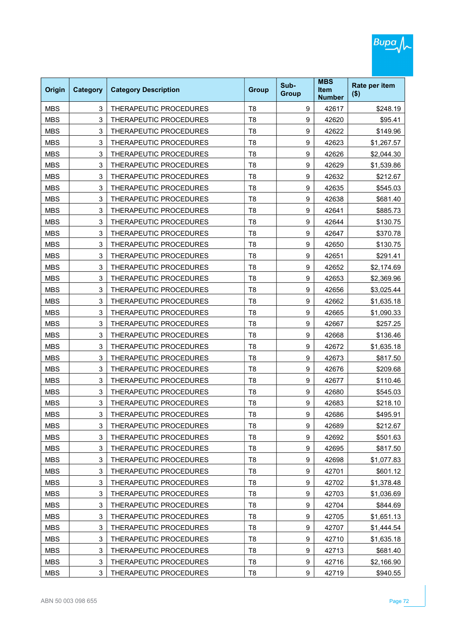| Origin     | <b>Category</b> | <b>Category Description</b>   | <b>Group</b>   | Sub-<br><b>Group</b> | <b>MBS</b><br><b>Item</b><br><b>Number</b> | Rate per item<br>$($ \$) |
|------------|-----------------|-------------------------------|----------------|----------------------|--------------------------------------------|--------------------------|
| <b>MBS</b> | 3               | THERAPEUTIC PROCEDURES        | T <sub>8</sub> | 9                    | 42617                                      | \$248.19                 |
| <b>MBS</b> | 3               | THERAPEUTIC PROCEDURES        | T <sub>8</sub> | 9                    | 42620                                      | \$95.41                  |
| <b>MBS</b> | 3               | THERAPEUTIC PROCEDURES        | T <sub>8</sub> | 9                    | 42622                                      | \$149.96                 |
| <b>MBS</b> | 3               | THERAPEUTIC PROCEDURES        | T <sub>8</sub> | 9                    | 42623                                      | \$1,267.57               |
| <b>MBS</b> | 3               | THERAPEUTIC PROCEDURES        | T <sub>8</sub> | 9                    | 42626                                      | \$2,044.30               |
| <b>MBS</b> | 3               | <b>THERAPEUTIC PROCEDURES</b> | T <sub>8</sub> | 9                    | 42629                                      | \$1,539.86               |
| <b>MBS</b> | 3               | THERAPEUTIC PROCEDURES        | T <sub>8</sub> | 9                    | 42632                                      | \$212.67                 |
| <b>MBS</b> | 3               | THERAPEUTIC PROCEDURES        | T <sub>8</sub> | 9                    | 42635                                      | \$545.03                 |
| <b>MBS</b> | 3               | THERAPEUTIC PROCEDURES        | T <sub>8</sub> | 9                    | 42638                                      | \$681.40                 |
| <b>MBS</b> | 3               | THERAPEUTIC PROCEDURES        | T <sub>8</sub> | 9                    | 42641                                      | \$885.73                 |
| <b>MBS</b> | 3               | THERAPEUTIC PROCEDURES        | T <sub>8</sub> | 9                    | 42644                                      | \$130.75                 |
| <b>MBS</b> | 3               | THERAPEUTIC PROCEDURES        | T <sub>8</sub> | 9                    | 42647                                      | \$370.78                 |
| <b>MBS</b> | 3               | THERAPEUTIC PROCEDURES        | T <sub>8</sub> | 9                    | 42650                                      | \$130.75                 |
| <b>MBS</b> | 3               | THERAPEUTIC PROCEDURES        | T <sub>8</sub> | 9                    | 42651                                      | \$291.41                 |
| <b>MBS</b> | 3               | THERAPEUTIC PROCEDURES        | T <sub>8</sub> | 9                    | 42652                                      | \$2,174.69               |
| <b>MBS</b> | 3               | <b>THERAPEUTIC PROCEDURES</b> | T <sub>8</sub> | 9                    | 42653                                      | \$2,369.96               |
| <b>MBS</b> | 3               | THERAPEUTIC PROCEDURES        | T <sub>8</sub> | 9                    | 42656                                      | \$3,025.44               |
| <b>MBS</b> | 3               | THERAPEUTIC PROCEDURES        | T <sub>8</sub> | 9                    | 42662                                      | \$1,635.18               |
| <b>MBS</b> | 3               | THERAPEUTIC PROCEDURES        | T <sub>8</sub> | 9                    | 42665                                      | \$1,090.33               |
| <b>MBS</b> | 3               | THERAPEUTIC PROCEDURES        | T <sub>8</sub> | 9                    | 42667                                      | \$257.25                 |
| <b>MBS</b> | 3               | THERAPEUTIC PROCEDURES        | T <sub>8</sub> | 9                    | 42668                                      | \$136.46                 |
| <b>MBS</b> | 3               | THERAPEUTIC PROCEDURES        | T <sub>8</sub> | 9                    | 42672                                      | \$1,635.18               |
| <b>MBS</b> | 3               | THERAPEUTIC PROCEDURES        | T <sub>8</sub> | 9                    | 42673                                      | \$817.50                 |
| <b>MBS</b> | 3               | THERAPEUTIC PROCEDURES        | T <sub>8</sub> | 9                    | 42676                                      | \$209.68                 |
| <b>MBS</b> | 3               | THERAPEUTIC PROCEDURES        | T <sub>8</sub> | 9                    | 42677                                      | \$110.46                 |
| <b>MBS</b> | 3               | THERAPEUTIC PROCEDURES        | T <sub>8</sub> | 9                    | 42680                                      | \$545.03                 |
| <b>MBS</b> | 3               | THERAPEUTIC PROCEDURES        | T <sub>8</sub> | 9                    | 42683                                      | \$218.10                 |
| MBS        | 3               | THERAPEUTIC PROCEDURES        | Т8             | 9                    | 42686                                      | \$495.91                 |
| <b>MBS</b> | 3               | THERAPEUTIC PROCEDURES        | T <sub>8</sub> | 9                    | 42689                                      | \$212.67                 |
| <b>MBS</b> | 3               | THERAPEUTIC PROCEDURES        | T <sub>8</sub> | 9                    | 42692                                      | \$501.63                 |
| <b>MBS</b> | 3               | THERAPEUTIC PROCEDURES        | T <sub>8</sub> | 9                    | 42695                                      | \$817.50                 |
| <b>MBS</b> | 3               | THERAPEUTIC PROCEDURES        | T <sub>8</sub> | 9                    | 42698                                      | \$1,077.83               |
| <b>MBS</b> | 3               | THERAPEUTIC PROCEDURES        | T <sub>8</sub> | 9                    | 42701                                      | \$601.12                 |
| <b>MBS</b> | 3               | THERAPEUTIC PROCEDURES        | T <sub>8</sub> | 9                    | 42702                                      | \$1,378.48               |
| <b>MBS</b> | 3               | THERAPEUTIC PROCEDURES        | T <sub>8</sub> | 9                    | 42703                                      | \$1,036.69               |
| <b>MBS</b> | 3               | THERAPEUTIC PROCEDURES        | T <sub>8</sub> | 9                    | 42704                                      | \$844.69                 |
| <b>MBS</b> | 3               | THERAPEUTIC PROCEDURES        | T <sub>8</sub> | 9                    | 42705                                      | \$1,651.13               |
| <b>MBS</b> | 3               | THERAPEUTIC PROCEDURES        | T <sub>8</sub> | 9                    | 42707                                      | \$1,444.54               |
| <b>MBS</b> | 3               | THERAPEUTIC PROCEDURES        | T <sub>8</sub> | 9                    | 42710                                      | \$1,635.18               |
| <b>MBS</b> | 3               | THERAPEUTIC PROCEDURES        | T <sub>8</sub> | 9                    | 42713                                      | \$681.40                 |
| <b>MBS</b> | 3               | THERAPEUTIC PROCEDURES        | T <sub>8</sub> | 9                    | 42716                                      | \$2,166.90               |
| <b>MBS</b> | 3               | THERAPEUTIC PROCEDURES        | T <sub>8</sub> | 9                    | 42719                                      | \$940.55                 |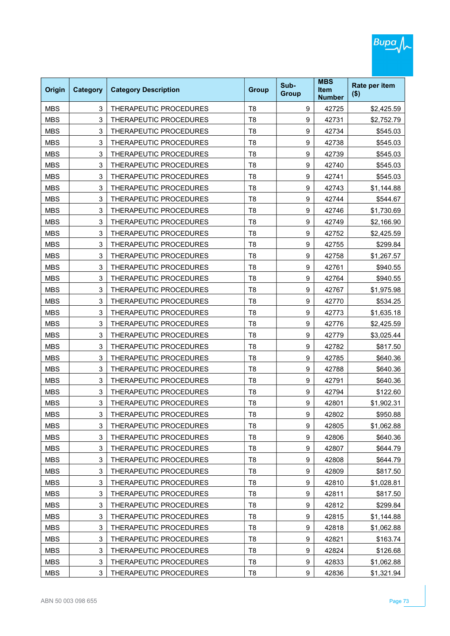| <b>Origin</b> | <b>Category</b> | <b>Category Description</b> | <b>Group</b>   | Sub-<br><b>Group</b> | <b>MBS</b><br><b>Item</b><br><b>Number</b> | Rate per item<br>$($ \$) |
|---------------|-----------------|-----------------------------|----------------|----------------------|--------------------------------------------|--------------------------|
| <b>MBS</b>    | 3               | THERAPEUTIC PROCEDURES      | T <sub>8</sub> | 9                    | 42725                                      | \$2,425.59               |
| <b>MBS</b>    | 3               | THERAPEUTIC PROCEDURES      | T <sub>8</sub> | 9                    | 42731                                      | \$2,752.79               |
| <b>MBS</b>    | 3               | THERAPEUTIC PROCEDURES      | T <sub>8</sub> | 9                    | 42734                                      | \$545.03                 |
| <b>MBS</b>    | 3               | THERAPEUTIC PROCEDURES      | T <sub>8</sub> | 9                    | 42738                                      | \$545.03                 |
| <b>MBS</b>    | 3               | THERAPEUTIC PROCEDURES      | T <sub>8</sub> | 9                    | 42739                                      | \$545.03                 |
| <b>MBS</b>    | 3               | THERAPEUTIC PROCEDURES      | T <sub>8</sub> | 9                    | 42740                                      | \$545.03                 |
| <b>MBS</b>    | 3               | THERAPEUTIC PROCEDURES      | T <sub>8</sub> | 9                    | 42741                                      | \$545.03                 |
| <b>MBS</b>    | 3               | THERAPEUTIC PROCEDURES      | T <sub>8</sub> | 9                    | 42743                                      | \$1,144.88               |
| <b>MBS</b>    | 3               | THERAPEUTIC PROCEDURES      | T <sub>8</sub> | 9                    | 42744                                      | \$544.67                 |
| <b>MBS</b>    | 3               | THERAPEUTIC PROCEDURES      | T <sub>8</sub> | 9                    | 42746                                      | \$1,730.69               |
| <b>MBS</b>    | 3               | THERAPEUTIC PROCEDURES      | T <sub>8</sub> | 9                    | 42749                                      | \$2,166.90               |
| <b>MBS</b>    | 3               | THERAPEUTIC PROCEDURES      | T <sub>8</sub> | 9                    | 42752                                      | \$2,425.59               |
| <b>MBS</b>    | 3               | THERAPEUTIC PROCEDURES      | T <sub>8</sub> | 9                    | 42755                                      | \$299.84                 |
| <b>MBS</b>    | 3               | THERAPEUTIC PROCEDURES      | T <sub>8</sub> | 9                    | 42758                                      | \$1,267.57               |
| <b>MBS</b>    | 3               | THERAPEUTIC PROCEDURES      | T <sub>8</sub> | 9                    | 42761                                      | \$940.55                 |
| <b>MBS</b>    | 3               | THERAPEUTIC PROCEDURES      | T <sub>8</sub> | 9                    | 42764                                      | \$940.55                 |
| <b>MBS</b>    | 3               | THERAPEUTIC PROCEDURES      | T <sub>8</sub> | 9                    | 42767                                      | \$1,975.98               |
| <b>MBS</b>    | 3               | THERAPEUTIC PROCEDURES      | T <sub>8</sub> | 9                    | 42770                                      | \$534.25                 |
| <b>MBS</b>    | 3               | THERAPEUTIC PROCEDURES      | T <sub>8</sub> | 9                    | 42773                                      | \$1,635.18               |
| <b>MBS</b>    | 3               | THERAPEUTIC PROCEDURES      | T <sub>8</sub> | 9                    | 42776                                      | \$2,425.59               |
| <b>MBS</b>    | 3               | THERAPEUTIC PROCEDURES      | T <sub>8</sub> | 9                    | 42779                                      | \$3,025.44               |
| <b>MBS</b>    | 3               | THERAPEUTIC PROCEDURES      | T <sub>8</sub> | 9                    | 42782                                      | \$817.50                 |
| <b>MBS</b>    | 3               | THERAPEUTIC PROCEDURES      | T <sub>8</sub> | 9                    | 42785                                      | \$640.36                 |
| <b>MBS</b>    | 3               | THERAPEUTIC PROCEDURES      | T <sub>8</sub> | 9                    | 42788                                      | \$640.36                 |
| <b>MBS</b>    | 3               | THERAPEUTIC PROCEDURES      | T <sub>8</sub> | 9                    | 42791                                      | \$640.36                 |
| <b>MBS</b>    | 3               | THERAPEUTIC PROCEDURES      | T <sub>8</sub> | 9                    | 42794                                      | \$122.60                 |
| <b>MBS</b>    | 3               | THERAPEUTIC PROCEDURES      | T <sub>8</sub> | 9                    | 42801                                      | \$1,902.31               |
| MBS           | 3               | THERAPEUTIC PROCEDURES      | Т8             | 9                    | 42802                                      | \$950.88                 |
| <b>MBS</b>    | 3               | THERAPEUTIC PROCEDURES      | T <sub>8</sub> | 9                    | 42805                                      | \$1,062.88               |
| <b>MBS</b>    | 3               | THERAPEUTIC PROCEDURES      | T <sub>8</sub> | 9                    | 42806                                      | \$640.36                 |
| <b>MBS</b>    | 3               | THERAPEUTIC PROCEDURES      | T <sub>8</sub> | 9                    | 42807                                      | \$644.79                 |
| <b>MBS</b>    | 3               | THERAPEUTIC PROCEDURES      | T8             | 9                    | 42808                                      | \$644.79                 |
| <b>MBS</b>    | 3               | THERAPEUTIC PROCEDURES      | T <sub>8</sub> | 9                    | 42809                                      | \$817.50                 |
| <b>MBS</b>    | 3               | THERAPEUTIC PROCEDURES      | T8             | 9                    | 42810                                      | \$1,028.81               |
| <b>MBS</b>    | 3               | THERAPEUTIC PROCEDURES      | T <sub>8</sub> | 9                    | 42811                                      | \$817.50                 |
| <b>MBS</b>    | 3               | THERAPEUTIC PROCEDURES      | T <sub>8</sub> | 9                    | 42812                                      | \$299.84                 |
| <b>MBS</b>    | 3               | THERAPEUTIC PROCEDURES      | T <sub>8</sub> | 9                    | 42815                                      | \$1,144.88               |
| <b>MBS</b>    | 3               | THERAPEUTIC PROCEDURES      | T8             | 9                    | 42818                                      | \$1,062.88               |
| <b>MBS</b>    | 3               | THERAPEUTIC PROCEDURES      | T <sub>8</sub> | 9                    | 42821                                      | \$163.74                 |
| <b>MBS</b>    | 3               | THERAPEUTIC PROCEDURES      | T <sub>8</sub> | 9                    | 42824                                      | \$126.68                 |
| <b>MBS</b>    | 3               | THERAPEUTIC PROCEDURES      | T <sub>8</sub> | 9                    | 42833                                      | \$1,062.88               |
| <b>MBS</b>    | 3               | THERAPEUTIC PROCEDURES      | T <sub>8</sub> | 9                    | 42836                                      | \$1,321.94               |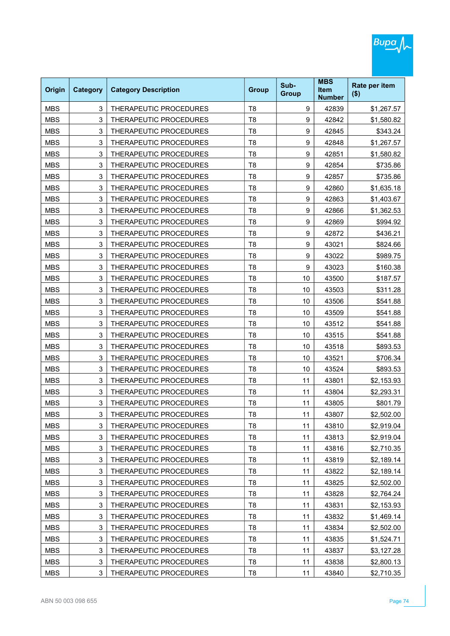| Origin     | <b>Category</b> | <b>Category Description</b> | <b>Group</b>   | Sub-<br><b>Group</b> | <b>MBS</b><br><b>Item</b><br><b>Number</b> | Rate per item<br>$($ \$) |
|------------|-----------------|-----------------------------|----------------|----------------------|--------------------------------------------|--------------------------|
| <b>MBS</b> | 3               | THERAPEUTIC PROCEDURES      | T <sub>8</sub> | 9                    | 42839                                      | \$1,267.57               |
| <b>MBS</b> | 3               | THERAPEUTIC PROCEDURES      | T <sub>8</sub> | 9                    | 42842                                      | \$1,580.82               |
| <b>MBS</b> | 3               | THERAPEUTIC PROCEDURES      | T <sub>8</sub> | 9                    | 42845                                      | \$343.24                 |
| <b>MBS</b> | 3               | THERAPEUTIC PROCEDURES      | T <sub>8</sub> | 9                    | 42848                                      | \$1,267.57               |
| <b>MBS</b> | 3               | THERAPEUTIC PROCEDURES      | T <sub>8</sub> | 9                    | 42851                                      | \$1,580.82               |
| <b>MBS</b> | 3               | THERAPEUTIC PROCEDURES      | T <sub>8</sub> | 9                    | 42854                                      | \$735.86                 |
| <b>MBS</b> | 3               | THERAPEUTIC PROCEDURES      | T <sub>8</sub> | 9                    | 42857                                      | \$735.86                 |
| <b>MBS</b> | 3               | THERAPEUTIC PROCEDURES      | T <sub>8</sub> | 9                    | 42860                                      | \$1,635.18               |
| <b>MBS</b> | 3               | THERAPEUTIC PROCEDURES      | T <sub>8</sub> | $\boldsymbol{9}$     | 42863                                      | \$1,403.67               |
| <b>MBS</b> | 3               | THERAPEUTIC PROCEDURES      | T <sub>8</sub> | 9                    | 42866                                      | \$1,362.53               |
| <b>MBS</b> | 3               | THERAPEUTIC PROCEDURES      | T <sub>8</sub> | 9                    | 42869                                      | \$994.92                 |
| <b>MBS</b> | 3               | THERAPEUTIC PROCEDURES      | T <sub>8</sub> | 9                    | 42872                                      | \$436.21                 |
| <b>MBS</b> | 3               | THERAPEUTIC PROCEDURES      | T <sub>8</sub> | $\boldsymbol{9}$     | 43021                                      | \$824.66                 |
| <b>MBS</b> | 3               | THERAPEUTIC PROCEDURES      | T <sub>8</sub> | 9                    | 43022                                      | \$989.75                 |
| <b>MBS</b> | 3               | THERAPEUTIC PROCEDURES      | T <sub>8</sub> | 9                    | 43023                                      | \$160.38                 |
| <b>MBS</b> | 3               | THERAPEUTIC PROCEDURES      | T <sub>8</sub> | 10                   | 43500                                      | \$187.57                 |
| <b>MBS</b> | 3               | THERAPEUTIC PROCEDURES      | T <sub>8</sub> | 10                   | 43503                                      | \$311.28                 |
| <b>MBS</b> | 3               | THERAPEUTIC PROCEDURES      | T <sub>8</sub> | 10                   | 43506                                      | \$541.88                 |
| <b>MBS</b> | 3               | THERAPEUTIC PROCEDURES      | T <sub>8</sub> | 10                   | 43509                                      | \$541.88                 |
| <b>MBS</b> | 3               | THERAPEUTIC PROCEDURES      | T <sub>8</sub> | 10                   | 43512                                      | \$541.88                 |
| <b>MBS</b> | 3               | THERAPEUTIC PROCEDURES      | T <sub>8</sub> | 10                   | 43515                                      | \$541.88                 |
| <b>MBS</b> | 3               | THERAPEUTIC PROCEDURES      | T <sub>8</sub> | 10                   | 43518                                      | \$893.53                 |
| <b>MBS</b> | 3               | THERAPEUTIC PROCEDURES      | T <sub>8</sub> | 10                   | 43521                                      | \$706.34                 |
| <b>MBS</b> | 3               | THERAPEUTIC PROCEDURES      | T <sub>8</sub> | 10                   | 43524                                      | \$893.53                 |
| <b>MBS</b> | 3               | THERAPEUTIC PROCEDURES      | T <sub>8</sub> | 11                   | 43801                                      | \$2,153.93               |
| <b>MBS</b> | 3               | THERAPEUTIC PROCEDURES      | T <sub>8</sub> | 11                   | 43804                                      | \$2,293.31               |
| <b>MBS</b> | 3               | THERAPEUTIC PROCEDURES      | T <sub>8</sub> | 11                   | 43805                                      | \$801.79                 |
| MBS        | 3               | THERAPEUTIC PROCEDURES      | Т8             | 11                   | 43807                                      | \$2,502.00               |
| <b>MBS</b> | 3               | THERAPEUTIC PROCEDURES      | T <sub>8</sub> | 11                   | 43810                                      | \$2,919.04               |
| <b>MBS</b> | 3               | THERAPEUTIC PROCEDURES      | T <sub>8</sub> | 11                   | 43813                                      | \$2,919.04               |
| <b>MBS</b> | 3               | THERAPEUTIC PROCEDURES      | T <sub>8</sub> | 11                   | 43816                                      | \$2,710.35               |
| <b>MBS</b> | 3               | THERAPEUTIC PROCEDURES      | T <sub>8</sub> | 11                   | 43819                                      | \$2,189.14               |
| <b>MBS</b> | 3               | THERAPEUTIC PROCEDURES      | T <sub>8</sub> | 11                   | 43822                                      | \$2,189.14               |
| <b>MBS</b> | 3               | THERAPEUTIC PROCEDURES      | T <sub>8</sub> | 11                   | 43825                                      | \$2,502.00               |
| <b>MBS</b> | 3               | THERAPEUTIC PROCEDURES      | T <sub>8</sub> | 11                   | 43828                                      | \$2,764.24               |
| <b>MBS</b> | 3               | THERAPEUTIC PROCEDURES      | T <sub>8</sub> | 11                   | 43831                                      | \$2,153.93               |
| <b>MBS</b> | 3               | THERAPEUTIC PROCEDURES      | T <sub>8</sub> | 11                   | 43832                                      | \$1,469.14               |
| <b>MBS</b> | 3               | THERAPEUTIC PROCEDURES      | T <sub>8</sub> | 11                   | 43834                                      | \$2,502.00               |
| <b>MBS</b> | 3               | THERAPEUTIC PROCEDURES      | T <sub>8</sub> | 11                   | 43835                                      | \$1,524.71               |
| <b>MBS</b> | 3               | THERAPEUTIC PROCEDURES      | T <sub>8</sub> | 11                   | 43837                                      | \$3,127.28               |
| <b>MBS</b> | 3               | THERAPEUTIC PROCEDURES      | T <sub>8</sub> | 11                   | 43838                                      | \$2,800.13               |
| <b>MBS</b> | 3               | THERAPEUTIC PROCEDURES      | T <sub>8</sub> | 11                   | 43840                                      | \$2,710.35               |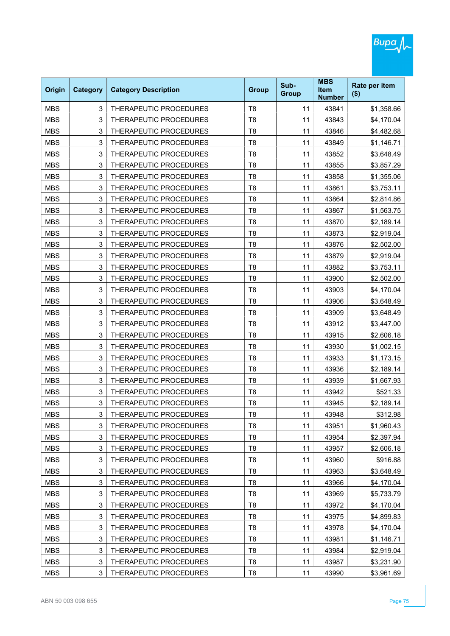| Origin     | <b>Category</b> | <b>Category Description</b> | <b>Group</b>   | Sub-<br><b>Group</b> | <b>MBS</b><br><b>Item</b><br><b>Number</b> | Rate per item<br>$($ \$) |
|------------|-----------------|-----------------------------|----------------|----------------------|--------------------------------------------|--------------------------|
| <b>MBS</b> | 3               | THERAPEUTIC PROCEDURES      | T <sub>8</sub> | 11                   | 43841                                      | \$1,358.66               |
| <b>MBS</b> | 3               | THERAPEUTIC PROCEDURES      | T <sub>8</sub> | 11                   | 43843                                      | \$4,170.04               |
| <b>MBS</b> | 3               | THERAPEUTIC PROCEDURES      | T <sub>8</sub> | 11                   | 43846                                      | \$4,482.68               |
| <b>MBS</b> | 3               | THERAPEUTIC PROCEDURES      | T <sub>8</sub> | 11                   | 43849                                      | \$1,146.71               |
| <b>MBS</b> | 3               | THERAPEUTIC PROCEDURES      | T <sub>8</sub> | 11                   | 43852                                      | \$3,648.49               |
| <b>MBS</b> | 3               | THERAPEUTIC PROCEDURES      | T <sub>8</sub> | 11                   | 43855                                      | \$3,857.29               |
| <b>MBS</b> | 3               | THERAPEUTIC PROCEDURES      | T <sub>8</sub> | 11                   | 43858                                      | \$1,355.06               |
| <b>MBS</b> | 3               | THERAPEUTIC PROCEDURES      | T <sub>8</sub> | 11                   | 43861                                      | \$3,753.11               |
| <b>MBS</b> | 3               | THERAPEUTIC PROCEDURES      | T <sub>8</sub> | 11                   | 43864                                      | \$2,814.86               |
| <b>MBS</b> | 3               | THERAPEUTIC PROCEDURES      | T <sub>8</sub> | 11                   | 43867                                      | \$1,563.75               |
| <b>MBS</b> | 3               | THERAPEUTIC PROCEDURES      | T <sub>8</sub> | 11                   | 43870                                      | \$2,189.14               |
| <b>MBS</b> | 3               | THERAPEUTIC PROCEDURES      | T <sub>8</sub> | 11                   | 43873                                      | \$2,919.04               |
| <b>MBS</b> | 3               | THERAPEUTIC PROCEDURES      | T <sub>8</sub> | 11                   | 43876                                      | \$2,502.00               |
| <b>MBS</b> | 3               | THERAPEUTIC PROCEDURES      | T <sub>8</sub> | 11                   | 43879                                      | \$2,919.04               |
| <b>MBS</b> | 3               | THERAPEUTIC PROCEDURES      | T <sub>8</sub> | 11                   | 43882                                      | \$3,753.11               |
| <b>MBS</b> | 3               | THERAPEUTIC PROCEDURES      | T <sub>8</sub> | 11                   | 43900                                      | \$2,502.00               |
| <b>MBS</b> | 3               | THERAPEUTIC PROCEDURES      | T <sub>8</sub> | 11                   | 43903                                      | \$4,170.04               |
| <b>MBS</b> | 3               | THERAPEUTIC PROCEDURES      | T <sub>8</sub> | 11                   | 43906                                      | \$3,648.49               |
| <b>MBS</b> | 3               | THERAPEUTIC PROCEDURES      | T <sub>8</sub> | 11                   | 43909                                      | \$3,648.49               |
| <b>MBS</b> | 3               | THERAPEUTIC PROCEDURES      | T <sub>8</sub> | 11                   | 43912                                      | \$3,447.00               |
| <b>MBS</b> | 3               | THERAPEUTIC PROCEDURES      | T <sub>8</sub> | 11                   | 43915                                      | \$2,606.18               |
| <b>MBS</b> | 3               | THERAPEUTIC PROCEDURES      | T <sub>8</sub> | 11                   | 43930                                      | \$1,002.15               |
| <b>MBS</b> | 3               | THERAPEUTIC PROCEDURES      | T <sub>8</sub> | 11                   | 43933                                      | \$1,173.15               |
| <b>MBS</b> | 3               | THERAPEUTIC PROCEDURES      | T <sub>8</sub> | 11                   | 43936                                      | \$2,189.14               |
| <b>MBS</b> | 3               | THERAPEUTIC PROCEDURES      | T <sub>8</sub> | 11                   | 43939                                      | \$1,667.93               |
| <b>MBS</b> | 3               | THERAPEUTIC PROCEDURES      | T <sub>8</sub> | 11                   | 43942                                      | \$521.33                 |
| <b>MBS</b> | 3               | THERAPEUTIC PROCEDURES      | T <sub>8</sub> | 11                   | 43945                                      | \$2,189.14               |
| MBS        | 3               | THERAPEUTIC PROCEDURES      | Т8             | 11                   | 43948                                      | \$312.98                 |
| <b>MBS</b> | 3               | THERAPEUTIC PROCEDURES      | T <sub>8</sub> | 11                   | 43951                                      | \$1,960.43               |
| <b>MBS</b> | 3               | THERAPEUTIC PROCEDURES      | T <sub>8</sub> | 11                   | 43954                                      | \$2,397.94               |
| <b>MBS</b> | 3               | THERAPEUTIC PROCEDURES      | T <sub>8</sub> | 11                   | 43957                                      | \$2,606.18               |
| <b>MBS</b> | 3               | THERAPEUTIC PROCEDURES      | T <sub>8</sub> | 11                   | 43960                                      | \$916.88                 |
| <b>MBS</b> | 3               | THERAPEUTIC PROCEDURES      | T <sub>8</sub> | 11                   | 43963                                      | \$3,648.49               |
| <b>MBS</b> | 3               | THERAPEUTIC PROCEDURES      | T <sub>8</sub> | 11                   | 43966                                      | \$4,170.04               |
| <b>MBS</b> | 3               | THERAPEUTIC PROCEDURES      | T <sub>8</sub> | 11                   | 43969                                      | \$5,733.79               |
| <b>MBS</b> | 3               | THERAPEUTIC PROCEDURES      | T <sub>8</sub> | 11                   | 43972                                      | \$4,170.04               |
| <b>MBS</b> | 3               | THERAPEUTIC PROCEDURES      | T <sub>8</sub> | 11                   | 43975                                      | \$4,899.83               |
| <b>MBS</b> | 3               | THERAPEUTIC PROCEDURES      | T <sub>8</sub> | 11                   | 43978                                      | \$4,170.04               |
| <b>MBS</b> | 3               | THERAPEUTIC PROCEDURES      | T <sub>8</sub> | 11                   | 43981                                      | \$1,146.71               |
| <b>MBS</b> | 3               | THERAPEUTIC PROCEDURES      | T <sub>8</sub> | 11                   | 43984                                      | \$2,919.04               |
| <b>MBS</b> | 3               | THERAPEUTIC PROCEDURES      | T <sub>8</sub> | 11                   | 43987                                      | \$3,231.90               |
| <b>MBS</b> | 3               | THERAPEUTIC PROCEDURES      | T <sub>8</sub> | 11                   | 43990                                      | \$3,961.69               |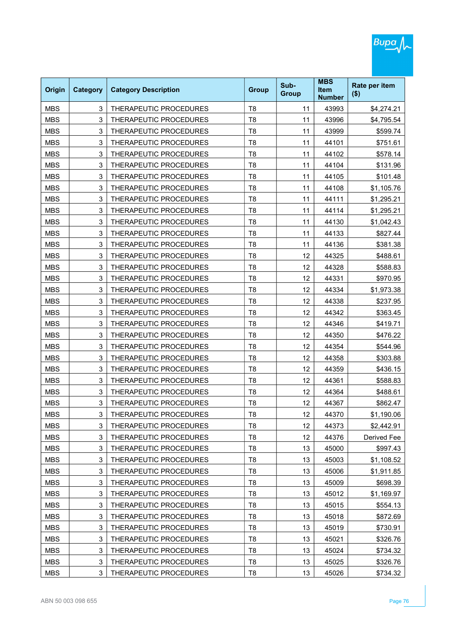| Origin     | <b>Category</b> | <b>Category Description</b>   | <b>Group</b>   | Sub-<br><b>Group</b> | <b>MBS</b><br><b>Item</b><br><b>Number</b> | Rate per item<br>$($ \$) |
|------------|-----------------|-------------------------------|----------------|----------------------|--------------------------------------------|--------------------------|
| <b>MBS</b> | 3               | THERAPEUTIC PROCEDURES        | T <sub>8</sub> | 11                   | 43993                                      | \$4,274.21               |
| <b>MBS</b> | 3               | THERAPEUTIC PROCEDURES        | T <sub>8</sub> | 11                   | 43996                                      | \$4,795.54               |
| <b>MBS</b> | 3               | THERAPEUTIC PROCEDURES        | T <sub>8</sub> | 11                   | 43999                                      | \$599.74                 |
| <b>MBS</b> | 3               | THERAPEUTIC PROCEDURES        | T <sub>8</sub> | 11                   | 44101                                      | \$751.61                 |
| <b>MBS</b> | 3               | THERAPEUTIC PROCEDURES        | T <sub>8</sub> | 11                   | 44102                                      | \$578.14                 |
| <b>MBS</b> | 3               | THERAPEUTIC PROCEDURES        | T <sub>8</sub> | 11                   | 44104                                      | \$131.96                 |
| <b>MBS</b> | 3               | THERAPEUTIC PROCEDURES        | T <sub>8</sub> | 11                   | 44105                                      | \$101.48                 |
| <b>MBS</b> | 3               | THERAPEUTIC PROCEDURES        | T <sub>8</sub> | 11                   | 44108                                      | \$1,105.76               |
| <b>MBS</b> | 3               | THERAPEUTIC PROCEDURES        | T <sub>8</sub> | 11                   | 44111                                      | \$1,295.21               |
| <b>MBS</b> | 3               | THERAPEUTIC PROCEDURES        | T <sub>8</sub> | 11                   | 44114                                      | \$1,295.21               |
| <b>MBS</b> | 3               | THERAPEUTIC PROCEDURES        | T <sub>8</sub> | 11                   | 44130                                      | \$1,042.43               |
| <b>MBS</b> | 3               | <b>THERAPEUTIC PROCEDURES</b> | T <sub>8</sub> | 11                   | 44133                                      | \$827.44                 |
| <b>MBS</b> | 3               | THERAPEUTIC PROCEDURES        | T <sub>8</sub> | 11                   | 44136                                      | \$381.38                 |
| <b>MBS</b> | 3               | THERAPEUTIC PROCEDURES        | T <sub>8</sub> | 12                   | 44325                                      | \$488.61                 |
| <b>MBS</b> | 3               | THERAPEUTIC PROCEDURES        | T <sub>8</sub> | 12                   | 44328                                      | \$588.83                 |
| <b>MBS</b> | 3               | THERAPEUTIC PROCEDURES        | T <sub>8</sub> | 12                   | 44331                                      | \$970.95                 |
| <b>MBS</b> | 3               | THERAPEUTIC PROCEDURES        | T <sub>8</sub> | 12                   | 44334                                      | \$1,973.38               |
| <b>MBS</b> | 3               | THERAPEUTIC PROCEDURES        | T <sub>8</sub> | 12                   | 44338                                      | \$237.95                 |
| <b>MBS</b> | 3               | THERAPEUTIC PROCEDURES        | T <sub>8</sub> | 12                   | 44342                                      | \$363.45                 |
| <b>MBS</b> | 3               | THERAPEUTIC PROCEDURES        | T <sub>8</sub> | 12                   | 44346                                      | \$419.71                 |
| <b>MBS</b> | 3               | THERAPEUTIC PROCEDURES        | T <sub>8</sub> | 12                   | 44350                                      | \$476.22                 |
| <b>MBS</b> | 3               | THERAPEUTIC PROCEDURES        | T <sub>8</sub> | 12                   | 44354                                      | \$544.96                 |
| <b>MBS</b> | 3               | THERAPEUTIC PROCEDURES        | T <sub>8</sub> | 12                   | 44358                                      | \$303.88                 |
| <b>MBS</b> | 3               | THERAPEUTIC PROCEDURES        | T <sub>8</sub> | 12                   | 44359                                      | \$436.15                 |
| <b>MBS</b> | 3               | THERAPEUTIC PROCEDURES        | T <sub>8</sub> | 12                   | 44361                                      | \$588.83                 |
| <b>MBS</b> | 3               | THERAPEUTIC PROCEDURES        | T <sub>8</sub> | 12                   | 44364                                      | \$488.61                 |
| <b>MBS</b> | 3               | THERAPEUTIC PROCEDURES        | T <sub>8</sub> | 12                   | 44367                                      | \$862.47                 |
| MBS        | 3               | THERAPEUTIC PROCEDURES        | Т8             | 12                   | 44370                                      | \$1,190.06               |
| <b>MBS</b> | 3               | THERAPEUTIC PROCEDURES        | T <sub>8</sub> | 12                   | 44373                                      | \$2,442.91               |
| <b>MBS</b> | 3               | THERAPEUTIC PROCEDURES        | T <sub>8</sub> | 12                   | 44376                                      | Derived Fee              |
| <b>MBS</b> | 3               | THERAPEUTIC PROCEDURES        | T <sub>8</sub> | 13                   | 45000                                      | \$997.43                 |
| <b>MBS</b> | 3               | THERAPEUTIC PROCEDURES        | T <sub>8</sub> | 13                   | 45003                                      | \$1,108.52               |
| <b>MBS</b> | 3               | THERAPEUTIC PROCEDURES        | T <sub>8</sub> | 13                   | 45006                                      | \$1,911.85               |
| <b>MBS</b> | 3               | THERAPEUTIC PROCEDURES        | T <sub>8</sub> | 13                   | 45009                                      | \$698.39                 |
| <b>MBS</b> | 3               | THERAPEUTIC PROCEDURES        | T <sub>8</sub> | 13                   | 45012                                      | \$1,169.97               |
| <b>MBS</b> | 3               | THERAPEUTIC PROCEDURES        | T <sub>8</sub> | 13                   | 45015                                      | \$554.13                 |
| <b>MBS</b> | 3               | THERAPEUTIC PROCEDURES        | T <sub>8</sub> | 13                   | 45018                                      | \$872.69                 |
| <b>MBS</b> | 3               | THERAPEUTIC PROCEDURES        | T <sub>8</sub> | 13                   | 45019                                      | \$730.91                 |
| <b>MBS</b> | 3               | THERAPEUTIC PROCEDURES        | T <sub>8</sub> | 13                   | 45021                                      | \$326.76                 |
| <b>MBS</b> | 3               | THERAPEUTIC PROCEDURES        | T <sub>8</sub> | 13                   | 45024                                      | \$734.32                 |
| <b>MBS</b> | 3               | THERAPEUTIC PROCEDURES        | T <sub>8</sub> | 13                   | 45025                                      | \$326.76                 |
| <b>MBS</b> | 3               | THERAPEUTIC PROCEDURES        | T <sub>8</sub> | 13                   | 45026                                      | \$734.32                 |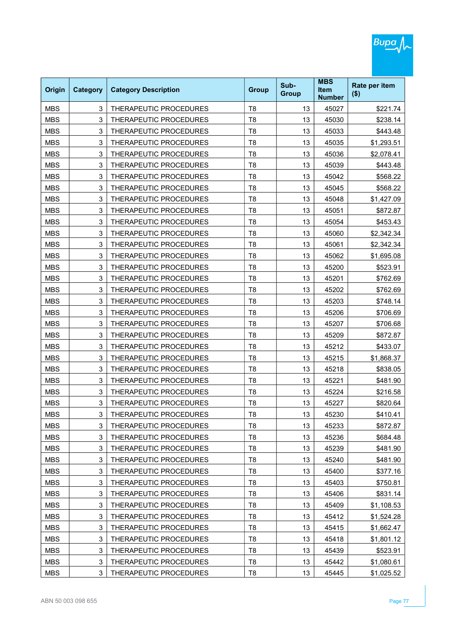| Origin     | <b>Category</b> | <b>Category Description</b> | <b>Group</b>   | Sub-<br><b>Group</b> | <b>MBS</b><br><b>Item</b><br><b>Number</b> | Rate per item<br>$($ \$) |
|------------|-----------------|-----------------------------|----------------|----------------------|--------------------------------------------|--------------------------|
| <b>MBS</b> | 3               | THERAPEUTIC PROCEDURES      | T <sub>8</sub> | 13                   | 45027                                      | \$221.74                 |
| <b>MBS</b> | 3               | THERAPEUTIC PROCEDURES      | T <sub>8</sub> | 13                   | 45030                                      | \$238.14                 |
| <b>MBS</b> | 3               | THERAPEUTIC PROCEDURES      | T <sub>8</sub> | 13                   | 45033                                      | \$443.48                 |
| <b>MBS</b> | 3               | THERAPEUTIC PROCEDURES      | T <sub>8</sub> | 13                   | 45035                                      | \$1,293.51               |
| <b>MBS</b> | 3               | THERAPEUTIC PROCEDURES      | T <sub>8</sub> | 13                   | 45036                                      | \$2,078.41               |
| <b>MBS</b> | 3               | THERAPEUTIC PROCEDURES      | T <sub>8</sub> | 13                   | 45039                                      | \$443.48                 |
| <b>MBS</b> | 3               | THERAPEUTIC PROCEDURES      | T <sub>8</sub> | 13                   | 45042                                      | \$568.22                 |
| <b>MBS</b> | 3               | THERAPEUTIC PROCEDURES      | T <sub>8</sub> | 13                   | 45045                                      | \$568.22                 |
| <b>MBS</b> | 3               | THERAPEUTIC PROCEDURES      | T <sub>8</sub> | 13                   | 45048                                      | \$1,427.09               |
| <b>MBS</b> | 3               | THERAPEUTIC PROCEDURES      | T <sub>8</sub> | 13                   | 45051                                      | \$872.87                 |
| <b>MBS</b> | 3               | THERAPEUTIC PROCEDURES      | T <sub>8</sub> | 13                   | 45054                                      | \$453.43                 |
| <b>MBS</b> | 3               | THERAPEUTIC PROCEDURES      | T <sub>8</sub> | 13                   | 45060                                      | \$2,342.34               |
| <b>MBS</b> | 3               | THERAPEUTIC PROCEDURES      | T <sub>8</sub> | 13                   | 45061                                      | \$2,342.34               |
| <b>MBS</b> | 3               | THERAPEUTIC PROCEDURES      | T <sub>8</sub> | 13                   | 45062                                      | \$1,695.08               |
| <b>MBS</b> | 3               | THERAPEUTIC PROCEDURES      | T <sub>8</sub> | 13                   | 45200                                      | \$523.91                 |
| <b>MBS</b> | 3               | THERAPEUTIC PROCEDURES      | T <sub>8</sub> | 13                   | 45201                                      | \$762.69                 |
| <b>MBS</b> | 3               | THERAPEUTIC PROCEDURES      | T <sub>8</sub> | 13                   | 45202                                      | \$762.69                 |
| <b>MBS</b> | 3               | THERAPEUTIC PROCEDURES      | T <sub>8</sub> | 13                   | 45203                                      | \$748.14                 |
| <b>MBS</b> | 3               | THERAPEUTIC PROCEDURES      | T <sub>8</sub> | 13                   | 45206                                      | \$706.69                 |
| <b>MBS</b> | 3               | THERAPEUTIC PROCEDURES      | T <sub>8</sub> | 13                   | 45207                                      | \$706.68                 |
| <b>MBS</b> | 3               | THERAPEUTIC PROCEDURES      | T <sub>8</sub> | 13                   | 45209                                      | \$872.87                 |
| <b>MBS</b> | 3               | THERAPEUTIC PROCEDURES      | T <sub>8</sub> | 13                   | 45212                                      | \$433.07                 |
| <b>MBS</b> | 3               | THERAPEUTIC PROCEDURES      | T <sub>8</sub> | 13                   | 45215                                      | \$1,868.37               |
| <b>MBS</b> | 3               | THERAPEUTIC PROCEDURES      | T <sub>8</sub> | 13                   | 45218                                      | \$838.05                 |
| <b>MBS</b> | 3               | THERAPEUTIC PROCEDURES      | T <sub>8</sub> | 13                   | 45221                                      | \$481.90                 |
| <b>MBS</b> | 3               | THERAPEUTIC PROCEDURES      | T <sub>8</sub> | 13                   | 45224                                      | \$216.58                 |
| <b>MBS</b> | 3               | THERAPEUTIC PROCEDURES      | T <sub>8</sub> | 13                   | 45227                                      | \$820.64                 |
| MBS        | 3               | THERAPEUTIC PROCEDURES      | Т8             | 13                   | 45230                                      | \$410.41                 |
| <b>MBS</b> | 3               | THERAPEUTIC PROCEDURES      | T <sub>8</sub> | 13                   | 45233                                      | \$872.87                 |
| <b>MBS</b> | 3               | THERAPEUTIC PROCEDURES      | T <sub>8</sub> | 13                   | 45236                                      | \$684.48                 |
| <b>MBS</b> | 3               | THERAPEUTIC PROCEDURES      | T <sub>8</sub> | 13                   | 45239                                      | \$481.90                 |
| <b>MBS</b> | 3               | THERAPEUTIC PROCEDURES      | T <sub>8</sub> | 13                   | 45240                                      | \$481.90                 |
| <b>MBS</b> | 3               | THERAPEUTIC PROCEDURES      | T <sub>8</sub> | 13                   | 45400                                      | \$377.16                 |
| <b>MBS</b> | 3               | THERAPEUTIC PROCEDURES      | T <sub>8</sub> | 13                   | 45403                                      | \$750.81                 |
| <b>MBS</b> | 3               | THERAPEUTIC PROCEDURES      | T <sub>8</sub> | 13                   | 45406                                      | \$831.14                 |
| <b>MBS</b> | 3               | THERAPEUTIC PROCEDURES      | T <sub>8</sub> | 13                   | 45409                                      | \$1,108.53               |
| <b>MBS</b> | 3               | THERAPEUTIC PROCEDURES      | T <sub>8</sub> | 13                   | 45412                                      | \$1,524.28               |
| <b>MBS</b> | 3               | THERAPEUTIC PROCEDURES      | T <sub>8</sub> | 13                   | 45415                                      | \$1,662.47               |
| <b>MBS</b> | 3               | THERAPEUTIC PROCEDURES      | T <sub>8</sub> | 13                   | 45418                                      | \$1,801.12               |
| <b>MBS</b> | 3               | THERAPEUTIC PROCEDURES      | T <sub>8</sub> | 13                   | 45439                                      | \$523.91                 |
| <b>MBS</b> | 3               | THERAPEUTIC PROCEDURES      | T <sub>8</sub> | 13                   | 45442                                      | \$1,080.61               |
| <b>MBS</b> | 3               | THERAPEUTIC PROCEDURES      | T <sub>8</sub> | 13                   | 45445                                      | \$1,025.52               |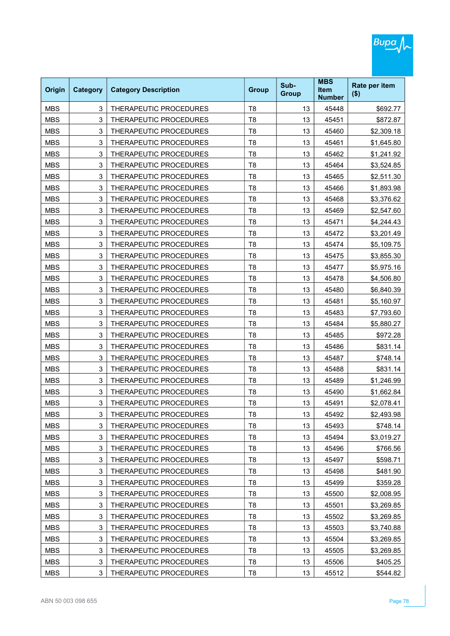|            |                 |                               |                |                      | <b>MBS</b>                   |                          |
|------------|-----------------|-------------------------------|----------------|----------------------|------------------------------|--------------------------|
| Origin     | <b>Category</b> | <b>Category Description</b>   | <b>Group</b>   | Sub-<br><b>Group</b> | <b>Item</b><br><b>Number</b> | Rate per item<br>$($ \$) |
| <b>MBS</b> | 3               | THERAPEUTIC PROCEDURES        | T <sub>8</sub> | 13                   | 45448                        | \$692.77                 |
| <b>MBS</b> | 3               | THERAPEUTIC PROCEDURES        | T <sub>8</sub> | 13                   | 45451                        | \$872.87                 |
| <b>MBS</b> | 3               | THERAPEUTIC PROCEDURES        | T <sub>8</sub> | 13                   | 45460                        | \$2,309.18               |
| <b>MBS</b> | 3               | THERAPEUTIC PROCEDURES        | T <sub>8</sub> | 13                   | 45461                        | \$1,645.80               |
| <b>MBS</b> | 3               | THERAPEUTIC PROCEDURES        | T <sub>8</sub> | 13                   | 45462                        | \$1,241.92               |
| <b>MBS</b> | 3               | THERAPEUTIC PROCEDURES        | T <sub>8</sub> | 13                   | 45464                        | \$3,524.85               |
| <b>MBS</b> | 3               | THERAPEUTIC PROCEDURES        | T <sub>8</sub> | 13                   | 45465                        | \$2,511.30               |
| <b>MBS</b> | 3               | THERAPEUTIC PROCEDURES        | T <sub>8</sub> | 13                   | 45466                        | \$1,893.98               |
| <b>MBS</b> | 3               | THERAPEUTIC PROCEDURES        | T <sub>8</sub> | 13                   | 45468                        | \$3,376.62               |
| <b>MBS</b> | 3               | THERAPEUTIC PROCEDURES        | T <sub>8</sub> | 13                   | 45469                        | \$2,547.60               |
| <b>MBS</b> | 3               | THERAPEUTIC PROCEDURES        | T <sub>8</sub> | 13                   | 45471                        | \$4,244.43               |
| <b>MBS</b> | 3               | <b>THERAPEUTIC PROCEDURES</b> | T <sub>8</sub> | 13                   | 45472                        | \$3,201.49               |
| <b>MBS</b> | 3               | THERAPEUTIC PROCEDURES        | T <sub>8</sub> | 13                   | 45474                        | \$5,109.75               |
| <b>MBS</b> | 3               | THERAPEUTIC PROCEDURES        | T <sub>8</sub> | 13                   | 45475                        | \$3,855.30               |
| <b>MBS</b> | 3               | THERAPEUTIC PROCEDURES        | T <sub>8</sub> | 13                   | 45477                        | \$5,975.16               |
| <b>MBS</b> | 3               | THERAPEUTIC PROCEDURES        | T <sub>8</sub> | 13                   | 45478                        | \$4,506.80               |
| <b>MBS</b> | 3               | THERAPEUTIC PROCEDURES        | T <sub>8</sub> | 13                   | 45480                        | \$6,840.39               |
| <b>MBS</b> | 3               | THERAPEUTIC PROCEDURES        | T <sub>8</sub> | 13                   | 45481                        | \$5,160.97               |
| <b>MBS</b> | 3               | THERAPEUTIC PROCEDURES        | T <sub>8</sub> | 13                   | 45483                        | \$7,793.60               |
| <b>MBS</b> | 3               | THERAPEUTIC PROCEDURES        | T <sub>8</sub> | 13                   | 45484                        | \$5,880.27               |
| <b>MBS</b> | 3               | THERAPEUTIC PROCEDURES        | T <sub>8</sub> | 13                   | 45485                        | \$972.28                 |
| <b>MBS</b> | 3               | THERAPEUTIC PROCEDURES        | T <sub>8</sub> | 13                   | 45486                        | \$831.14                 |
| <b>MBS</b> | 3               | THERAPEUTIC PROCEDURES        | T <sub>8</sub> | 13                   | 45487                        | \$748.14                 |
| <b>MBS</b> | 3               | THERAPEUTIC PROCEDURES        | T <sub>8</sub> | 13                   | 45488                        | \$831.14                 |
| <b>MBS</b> | 3               | THERAPEUTIC PROCEDURES        | T <sub>8</sub> | 13                   | 45489                        | \$1,246.99               |
| <b>MBS</b> | 3               | THERAPEUTIC PROCEDURES        | T <sub>8</sub> | 13                   | 45490                        | \$1,662.84               |
| <b>MBS</b> | 3               | THERAPEUTIC PROCEDURES        | T <sub>8</sub> | 13                   | 45491                        | \$2,078.41               |
| MBS        | 3               | THERAPEUTIC PROCEDURES        | Т8             | 13                   | 45492                        | \$2,493.98               |
| <b>MBS</b> | 3               | THERAPEUTIC PROCEDURES        | T <sub>8</sub> | 13                   | 45493                        | \$748.14                 |
| <b>MBS</b> | 3               | THERAPEUTIC PROCEDURES        | T <sub>8</sub> | 13                   | 45494                        | \$3,019.27               |
| <b>MBS</b> | 3               | THERAPEUTIC PROCEDURES        | T <sub>8</sub> | 13                   | 45496                        | \$766.56                 |
| <b>MBS</b> | 3               | THERAPEUTIC PROCEDURES        | T <sub>8</sub> | 13                   | 45497                        | \$598.71                 |
| <b>MBS</b> | 3               | THERAPEUTIC PROCEDURES        | T <sub>8</sub> | 13                   | 45498                        | \$481.90                 |
| <b>MBS</b> | 3               | THERAPEUTIC PROCEDURES        | T <sub>8</sub> | 13                   | 45499                        | \$359.28                 |
| <b>MBS</b> | 3               | THERAPEUTIC PROCEDURES        | T <sub>8</sub> | 13                   | 45500                        | \$2,008.95               |
| <b>MBS</b> | 3               | THERAPEUTIC PROCEDURES        | T <sub>8</sub> | 13                   | 45501                        | \$3,269.85               |
| <b>MBS</b> | 3               | THERAPEUTIC PROCEDURES        | T <sub>8</sub> | 13                   | 45502                        | \$3,269.85               |
| <b>MBS</b> | 3               | THERAPEUTIC PROCEDURES        | T <sub>8</sub> | 13                   | 45503                        | \$3,740.88               |
| <b>MBS</b> | 3               | THERAPEUTIC PROCEDURES        | T <sub>8</sub> | 13                   | 45504                        | \$3,269.85               |
| <b>MBS</b> | 3               | THERAPEUTIC PROCEDURES        | T <sub>8</sub> | 13                   | 45505                        | \$3,269.85               |
| <b>MBS</b> | 3               | THERAPEUTIC PROCEDURES        | T <sub>8</sub> | 13                   | 45506                        | \$405.25                 |
| <b>MBS</b> | 3               | THERAPEUTIC PROCEDURES        | T <sub>8</sub> | 13                   | 45512                        | \$544.82                 |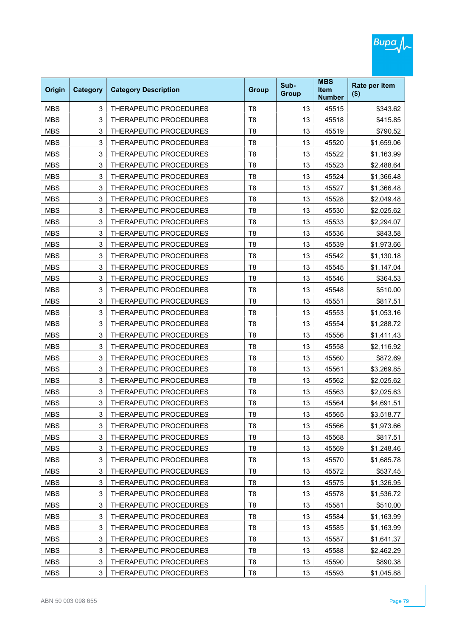| Origin     | <b>Category</b> | <b>Category Description</b>   | <b>Group</b>   | Sub-<br><b>Group</b> | <b>MBS</b><br><b>Item</b><br><b>Number</b> | Rate per item<br>$($ \$) |
|------------|-----------------|-------------------------------|----------------|----------------------|--------------------------------------------|--------------------------|
| <b>MBS</b> | 3               | THERAPEUTIC PROCEDURES        | T <sub>8</sub> | 13                   | 45515                                      | \$343.62                 |
| <b>MBS</b> | 3               | THERAPEUTIC PROCEDURES        | T <sub>8</sub> | 13                   | 45518                                      | \$415.85                 |
| <b>MBS</b> | 3               | THERAPEUTIC PROCEDURES        | T <sub>8</sub> | 13                   | 45519                                      | \$790.52                 |
| <b>MBS</b> | 3               | THERAPEUTIC PROCEDURES        | T <sub>8</sub> | 13                   | 45520                                      | \$1,659.06               |
| <b>MBS</b> | 3               | THERAPEUTIC PROCEDURES        | T <sub>8</sub> | 13                   | 45522                                      | \$1,163.99               |
| <b>MBS</b> | 3               | THERAPEUTIC PROCEDURES        | T <sub>8</sub> | 13                   | 45523                                      | \$2,488.64               |
| <b>MBS</b> | 3               | THERAPEUTIC PROCEDURES        | T <sub>8</sub> | 13                   | 45524                                      | \$1,366.48               |
| <b>MBS</b> | 3               | THERAPEUTIC PROCEDURES        | T <sub>8</sub> | 13                   | 45527                                      | \$1,366.48               |
| <b>MBS</b> | 3               | THERAPEUTIC PROCEDURES        | T <sub>8</sub> | 13                   | 45528                                      | \$2,049.48               |
| <b>MBS</b> | 3               | THERAPEUTIC PROCEDURES        | T <sub>8</sub> | 13                   | 45530                                      | \$2,025.62               |
| <b>MBS</b> | 3               | THERAPEUTIC PROCEDURES        | T <sub>8</sub> | 13                   | 45533                                      | \$2,294.07               |
| <b>MBS</b> | 3               | <b>THERAPEUTIC PROCEDURES</b> | T <sub>8</sub> | 13                   | 45536                                      | \$843.58                 |
| <b>MBS</b> | 3               | THERAPEUTIC PROCEDURES        | T <sub>8</sub> | 13                   | 45539                                      | \$1,973.66               |
| <b>MBS</b> | 3               | THERAPEUTIC PROCEDURES        | T <sub>8</sub> | 13                   | 45542                                      | \$1,130.18               |
| <b>MBS</b> | 3               | THERAPEUTIC PROCEDURES        | T <sub>8</sub> | 13                   | 45545                                      | \$1,147.04               |
| <b>MBS</b> | 3               | <b>THERAPEUTIC PROCEDURES</b> | T <sub>8</sub> | 13                   | 45546                                      | \$364.53                 |
| <b>MBS</b> | 3               | THERAPEUTIC PROCEDURES        | T <sub>8</sub> | 13                   | 45548                                      | \$510.00                 |
| <b>MBS</b> | 3               | THERAPEUTIC PROCEDURES        | T <sub>8</sub> | 13                   | 45551                                      | \$817.51                 |
| <b>MBS</b> | 3               | THERAPEUTIC PROCEDURES        | T <sub>8</sub> | 13                   | 45553                                      | \$1,053.16               |
| <b>MBS</b> | 3               | THERAPEUTIC PROCEDURES        | T <sub>8</sub> | 13                   | 45554                                      | \$1,288.72               |
| <b>MBS</b> | 3               | THERAPEUTIC PROCEDURES        | T <sub>8</sub> | 13                   | 45556                                      | \$1,411.43               |
| <b>MBS</b> | 3               | THERAPEUTIC PROCEDURES        | T <sub>8</sub> | 13                   | 45558                                      | \$2,116.92               |
| <b>MBS</b> | 3               | THERAPEUTIC PROCEDURES        | T <sub>8</sub> | 13                   | 45560                                      | \$872.69                 |
| <b>MBS</b> | 3               | THERAPEUTIC PROCEDURES        | T <sub>8</sub> | 13                   | 45561                                      | \$3,269.85               |
| <b>MBS</b> | 3               | THERAPEUTIC PROCEDURES        | T <sub>8</sub> | 13                   | 45562                                      | \$2,025.62               |
| <b>MBS</b> | 3               | THERAPEUTIC PROCEDURES        | T <sub>8</sub> | 13                   | 45563                                      | \$2,025.63               |
| <b>MBS</b> | 3               | THERAPEUTIC PROCEDURES        | T <sub>8</sub> | 13                   | 45564                                      | \$4,691.51               |
| MBS        | 3               | THERAPEUTIC PROCEDURES        | Т8             | 13                   | 45565                                      | \$3,518.77               |
| <b>MBS</b> | 3               | THERAPEUTIC PROCEDURES        | T <sub>8</sub> | 13                   | 45566                                      | \$1,973.66               |
| <b>MBS</b> | 3               | THERAPEUTIC PROCEDURES        | T <sub>8</sub> | 13                   | 45568                                      | \$817.51                 |
| <b>MBS</b> | 3               | THERAPEUTIC PROCEDURES        | T <sub>8</sub> | 13                   | 45569                                      | \$1,248.46               |
| <b>MBS</b> | 3               | THERAPEUTIC PROCEDURES        | T <sub>8</sub> | 13                   | 45570                                      | \$1,685.78               |
| <b>MBS</b> | 3               | THERAPEUTIC PROCEDURES        | T <sub>8</sub> | 13                   | 45572                                      | \$537.45                 |
| <b>MBS</b> | 3               | THERAPEUTIC PROCEDURES        | T <sub>8</sub> | 13                   | 45575                                      | \$1,326.95               |
| <b>MBS</b> | 3               | THERAPEUTIC PROCEDURES        | T <sub>8</sub> | 13                   | 45578                                      | \$1,536.72               |
| <b>MBS</b> | 3               | THERAPEUTIC PROCEDURES        | T <sub>8</sub> | 13                   | 45581                                      | \$510.00                 |
| <b>MBS</b> | 3               | THERAPEUTIC PROCEDURES        | T <sub>8</sub> | 13                   | 45584                                      | \$1,163.99               |
| <b>MBS</b> | 3               | THERAPEUTIC PROCEDURES        | T <sub>8</sub> | 13                   | 45585                                      | \$1,163.99               |
| <b>MBS</b> | 3               | THERAPEUTIC PROCEDURES        | T <sub>8</sub> | 13                   | 45587                                      | \$1,641.37               |
| <b>MBS</b> | 3               | THERAPEUTIC PROCEDURES        | T <sub>8</sub> | 13                   | 45588                                      | \$2,462.29               |
| <b>MBS</b> | 3               | THERAPEUTIC PROCEDURES        | T <sub>8</sub> | 13                   | 45590                                      | \$890.38                 |
| <b>MBS</b> | 3               | THERAPEUTIC PROCEDURES        | T <sub>8</sub> | 13                   | 45593                                      | \$1,045.88               |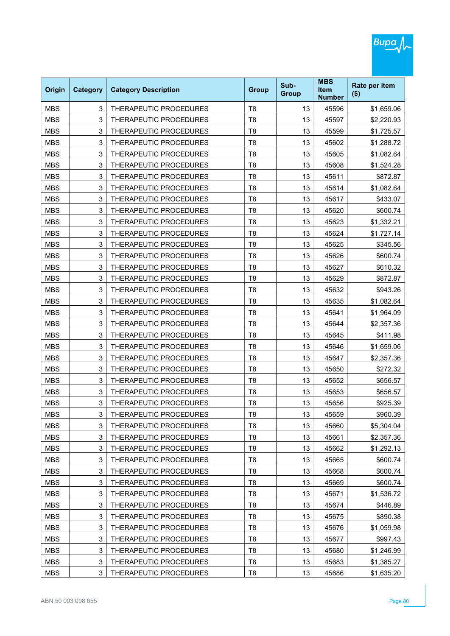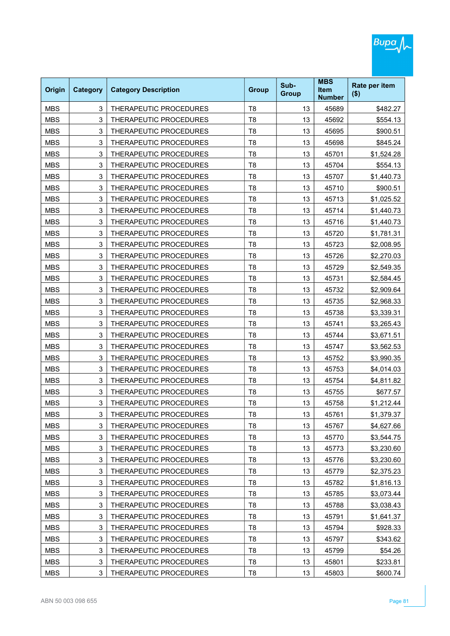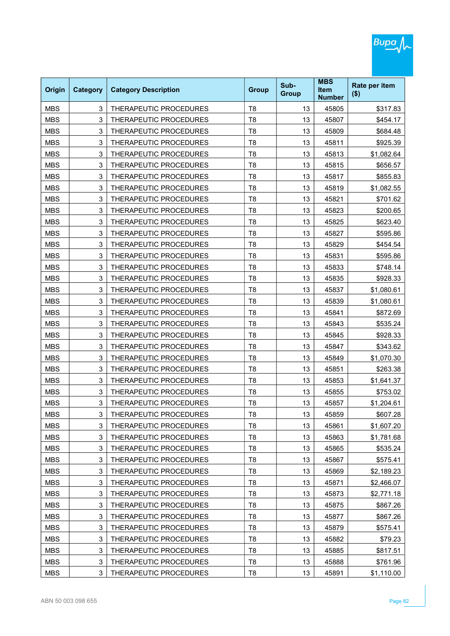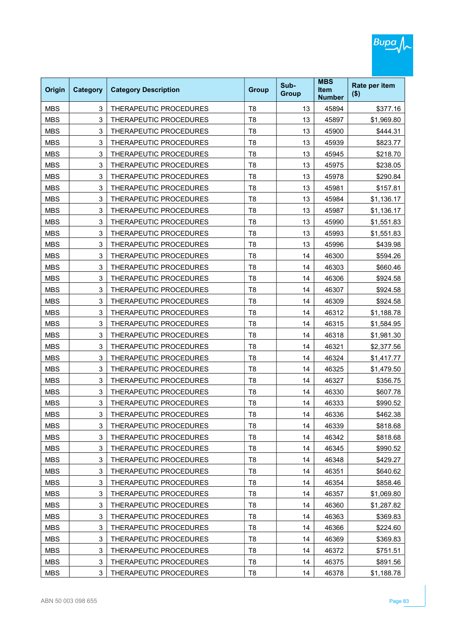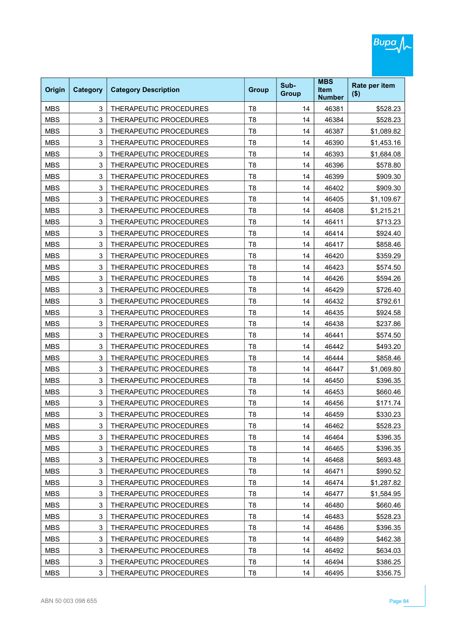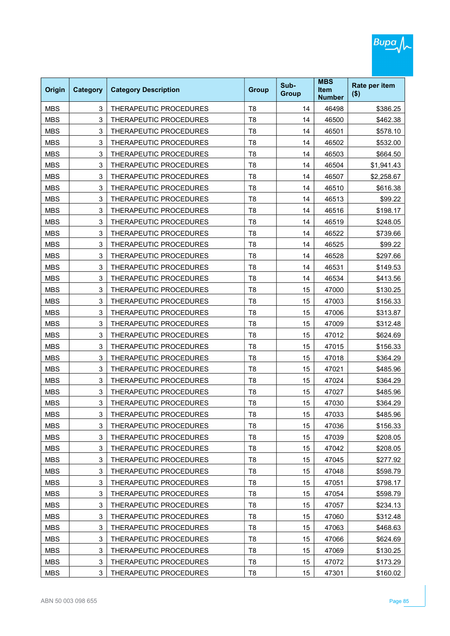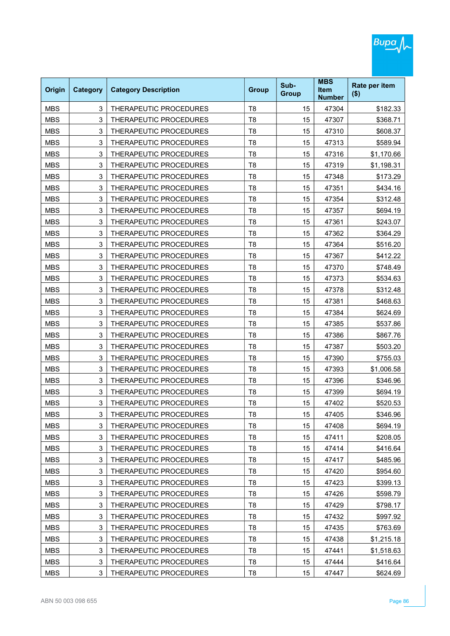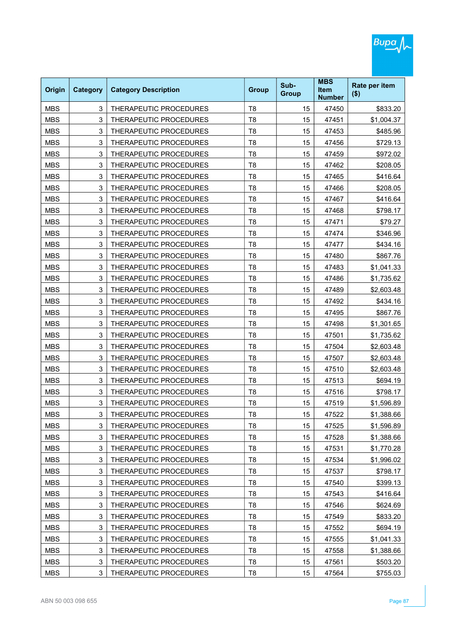| Origin     | <b>Category</b> | <b>Category Description</b> | <b>Group</b>   | Sub-<br><b>Group</b> | <b>MBS</b><br><b>Item</b><br><b>Number</b> | Rate per item<br>$($ \$) |
|------------|-----------------|-----------------------------|----------------|----------------------|--------------------------------------------|--------------------------|
| <b>MBS</b> | 3               | THERAPEUTIC PROCEDURES      | T <sub>8</sub> | 15                   | 47450                                      | \$833.20                 |
| <b>MBS</b> | 3               | THERAPEUTIC PROCEDURES      | T <sub>8</sub> | 15                   | 47451                                      | \$1,004.37               |
| <b>MBS</b> | 3               | THERAPEUTIC PROCEDURES      | T <sub>8</sub> | 15                   | 47453                                      | \$485.96                 |
| <b>MBS</b> | 3               | THERAPEUTIC PROCEDURES      | T <sub>8</sub> | 15                   | 47456                                      | \$729.13                 |
| <b>MBS</b> | 3               | THERAPEUTIC PROCEDURES      | T <sub>8</sub> | 15                   | 47459                                      | \$972.02                 |
| <b>MBS</b> | 3               | THERAPEUTIC PROCEDURES      | T <sub>8</sub> | 15                   | 47462                                      | \$208.05                 |
| <b>MBS</b> | 3               | THERAPEUTIC PROCEDURES      | T <sub>8</sub> | 15                   | 47465                                      | \$416.64                 |
| <b>MBS</b> | 3               | THERAPEUTIC PROCEDURES      | T <sub>8</sub> | 15                   | 47466                                      | \$208.05                 |
| <b>MBS</b> | 3               | THERAPEUTIC PROCEDURES      | T <sub>8</sub> | 15                   | 47467                                      | \$416.64                 |
| <b>MBS</b> | 3               | THERAPEUTIC PROCEDURES      | T <sub>8</sub> | 15                   | 47468                                      | \$798.17                 |
| <b>MBS</b> | 3               | THERAPEUTIC PROCEDURES      | T <sub>8</sub> | 15                   | 47471                                      | \$79.27                  |
| <b>MBS</b> | 3               | THERAPEUTIC PROCEDURES      | T <sub>8</sub> | 15                   | 47474                                      | \$346.96                 |
| <b>MBS</b> | 3               | THERAPEUTIC PROCEDURES      | T <sub>8</sub> | 15                   | 47477                                      | \$434.16                 |
| <b>MBS</b> | 3               | THERAPEUTIC PROCEDURES      | T <sub>8</sub> | 15                   | 47480                                      | \$867.76                 |
| <b>MBS</b> | 3               | THERAPEUTIC PROCEDURES      | T <sub>8</sub> | 15                   | 47483                                      | \$1,041.33               |
| <b>MBS</b> | 3               | THERAPEUTIC PROCEDURES      | T <sub>8</sub> | 15                   | 47486                                      | \$1,735.62               |
| <b>MBS</b> | 3               | THERAPEUTIC PROCEDURES      | T <sub>8</sub> | 15                   | 47489                                      | \$2,603.48               |
| <b>MBS</b> | 3               | THERAPEUTIC PROCEDURES      | T <sub>8</sub> | 15                   | 47492                                      | \$434.16                 |
| <b>MBS</b> | 3               | THERAPEUTIC PROCEDURES      | T <sub>8</sub> | 15                   | 47495                                      | \$867.76                 |
| <b>MBS</b> | 3               | THERAPEUTIC PROCEDURES      | T <sub>8</sub> | 15                   | 47498                                      | \$1,301.65               |
| <b>MBS</b> | 3               | THERAPEUTIC PROCEDURES      | T <sub>8</sub> | 15                   | 47501                                      | \$1,735.62               |
| <b>MBS</b> | 3               | THERAPEUTIC PROCEDURES      | T <sub>8</sub> | 15                   | 47504                                      | \$2,603.48               |
| <b>MBS</b> | 3               | THERAPEUTIC PROCEDURES      | T <sub>8</sub> | 15                   | 47507                                      | \$2,603.48               |
| <b>MBS</b> | 3               | THERAPEUTIC PROCEDURES      | T <sub>8</sub> | 15                   | 47510                                      | \$2,603.48               |
| <b>MBS</b> | 3               | THERAPEUTIC PROCEDURES      | T <sub>8</sub> | 15                   | 47513                                      | \$694.19                 |
| <b>MBS</b> | 3               | THERAPEUTIC PROCEDURES      | T <sub>8</sub> | 15                   | 47516                                      | \$798.17                 |
| <b>MBS</b> | 3               | THERAPEUTIC PROCEDURES      | T <sub>8</sub> | 15                   | 47519                                      | \$1,596.89               |
| MBS        | 3               | THERAPEUTIC PROCEDURES      | Т8             | 15                   | 47522                                      | \$1,388.66               |
| <b>MBS</b> | 3               | THERAPEUTIC PROCEDURES      | T <sub>8</sub> | 15                   | 47525                                      | \$1,596.89               |
| <b>MBS</b> | 3               | THERAPEUTIC PROCEDURES      | T <sub>8</sub> | 15                   | 47528                                      | \$1,388.66               |
| <b>MBS</b> | 3               | THERAPEUTIC PROCEDURES      | T <sub>8</sub> | 15                   | 47531                                      | \$1,770.28               |
| <b>MBS</b> | 3               | THERAPEUTIC PROCEDURES      | T <sub>8</sub> | 15                   | 47534                                      | \$1,996.02               |
| <b>MBS</b> | 3               | THERAPEUTIC PROCEDURES      | T <sub>8</sub> | 15                   | 47537                                      | \$798.17                 |
| <b>MBS</b> | 3               | THERAPEUTIC PROCEDURES      | T <sub>8</sub> | 15                   | 47540                                      | \$399.13                 |
| <b>MBS</b> | 3               | THERAPEUTIC PROCEDURES      | T <sub>8</sub> | 15                   | 47543                                      | \$416.64                 |
| <b>MBS</b> | 3               | THERAPEUTIC PROCEDURES      | T <sub>8</sub> | 15                   | 47546                                      | \$624.69                 |
| <b>MBS</b> | 3               | THERAPEUTIC PROCEDURES      | T <sub>8</sub> | 15                   | 47549                                      | \$833.20                 |
| <b>MBS</b> | 3               | THERAPEUTIC PROCEDURES      | T <sub>8</sub> | 15                   | 47552                                      | \$694.19                 |
| <b>MBS</b> | 3               | THERAPEUTIC PROCEDURES      | T <sub>8</sub> | 15                   | 47555                                      | \$1,041.33               |
| <b>MBS</b> | 3               | THERAPEUTIC PROCEDURES      | T <sub>8</sub> | 15                   | 47558                                      | \$1,388.66               |
| <b>MBS</b> | 3               | THERAPEUTIC PROCEDURES      | T <sub>8</sub> | 15                   | 47561                                      | \$503.20                 |
| <b>MBS</b> | 3               | THERAPEUTIC PROCEDURES      | T <sub>8</sub> | 15                   | 47564                                      | \$755.03                 |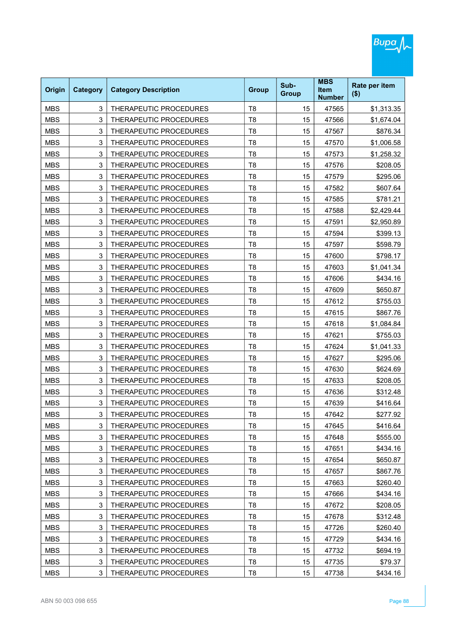| Origin     | <b>Category</b> | <b>Category Description</b>   | <b>Group</b>   | Sub-<br><b>Group</b> | <b>MBS</b><br><b>Item</b><br><b>Number</b> | Rate per item<br>$($ \$) |
|------------|-----------------|-------------------------------|----------------|----------------------|--------------------------------------------|--------------------------|
| <b>MBS</b> | 3               | THERAPEUTIC PROCEDURES        | T <sub>8</sub> | 15                   | 47565                                      | \$1,313.35               |
| <b>MBS</b> | 3               | <b>THERAPEUTIC PROCEDURES</b> | T <sub>8</sub> | 15                   | 47566                                      | \$1.674.04               |
| <b>MBS</b> | 3               | THERAPEUTIC PROCEDURES        | T <sub>8</sub> | 15                   | 47567                                      | \$876.34                 |
| <b>MBS</b> | 3               | THERAPEUTIC PROCEDURES        | T <sub>8</sub> | 15                   | 47570                                      | \$1,006.58               |
| <b>MBS</b> | 3               | THERAPEUTIC PROCEDURES        | T <sub>8</sub> | 15                   | 47573                                      | \$1,258.32               |
| <b>MBS</b> | 3               | <b>THERAPEUTIC PROCEDURES</b> | T <sub>8</sub> | 15                   | 47576                                      | \$208.05                 |
| <b>MBS</b> | 3               | THERAPEUTIC PROCEDURES        | T <sub>8</sub> | 15                   | 47579                                      | \$295.06                 |
| <b>MBS</b> | 3               | THERAPEUTIC PROCEDURES        | T <sub>8</sub> | 15                   | 47582                                      | \$607.64                 |
| <b>MBS</b> | 3               | THERAPEUTIC PROCEDURES        | T <sub>8</sub> | 15                   | 47585                                      | \$781.21                 |
| <b>MBS</b> | 3               | THERAPEUTIC PROCEDURES        | T <sub>8</sub> | 15                   | 47588                                      | \$2,429.44               |
| <b>MBS</b> | 3               | THERAPEUTIC PROCEDURES        | T <sub>8</sub> | 15                   | 47591                                      | \$2,950.89               |
| <b>MBS</b> | 3               | THERAPEUTIC PROCEDURES        | T <sub>8</sub> | 15                   | 47594                                      | \$399.13                 |
| <b>MBS</b> | 3               | THERAPEUTIC PROCEDURES        | T <sub>8</sub> | 15                   | 47597                                      | \$598.79                 |
| <b>MBS</b> | 3               | THERAPEUTIC PROCEDURES        | T <sub>8</sub> | 15                   | 47600                                      | \$798.17                 |
| <b>MBS</b> | 3               | THERAPEUTIC PROCEDURES        | T <sub>8</sub> | 15                   | 47603                                      | \$1,041.34               |
| <b>MBS</b> | 3               | THERAPEUTIC PROCEDURES        | T <sub>8</sub> | 15                   | 47606                                      | \$434.16                 |
| <b>MBS</b> | 3               | THERAPEUTIC PROCEDURES        | T <sub>8</sub> | 15                   | 47609                                      | \$650.87                 |
| <b>MBS</b> | 3               | THERAPEUTIC PROCEDURES        | T <sub>8</sub> | 15                   | 47612                                      | \$755.03                 |
| <b>MBS</b> | 3               | THERAPEUTIC PROCEDURES        | T <sub>8</sub> | 15                   | 47615                                      | \$867.76                 |
| <b>MBS</b> | 3               | THERAPEUTIC PROCEDURES        | T <sub>8</sub> | 15                   | 47618                                      | \$1,084.84               |
| <b>MBS</b> | 3               | THERAPEUTIC PROCEDURES        | T <sub>8</sub> | 15                   | 47621                                      | \$755.03                 |
| <b>MBS</b> | 3               | THERAPEUTIC PROCEDURES        | T <sub>8</sub> | 15                   | 47624                                      | \$1,041.33               |
| <b>MBS</b> | 3               | THERAPEUTIC PROCEDURES        | T <sub>8</sub> | 15                   | 47627                                      | \$295.06                 |
| <b>MBS</b> | 3               | THERAPEUTIC PROCEDURES        | T <sub>8</sub> | 15                   | 47630                                      | \$624.69                 |
| <b>MBS</b> | 3               | THERAPEUTIC PROCEDURES        | T <sub>8</sub> | 15                   | 47633                                      | \$208.05                 |
| <b>MBS</b> | 3               | THERAPEUTIC PROCEDURES        | T <sub>8</sub> | 15                   | 47636                                      | \$312.48                 |
| <b>MBS</b> | 3               | THERAPEUTIC PROCEDURES        | T <sub>8</sub> | 15                   | 47639                                      | \$416.64                 |
| MBS        | 3               | THERAPEUTIC PROCEDURES        | T8             | 15                   | 47642                                      | \$277.92                 |
| <b>MBS</b> | 3               | THERAPEUTIC PROCEDURES        | T <sub>8</sub> | 15                   | 47645                                      | \$416.64                 |
| <b>MBS</b> | 3               | THERAPEUTIC PROCEDURES        | T <sub>8</sub> | 15                   | 47648                                      | \$555.00                 |
| <b>MBS</b> | 3               | THERAPEUTIC PROCEDURES        | T <sub>8</sub> | 15                   | 47651                                      | \$434.16                 |
| <b>MBS</b> | 3               | THERAPEUTIC PROCEDURES        | T <sub>8</sub> | 15                   | 47654                                      | \$650.87                 |
| <b>MBS</b> | 3               | THERAPEUTIC PROCEDURES        | T <sub>8</sub> | 15                   | 47657                                      | \$867.76                 |
| <b>MBS</b> | 3               | THERAPEUTIC PROCEDURES        | T <sub>8</sub> | 15                   | 47663                                      | \$260.40                 |
| <b>MBS</b> | 3               | THERAPEUTIC PROCEDURES        | T <sub>8</sub> | 15                   | 47666                                      | \$434.16                 |
| <b>MBS</b> | 3               | THERAPEUTIC PROCEDURES        | T <sub>8</sub> | 15                   | 47672                                      | \$208.05                 |
| <b>MBS</b> | 3               | THERAPEUTIC PROCEDURES        | T <sub>8</sub> | 15                   | 47678                                      | \$312.48                 |
| <b>MBS</b> | 3               | THERAPEUTIC PROCEDURES        | T <sub>8</sub> | 15                   | 47726                                      | \$260.40                 |
| <b>MBS</b> | 3               | THERAPEUTIC PROCEDURES        | T <sub>8</sub> | 15                   | 47729                                      | \$434.16                 |
| <b>MBS</b> | 3               | THERAPEUTIC PROCEDURES        | T <sub>8</sub> | 15                   | 47732                                      | \$694.19                 |
| <b>MBS</b> | 3               | THERAPEUTIC PROCEDURES        | T <sub>8</sub> | 15                   | 47735                                      | \$79.37                  |
| <b>MBS</b> | 3               | THERAPEUTIC PROCEDURES        | T <sub>8</sub> | 15                   | 47738                                      | \$434.16                 |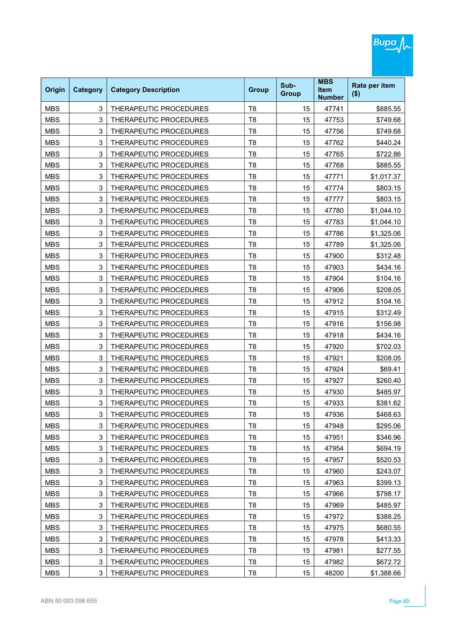| Origin     | <b>Category</b> | <b>Category Description</b>   | <b>Group</b>   | Sub-<br><b>Group</b> | <b>MBS</b><br><b>Item</b><br><b>Number</b> | Rate per item<br>$($ \$) |
|------------|-----------------|-------------------------------|----------------|----------------------|--------------------------------------------|--------------------------|
| <b>MBS</b> | 3               | THERAPEUTIC PROCEDURES        | T <sub>8</sub> | 15                   | 47741                                      | \$885.55                 |
| <b>MBS</b> | 3               | THERAPEUTIC PROCEDURES        | T <sub>8</sub> | 15                   | 47753                                      | \$749.68                 |
| <b>MBS</b> | 3               | THERAPEUTIC PROCEDURES        | T <sub>8</sub> | 15                   | 47756                                      | \$749.68                 |
| <b>MBS</b> | 3               | THERAPEUTIC PROCEDURES        | T <sub>8</sub> | 15                   | 47762                                      | \$440.24                 |
| <b>MBS</b> | 3               | THERAPEUTIC PROCEDURES        | T <sub>8</sub> | 15                   | 47765                                      | \$722.86                 |
| <b>MBS</b> | 3               | THERAPEUTIC PROCEDURES        | T <sub>8</sub> | 15                   | 47768                                      | \$885.55                 |
| <b>MBS</b> | 3               | THERAPEUTIC PROCEDURES        | T <sub>8</sub> | 15                   | 47771                                      | \$1,017.37               |
| <b>MBS</b> | 3               | THERAPEUTIC PROCEDURES        | T <sub>8</sub> | 15                   | 47774                                      | \$803.15                 |
| <b>MBS</b> | 3               | THERAPEUTIC PROCEDURES        | T <sub>8</sub> | 15                   | 47777                                      | \$803.15                 |
| <b>MBS</b> | 3               | THERAPEUTIC PROCEDURES        | T <sub>8</sub> | 15                   | 47780                                      | \$1,044.10               |
| <b>MBS</b> | 3               | THERAPEUTIC PROCEDURES        | T <sub>8</sub> | 15                   | 47783                                      | \$1,044.10               |
| <b>MBS</b> | 3               | THERAPEUTIC PROCEDURES        | T <sub>8</sub> | 15                   | 47786                                      | \$1,325.06               |
| <b>MBS</b> | 3               | THERAPEUTIC PROCEDURES        | T <sub>8</sub> | 15                   | 47789                                      | \$1,325.06               |
| <b>MBS</b> | 3               | THERAPEUTIC PROCEDURES        | T <sub>8</sub> | 15                   | 47900                                      | \$312.48                 |
| <b>MBS</b> | 3               | THERAPEUTIC PROCEDURES        | T <sub>8</sub> | 15                   | 47903                                      | \$434.16                 |
| <b>MBS</b> | 3               | <b>THERAPEUTIC PROCEDURES</b> | T <sub>8</sub> | 15                   | 47904                                      | \$104.16                 |
| <b>MBS</b> | 3               | THERAPEUTIC PROCEDURES        | T <sub>8</sub> | 15                   | 47906                                      | \$208.05                 |
| <b>MBS</b> | 3               | THERAPEUTIC PROCEDURES        | T <sub>8</sub> | 15                   | 47912                                      | \$104.16                 |
| <b>MBS</b> | 3               | THERAPEUTIC PROCEDURES        | T <sub>8</sub> | 15                   | 47915                                      | \$312.49                 |
| <b>MBS</b> | 3               | THERAPEUTIC PROCEDURES        | T <sub>8</sub> | 15                   | 47916                                      | \$156.98                 |
| <b>MBS</b> | 3               | THERAPEUTIC PROCEDURES        | T <sub>8</sub> | 15                   | 47918                                      | \$434.16                 |
| <b>MBS</b> | 3               | THERAPEUTIC PROCEDURES        | T <sub>8</sub> | 15                   | 47920                                      | \$702.03                 |
| <b>MBS</b> | 3               | THERAPEUTIC PROCEDURES        | T <sub>8</sub> | 15                   | 47921                                      | \$208.05                 |
| <b>MBS</b> | 3               | THERAPEUTIC PROCEDURES        | T <sub>8</sub> | 15                   | 47924                                      | \$69.41                  |
| <b>MBS</b> | 3               | THERAPEUTIC PROCEDURES        | T <sub>8</sub> | 15                   | 47927                                      | \$260.40                 |
| <b>MBS</b> | 3               | THERAPEUTIC PROCEDURES        | T <sub>8</sub> | 15                   | 47930                                      | \$485.97                 |
| <b>MBS</b> | 3               | THERAPEUTIC PROCEDURES        | T <sub>8</sub> | 15                   | 47933                                      | \$381.62                 |
| MBS        | 3               | THERAPEUTIC PROCEDURES        | Т8             | 15                   | 47936                                      | \$468.63                 |
| <b>MBS</b> | 3               | THERAPEUTIC PROCEDURES        | T <sub>8</sub> | 15                   | 47948                                      | \$295.06                 |
| <b>MBS</b> | 3               | THERAPEUTIC PROCEDURES        | T <sub>8</sub> | 15                   | 47951                                      | \$346.96                 |
| <b>MBS</b> | 3               | THERAPEUTIC PROCEDURES        | T <sub>8</sub> | 15                   | 47954                                      | \$694.19                 |
| <b>MBS</b> | 3               | THERAPEUTIC PROCEDURES        | T <sub>8</sub> | 15                   | 47957                                      | \$520.53                 |
| <b>MBS</b> | 3               | THERAPEUTIC PROCEDURES        | T <sub>8</sub> | 15                   | 47960                                      | \$243.07                 |
| <b>MBS</b> | 3               | THERAPEUTIC PROCEDURES        | T <sub>8</sub> | 15                   | 47963                                      | \$399.13                 |
| <b>MBS</b> | 3               | THERAPEUTIC PROCEDURES        | T <sub>8</sub> | 15                   | 47966                                      | \$798.17                 |
| <b>MBS</b> | 3               | THERAPEUTIC PROCEDURES        | T <sub>8</sub> | 15                   | 47969                                      | \$485.97                 |
| <b>MBS</b> | 3               | THERAPEUTIC PROCEDURES        | T <sub>8</sub> | 15                   | 47972                                      | \$388.25                 |
| <b>MBS</b> | 3               | THERAPEUTIC PROCEDURES        | T <sub>8</sub> | 15                   | 47975                                      | \$680.55                 |
| <b>MBS</b> | 3               | THERAPEUTIC PROCEDURES        | T <sub>8</sub> | 15                   | 47978                                      | \$413.33                 |
| <b>MBS</b> | 3               | THERAPEUTIC PROCEDURES        | T <sub>8</sub> | 15                   | 47981                                      | \$277.55                 |
| <b>MBS</b> | 3               | THERAPEUTIC PROCEDURES        | T <sub>8</sub> | 15                   | 47982                                      | \$672.72                 |
| <b>MBS</b> | 3               | THERAPEUTIC PROCEDURES        | T <sub>8</sub> | 15                   | 48200                                      | \$1,388.66               |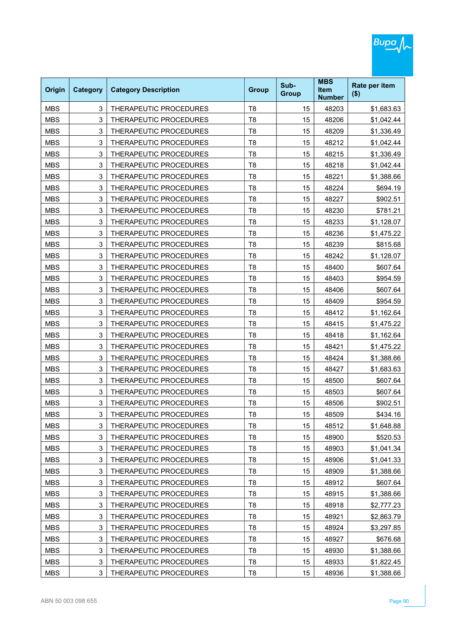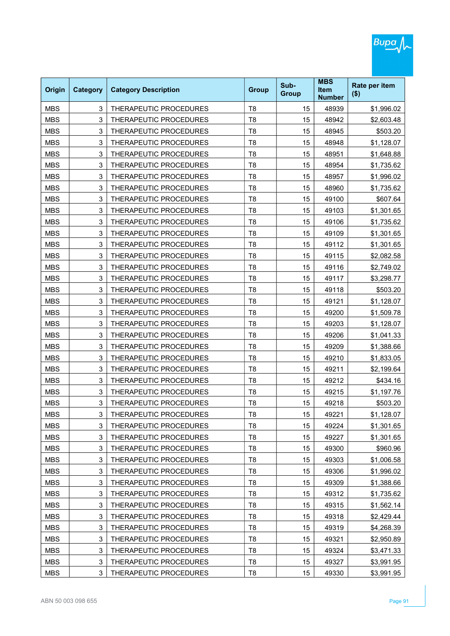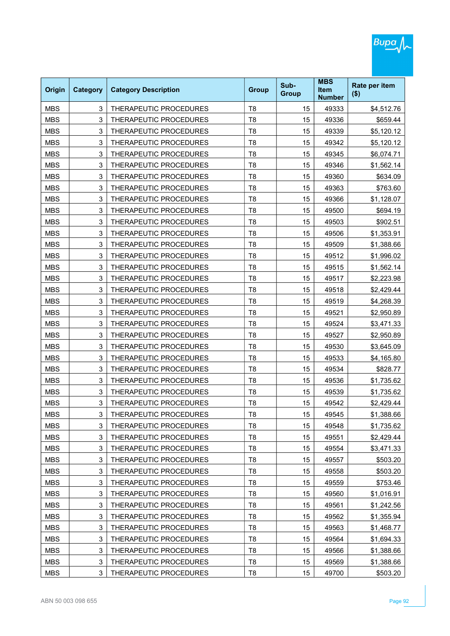| Origin     | <b>Category</b> | <b>Category Description</b>   | <b>Group</b>   | Sub-<br><b>Group</b> | <b>MBS</b><br><b>Item</b><br><b>Number</b> | Rate per item<br>$($ \$) |
|------------|-----------------|-------------------------------|----------------|----------------------|--------------------------------------------|--------------------------|
| <b>MBS</b> | 3               | THERAPEUTIC PROCEDURES        | T <sub>8</sub> | 15                   | 49333                                      | \$4,512.76               |
| <b>MBS</b> | 3               | <b>THERAPEUTIC PROCEDURES</b> | T <sub>8</sub> | 15                   | 49336                                      | \$659.44                 |
| <b>MBS</b> | 3               | THERAPEUTIC PROCEDURES        | T <sub>8</sub> | 15                   | 49339                                      | \$5,120.12               |
| <b>MBS</b> | 3               | THERAPEUTIC PROCEDURES        | T <sub>8</sub> | 15                   | 49342                                      | \$5,120.12               |
| <b>MBS</b> | 3               | <b>THERAPEUTIC PROCEDURES</b> | T <sub>8</sub> | 15                   | 49345                                      | \$6,074.71               |
| <b>MBS</b> | 3               | THERAPEUTIC PROCEDURES        | T <sub>8</sub> | 15                   | 49346                                      | \$1,562.14               |
| <b>MBS</b> | 3               | THERAPEUTIC PROCEDURES        | T <sub>8</sub> | 15                   | 49360                                      | \$634.09                 |
| <b>MBS</b> | 3               | THERAPEUTIC PROCEDURES        | T <sub>8</sub> | 15                   | 49363                                      | \$763.60                 |
| <b>MBS</b> | 3               | THERAPEUTIC PROCEDURES        | T <sub>8</sub> | 15                   | 49366                                      | \$1,128.07               |
| <b>MBS</b> | 3               | THERAPEUTIC PROCEDURES        | T <sub>8</sub> | 15                   | 49500                                      | \$694.19                 |
| <b>MBS</b> | 3               | THERAPEUTIC PROCEDURES        | T <sub>8</sub> | 15                   | 49503                                      | \$902.51                 |
| <b>MBS</b> | 3               | <b>THERAPEUTIC PROCEDURES</b> | T <sub>8</sub> | 15                   | 49506                                      | \$1,353.91               |
| <b>MBS</b> | 3               | <b>THERAPEUTIC PROCEDURES</b> | T <sub>8</sub> | 15                   | 49509                                      | \$1,388.66               |
| <b>MBS</b> | 3               | <b>THERAPEUTIC PROCEDURES</b> | T <sub>8</sub> | 15                   | 49512                                      | \$1,996.02               |
| <b>MBS</b> | 3               | THERAPEUTIC PROCEDURES        | T <sub>8</sub> | 15                   | 49515                                      | \$1,562.14               |
| <b>MBS</b> | 3               | THERAPEUTIC PROCEDURES        | T <sub>8</sub> | 15                   | 49517                                      | \$2,223.98               |
| <b>MBS</b> | 3               | THERAPEUTIC PROCEDURES        | T <sub>8</sub> | 15                   | 49518                                      | \$2,429.44               |
| <b>MBS</b> | 3               | THERAPEUTIC PROCEDURES        | T <sub>8</sub> | 15                   | 49519                                      | \$4,268.39               |
| <b>MBS</b> | 3               | THERAPEUTIC PROCEDURES        | T <sub>8</sub> | 15                   | 49521                                      | \$2,950.89               |
| <b>MBS</b> | 3               | THERAPEUTIC PROCEDURES        | T <sub>8</sub> | 15                   | 49524                                      | \$3,471.33               |
| <b>MBS</b> | 3               | THERAPEUTIC PROCEDURES        | T <sub>8</sub> | 15                   | 49527                                      | \$2,950.89               |
| <b>MBS</b> | 3               | THERAPEUTIC PROCEDURES        | T <sub>8</sub> | 15                   | 49530                                      | \$3,645.09               |
| <b>MBS</b> | 3               | THERAPEUTIC PROCEDURES        | T <sub>8</sub> | 15                   | 49533                                      | \$4,165.80               |
| <b>MBS</b> | 3               | THERAPEUTIC PROCEDURES        | T <sub>8</sub> | 15                   | 49534                                      | \$828.77                 |
| <b>MBS</b> | 3               | THERAPEUTIC PROCEDURES        | T <sub>8</sub> | 15                   | 49536                                      | \$1,735.62               |
| <b>MBS</b> | 3               | THERAPEUTIC PROCEDURES        | T <sub>8</sub> | 15                   | 49539                                      | \$1,735.62               |
| <b>MBS</b> | 3               | THERAPEUTIC PROCEDURES        | T <sub>8</sub> | 15                   | 49542                                      | \$2,429.44               |
| MBS        | 3               | THERAPEUTIC PROCEDURES        | T8             | 15                   | 49545                                      | \$1,388.66               |
| <b>MBS</b> | 3               | THERAPEUTIC PROCEDURES        | T <sub>8</sub> | 15                   | 49548                                      | \$1,735.62               |
| <b>MBS</b> | 3               | THERAPEUTIC PROCEDURES        | T <sub>8</sub> | 15                   | 49551                                      | \$2,429.44               |
| <b>MBS</b> | 3               | THERAPEUTIC PROCEDURES        | T <sub>8</sub> | 15                   | 49554                                      | \$3,471.33               |
| <b>MBS</b> | 3               | THERAPEUTIC PROCEDURES        | T <sub>8</sub> | 15                   | 49557                                      | \$503.20                 |
| <b>MBS</b> | 3               | THERAPEUTIC PROCEDURES        | T <sub>8</sub> | 15                   | 49558                                      | \$503.20                 |
| <b>MBS</b> | 3               | THERAPEUTIC PROCEDURES        | T <sub>8</sub> | 15                   | 49559                                      | \$753.46                 |
| <b>MBS</b> | 3               | THERAPEUTIC PROCEDURES        | T <sub>8</sub> | 15                   | 49560                                      | \$1,016.91               |
| <b>MBS</b> | 3               | THERAPEUTIC PROCEDURES        | T <sub>8</sub> | 15                   | 49561                                      | \$1,242.56               |
| <b>MBS</b> | 3               | THERAPEUTIC PROCEDURES        | T <sub>8</sub> | 15                   | 49562                                      | \$1,355.94               |
| <b>MBS</b> | 3               | THERAPEUTIC PROCEDURES        | T <sub>8</sub> | 15                   | 49563                                      | \$1,468.77               |
| <b>MBS</b> | 3               | THERAPEUTIC PROCEDURES        | T <sub>8</sub> | 15                   | 49564                                      | \$1,694.33               |
| <b>MBS</b> | 3               | THERAPEUTIC PROCEDURES        | T <sub>8</sub> | 15                   | 49566                                      | \$1,388.66               |
| <b>MBS</b> | 3               | THERAPEUTIC PROCEDURES        | T <sub>8</sub> | 15                   | 49569                                      | \$1,388.66               |
| <b>MBS</b> | 3               | THERAPEUTIC PROCEDURES        | T <sub>8</sub> | 15                   | 49700                                      | \$503.20                 |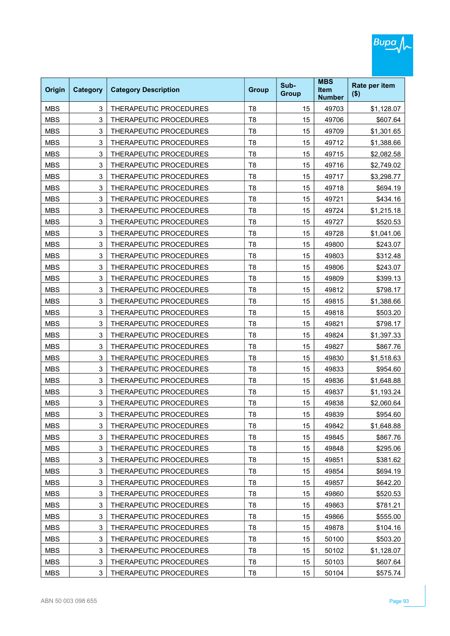| Origin     | <b>Category</b> | <b>Category Description</b>   | <b>Group</b>   | Sub-<br><b>Group</b> | <b>MBS</b><br><b>Item</b><br><b>Number</b> | Rate per item<br>$($ \$) |
|------------|-----------------|-------------------------------|----------------|----------------------|--------------------------------------------|--------------------------|
| <b>MBS</b> | 3               | THERAPEUTIC PROCEDURES        | T <sub>8</sub> | 15                   | 49703                                      | \$1,128.07               |
| <b>MBS</b> | 3               | THERAPEUTIC PROCEDURES        | T <sub>8</sub> | 15                   | 49706                                      | \$607.64                 |
| <b>MBS</b> | 3               | THERAPEUTIC PROCEDURES        | T <sub>8</sub> | 15                   | 49709                                      | \$1,301.65               |
| <b>MBS</b> | 3               | THERAPEUTIC PROCEDURES        | T <sub>8</sub> | 15                   | 49712                                      | \$1,388.66               |
| <b>MBS</b> | 3               | THERAPEUTIC PROCEDURES        | T <sub>8</sub> | 15                   | 49715                                      | \$2,082.58               |
| <b>MBS</b> | 3               | THERAPEUTIC PROCEDURES        | T <sub>8</sub> | 15                   | 49716                                      | \$2,749.02               |
| <b>MBS</b> | 3               | THERAPEUTIC PROCEDURES        | T <sub>8</sub> | 15                   | 49717                                      | \$3,298.77               |
| <b>MBS</b> | 3               | THERAPEUTIC PROCEDURES        | T <sub>8</sub> | 15                   | 49718                                      | \$694.19                 |
| <b>MBS</b> | 3               | THERAPEUTIC PROCEDURES        | T <sub>8</sub> | 15                   | 49721                                      | \$434.16                 |
| <b>MBS</b> | 3               | THERAPEUTIC PROCEDURES        | T <sub>8</sub> | 15                   | 49724                                      | \$1,215.18               |
| <b>MBS</b> | 3               | THERAPEUTIC PROCEDURES        | T <sub>8</sub> | 15                   | 49727                                      | \$520.53                 |
| <b>MBS</b> | 3               | THERAPEUTIC PROCEDURES        | T <sub>8</sub> | 15                   | 49728                                      | \$1,041.06               |
| <b>MBS</b> | 3               | THERAPEUTIC PROCEDURES        | T <sub>8</sub> | 15                   | 49800                                      | \$243.07                 |
| <b>MBS</b> | 3               | THERAPEUTIC PROCEDURES        | T <sub>8</sub> | 15                   | 49803                                      | \$312.48                 |
| <b>MBS</b> | 3               | THERAPEUTIC PROCEDURES        | T <sub>8</sub> | 15                   | 49806                                      | \$243.07                 |
| <b>MBS</b> | 3               | <b>THERAPEUTIC PROCEDURES</b> | T <sub>8</sub> | 15                   | 49809                                      | \$399.13                 |
| <b>MBS</b> | 3               | THERAPEUTIC PROCEDURES        | T <sub>8</sub> | 15                   | 49812                                      | \$798.17                 |
| <b>MBS</b> | 3               | THERAPEUTIC PROCEDURES        | T <sub>8</sub> | 15                   | 49815                                      | \$1,388.66               |
| <b>MBS</b> | 3               | THERAPEUTIC PROCEDURES        | T <sub>8</sub> | 15                   | 49818                                      | \$503.20                 |
| <b>MBS</b> | 3               | THERAPEUTIC PROCEDURES        | T <sub>8</sub> | 15                   | 49821                                      | \$798.17                 |
| <b>MBS</b> | 3               | THERAPEUTIC PROCEDURES        | T <sub>8</sub> | 15                   | 49824                                      | \$1,397.33               |
| <b>MBS</b> | 3               | THERAPEUTIC PROCEDURES        | T <sub>8</sub> | 15                   | 49827                                      | \$867.76                 |
| <b>MBS</b> | 3               | THERAPEUTIC PROCEDURES        | T <sub>8</sub> | 15                   | 49830                                      | \$1,518.63               |
| <b>MBS</b> | 3               | THERAPEUTIC PROCEDURES        | T <sub>8</sub> | 15                   | 49833                                      | \$954.60                 |
| <b>MBS</b> | 3               | THERAPEUTIC PROCEDURES        | T <sub>8</sub> | 15                   | 49836                                      | \$1,648.88               |
| <b>MBS</b> | 3               | THERAPEUTIC PROCEDURES        | T <sub>8</sub> | 15                   | 49837                                      | \$1,193.24               |
| <b>MBS</b> | 3               | THERAPEUTIC PROCEDURES        | T <sub>8</sub> | 15                   | 49838                                      | \$2,060.64               |
| MBS        | 3               | THERAPEUTIC PROCEDURES        | Т8             | 15                   | 49839                                      | \$954.60                 |
| <b>MBS</b> | 3               | THERAPEUTIC PROCEDURES        | T <sub>8</sub> | 15                   | 49842                                      | \$1,648.88               |
| <b>MBS</b> | 3               | THERAPEUTIC PROCEDURES        | T <sub>8</sub> | 15                   | 49845                                      | \$867.76                 |
| <b>MBS</b> | 3               | THERAPEUTIC PROCEDURES        | T <sub>8</sub> | 15                   | 49848                                      | \$295.06                 |
| <b>MBS</b> | 3               | THERAPEUTIC PROCEDURES        | T <sub>8</sub> | 15                   | 49851                                      | \$381.62                 |
| <b>MBS</b> | 3               | THERAPEUTIC PROCEDURES        | T <sub>8</sub> | 15                   | 49854                                      | \$694.19                 |
| <b>MBS</b> | 3               | THERAPEUTIC PROCEDURES        | T <sub>8</sub> | 15                   | 49857                                      | \$642.20                 |
| <b>MBS</b> | 3               | THERAPEUTIC PROCEDURES        | T <sub>8</sub> | 15                   | 49860                                      | \$520.53                 |
| <b>MBS</b> | 3               | THERAPEUTIC PROCEDURES        | T <sub>8</sub> | 15                   | 49863                                      | \$781.21                 |
| <b>MBS</b> | 3               | THERAPEUTIC PROCEDURES        | T <sub>8</sub> | 15                   | 49866                                      | \$555.00                 |
| <b>MBS</b> | 3               | THERAPEUTIC PROCEDURES        | T <sub>8</sub> | 15                   | 49878                                      | \$104.16                 |
| <b>MBS</b> | 3               | THERAPEUTIC PROCEDURES        | T <sub>8</sub> | 15                   | 50100                                      | \$503.20                 |
| <b>MBS</b> | 3               | THERAPEUTIC PROCEDURES        | T <sub>8</sub> | 15                   | 50102                                      | \$1,128.07               |
| <b>MBS</b> | 3               | THERAPEUTIC PROCEDURES        | T <sub>8</sub> | 15                   | 50103                                      | \$607.64                 |
| <b>MBS</b> | 3               | THERAPEUTIC PROCEDURES        | T <sub>8</sub> | 15                   | 50104                                      | \$575.74                 |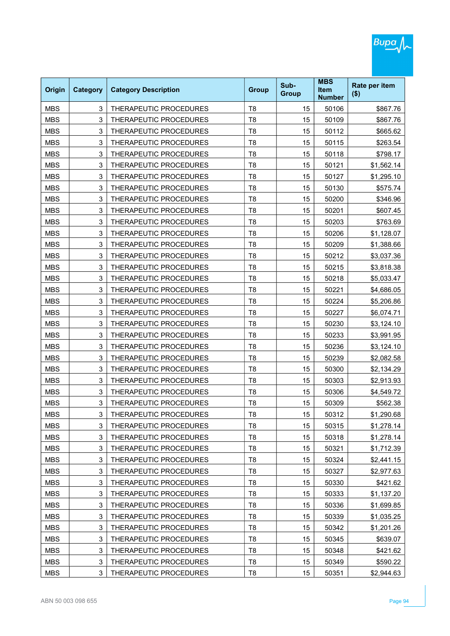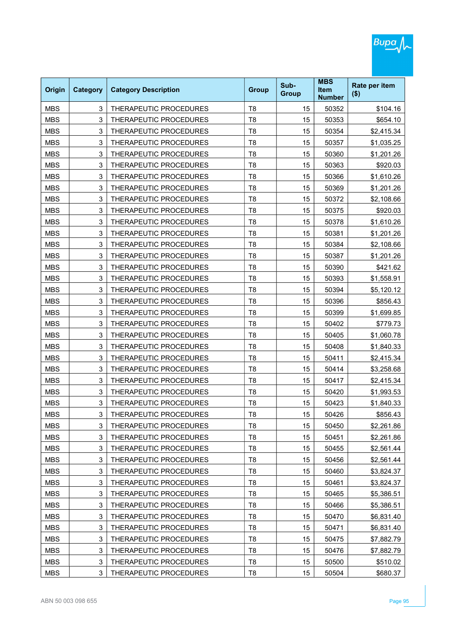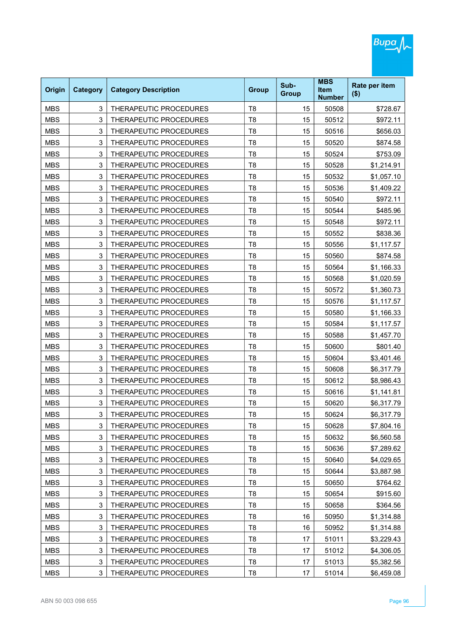| Origin     | <b>Category</b> | <b>Category Description</b> | <b>Group</b>   | Sub-<br><b>Group</b> | <b>MBS</b><br><b>Item</b><br><b>Number</b> | Rate per item<br>$($ \$) |
|------------|-----------------|-----------------------------|----------------|----------------------|--------------------------------------------|--------------------------|
| <b>MBS</b> | 3               | THERAPEUTIC PROCEDURES      | T <sub>8</sub> | 15                   | 50508                                      | \$728.67                 |
| <b>MBS</b> | 3               | THERAPEUTIC PROCEDURES      | T <sub>8</sub> | 15                   | 50512                                      | \$972.11                 |
| <b>MBS</b> | 3               | THERAPEUTIC PROCEDURES      | T <sub>8</sub> | 15                   | 50516                                      | \$656.03                 |
| <b>MBS</b> | 3               | THERAPEUTIC PROCEDURES      | T <sub>8</sub> | 15                   | 50520                                      | \$874.58                 |
| <b>MBS</b> | 3               | THERAPEUTIC PROCEDURES      | T <sub>8</sub> | 15                   | 50524                                      | \$753.09                 |
| <b>MBS</b> | 3               | THERAPEUTIC PROCEDURES      | T <sub>8</sub> | 15                   | 50528                                      | \$1,214.91               |
| <b>MBS</b> | 3               | THERAPEUTIC PROCEDURES      | T <sub>8</sub> | 15                   | 50532                                      | \$1,057.10               |
| <b>MBS</b> | 3               | THERAPEUTIC PROCEDURES      | T <sub>8</sub> | 15                   | 50536                                      | \$1,409.22               |
| <b>MBS</b> | 3               | THERAPEUTIC PROCEDURES      | T <sub>8</sub> | 15                   | 50540                                      | \$972.11                 |
| <b>MBS</b> | 3               | THERAPEUTIC PROCEDURES      | T <sub>8</sub> | 15                   | 50544                                      | \$485.96                 |
| <b>MBS</b> | 3               | THERAPEUTIC PROCEDURES      | T <sub>8</sub> | 15                   | 50548                                      | \$972.11                 |
| <b>MBS</b> | 3               | THERAPEUTIC PROCEDURES      | T <sub>8</sub> | 15                   | 50552                                      | \$838.36                 |
| <b>MBS</b> | 3               | THERAPEUTIC PROCEDURES      | T <sub>8</sub> | 15                   | 50556                                      | \$1,117.57               |
| <b>MBS</b> | 3               | THERAPEUTIC PROCEDURES      | T <sub>8</sub> | 15                   | 50560                                      | \$874.58                 |
| <b>MBS</b> | 3               | THERAPEUTIC PROCEDURES      | T <sub>8</sub> | 15                   | 50564                                      | \$1,166.33               |
| <b>MBS</b> | 3               | THERAPEUTIC PROCEDURES      | T <sub>8</sub> | 15                   | 50568                                      | \$1,020.59               |
| <b>MBS</b> | 3               | THERAPEUTIC PROCEDURES      | T <sub>8</sub> | 15                   | 50572                                      | \$1,360.73               |
| <b>MBS</b> | 3               | THERAPEUTIC PROCEDURES      | T <sub>8</sub> | 15                   | 50576                                      | \$1,117.57               |
| <b>MBS</b> | 3               | THERAPEUTIC PROCEDURES      | T <sub>8</sub> | 15                   | 50580                                      | \$1,166.33               |
| <b>MBS</b> | 3               | THERAPEUTIC PROCEDURES      | T <sub>8</sub> | 15                   | 50584                                      | \$1,117.57               |
| <b>MBS</b> | 3               | THERAPEUTIC PROCEDURES      | T <sub>8</sub> | 15                   | 50588                                      | \$1,457.70               |
| <b>MBS</b> | 3               | THERAPEUTIC PROCEDURES      | T <sub>8</sub> | 15                   | 50600                                      | \$801.40                 |
| <b>MBS</b> | 3               | THERAPEUTIC PROCEDURES      | T <sub>8</sub> | 15                   | 50604                                      | \$3,401.46               |
| <b>MBS</b> | 3               | THERAPEUTIC PROCEDURES      | T <sub>8</sub> | 15                   | 50608                                      | \$6,317.79               |
| <b>MBS</b> | 3               | THERAPEUTIC PROCEDURES      | T <sub>8</sub> | 15                   | 50612                                      | \$8,986.43               |
| <b>MBS</b> | 3               | THERAPEUTIC PROCEDURES      | T <sub>8</sub> | 15                   | 50616                                      | \$1,141.81               |
| <b>MBS</b> | 3               | THERAPEUTIC PROCEDURES      | T <sub>8</sub> | 15                   | 50620                                      | \$6,317.79               |
| MBS        | 3               | THERAPEUTIC PROCEDURES      | Т8             | 15                   | 50624                                      | \$6,317.79               |
| <b>MBS</b> | 3               | THERAPEUTIC PROCEDURES      | T <sub>8</sub> | 15                   | 50628                                      | \$7,804.16               |
| <b>MBS</b> | 3               | THERAPEUTIC PROCEDURES      | T <sub>8</sub> | 15                   | 50632                                      | \$6,560.58               |
| <b>MBS</b> | 3               | THERAPEUTIC PROCEDURES      | T <sub>8</sub> | 15                   | 50636                                      | \$7,289.62               |
| <b>MBS</b> | 3               | THERAPEUTIC PROCEDURES      | T <sub>8</sub> | 15                   | 50640                                      | \$4,029.65               |
| <b>MBS</b> | 3               | THERAPEUTIC PROCEDURES      | T <sub>8</sub> | 15                   | 50644                                      | \$3,887.98               |
| <b>MBS</b> | 3               | THERAPEUTIC PROCEDURES      | T <sub>8</sub> | 15                   | 50650                                      | \$764.62                 |
| <b>MBS</b> | 3               | THERAPEUTIC PROCEDURES      | T <sub>8</sub> | 15                   | 50654                                      | \$915.60                 |
| <b>MBS</b> | 3               | THERAPEUTIC PROCEDURES      | T <sub>8</sub> | 15                   | 50658                                      | \$364.56                 |
| <b>MBS</b> | 3               | THERAPEUTIC PROCEDURES      | T <sub>8</sub> | 16                   | 50950                                      | \$1,314.88               |
| <b>MBS</b> | 3               | THERAPEUTIC PROCEDURES      | T <sub>8</sub> | 16                   | 50952                                      | \$1,314.88               |
| <b>MBS</b> | 3               | THERAPEUTIC PROCEDURES      | T <sub>8</sub> | 17                   | 51011                                      | \$3,229.43               |
| <b>MBS</b> | 3               | THERAPEUTIC PROCEDURES      | T <sub>8</sub> | 17                   | 51012                                      | \$4,306.05               |
| <b>MBS</b> | 3               | THERAPEUTIC PROCEDURES      | T <sub>8</sub> | 17                   | 51013                                      | \$5,382.56               |
| <b>MBS</b> | 3               | THERAPEUTIC PROCEDURES      | T <sub>8</sub> | 17                   | 51014                                      | \$6,459.08               |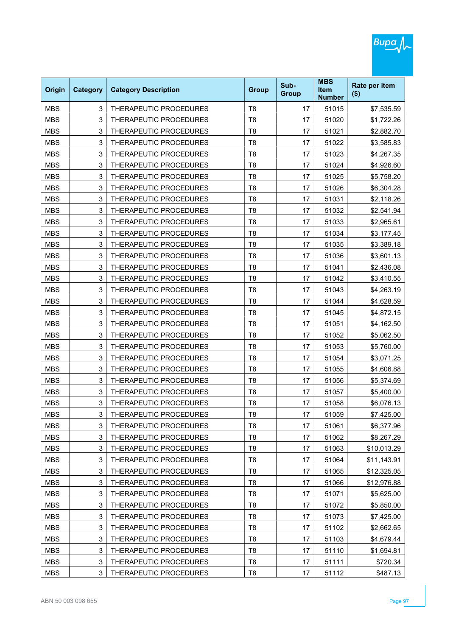| Origin     | <b>Category</b> | <b>Category Description</b> | <b>Group</b>   | Sub-<br><b>Group</b> | <b>MBS</b><br><b>Item</b><br><b>Number</b> | Rate per item<br>$($ \$) |
|------------|-----------------|-----------------------------|----------------|----------------------|--------------------------------------------|--------------------------|
| <b>MBS</b> | 3               | THERAPEUTIC PROCEDURES      | T <sub>8</sub> | 17                   | 51015                                      | \$7,535.59               |
| <b>MBS</b> | 3               | THERAPEUTIC PROCEDURES      | T <sub>8</sub> | 17                   | 51020                                      | \$1,722.26               |
| <b>MBS</b> | 3               | THERAPEUTIC PROCEDURES      | T <sub>8</sub> | 17                   | 51021                                      | \$2,882.70               |
| <b>MBS</b> | 3               | THERAPEUTIC PROCEDURES      | T <sub>8</sub> | 17                   | 51022                                      | \$3,585.83               |
| <b>MBS</b> | 3               | THERAPEUTIC PROCEDURES      | T <sub>8</sub> | 17                   | 51023                                      | \$4,267.35               |
| <b>MBS</b> | 3               | THERAPEUTIC PROCEDURES      | T <sub>8</sub> | 17                   | 51024                                      | \$4,926.60               |
| <b>MBS</b> | 3               | THERAPEUTIC PROCEDURES      | T <sub>8</sub> | 17                   | 51025                                      | \$5,758.20               |
| <b>MBS</b> | 3               | THERAPEUTIC PROCEDURES      | T <sub>8</sub> | 17                   | 51026                                      | \$6,304.28               |
| <b>MBS</b> | 3               | THERAPEUTIC PROCEDURES      | T <sub>8</sub> | 17                   | 51031                                      | \$2,118.26               |
| <b>MBS</b> | 3               | THERAPEUTIC PROCEDURES      | T <sub>8</sub> | 17                   | 51032                                      | \$2,541.94               |
| <b>MBS</b> | 3               | THERAPEUTIC PROCEDURES      | T <sub>8</sub> | 17                   | 51033                                      | \$2,965.61               |
| <b>MBS</b> | 3               | THERAPEUTIC PROCEDURES      | T <sub>8</sub> | 17                   | 51034                                      | \$3,177.45               |
| <b>MBS</b> | 3               | THERAPEUTIC PROCEDURES      | T <sub>8</sub> | 17                   | 51035                                      | \$3,389.18               |
| <b>MBS</b> | 3               | THERAPEUTIC PROCEDURES      | T <sub>8</sub> | 17                   | 51036                                      | \$3,601.13               |
| <b>MBS</b> | 3               | THERAPEUTIC PROCEDURES      | T <sub>8</sub> | 17                   | 51041                                      | \$2,436.08               |
| <b>MBS</b> | 3               | THERAPEUTIC PROCEDURES      | T <sub>8</sub> | 17                   | 51042                                      | \$3,410.55               |
| <b>MBS</b> | 3               | THERAPEUTIC PROCEDURES      | T <sub>8</sub> | 17                   | 51043                                      | \$4,263.19               |
| <b>MBS</b> | 3               | THERAPEUTIC PROCEDURES      | T <sub>8</sub> | 17                   | 51044                                      | \$4,628.59               |
| <b>MBS</b> | 3               | THERAPEUTIC PROCEDURES      | T <sub>8</sub> | 17                   | 51045                                      | \$4,872.15               |
| <b>MBS</b> | 3               | THERAPEUTIC PROCEDURES      | T <sub>8</sub> | 17                   | 51051                                      | \$4,162.50               |
| <b>MBS</b> | 3               | THERAPEUTIC PROCEDURES      | T <sub>8</sub> | 17                   | 51052                                      | \$5,062.50               |
| <b>MBS</b> | 3               | THERAPEUTIC PROCEDURES      | T <sub>8</sub> | 17                   | 51053                                      | \$5,760.00               |
| <b>MBS</b> | 3               | THERAPEUTIC PROCEDURES      | T <sub>8</sub> | 17                   | 51054                                      | \$3,071.25               |
| <b>MBS</b> | 3               | THERAPEUTIC PROCEDURES      | T <sub>8</sub> | 17                   | 51055                                      | \$4,606.88               |
| <b>MBS</b> | 3               | THERAPEUTIC PROCEDURES      | T <sub>8</sub> | 17                   | 51056                                      | \$5,374.69               |
| <b>MBS</b> | 3               | THERAPEUTIC PROCEDURES      | T <sub>8</sub> | 17                   | 51057                                      | \$5,400.00               |
| <b>MBS</b> | 3               | THERAPEUTIC PROCEDURES      | T <sub>8</sub> | 17                   | 51058                                      | \$6,076.13               |
| MBS        | 3               | THERAPEUTIC PROCEDURES      | Τ8             | 17                   | 51059                                      | \$7,425.00               |
| <b>MBS</b> | 3               | THERAPEUTIC PROCEDURES      | T <sub>8</sub> | 17                   | 51061                                      | \$6,377.96               |
| <b>MBS</b> | 3               | THERAPEUTIC PROCEDURES      | T <sub>8</sub> | 17                   | 51062                                      | \$8,267.29               |
| <b>MBS</b> | 3               | THERAPEUTIC PROCEDURES      | T <sub>8</sub> | 17                   | 51063                                      | \$10,013.29              |
| <b>MBS</b> | 3               | THERAPEUTIC PROCEDURES      | T <sub>8</sub> | 17                   | 51064                                      | \$11,143.91              |
| <b>MBS</b> | 3               | THERAPEUTIC PROCEDURES      | T <sub>8</sub> | 17                   | 51065                                      | \$12,325.05              |
| <b>MBS</b> | 3               | THERAPEUTIC PROCEDURES      | T <sub>8</sub> | 17                   | 51066                                      | \$12,976.88              |
| <b>MBS</b> | 3               | THERAPEUTIC PROCEDURES      | T <sub>8</sub> | 17                   | 51071                                      | \$5,625.00               |
| <b>MBS</b> | 3               | THERAPEUTIC PROCEDURES      | T <sub>8</sub> | 17                   | 51072                                      | \$5,850.00               |
| <b>MBS</b> | 3               | THERAPEUTIC PROCEDURES      | T <sub>8</sub> | 17                   | 51073                                      | \$7,425.00               |
| <b>MBS</b> | 3               | THERAPEUTIC PROCEDURES      | T <sub>8</sub> | 17                   | 51102                                      | \$2,662.65               |
| <b>MBS</b> | 3               | THERAPEUTIC PROCEDURES      | T <sub>8</sub> | 17                   | 51103                                      | \$4,679.44               |
| <b>MBS</b> | 3               | THERAPEUTIC PROCEDURES      | T <sub>8</sub> | 17                   | 51110                                      | \$1,694.81               |
| <b>MBS</b> | 3               | THERAPEUTIC PROCEDURES      | T <sub>8</sub> | 17                   | 51111                                      | \$720.34                 |
| <b>MBS</b> | 3               | THERAPEUTIC PROCEDURES      | T <sub>8</sub> | 17                   | 51112                                      | \$487.13                 |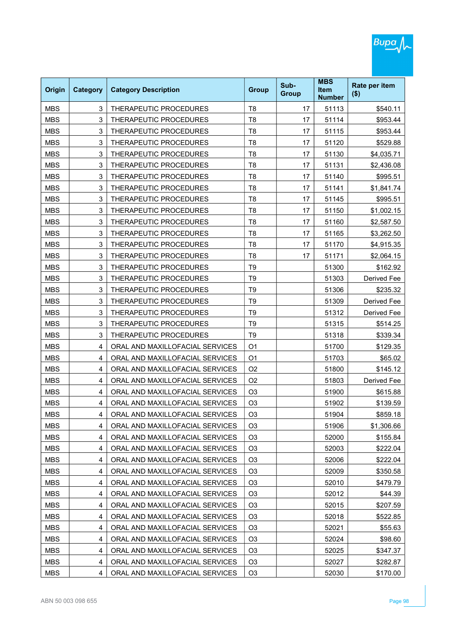| <b>Origin</b> | <b>Category</b> | <b>Category Description</b>     | <b>Group</b>   | Sub-<br><b>Group</b> | <b>MBS</b><br><b>Item</b><br><b>Number</b> | Rate per item<br>$($ \$) |
|---------------|-----------------|---------------------------------|----------------|----------------------|--------------------------------------------|--------------------------|
| <b>MBS</b>    | 3               | THERAPEUTIC PROCEDURES          | T <sub>8</sub> | 17                   | 51113                                      | \$540.11                 |
| <b>MBS</b>    | 3               | THERAPEUTIC PROCEDURES          | T <sub>8</sub> | 17                   | 51114                                      | \$953.44                 |
| <b>MBS</b>    | 3               | THERAPEUTIC PROCEDURES          | T <sub>8</sub> | 17                   | 51115                                      | \$953.44                 |
| <b>MBS</b>    | 3               | THERAPEUTIC PROCEDURES          | T <sub>8</sub> | 17                   | 51120                                      | \$529.88                 |
| <b>MBS</b>    | 3               | THERAPEUTIC PROCEDURES          | T <sub>8</sub> | 17                   | 51130                                      | \$4,035.71               |
| <b>MBS</b>    | 3               | THERAPEUTIC PROCEDURES          | T <sub>8</sub> | 17                   | 51131                                      | \$2,436.08               |
| <b>MBS</b>    | 3               | THERAPEUTIC PROCEDURES          | T <sub>8</sub> | 17                   | 51140                                      | \$995.51                 |
| <b>MBS</b>    | 3               | THERAPEUTIC PROCEDURES          | T <sub>8</sub> | 17                   | 51141                                      | \$1,841.74               |
| <b>MBS</b>    | 3               | THERAPEUTIC PROCEDURES          | T <sub>8</sub> | 17                   | 51145                                      | \$995.51                 |
| <b>MBS</b>    | 3               | THERAPEUTIC PROCEDURES          | T <sub>8</sub> | 17                   | 51150                                      | \$1,002.15               |
| <b>MBS</b>    | 3               | THERAPEUTIC PROCEDURES          | T <sub>8</sub> | 17                   | 51160                                      | \$2,587.50               |
| <b>MBS</b>    | 3               | THERAPEUTIC PROCEDURES          | T <sub>8</sub> | 17                   | 51165                                      | \$3,262.50               |
| <b>MBS</b>    | 3               | THERAPEUTIC PROCEDURES          | T <sub>8</sub> | 17                   | 51170                                      | \$4,915.35               |
| <b>MBS</b>    | 3               | THERAPEUTIC PROCEDURES          | T <sub>8</sub> | 17                   | 51171                                      | \$2,064.15               |
| <b>MBS</b>    | 3               | THERAPEUTIC PROCEDURES          | T <sub>9</sub> |                      | 51300                                      | \$162.92                 |
| <b>MBS</b>    | 3               | THERAPEUTIC PROCEDURES          | T <sub>9</sub> |                      | 51303                                      | Derived Fee              |
| <b>MBS</b>    | 3               | THERAPEUTIC PROCEDURES          | T <sub>9</sub> |                      | 51306                                      | \$235.32                 |
| <b>MBS</b>    | 3               | THERAPEUTIC PROCEDURES          | T <sub>9</sub> |                      | 51309                                      | Derived Fee              |
| <b>MBS</b>    | 3               | THERAPEUTIC PROCEDURES          | T <sub>9</sub> |                      | 51312                                      | Derived Fee              |
| <b>MBS</b>    | 3               | THERAPEUTIC PROCEDURES          | T <sub>9</sub> |                      | 51315                                      | \$514.25                 |
| <b>MBS</b>    | 3               | THERAPEUTIC PROCEDURES          | T <sub>9</sub> |                      | 51318                                      | \$339.34                 |
| <b>MBS</b>    | 4               | ORAL AND MAXILLOFACIAL SERVICES | O <sub>1</sub> |                      | 51700                                      | \$129.35                 |
| <b>MBS</b>    | 4               | ORAL AND MAXILLOFACIAL SERVICES | O <sub>1</sub> |                      | 51703                                      | \$65.02                  |
| <b>MBS</b>    | 4               | ORAL AND MAXILLOFACIAL SERVICES | O <sub>2</sub> |                      | 51800                                      | \$145.12                 |
| <b>MBS</b>    | 4               | ORAL AND MAXILLOFACIAL SERVICES | O <sub>2</sub> |                      | 51803                                      | Derived Fee              |
| <b>MBS</b>    | 4               | ORAL AND MAXILLOFACIAL SERVICES | O <sub>3</sub> |                      | 51900                                      | \$615.88                 |
| <b>MBS</b>    | 4               | ORAL AND MAXILLOFACIAL SERVICES | O <sub>3</sub> |                      | 51902                                      | \$139.59                 |
| MBS           | 4               | ORAL AND MAXILLOFACIAL SERVICES | O3             |                      | 51904                                      | \$859.18                 |
| <b>MBS</b>    | 4               | ORAL AND MAXILLOFACIAL SERVICES | O <sub>3</sub> |                      | 51906                                      | \$1,306.66               |
| <b>MBS</b>    | 4               | ORAL AND MAXILLOFACIAL SERVICES | O <sub>3</sub> |                      | 52000                                      | \$155.84                 |
| <b>MBS</b>    | 4               | ORAL AND MAXILLOFACIAL SERVICES | O <sub>3</sub> |                      | 52003                                      | \$222.04                 |
| <b>MBS</b>    | 4               | ORAL AND MAXILLOFACIAL SERVICES | O <sub>3</sub> |                      | 52006                                      | \$222.04                 |
| <b>MBS</b>    | 4               | ORAL AND MAXILLOFACIAL SERVICES | O <sub>3</sub> |                      | 52009                                      | \$350.58                 |
| <b>MBS</b>    | 4               | ORAL AND MAXILLOFACIAL SERVICES | O <sub>3</sub> |                      | 52010                                      | \$479.79                 |
| <b>MBS</b>    | 4               | ORAL AND MAXILLOFACIAL SERVICES | O <sub>3</sub> |                      | 52012                                      | \$44.39                  |
| <b>MBS</b>    | 4               | ORAL AND MAXILLOFACIAL SERVICES | O <sub>3</sub> |                      | 52015                                      | \$207.59                 |
| <b>MBS</b>    | 4               | ORAL AND MAXILLOFACIAL SERVICES | O <sub>3</sub> |                      | 52018                                      | \$522.85                 |
| <b>MBS</b>    | 4               | ORAL AND MAXILLOFACIAL SERVICES | O <sub>3</sub> |                      | 52021                                      | \$55.63                  |
| <b>MBS</b>    | 4               | ORAL AND MAXILLOFACIAL SERVICES | O <sub>3</sub> |                      | 52024                                      | \$98.60                  |
| <b>MBS</b>    | 4               | ORAL AND MAXILLOFACIAL SERVICES | O <sub>3</sub> |                      | 52025                                      | \$347.37                 |
| <b>MBS</b>    | 4               | ORAL AND MAXILLOFACIAL SERVICES | O <sub>3</sub> |                      | 52027                                      | \$282.87                 |
| <b>MBS</b>    | 4               | ORAL AND MAXILLOFACIAL SERVICES | O <sub>3</sub> |                      | 52030                                      | \$170.00                 |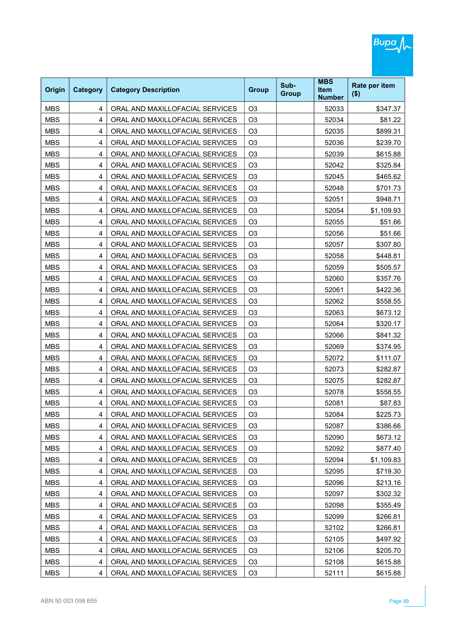

| Origin     | <b>Category</b> | <b>Category Description</b>     | <b>Group</b>   | Sub-<br><b>Group</b> | <b>MBS</b><br><b>Item</b><br><b>Number</b> | Rate per item<br>$($ \$) |
|------------|-----------------|---------------------------------|----------------|----------------------|--------------------------------------------|--------------------------|
| <b>MBS</b> | 4               | ORAL AND MAXILLOFACIAL SERVICES | O <sub>3</sub> |                      | 52033                                      | \$347.37                 |
| <b>MBS</b> | 4               | ORAL AND MAXILLOFACIAL SERVICES | O <sub>3</sub> |                      | 52034                                      | \$81.22                  |
| <b>MBS</b> | 4               | ORAL AND MAXILLOFACIAL SERVICES | O <sub>3</sub> |                      | 52035                                      | \$899.31                 |
| <b>MBS</b> | 4               | ORAL AND MAXILLOFACIAL SERVICES | O <sub>3</sub> |                      | 52036                                      | \$239.70                 |
| <b>MBS</b> | 4               | ORAL AND MAXILLOFACIAL SERVICES | O <sub>3</sub> |                      | 52039                                      | \$615.88                 |
| <b>MBS</b> | 4               | ORAL AND MAXILLOFACIAL SERVICES | O <sub>3</sub> |                      | 52042                                      | \$325.84                 |
| <b>MBS</b> | 4               | ORAL AND MAXILLOFACIAL SERVICES | O <sub>3</sub> |                      | 52045                                      | \$465.62                 |
| <b>MBS</b> | 4               | ORAL AND MAXILLOFACIAL SERVICES | O <sub>3</sub> |                      | 52048                                      | \$701.73                 |
| <b>MBS</b> | 4               | ORAL AND MAXILLOFACIAL SERVICES | O <sub>3</sub> |                      | 52051                                      | \$948.71                 |
| <b>MBS</b> | 4               | ORAL AND MAXILLOFACIAL SERVICES | O <sub>3</sub> |                      | 52054                                      | \$1,109.93               |
| <b>MBS</b> | 4               | ORAL AND MAXILLOFACIAL SERVICES | O <sub>3</sub> |                      | 52055                                      | \$51.66                  |
| <b>MBS</b> | 4               | ORAL AND MAXILLOFACIAL SERVICES | O <sub>3</sub> |                      | 52056                                      | \$51.66                  |
| <b>MBS</b> | 4               | ORAL AND MAXILLOFACIAL SERVICES | O <sub>3</sub> |                      | 52057                                      | \$307.80                 |
| <b>MBS</b> | 4               | ORAL AND MAXILLOFACIAL SERVICES | O <sub>3</sub> |                      | 52058                                      | \$448.81                 |
| <b>MBS</b> | 4               | ORAL AND MAXILLOFACIAL SERVICES | O <sub>3</sub> |                      | 52059                                      | \$505.57                 |
| <b>MBS</b> | 4               | ORAL AND MAXILLOFACIAL SERVICES | O <sub>3</sub> |                      | 52060                                      | \$357.76                 |
| <b>MBS</b> | 4               | ORAL AND MAXILLOFACIAL SERVICES | O <sub>3</sub> |                      | 52061                                      | \$422.36                 |
| <b>MBS</b> | 4               | ORAL AND MAXILLOFACIAL SERVICES | O <sub>3</sub> |                      | 52062                                      | \$558.55                 |
| <b>MBS</b> | 4               | ORAL AND MAXILLOFACIAL SERVICES | O <sub>3</sub> |                      | 52063                                      | \$673.12                 |
| <b>MBS</b> | 4               | ORAL AND MAXILLOFACIAL SERVICES | O <sub>3</sub> |                      | 52064                                      | \$320.17                 |
| <b>MBS</b> | 4               | ORAL AND MAXILLOFACIAL SERVICES | O <sub>3</sub> |                      | 52066                                      | \$841.32                 |
| <b>MBS</b> | 4               | ORAL AND MAXILLOFACIAL SERVICES | O <sub>3</sub> |                      | 52069                                      | \$374.95                 |
| <b>MBS</b> | 4               | ORAL AND MAXILLOFACIAL SERVICES | O <sub>3</sub> |                      | 52072                                      | \$111.07                 |
| <b>MBS</b> | 4               | ORAL AND MAXILLOFACIAL SERVICES | O <sub>3</sub> |                      | 52073                                      | \$282.87                 |
| <b>MBS</b> | 4               | ORAL AND MAXILLOFACIAL SERVICES | O <sub>3</sub> |                      | 52075                                      | \$282.87                 |
| <b>MBS</b> | 4               | ORAL AND MAXILLOFACIAL SERVICES | O <sub>3</sub> |                      | 52078                                      | \$558.55                 |
| <b>MBS</b> | 4               | ORAL AND MAXILLOFACIAL SERVICES | O <sub>3</sub> |                      | 52081                                      | \$87.83                  |
| <b>MBS</b> | 4               | ORAL AND MAXILLOFACIAL SERVICES | O <sub>3</sub> |                      | 52084                                      | \$225.73                 |
| <b>MBS</b> | 4               | ORAL AND MAXILLOFACIAL SERVICES | O <sub>3</sub> |                      | 52087                                      | \$386.66                 |
| <b>MBS</b> | 4               | ORAL AND MAXILLOFACIAL SERVICES | O <sub>3</sub> |                      | 52090                                      | \$673.12                 |
| <b>MBS</b> | 4               | ORAL AND MAXILLOFACIAL SERVICES | O <sub>3</sub> |                      | 52092                                      | \$877.40                 |
| <b>MBS</b> | 4               | ORAL AND MAXILLOFACIAL SERVICES | O <sub>3</sub> |                      | 52094                                      | \$1,109.83               |
| <b>MBS</b> | 4               | ORAL AND MAXILLOFACIAL SERVICES | O <sub>3</sub> |                      | 52095                                      | \$719.30                 |
| <b>MBS</b> | 4               | ORAL AND MAXILLOFACIAL SERVICES | O <sub>3</sub> |                      | 52096                                      | \$213.16                 |
| <b>MBS</b> | 4               | ORAL AND MAXILLOFACIAL SERVICES | O <sub>3</sub> |                      | 52097                                      | \$302.32                 |
| <b>MBS</b> | 4               | ORAL AND MAXILLOFACIAL SERVICES | O <sub>3</sub> |                      | 52098                                      | \$355.49                 |
| <b>MBS</b> | 4               | ORAL AND MAXILLOFACIAL SERVICES | O <sub>3</sub> |                      | 52099                                      | \$266.81                 |
| <b>MBS</b> | 4               | ORAL AND MAXILLOFACIAL SERVICES | O <sub>3</sub> |                      | 52102                                      | \$266.81                 |
| <b>MBS</b> | 4               | ORAL AND MAXILLOFACIAL SERVICES | O <sub>3</sub> |                      | 52105                                      | \$497.92                 |
| <b>MBS</b> | 4               | ORAL AND MAXILLOFACIAL SERVICES | O <sub>3</sub> |                      | 52106                                      | \$205.70                 |
| <b>MBS</b> | 4               | ORAL AND MAXILLOFACIAL SERVICES | O <sub>3</sub> |                      | 52108                                      | \$615.88                 |
| <b>MBS</b> | 4               | ORAL AND MAXILLOFACIAL SERVICES | O <sub>3</sub> |                      | 52111                                      | \$615.88                 |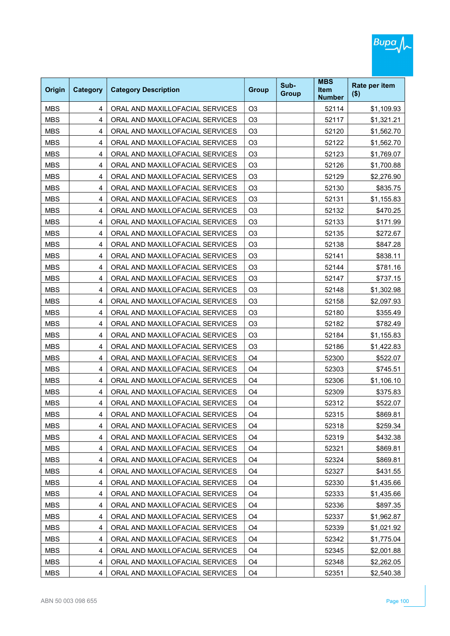

| Origin     | <b>Category</b> | <b>Category Description</b>     | <b>Group</b>   | Sub-<br><b>Group</b> | <b>MBS</b><br><b>Item</b><br><b>Number</b> | Rate per item<br>$($ \$) |
|------------|-----------------|---------------------------------|----------------|----------------------|--------------------------------------------|--------------------------|
| <b>MBS</b> | 4               | ORAL AND MAXILLOFACIAL SERVICES | O <sub>3</sub> |                      | 52114                                      | \$1,109.93               |
| <b>MBS</b> | 4               | ORAL AND MAXILLOFACIAL SERVICES | O <sub>3</sub> |                      | 52117                                      | \$1,321.21               |
| <b>MBS</b> | 4               | ORAL AND MAXILLOFACIAL SERVICES | O <sub>3</sub> |                      | 52120                                      | \$1,562.70               |
| <b>MBS</b> | 4               | ORAL AND MAXILLOFACIAL SERVICES | O <sub>3</sub> |                      | 52122                                      | \$1,562.70               |
| <b>MBS</b> | 4               | ORAL AND MAXILLOFACIAL SERVICES | O <sub>3</sub> |                      | 52123                                      | \$1,769.07               |
| <b>MBS</b> | 4               | ORAL AND MAXILLOFACIAL SERVICES | O <sub>3</sub> |                      | 52126                                      | \$1,700.88               |
| <b>MBS</b> | 4               | ORAL AND MAXILLOFACIAL SERVICES | O <sub>3</sub> |                      | 52129                                      | \$2,276.90               |
| <b>MBS</b> | 4               | ORAL AND MAXILLOFACIAL SERVICES | O <sub>3</sub> |                      | 52130                                      | \$835.75                 |
| <b>MBS</b> | 4               | ORAL AND MAXILLOFACIAL SERVICES | O <sub>3</sub> |                      | 52131                                      | \$1,155.83               |
| <b>MBS</b> | $\overline{4}$  | ORAL AND MAXILLOFACIAL SERVICES | O <sub>3</sub> |                      | 52132                                      | \$470.25                 |
| <b>MBS</b> | 4               | ORAL AND MAXILLOFACIAL SERVICES | O <sub>3</sub> |                      | 52133                                      | \$171.99                 |
| <b>MBS</b> | 4               | ORAL AND MAXILLOFACIAL SERVICES | O <sub>3</sub> |                      | 52135                                      | \$272.67                 |
| <b>MBS</b> | 4               | ORAL AND MAXILLOFACIAL SERVICES | O <sub>3</sub> |                      | 52138                                      | \$847.28                 |
| <b>MBS</b> | 4               | ORAL AND MAXILLOFACIAL SERVICES | O <sub>3</sub> |                      | 52141                                      | \$838.11                 |
| <b>MBS</b> | 4               | ORAL AND MAXILLOFACIAL SERVICES | O <sub>3</sub> |                      | 52144                                      | \$781.16                 |
| <b>MBS</b> | 4               | ORAL AND MAXILLOFACIAL SERVICES | O <sub>3</sub> |                      | 52147                                      | \$737.15                 |
| <b>MBS</b> | 4               | ORAL AND MAXILLOFACIAL SERVICES | O <sub>3</sub> |                      | 52148                                      | \$1,302.98               |
| <b>MBS</b> | 4               | ORAL AND MAXILLOFACIAL SERVICES | O <sub>3</sub> |                      | 52158                                      | \$2,097.93               |
| <b>MBS</b> | 4               | ORAL AND MAXILLOFACIAL SERVICES | O <sub>3</sub> |                      | 52180                                      | \$355.49                 |
| <b>MBS</b> | 4               | ORAL AND MAXILLOFACIAL SERVICES | O <sub>3</sub> |                      | 52182                                      | \$782.49                 |
| <b>MBS</b> | 4               | ORAL AND MAXILLOFACIAL SERVICES | O <sub>3</sub> |                      | 52184                                      | \$1,155.83               |
| <b>MBS</b> | 4               | ORAL AND MAXILLOFACIAL SERVICES | O <sub>3</sub> |                      | 52186                                      | \$1,422.83               |
| <b>MBS</b> | 4               | ORAL AND MAXILLOFACIAL SERVICES | O <sub>4</sub> |                      | 52300                                      | \$522.07                 |
| <b>MBS</b> | 4               | ORAL AND MAXILLOFACIAL SERVICES | O <sub>4</sub> |                      | 52303                                      | \$745.51                 |
| <b>MBS</b> | 4               | ORAL AND MAXILLOFACIAL SERVICES | O <sub>4</sub> |                      | 52306                                      | \$1,106.10               |
| <b>MBS</b> | 4               | ORAL AND MAXILLOFACIAL SERVICES | O <sub>4</sub> |                      | 52309                                      | \$375.83                 |
| <b>MBS</b> | 4               | ORAL AND MAXILLOFACIAL SERVICES | O <sub>4</sub> |                      | 52312                                      | \$522.07                 |
| <b>MBS</b> | 4               | ORAL AND MAXILLOFACIAL SERVICES | O <sub>4</sub> |                      | 52315                                      | \$869.81                 |
| <b>MBS</b> | 4               | ORAL AND MAXILLOFACIAL SERVICES | O <sub>4</sub> |                      | 52318                                      | \$259.34                 |
| <b>MBS</b> | 4               | ORAL AND MAXILLOFACIAL SERVICES | O <sub>4</sub> |                      | 52319                                      | \$432.38                 |
| <b>MBS</b> | 4               | ORAL AND MAXILLOFACIAL SERVICES | O <sub>4</sub> |                      | 52321                                      | \$869.81                 |
| <b>MBS</b> | 4               | ORAL AND MAXILLOFACIAL SERVICES | O <sub>4</sub> |                      | 52324                                      | \$869.81                 |
| <b>MBS</b> | 4               | ORAL AND MAXILLOFACIAL SERVICES | O <sub>4</sub> |                      | 52327                                      | \$431.55                 |
| <b>MBS</b> | 4               | ORAL AND MAXILLOFACIAL SERVICES | O <sub>4</sub> |                      | 52330                                      | \$1,435.66               |
| <b>MBS</b> | 4               | ORAL AND MAXILLOFACIAL SERVICES | O <sub>4</sub> |                      | 52333                                      | \$1,435.66               |
| <b>MBS</b> | 4               | ORAL AND MAXILLOFACIAL SERVICES | O <sub>4</sub> |                      | 52336                                      | \$897.35                 |
| <b>MBS</b> | 4               | ORAL AND MAXILLOFACIAL SERVICES | O <sub>4</sub> |                      | 52337                                      | \$1,962.87               |
| <b>MBS</b> | 4               | ORAL AND MAXILLOFACIAL SERVICES | O <sub>4</sub> |                      | 52339                                      | \$1,021.92               |
| <b>MBS</b> | 4               | ORAL AND MAXILLOFACIAL SERVICES | O <sub>4</sub> |                      | 52342                                      | \$1,775.04               |
| <b>MBS</b> | 4               | ORAL AND MAXILLOFACIAL SERVICES | O <sub>4</sub> |                      | 52345                                      | \$2,001.88               |
| <b>MBS</b> | 4               | ORAL AND MAXILLOFACIAL SERVICES | O <sub>4</sub> |                      | 52348                                      | \$2,262.05               |
| <b>MBS</b> | 4               | ORAL AND MAXILLOFACIAL SERVICES | O <sub>4</sub> |                      | 52351                                      | \$2,540.38               |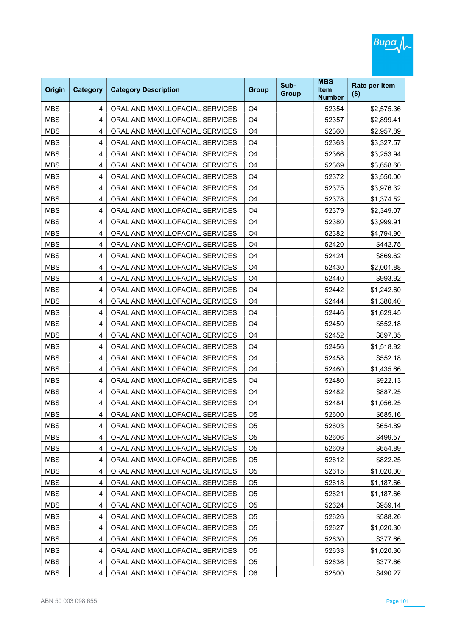

| <b>Origin</b> | <b>Category</b> | <b>Category Description</b>     | <b>Group</b>   | Sub-<br><b>Group</b> | <b>MBS</b><br>Item<br><b>Number</b> | Rate per item<br>$($ \$) |
|---------------|-----------------|---------------------------------|----------------|----------------------|-------------------------------------|--------------------------|
| <b>MBS</b>    | 4               | ORAL AND MAXILLOFACIAL SERVICES | O <sub>4</sub> |                      | 52354                               | \$2,575.36               |
| <b>MBS</b>    | 4               | ORAL AND MAXILLOFACIAL SERVICES | O <sub>4</sub> |                      | 52357                               | \$2,899.41               |
| <b>MBS</b>    | 4               | ORAL AND MAXILLOFACIAL SERVICES | O <sub>4</sub> |                      | 52360                               | \$2,957.89               |
| <b>MBS</b>    | $\overline{4}$  | ORAL AND MAXILLOFACIAL SERVICES | O <sub>4</sub> |                      | 52363                               | \$3,327.57               |
| <b>MBS</b>    | 4               | ORAL AND MAXILLOFACIAL SERVICES | O <sub>4</sub> |                      | 52366                               | \$3,253.94               |
| <b>MBS</b>    | 4               | ORAL AND MAXILLOFACIAL SERVICES | O <sub>4</sub> |                      | 52369                               | \$3,658.60               |
| <b>MBS</b>    | 4               | ORAL AND MAXILLOFACIAL SERVICES | O <sub>4</sub> |                      | 52372                               | \$3,550.00               |
| <b>MBS</b>    | $\overline{4}$  | ORAL AND MAXILLOFACIAL SERVICES | O <sub>4</sub> |                      | 52375                               | \$3,976.32               |
| <b>MBS</b>    | 4               | ORAL AND MAXILLOFACIAL SERVICES | O <sub>4</sub> |                      | 52378                               | \$1,374.52               |
| <b>MBS</b>    | 4               | ORAL AND MAXILLOFACIAL SERVICES | O <sub>4</sub> |                      | 52379                               | \$2,349.07               |
| <b>MBS</b>    | 4               | ORAL AND MAXILLOFACIAL SERVICES | O <sub>4</sub> |                      | 52380                               | \$3,999.91               |
| <b>MBS</b>    | 4               | ORAL AND MAXILLOFACIAL SERVICES | O <sub>4</sub> |                      | 52382                               | \$4,794.90               |
| <b>MBS</b>    | 4               | ORAL AND MAXILLOFACIAL SERVICES | O <sub>4</sub> |                      | 52420                               | \$442.75                 |
| <b>MBS</b>    | 4               | ORAL AND MAXILLOFACIAL SERVICES | O <sub>4</sub> |                      | 52424                               | \$869.62                 |
| <b>MBS</b>    | 4               | ORAL AND MAXILLOFACIAL SERVICES | O <sub>4</sub> |                      | 52430                               | \$2,001.88               |
| <b>MBS</b>    | 4               | ORAL AND MAXILLOFACIAL SERVICES | O <sub>4</sub> |                      | 52440                               | \$993.92                 |
| <b>MBS</b>    | 4               | ORAL AND MAXILLOFACIAL SERVICES | O <sub>4</sub> |                      | 52442                               | \$1,242.60               |
| <b>MBS</b>    | 4               | ORAL AND MAXILLOFACIAL SERVICES | O <sub>4</sub> |                      | 52444                               | \$1,380.40               |
| <b>MBS</b>    | 4               | ORAL AND MAXILLOFACIAL SERVICES | O <sub>4</sub> |                      | 52446                               | \$1,629.45               |
| <b>MBS</b>    | 4               | ORAL AND MAXILLOFACIAL SERVICES | O <sub>4</sub> |                      | 52450                               | \$552.18                 |
| <b>MBS</b>    | 4               | ORAL AND MAXILLOFACIAL SERVICES | O <sub>4</sub> |                      | 52452                               | \$897.35                 |
| <b>MBS</b>    | 4               | ORAL AND MAXILLOFACIAL SERVICES | O <sub>4</sub> |                      | 52456                               | \$1,518.92               |
| <b>MBS</b>    | 4               | ORAL AND MAXILLOFACIAL SERVICES | O <sub>4</sub> |                      | 52458                               | \$552.18                 |
| <b>MBS</b>    | 4               | ORAL AND MAXILLOFACIAL SERVICES | O <sub>4</sub> |                      | 52460                               | \$1,435.66               |
| <b>MBS</b>    | 4               | ORAL AND MAXILLOFACIAL SERVICES | O <sub>4</sub> |                      | 52480                               | \$922.13                 |
| <b>MBS</b>    | 4               | ORAL AND MAXILLOFACIAL SERVICES | O <sub>4</sub> |                      | 52482                               | \$887.25                 |
| <b>MBS</b>    | 4               | ORAL AND MAXILLOFACIAL SERVICES | O <sub>4</sub> |                      | 52484                               | \$1,056.25               |
| <b>MBS</b>    | 4               | ORAL AND MAXILLOFACIAL SERVICES | O <sub>5</sub> |                      | 52600                               | \$685.16                 |
| <b>MBS</b>    | 4               | ORAL AND MAXILLOFACIAL SERVICES | O <sub>5</sub> |                      | 52603                               | \$654.89                 |
| <b>MBS</b>    | 4               | ORAL AND MAXILLOFACIAL SERVICES | O <sub>5</sub> |                      | 52606                               | \$499.57                 |
| <b>MBS</b>    | 4               | ORAL AND MAXILLOFACIAL SERVICES | O <sub>5</sub> |                      | 52609                               | \$654.89                 |
| <b>MBS</b>    | 4               | ORAL AND MAXILLOFACIAL SERVICES | O5             |                      | 52612                               | \$822.25                 |
| <b>MBS</b>    | 4               | ORAL AND MAXILLOFACIAL SERVICES | O <sub>5</sub> |                      | 52615                               | \$1,020.30               |
| <b>MBS</b>    | 4               | ORAL AND MAXILLOFACIAL SERVICES | O <sub>5</sub> |                      | 52618                               | \$1,187.66               |
| <b>MBS</b>    | 4               | ORAL AND MAXILLOFACIAL SERVICES | O <sub>5</sub> |                      | 52621                               | \$1,187.66               |
| <b>MBS</b>    | 4               | ORAL AND MAXILLOFACIAL SERVICES | O5             |                      | 52624                               | \$959.14                 |
| <b>MBS</b>    | 4               | ORAL AND MAXILLOFACIAL SERVICES | O <sub>5</sub> |                      | 52626                               | \$588.26                 |
| <b>MBS</b>    | 4               | ORAL AND MAXILLOFACIAL SERVICES | O5             |                      | 52627                               | \$1,020.30               |
| <b>MBS</b>    | 4               | ORAL AND MAXILLOFACIAL SERVICES | O <sub>5</sub> |                      | 52630                               | \$377.66                 |
| <b>MBS</b>    | 4               | ORAL AND MAXILLOFACIAL SERVICES | O5             |                      | 52633                               | \$1,020.30               |
| <b>MBS</b>    | 4               | ORAL AND MAXILLOFACIAL SERVICES | O <sub>5</sub> |                      | 52636                               | \$377.66                 |
| <b>MBS</b>    | 4               | ORAL AND MAXILLOFACIAL SERVICES | O <sub>6</sub> |                      | 52800                               | \$490.27                 |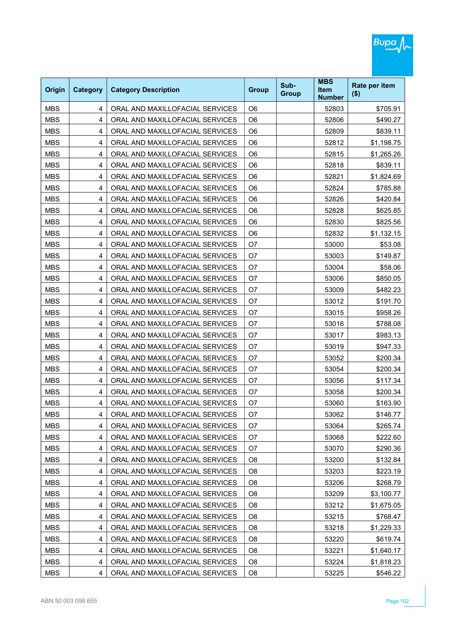

| Origin     | Category | <b>Category Description</b>     | <b>Group</b>   | Sub-<br><b>Group</b> | <b>MBS</b><br><b>Item</b><br><b>Number</b> | Rate per item<br>$($ \$) |
|------------|----------|---------------------------------|----------------|----------------------|--------------------------------------------|--------------------------|
| <b>MBS</b> | 4        | ORAL AND MAXILLOFACIAL SERVICES | O <sub>6</sub> |                      | 52803                                      | \$705.91                 |
| <b>MBS</b> | 4        | ORAL AND MAXILLOFACIAL SERVICES | O <sub>6</sub> |                      | 52806                                      | \$490.27                 |
| <b>MBS</b> | 4        | ORAL AND MAXILLOFACIAL SERVICES | O <sub>6</sub> |                      | 52809                                      | \$839.11                 |
| <b>MBS</b> | 4        | ORAL AND MAXILLOFACIAL SERVICES | O <sub>6</sub> |                      | 52812                                      | \$1,198.75               |
| <b>MBS</b> | 4        | ORAL AND MAXILLOFACIAL SERVICES | O <sub>6</sub> |                      | 52815                                      | \$1,265.26               |
| <b>MBS</b> | 4        | ORAL AND MAXILLOFACIAL SERVICES | O <sub>6</sub> |                      | 52818                                      | \$839.11                 |
| <b>MBS</b> | 4        | ORAL AND MAXILLOFACIAL SERVICES | O <sub>6</sub> |                      | 52821                                      | \$1,824.69               |
| <b>MBS</b> | 4        | ORAL AND MAXILLOFACIAL SERVICES | O <sub>6</sub> |                      | 52824                                      | \$785.88                 |
| <b>MBS</b> | 4        | ORAL AND MAXILLOFACIAL SERVICES | O <sub>6</sub> |                      | 52826                                      | \$420.84                 |
| <b>MBS</b> | 4        | ORAL AND MAXILLOFACIAL SERVICES | O <sub>6</sub> |                      | 52828                                      | \$625.85                 |
| <b>MBS</b> | 4        | ORAL AND MAXILLOFACIAL SERVICES | O <sub>6</sub> |                      | 52830                                      | \$825.56                 |
| <b>MBS</b> | 4        | ORAL AND MAXILLOFACIAL SERVICES | O <sub>6</sub> |                      | 52832                                      | \$1,132.15               |
| <b>MBS</b> | 4        | ORAL AND MAXILLOFACIAL SERVICES | O <sub>7</sub> |                      | 53000                                      | \$53.08                  |
| <b>MBS</b> | 4        | ORAL AND MAXILLOFACIAL SERVICES | O7             |                      | 53003                                      | \$149.87                 |
| <b>MBS</b> | 4        | ORAL AND MAXILLOFACIAL SERVICES | O <sub>7</sub> |                      | 53004                                      | \$58.06                  |
| <b>MBS</b> | 4        | ORAL AND MAXILLOFACIAL SERVICES | O7             |                      | 53006                                      | \$850.05                 |
| <b>MBS</b> | 4        | ORAL AND MAXILLOFACIAL SERVICES | O <sub>7</sub> |                      | 53009                                      | \$482.23                 |
| <b>MBS</b> | 4        | ORAL AND MAXILLOFACIAL SERVICES | O7             |                      | 53012                                      | \$191.70                 |
| <b>MBS</b> | 4        | ORAL AND MAXILLOFACIAL SERVICES | O7             |                      | 53015                                      | \$958.26                 |
| <b>MBS</b> | 4        | ORAL AND MAXILLOFACIAL SERVICES | O7             |                      | 53016                                      | \$788.08                 |
| <b>MBS</b> | 4        | ORAL AND MAXILLOFACIAL SERVICES | O <sub>7</sub> |                      | 53017                                      | \$983.13                 |
| <b>MBS</b> | 4        | ORAL AND MAXILLOFACIAL SERVICES | O7             |                      | 53019                                      | \$947.33                 |
| <b>MBS</b> | 4        | ORAL AND MAXILLOFACIAL SERVICES | O7             |                      | 53052                                      | \$200.34                 |
| <b>MBS</b> | 4        | ORAL AND MAXILLOFACIAL SERVICES | O7             |                      | 53054                                      | \$200.34                 |
| <b>MBS</b> | 4        | ORAL AND MAXILLOFACIAL SERVICES | O <sub>7</sub> |                      | 53056                                      | \$117.34                 |
| <b>MBS</b> | 4        | ORAL AND MAXILLOFACIAL SERVICES | O7             |                      | 53058                                      | \$200.34                 |
| <b>MBS</b> | 4        | ORAL AND MAXILLOFACIAL SERVICES | O7             |                      | 53060                                      | \$163.90                 |
| <b>MBS</b> | 4        | ORAL AND MAXILLOFACIAL SERVICES | O7             |                      | 53062                                      | \$146.77                 |
| <b>MBS</b> | 4        | ORAL AND MAXILLOFACIAL SERVICES | O7             |                      | 53064                                      | \$265.74                 |
| <b>MBS</b> | 4        | ORAL AND MAXILLOFACIAL SERVICES | O7             |                      | 53068                                      | \$222.60                 |
| <b>MBS</b> | 4        | ORAL AND MAXILLOFACIAL SERVICES | O7             |                      | 53070                                      | \$290.36                 |
| <b>MBS</b> | 4        | ORAL AND MAXILLOFACIAL SERVICES | O <sub>8</sub> |                      | 53200                                      | \$132.84                 |
| <b>MBS</b> | 4        | ORAL AND MAXILLOFACIAL SERVICES | O <sub>8</sub> |                      | 53203                                      | \$223.19                 |
| <b>MBS</b> | 4        | ORAL AND MAXILLOFACIAL SERVICES | O <sub>8</sub> |                      | 53206                                      | \$268.79                 |
| <b>MBS</b> | 4        | ORAL AND MAXILLOFACIAL SERVICES | O <sub>8</sub> |                      | 53209                                      | \$3,100.77               |
| <b>MBS</b> | 4        | ORAL AND MAXILLOFACIAL SERVICES | O <sub>8</sub> |                      | 53212                                      | \$1,675.05               |
| <b>MBS</b> | 4        | ORAL AND MAXILLOFACIAL SERVICES | O <sub>8</sub> |                      | 53215                                      | \$768.47                 |
| <b>MBS</b> | 4        | ORAL AND MAXILLOFACIAL SERVICES | O <sub>8</sub> |                      | 53218                                      | \$1,229.33               |
| <b>MBS</b> | 4        | ORAL AND MAXILLOFACIAL SERVICES | O <sub>8</sub> |                      | 53220                                      | \$619.74                 |
| <b>MBS</b> | 4        | ORAL AND MAXILLOFACIAL SERVICES | O8             |                      | 53221                                      | \$1,640.17               |
| <b>MBS</b> | 4        | ORAL AND MAXILLOFACIAL SERVICES | O <sub>8</sub> |                      | 53224                                      | \$1,818.23               |
| <b>MBS</b> | 4        | ORAL AND MAXILLOFACIAL SERVICES | O <sub>8</sub> |                      | 53225                                      | \$546.22                 |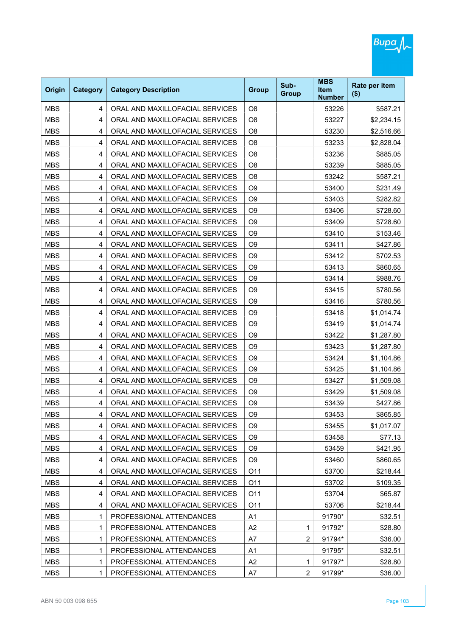

| Origin     | Category | <b>Category Description</b>     | <b>Group</b>    | Sub-<br><b>Group</b> | <b>MBS</b><br><b>Item</b><br><b>Number</b> | Rate per item<br>$($ \$) |
|------------|----------|---------------------------------|-----------------|----------------------|--------------------------------------------|--------------------------|
| <b>MBS</b> | 4        | ORAL AND MAXILLOFACIAL SERVICES | O <sub>8</sub>  |                      | 53226                                      | \$587.21                 |
| <b>MBS</b> | 4        | ORAL AND MAXILLOFACIAL SERVICES | O <sub>8</sub>  |                      | 53227                                      | \$2,234.15               |
| <b>MBS</b> | 4        | ORAL AND MAXILLOFACIAL SERVICES | O <sub>8</sub>  |                      | 53230                                      | \$2,516.66               |
| <b>MBS</b> | 4        | ORAL AND MAXILLOFACIAL SERVICES | O <sub>8</sub>  |                      | 53233                                      | \$2,828.04               |
| <b>MBS</b> | 4        | ORAL AND MAXILLOFACIAL SERVICES | O <sub>8</sub>  |                      | 53236                                      | \$885.05                 |
| <b>MBS</b> | 4        | ORAL AND MAXILLOFACIAL SERVICES | O <sub>8</sub>  |                      | 53239                                      | \$885.05                 |
| <b>MBS</b> | 4        | ORAL AND MAXILLOFACIAL SERVICES | O <sub>8</sub>  |                      | 53242                                      | \$587.21                 |
| <b>MBS</b> | 4        | ORAL AND MAXILLOFACIAL SERVICES | O <sub>9</sub>  |                      | 53400                                      | \$231.49                 |
| <b>MBS</b> | 4        | ORAL AND MAXILLOFACIAL SERVICES | O <sub>9</sub>  |                      | 53403                                      | \$282.82                 |
| <b>MBS</b> | 4        | ORAL AND MAXILLOFACIAL SERVICES | O <sub>9</sub>  |                      | 53406                                      | \$728.60                 |
| <b>MBS</b> | 4        | ORAL AND MAXILLOFACIAL SERVICES | O <sub>9</sub>  |                      | 53409                                      | \$728.60                 |
| <b>MBS</b> | 4        | ORAL AND MAXILLOFACIAL SERVICES | O <sub>9</sub>  |                      | 53410                                      | \$153.46                 |
| <b>MBS</b> | 4        | ORAL AND MAXILLOFACIAL SERVICES | O <sub>9</sub>  |                      | 53411                                      | \$427.86                 |
| <b>MBS</b> | 4        | ORAL AND MAXILLOFACIAL SERVICES | O <sub>9</sub>  |                      | 53412                                      | \$702.53                 |
| <b>MBS</b> | 4        | ORAL AND MAXILLOFACIAL SERVICES | O <sub>9</sub>  |                      | 53413                                      | \$860.65                 |
| <b>MBS</b> | 4        | ORAL AND MAXILLOFACIAL SERVICES | O <sub>9</sub>  |                      | 53414                                      | \$988.76                 |
| <b>MBS</b> | 4        | ORAL AND MAXILLOFACIAL SERVICES | O <sub>9</sub>  |                      | 53415                                      | \$780.56                 |
| <b>MBS</b> | 4        | ORAL AND MAXILLOFACIAL SERVICES | O <sub>9</sub>  |                      | 53416                                      | \$780.56                 |
| <b>MBS</b> | 4        | ORAL AND MAXILLOFACIAL SERVICES | O <sub>9</sub>  |                      | 53418                                      | \$1,014.74               |
| <b>MBS</b> | 4        | ORAL AND MAXILLOFACIAL SERVICES | O <sub>9</sub>  |                      | 53419                                      | \$1,014.74               |
| <b>MBS</b> | 4        | ORAL AND MAXILLOFACIAL SERVICES | O <sub>9</sub>  |                      | 53422                                      | \$1,287.80               |
| <b>MBS</b> | 4        | ORAL AND MAXILLOFACIAL SERVICES | O <sub>9</sub>  |                      | 53423                                      | \$1,287.80               |
| <b>MBS</b> | 4        | ORAL AND MAXILLOFACIAL SERVICES | O <sub>9</sub>  |                      | 53424                                      | \$1,104.86               |
| <b>MBS</b> | 4        | ORAL AND MAXILLOFACIAL SERVICES | O <sub>9</sub>  |                      | 53425                                      | \$1,104.86               |
| <b>MBS</b> | 4        | ORAL AND MAXILLOFACIAL SERVICES | O <sub>9</sub>  |                      | 53427                                      | \$1,509.08               |
| <b>MBS</b> | 4        | ORAL AND MAXILLOFACIAL SERVICES | O <sub>9</sub>  |                      | 53429                                      | \$1,509.08               |
| <b>MBS</b> | 4        | ORAL AND MAXILLOFACIAL SERVICES | O <sub>9</sub>  |                      | 53439                                      | \$427.86                 |
| <b>MBS</b> | 4        | ORAL AND MAXILLOFACIAL SERVICES | O <sub>9</sub>  |                      | 53453                                      | \$865.85                 |
| <b>MBS</b> | 4        | ORAL AND MAXILLOFACIAL SERVICES | O <sub>9</sub>  |                      | 53455                                      | \$1,017.07               |
| <b>MBS</b> | 4        | ORAL AND MAXILLOFACIAL SERVICES | O <sub>9</sub>  |                      | 53458                                      | \$77.13                  |
| <b>MBS</b> | 4        | ORAL AND MAXILLOFACIAL SERVICES | O <sub>9</sub>  |                      | 53459                                      | \$421.95                 |
| <b>MBS</b> | 4        | ORAL AND MAXILLOFACIAL SERVICES | O <sub>9</sub>  |                      | 53460                                      | \$860.65                 |
| <b>MBS</b> | 4        | ORAL AND MAXILLOFACIAL SERVICES | O11             |                      | 53700                                      | \$218.44                 |
| <b>MBS</b> | 4        | ORAL AND MAXILLOFACIAL SERVICES | O <sub>11</sub> |                      | 53702                                      | \$109.35                 |
| <b>MBS</b> | 4        | ORAL AND MAXILLOFACIAL SERVICES | O11             |                      | 53704                                      | \$65.87                  |
| <b>MBS</b> | 4        | ORAL AND MAXILLOFACIAL SERVICES | O11             |                      | 53706                                      | \$218.44                 |
| <b>MBS</b> | 1        | PROFESSIONAL ATTENDANCES        | A1              |                      | 91790*                                     | \$32.51                  |
| <b>MBS</b> | 1        | PROFESSIONAL ATTENDANCES        | A2              | 1                    | 91792*                                     | \$28.80                  |
| <b>MBS</b> | 1        | PROFESSIONAL ATTENDANCES        | A7              | $\overline{2}$       | 91794*                                     | \$36.00                  |
| <b>MBS</b> | 1        | PROFESSIONAL ATTENDANCES        | A <sub>1</sub>  |                      | 91795*                                     | \$32.51                  |
| <b>MBS</b> | 1        | PROFESSIONAL ATTENDANCES        | A2              | 1                    | 91797*                                     | \$28.80                  |
| <b>MBS</b> | 1        | PROFESSIONAL ATTENDANCES        | A7              | $\overline{2}$       | 91799*                                     | \$36.00                  |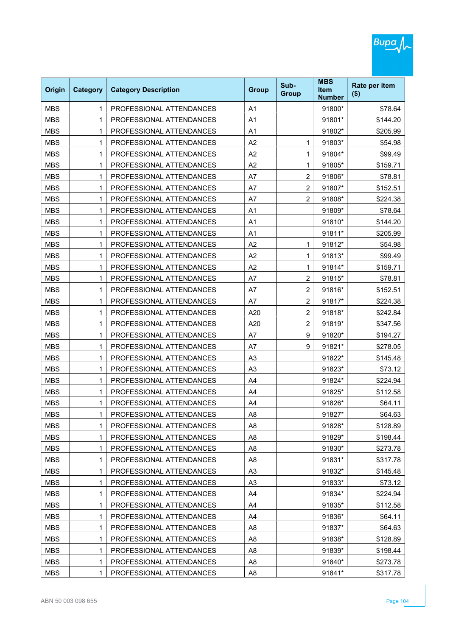